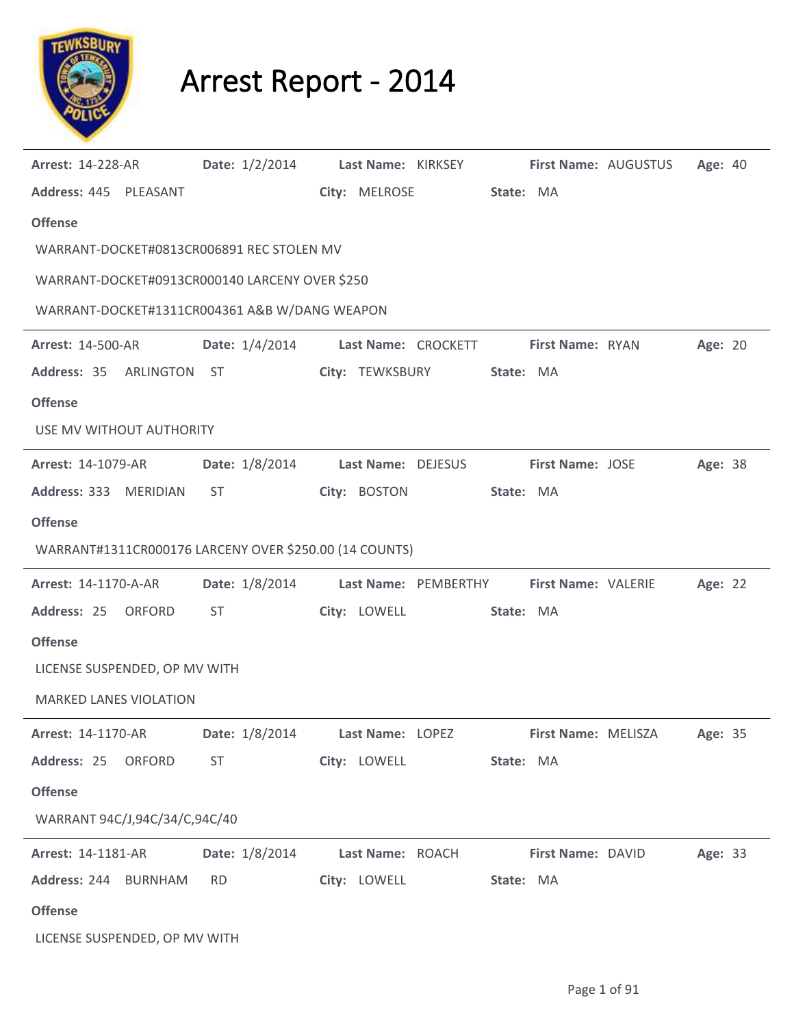

## Arrest Report - 2014

| <b>Arrest: 14-228-AR</b>                               | Date: 1/2/2014 |                  | Last Name: KIRKSEY                                      |                     | <b>First Name: AUGUSTUS</b> | Age: 40 |  |
|--------------------------------------------------------|----------------|------------------|---------------------------------------------------------|---------------------|-----------------------------|---------|--|
| Address: 445 PLEASANT                                  |                | City: MELROSE    | State: MA                                               |                     |                             |         |  |
| <b>Offense</b>                                         |                |                  |                                                         |                     |                             |         |  |
| WARRANT-DOCKET#0813CR006891 REC STOLEN MV              |                |                  |                                                         |                     |                             |         |  |
| WARRANT-DOCKET#0913CR000140 LARCENY OVER \$250         |                |                  |                                                         |                     |                             |         |  |
| WARRANT-DOCKET#1311CR004361 A&B W/DANG WEAPON          |                |                  |                                                         |                     |                             |         |  |
| <b>Arrest: 14-500-AR</b>                               |                |                  | Date: 1/4/2014 Last Name: CROCKETT First Name: RYAN     |                     |                             | Age: 20 |  |
| Address: 35 ARLINGTON ST                               |                | City: TEWKSBURY  | State: MA                                               |                     |                             |         |  |
| <b>Offense</b>                                         |                |                  |                                                         |                     |                             |         |  |
| USE MV WITHOUT AUTHORITY                               |                |                  |                                                         |                     |                             |         |  |
| <b>Arrest: 14-1079-AR</b>                              |                |                  | Date: 1/8/2014 Last Name: DEJESUS First Name: JOSE      |                     |                             | Age: 38 |  |
| Address: 333 MERIDIAN                                  | ST             | City: BOSTON     | State: MA                                               |                     |                             |         |  |
| <b>Offense</b>                                         |                |                  |                                                         |                     |                             |         |  |
| WARRANT#1311CR000176 LARCENY OVER \$250.00 (14 COUNTS) |                |                  |                                                         |                     |                             |         |  |
| <b>Arrest: 14-1170-A-AR</b>                            |                |                  | Date: 1/8/2014 Last Name: PEMBERTHY First Name: VALERIE |                     |                             | Age: 22 |  |
| Address: 25<br>ORFORD                                  | ST             | City: LOWELL     | State: MA                                               |                     |                             |         |  |
| <b>Offense</b>                                         |                |                  |                                                         |                     |                             |         |  |
| LICENSE SUSPENDED, OP MV WITH                          |                |                  |                                                         |                     |                             |         |  |
| <b>MARKED LANES VIOLATION</b>                          |                |                  |                                                         |                     |                             |         |  |
| Arrest: 14-1170-AR                                     | Date: 1/8/2014 | Last Name: LOPEZ |                                                         | First Name: MELISZA |                             | Age: 35 |  |
| Address: 25<br>ORFORD                                  | <b>ST</b>      | City: LOWELL     | State: MA                                               |                     |                             |         |  |
| <b>Offense</b>                                         |                |                  |                                                         |                     |                             |         |  |
| WARRANT 94C/J,94C/34/C,94C/40                          |                |                  |                                                         |                     |                             |         |  |
| <b>Arrest: 14-1181-AR</b>                              | Date: 1/8/2014 | Last Name: ROACH |                                                         | First Name: DAVID   |                             | Age: 33 |  |
| Address: 244 BURNHAM                                   | <b>RD</b>      | City: LOWELL     | State: MA                                               |                     |                             |         |  |
| <b>Offense</b>                                         |                |                  |                                                         |                     |                             |         |  |
| LICENSE SUSPENDED, OP MV WITH                          |                |                  |                                                         |                     |                             |         |  |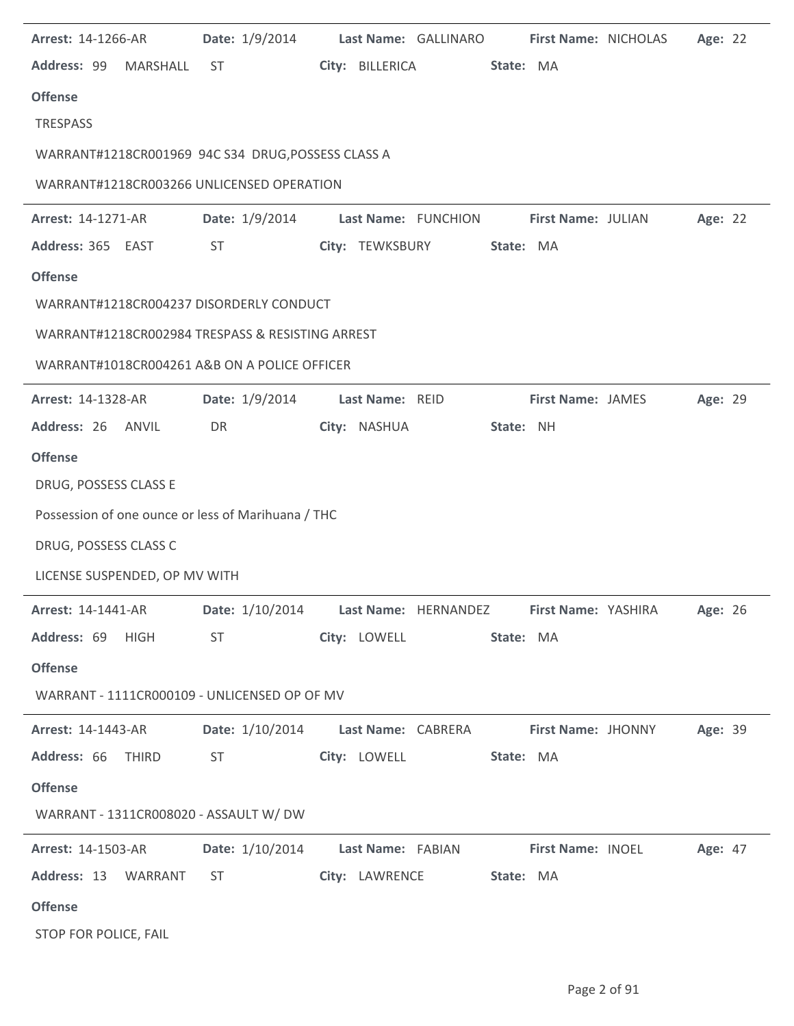| <b>Arrest: 14-1266-AR</b>     | Date: 1/9/2014 Last Name: GALLINARO                                                                                                                                                                                            |              |                           |           |                          | <b>First Name: NICHOLAS</b> | Age: 22 |  |
|-------------------------------|--------------------------------------------------------------------------------------------------------------------------------------------------------------------------------------------------------------------------------|--------------|---------------------------|-----------|--------------------------|-----------------------------|---------|--|
|                               | Address: 99 MARSHALL ST                                                                                                                                                                                                        |              | City: BILLERICA           | State: MA |                          |                             |         |  |
| <b>Offense</b>                |                                                                                                                                                                                                                                |              |                           |           |                          |                             |         |  |
| <b>TRESPASS</b>               |                                                                                                                                                                                                                                |              |                           |           |                          |                             |         |  |
|                               | WARRANT#1218CR001969 94C S34 DRUG, POSSESS CLASS A                                                                                                                                                                             |              |                           |           |                          |                             |         |  |
|                               | WARRANT#1218CR003266 UNLICENSED OPERATION                                                                                                                                                                                      |              |                           |           |                          |                             |         |  |
| <b>Arrest: 14-1271-AR</b>     | Date: 1/9/2014 Last Name: FUNCHION First Name: JULIAN                                                                                                                                                                          |              |                           |           |                          |                             | Age: 22 |  |
| Address: 365 EAST             | <b>ST</b>                                                                                                                                                                                                                      |              | City: TEWKSBURY State: MA |           |                          |                             |         |  |
| <b>Offense</b>                |                                                                                                                                                                                                                                |              |                           |           |                          |                             |         |  |
|                               | WARRANT#1218CR004237 DISORDERLY CONDUCT                                                                                                                                                                                        |              |                           |           |                          |                             |         |  |
|                               | WARRANT#1218CR002984 TRESPASS & RESISTING ARREST                                                                                                                                                                               |              |                           |           |                          |                             |         |  |
|                               | WARRANT#1018CR004261 A&B ON A POLICE OFFICER                                                                                                                                                                                   |              |                           |           |                          |                             |         |  |
| <b>Arrest: 14-1328-AR</b>     | Date: 1/9/2014 Last Name: REID                                                                                                                                                                                                 |              |                           |           | <b>First Name: JAMES</b> |                             | Age: 29 |  |
| Address: 26 ANVIL             | DR                                                                                                                                                                                                                             | City: NASHUA |                           | State: NH |                          |                             |         |  |
| <b>Offense</b>                |                                                                                                                                                                                                                                |              |                           |           |                          |                             |         |  |
| DRUG, POSSESS CLASS E         |                                                                                                                                                                                                                                |              |                           |           |                          |                             |         |  |
|                               | Possession of one ounce or less of Marihuana / THC                                                                                                                                                                             |              |                           |           |                          |                             |         |  |
| DRUG, POSSESS CLASS C         |                                                                                                                                                                                                                                |              |                           |           |                          |                             |         |  |
| LICENSE SUSPENDED, OP MV WITH |                                                                                                                                                                                                                                |              |                           |           |                          |                             |         |  |
|                               | Arrest: 14-1441-AR  Date: 1/10/2014  Last Name: HERNANDEZ  First Name: YASHIRA  Age: 26                                                                                                                                        |              |                           |           |                          |                             |         |  |
| Address: 69 HIGH              | ST                                                                                                                                                                                                                             | City: LOWELL |                           | State: MA |                          |                             |         |  |
| <b>Offense</b>                |                                                                                                                                                                                                                                |              |                           |           |                          |                             |         |  |
|                               | WARRANT - 1111CR000109 - UNLICENSED OP OF MV                                                                                                                                                                                   |              |                           |           |                          |                             |         |  |
| <b>Arrest: 14-1443-AR</b>     | Date: 1/10/2014 Last Name: CABRERA First Name: JHONNY                                                                                                                                                                          |              |                           |           |                          |                             | Age: 39 |  |
| Address: 66 THIRD             | ST and the state of the state of the state of the state of the state of the state of the state of the state of the state of the state of the state of the state of the state of the state of the state of the state of the sta |              | City: LOWELL State: MA    |           |                          |                             |         |  |
| <b>Offense</b>                |                                                                                                                                                                                                                                |              |                           |           |                          |                             |         |  |
|                               | WARRANT - 1311CR008020 - ASSAULT W/ DW                                                                                                                                                                                         |              |                           |           |                          |                             |         |  |
| <b>Arrest: 14-1503-AR</b>     | Date: 1/10/2014 Last Name: FABIAN First Name: INOEL Age: 47                                                                                                                                                                    |              |                           |           |                          |                             |         |  |
| Address: 13 WARRANT           | ST and the state of the state of the state of the state of the state of the state of the state of the state of the state of the state of the state of the state of the state of the state of the state of the state of the sta |              | City: LAWRENCE State: MA  |           |                          |                             |         |  |
| <b>Offense</b>                |                                                                                                                                                                                                                                |              |                           |           |                          |                             |         |  |
| STOP FOR POLICE, FAIL         |                                                                                                                                                                                                                                |              |                           |           |                          |                             |         |  |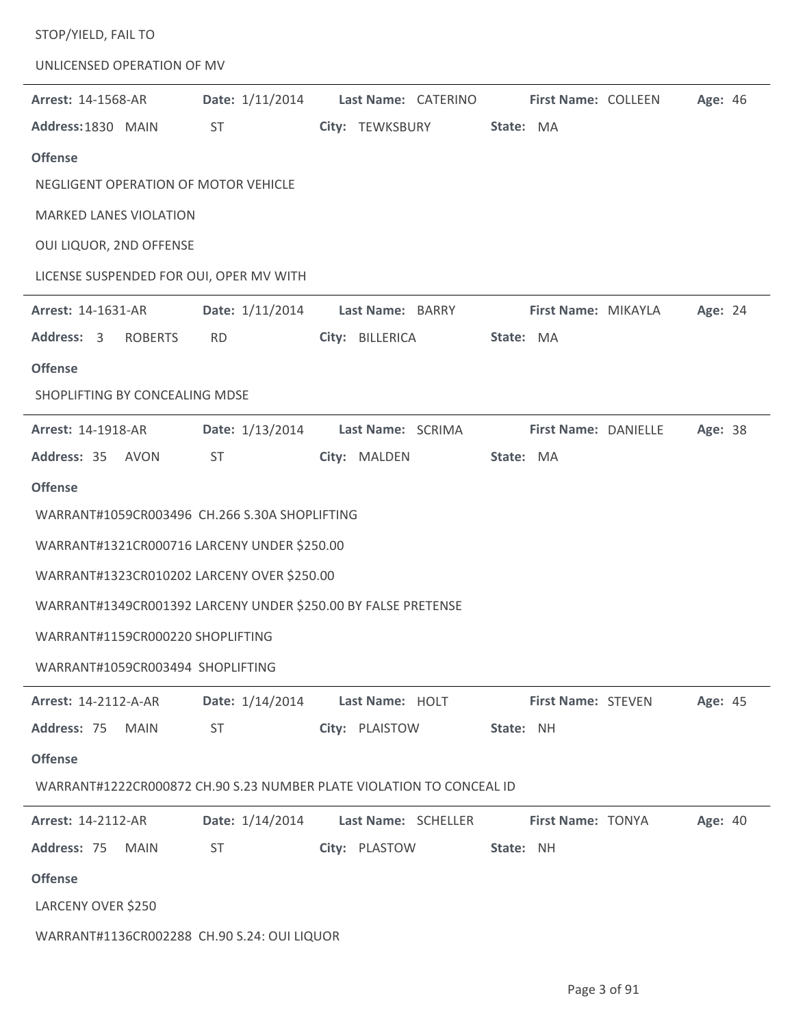| STOP/YIELD, FAIL TO                                           |                 |                                                                      |                            |         |
|---------------------------------------------------------------|-----------------|----------------------------------------------------------------------|----------------------------|---------|
| UNLICENSED OPERATION OF MV                                    |                 |                                                                      |                            |         |
| <b>Arrest: 14-1568-AR</b>                                     | Date: 1/11/2014 | Last Name: CATERINO                                                  | <b>First Name: COLLEEN</b> | Age: 46 |
| Address: 1830 MAIN                                            | <b>ST</b>       | City: TEWKSBURY                                                      | State: MA                  |         |
| <b>Offense</b>                                                |                 |                                                                      |                            |         |
| NEGLIGENT OPERATION OF MOTOR VEHICLE                          |                 |                                                                      |                            |         |
| <b>MARKED LANES VIOLATION</b>                                 |                 |                                                                      |                            |         |
| OUI LIQUOR, 2ND OFFENSE                                       |                 |                                                                      |                            |         |
| LICENSE SUSPENDED FOR OUI, OPER MV WITH                       |                 |                                                                      |                            |         |
| Arrest: 14-1631-AR                                            | Date: 1/11/2014 | Last Name: BARRY                                                     | First Name: MIKAYLA        | Age: 24 |
| Address: 3<br><b>ROBERTS</b>                                  | <b>RD</b>       | City: BILLERICA                                                      | State: MA                  |         |
| <b>Offense</b>                                                |                 |                                                                      |                            |         |
| SHOPLIFTING BY CONCEALING MDSE                                |                 |                                                                      |                            |         |
| Arrest: 14-1918-AR                                            | Date: 1/13/2014 | Last Name: SCRIMA                                                    | First Name: DANIELLE       | Age: 38 |
| Address: 35 AVON                                              | ST.             | City: MALDEN                                                         | State: MA                  |         |
| <b>Offense</b>                                                |                 |                                                                      |                            |         |
| WARRANT#1059CR003496 CH.266 S.30A SHOPLIFTING                 |                 |                                                                      |                            |         |
| WARRANT#1321CR000716 LARCENY UNDER \$250.00                   |                 |                                                                      |                            |         |
| WARRANT#1323CR010202 LARCENY OVER \$250.00                    |                 |                                                                      |                            |         |
| WARRANT#1349CR001392 LARCENY UNDER \$250.00 BY FALSE PRETENSE |                 |                                                                      |                            |         |
| WARRANT#1159CR000220 SHOPLIFTING                              |                 |                                                                      |                            |         |
| WARRANT#1059CR003494 SHOPLIFTING                              |                 |                                                                      |                            |         |
| <b>Arrest: 14-2112-A-AR</b>                                   | Date: 1/14/2014 | Last Name: HOLT                                                      | First Name: STEVEN         | Age: 45 |
| Address: 75<br><b>MAIN</b>                                    | <b>ST</b>       | City: PLAISTOW                                                       | State: NH                  |         |
| <b>Offense</b>                                                |                 |                                                                      |                            |         |
|                                                               |                 | WARRANT#1222CR000872 CH.90 S.23 NUMBER PLATE VIOLATION TO CONCEAL ID |                            |         |
| Arrest: 14-2112-AR                                            |                 | Date: 1/14/2014 Last Name: SCHELLER                                  | <b>First Name: TONYA</b>   | Age: 40 |
| Address: 75<br><b>MAIN</b>                                    | <b>ST</b>       | City: PLASTOW                                                        | State: NH                  |         |
| <b>Offense</b>                                                |                 |                                                                      |                            |         |
| LARCENY OVER \$250                                            |                 |                                                                      |                            |         |
| WARRANT#1136CR002288 CH.90 S.24: OUI LIQUOR                   |                 |                                                                      |                            |         |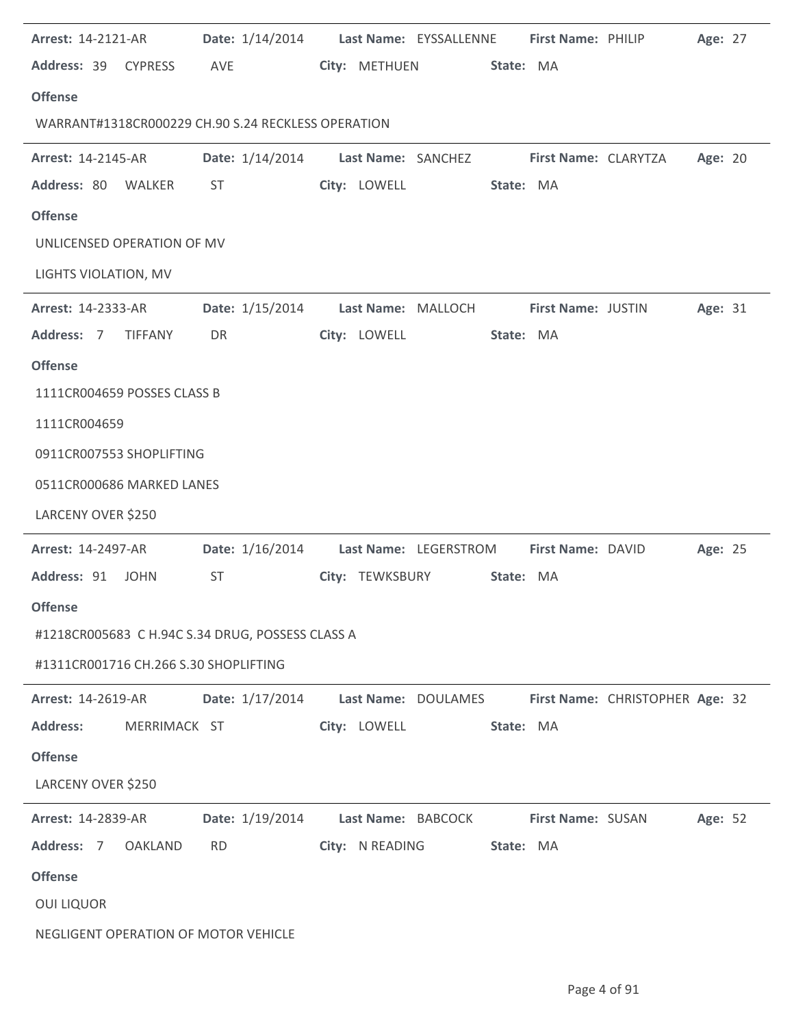| <b>Arrest: 14-2121-AR</b>                          | Date: 1/14/2014 Last Name: EYSSALLENNE                  |                 |                     | First Name: PHILIP          |                                 | Age: 27 |  |
|----------------------------------------------------|---------------------------------------------------------|-----------------|---------------------|-----------------------------|---------------------------------|---------|--|
| Address: 39<br><b>CYPRESS</b>                      | AVE                                                     | City: METHUEN   | State: MA           |                             |                                 |         |  |
| <b>Offense</b>                                     |                                                         |                 |                     |                             |                                 |         |  |
| WARRANT#1318CR000229 CH.90 S.24 RECKLESS OPERATION |                                                         |                 |                     |                             |                                 |         |  |
| <b>Arrest: 14-2145-AR</b>                          | Date: 1/14/2014 Last Name: SANCHEZ                      |                 |                     | <b>First Name: CLARYTZA</b> |                                 | Age: 20 |  |
| Address: 80 WALKER                                 | ST                                                      | City: LOWELL    | State: MA           |                             |                                 |         |  |
| <b>Offense</b>                                     |                                                         |                 |                     |                             |                                 |         |  |
| UNLICENSED OPERATION OF MV                         |                                                         |                 |                     |                             |                                 |         |  |
| LIGHTS VIOLATION, MV                               |                                                         |                 |                     |                             |                                 |         |  |
| <b>Arrest: 14-2333-AR</b>                          | <b>Date:</b> 1/15/2014                                  |                 | Last Name: MALLOCH  | <b>First Name: JUSTIN</b>   |                                 | Age: 31 |  |
| Address: 7 TIFFANY                                 | DR                                                      | City: LOWELL    | State: MA           |                             |                                 |         |  |
| <b>Offense</b>                                     |                                                         |                 |                     |                             |                                 |         |  |
| 1111CR004659 POSSES CLASS B                        |                                                         |                 |                     |                             |                                 |         |  |
| 1111CR004659                                       |                                                         |                 |                     |                             |                                 |         |  |
| 0911CR007553 SHOPLIFTING                           |                                                         |                 |                     |                             |                                 |         |  |
| 0511CR000686 MARKED LANES                          |                                                         |                 |                     |                             |                                 |         |  |
| LARCENY OVER \$250                                 |                                                         |                 |                     |                             |                                 |         |  |
| <b>Arrest: 14-2497-AR</b>                          | Date: 1/16/2014 Last Name: LEGERSTROM First Name: DAVID |                 |                     |                             |                                 | Age: 25 |  |
| Address: 91<br><b>JOHN</b>                         | <b>ST</b>                                               | City: TEWKSBURY | State: MA           |                             |                                 |         |  |
| <b>Offense</b>                                     |                                                         |                 |                     |                             |                                 |         |  |
| #1218CR005683 C H.94C S.34 DRUG, POSSESS CLASS A   |                                                         |                 |                     |                             |                                 |         |  |
| #1311CR001716 CH.266 S.30 SHOPLIFTING              |                                                         |                 |                     |                             |                                 |         |  |
| <b>Arrest: 14-2619-AR</b>                          | Date: 1/17/2014                                         |                 | Last Name: DOULAMES |                             | First Name: CHRISTOPHER Age: 32 |         |  |
| Address: MERRIMACK ST                              |                                                         | City: LOWELL    | State: MA           |                             |                                 |         |  |
| <b>Offense</b>                                     |                                                         |                 |                     |                             |                                 |         |  |
| LARCENY OVER \$250                                 |                                                         |                 |                     |                             |                                 |         |  |
| <b>Arrest: 14-2839-AR</b>                          | Date: 1/19/2014 Last Name: BABCOCK First Name: SUSAN    |                 |                     |                             |                                 | Age: 52 |  |
| Address: 7 OAKLAND                                 | <b>RD</b>                                               | City: N READING | State: MA           |                             |                                 |         |  |
| <b>Offense</b>                                     |                                                         |                 |                     |                             |                                 |         |  |
| <b>OUI LIQUOR</b>                                  |                                                         |                 |                     |                             |                                 |         |  |
| NEGLIGENT OPERATION OF MOTOR VEHICLE               |                                                         |                 |                     |                             |                                 |         |  |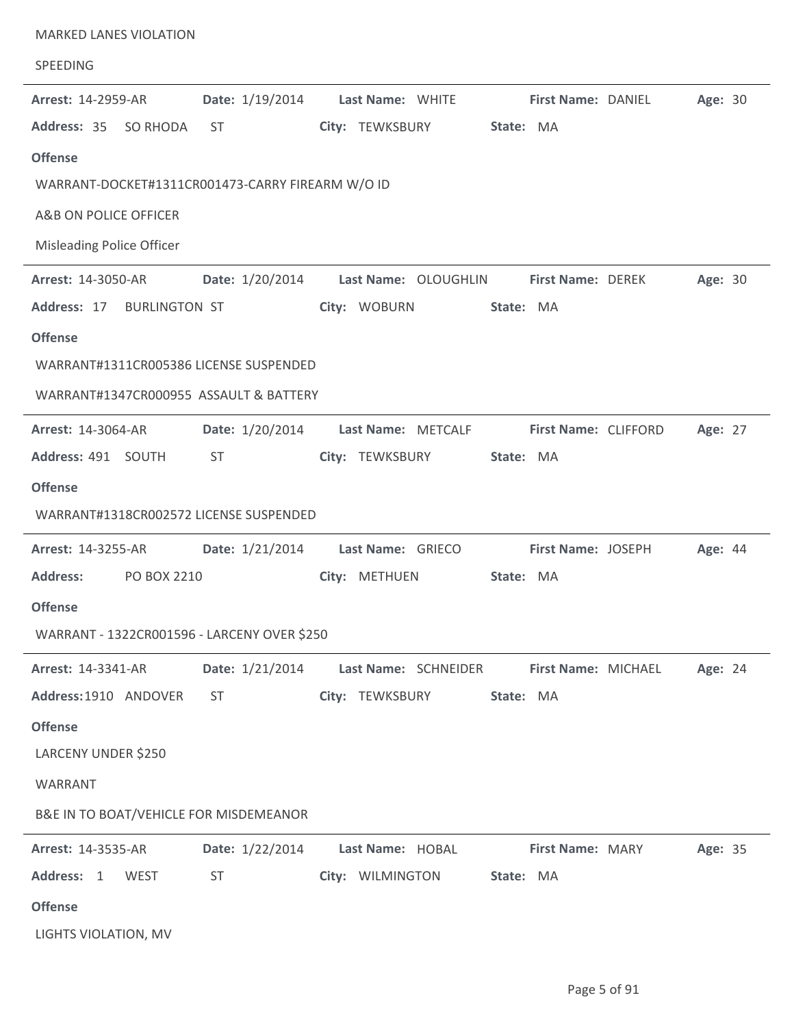| <b>MARKED LANES VIOLATION</b><br>SPEEDING        |                 |                      |           |                          |         |  |
|--------------------------------------------------|-----------------|----------------------|-----------|--------------------------|---------|--|
| <b>Arrest: 14-2959-AR</b>                        | Date: 1/19/2014 | Last Name: WHITE     |           | First Name: DANIEL       | Age: 30 |  |
| Address: 35<br>SO RHODA                          | <b>ST</b>       | City: TEWKSBURY      | State: MA |                          |         |  |
| <b>Offense</b>                                   |                 |                      |           |                          |         |  |
| WARRANT-DOCKET#1311CR001473-CARRY FIREARM W/O ID |                 |                      |           |                          |         |  |
| A&B ON POLICE OFFICER                            |                 |                      |           |                          |         |  |
| <b>Misleading Police Officer</b>                 |                 |                      |           |                          |         |  |
| <b>Arrest: 14-3050-AR</b>                        | Date: 1/20/2014 | Last Name: OLOUGHLIN |           | <b>First Name: DEREK</b> | Age: 30 |  |
| Address: 17<br><b>BURLINGTON ST</b>              |                 | City: WOBURN         | State: MA |                          |         |  |
| <b>Offense</b>                                   |                 |                      |           |                          |         |  |
| WARRANT#1311CR005386 LICENSE SUSPENDED           |                 |                      |           |                          |         |  |
| WARRANT#1347CR000955 ASSAULT & BATTERY           |                 |                      |           |                          |         |  |
| <b>Arrest: 14-3064-AR</b>                        | Date: 1/20/2014 | Last Name: METCALF   |           | First Name: CLIFFORD     | Age: 27 |  |
| Address: 491 SOUTH                               | <b>ST</b>       | City: TEWKSBURY      | State: MA |                          |         |  |
| <b>Offense</b>                                   |                 |                      |           |                          |         |  |
| WARRANT#1318CR002572 LICENSE SUSPENDED           |                 |                      |           |                          |         |  |
| <b>Arrest: 14-3255-AR</b>                        | Date: 1/21/2014 | Last Name: GRIECO    |           | First Name: JOSEPH       | Age: 44 |  |
| <b>Address:</b><br>PO BOX 2210                   |                 | City: METHUEN        | State: MA |                          |         |  |
| <b>Offense</b>                                   |                 |                      |           |                          |         |  |
| WARRANT - 1322CR001596 - LARCENY OVER \$250      |                 |                      |           |                          |         |  |
| Arrest: 14-3341-AR                               | Date: 1/21/2014 | Last Name: SCHNEIDER |           | First Name: MICHAEL      | Age: 24 |  |
| Address: 1910 ANDOVER                            | <b>ST</b>       | City: TEWKSBURY      | State: MA |                          |         |  |
| <b>Offense</b>                                   |                 |                      |           |                          |         |  |
| LARCENY UNDER \$250                              |                 |                      |           |                          |         |  |
| WARRANT                                          |                 |                      |           |                          |         |  |
| B&E IN TO BOAT/VEHICLE FOR MISDEMEANOR           |                 |                      |           |                          |         |  |
| <b>Arrest: 14-3535-AR</b>                        | Date: 1/22/2014 | Last Name: HOBAL     |           | <b>First Name: MARY</b>  | Age: 35 |  |
| Address: 1<br>WEST                               | <b>ST</b>       | City: WILMINGTON     | State: MA |                          |         |  |
| <b>Offense</b>                                   |                 |                      |           |                          |         |  |
| LIGHTS VIOLATION, MV                             |                 |                      |           |                          |         |  |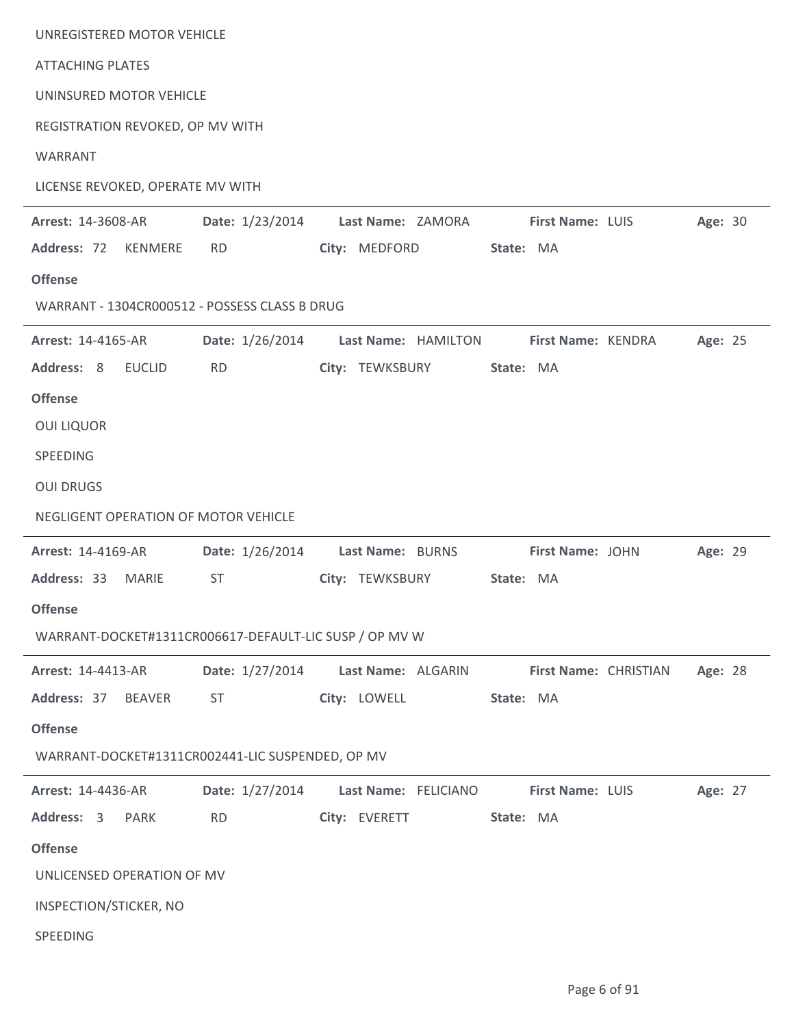| UNREGISTERED MOTOR VEHICLE                             |                 |                      |                       |         |  |
|--------------------------------------------------------|-----------------|----------------------|-----------------------|---------|--|
| <b>ATTACHING PLATES</b>                                |                 |                      |                       |         |  |
| UNINSURED MOTOR VEHICLE                                |                 |                      |                       |         |  |
| REGISTRATION REVOKED, OP MV WITH                       |                 |                      |                       |         |  |
| WARRANT                                                |                 |                      |                       |         |  |
| LICENSE REVOKED, OPERATE MV WITH                       |                 |                      |                       |         |  |
| Arrest: 14-3608-AR                                     | Date: 1/23/2014 | Last Name: ZAMORA    | First Name: LUIS      | Age: 30 |  |
| Address: 72<br>KENMERE                                 | <b>RD</b>       | City: MEDFORD        | State: MA             |         |  |
| <b>Offense</b>                                         |                 |                      |                       |         |  |
| WARRANT - 1304CR000512 - POSSESS CLASS B DRUG          |                 |                      |                       |         |  |
| Arrest: 14-4165-AR                                     | Date: 1/26/2014 | Last Name: HAMILTON  | First Name: KENDRA    | Age: 25 |  |
| Address: 8<br><b>EUCLID</b>                            | <b>RD</b>       | City: TEWKSBURY      | State: MA             |         |  |
| <b>Offense</b>                                         |                 |                      |                       |         |  |
| <b>OUI LIQUOR</b>                                      |                 |                      |                       |         |  |
| SPEEDING                                               |                 |                      |                       |         |  |
| <b>OUI DRUGS</b>                                       |                 |                      |                       |         |  |
| NEGLIGENT OPERATION OF MOTOR VEHICLE                   |                 |                      |                       |         |  |
| <b>Arrest: 14-4169-AR</b>                              | Date: 1/26/2014 | Last Name: BURNS     | First Name: JOHN      | Age: 29 |  |
| Address: 33<br><b>MARIE</b>                            | <b>ST</b>       | City: TEWKSBURY      | State: MA             |         |  |
| <b>Offense</b>                                         |                 |                      |                       |         |  |
| WARRANT-DOCKET#1311CR006617-DEFAULT-LIC SUSP / OP MV W |                 |                      |                       |         |  |
| Arrest: 14-4413-AR                                     | Date: 1/27/2014 | Last Name: ALGARIN   | First Name: CHRISTIAN | Age: 28 |  |
| Address: 37<br>BEAVER                                  | ST              | City: LOWELL         | State: MA             |         |  |
| <b>Offense</b>                                         |                 |                      |                       |         |  |
| WARRANT-DOCKET#1311CR002441-LIC SUSPENDED, OP MV       |                 |                      |                       |         |  |
| <b>Arrest: 14-4436-AR</b>                              | Date: 1/27/2014 | Last Name: FELICIANO | First Name: LUIS      | Age: 27 |  |
| Address: 3<br>PARK                                     | <b>RD</b>       | City: EVERETT        | State: MA             |         |  |
| <b>Offense</b>                                         |                 |                      |                       |         |  |
| UNLICENSED OPERATION OF MV                             |                 |                      |                       |         |  |
| INSPECTION/STICKER, NO                                 |                 |                      |                       |         |  |
| SPEEDING                                               |                 |                      |                       |         |  |
|                                                        |                 |                      |                       |         |  |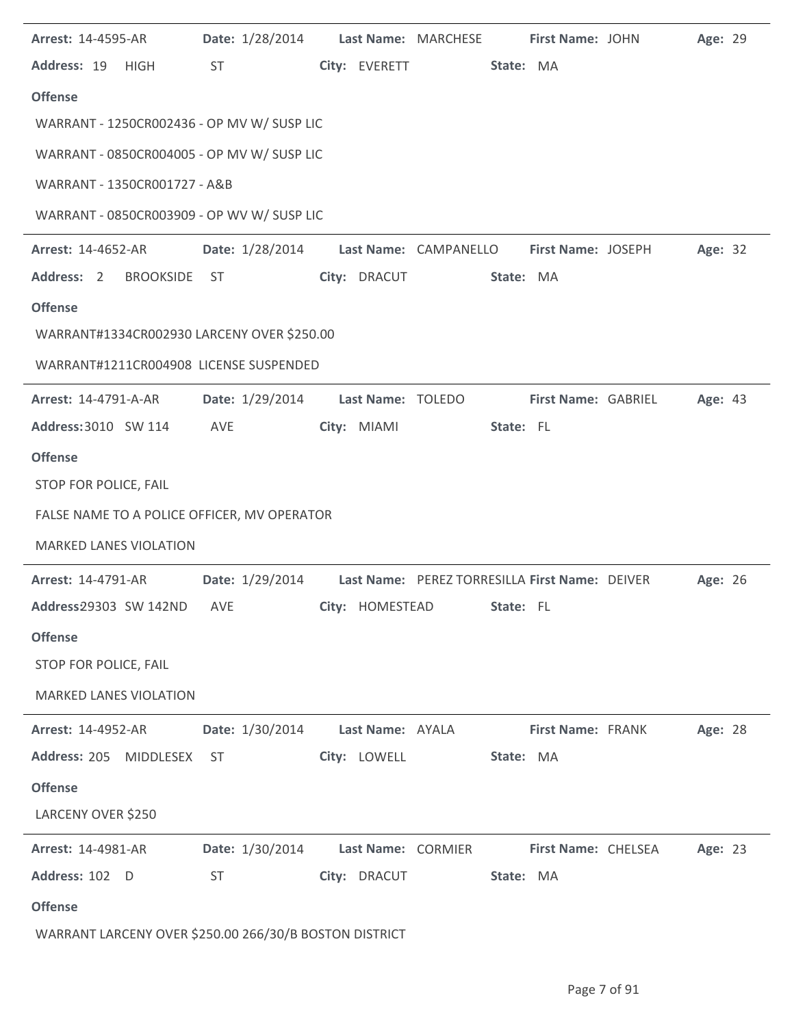| <b>Arrest: 14-4595-AR</b>                              | Date: 1/28/2014                                                |                    | Last Name: MARCHESE | First Name: JOHN           | Age: 29 |  |
|--------------------------------------------------------|----------------------------------------------------------------|--------------------|---------------------|----------------------------|---------|--|
| Address: 19 HIGH                                       | <b>ST</b>                                                      | City: EVERETT      | State: MA           |                            |         |  |
| <b>Offense</b>                                         |                                                                |                    |                     |                            |         |  |
| WARRANT - 1250CR002436 - OP MV W/ SUSP LIC             |                                                                |                    |                     |                            |         |  |
| WARRANT - 0850CR004005 - OP MV W/ SUSP LIC             |                                                                |                    |                     |                            |         |  |
| WARRANT - 1350CR001727 - A&B                           |                                                                |                    |                     |                            |         |  |
| WARRANT - 0850CR003909 - OP WV W/ SUSP LIC             |                                                                |                    |                     |                            |         |  |
| <b>Arrest: 14-4652-AR</b>                              | Date: 1/28/2014 Last Name: CAMPANELLO                          |                    |                     | First Name: JOSEPH         | Age: 32 |  |
| Address: 2 BROOKSIDE ST                                |                                                                | City: DRACUT       | State: MA           |                            |         |  |
| <b>Offense</b>                                         |                                                                |                    |                     |                            |         |  |
| WARRANT#1334CR002930 LARCENY OVER \$250.00             |                                                                |                    |                     |                            |         |  |
| WARRANT#1211CR004908 LICENSE SUSPENDED                 |                                                                |                    |                     |                            |         |  |
| <b>Arrest: 14-4791-A-AR</b>                            | Date: 1/29/2014                                                | Last Name: TOLEDO  |                     | First Name: GABRIEL        | Age: 43 |  |
| Address: 3010 SW 114                                   | AVE                                                            | City: MIAMI        | State: FL           |                            |         |  |
| <b>Offense</b>                                         |                                                                |                    |                     |                            |         |  |
| STOP FOR POLICE, FAIL                                  |                                                                |                    |                     |                            |         |  |
| FALSE NAME TO A POLICE OFFICER, MV OPERATOR            |                                                                |                    |                     |                            |         |  |
| <b>MARKED LANES VIOLATION</b>                          |                                                                |                    |                     |                            |         |  |
| <b>Arrest: 14-4791-AR</b>                              | Date: 1/29/2014 Last Name: PEREZ TORRESILLA First Name: DEIVER |                    |                     |                            | Age: 26 |  |
| Address29303 SW 142ND AVE                              |                                                                | City: HOMESTEAD    | <b>State:</b> FL    |                            |         |  |
| <b>Offense</b>                                         |                                                                |                    |                     |                            |         |  |
| STOP FOR POLICE, FAIL                                  |                                                                |                    |                     |                            |         |  |
| <b>MARKED LANES VIOLATION</b>                          |                                                                |                    |                     |                            |         |  |
| <b>Arrest: 14-4952-AR</b>                              | Date: 1/30/2014                                                | Last Name: AYALA   |                     | First Name: FRANK          | Age: 28 |  |
| Address: 205 MIDDLESEX                                 | ST                                                             | City: LOWELL       | State: MA           |                            |         |  |
| <b>Offense</b>                                         |                                                                |                    |                     |                            |         |  |
| LARCENY OVER \$250                                     |                                                                |                    |                     |                            |         |  |
| <b>Arrest: 14-4981-AR</b>                              | <b>Date:</b> 1/30/2014                                         | Last Name: CORMIER |                     | <b>First Name: CHELSEA</b> | Age: 23 |  |
| Address: 102 D                                         | <b>ST</b>                                                      | City: DRACUT       | State: MA           |                            |         |  |
| <b>Offense</b>                                         |                                                                |                    |                     |                            |         |  |
| WARRANT LARCENY OVER \$250.00 266/30/B BOSTON DISTRICT |                                                                |                    |                     |                            |         |  |

 $\overline{a}$ 

J.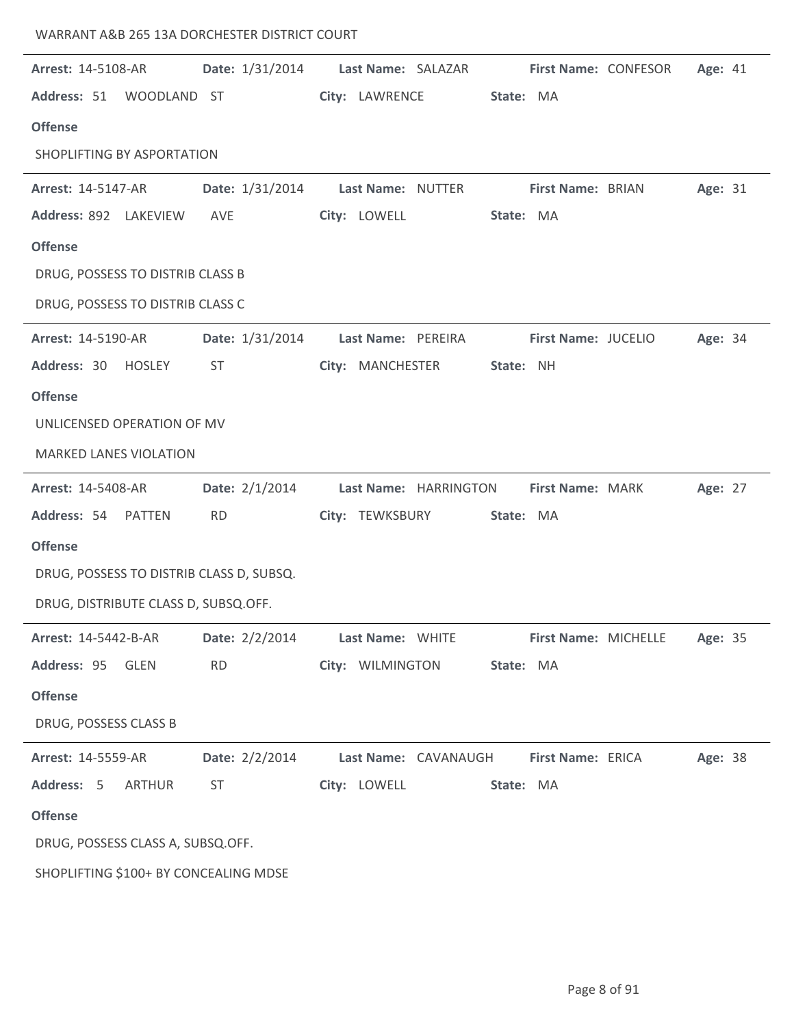| <b>Date:</b> 1/31/2014<br>Address: 51 WOODLAND ST<br>SHOPLIFTING BY ASPORTATION<br>Date: 1/31/2014<br>Address: 892 LAKEVIEW<br>AVE<br>DRUG, POSSESS TO DISTRIB CLASS B<br>DRUG, POSSESS TO DISTRIB CLASS C<br>Date: 1/31/2014<br><b>ST</b><br>UNLICENSED OPERATION OF MV<br><b>MARKED LANES VIOLATION</b><br>Date: 2/1/2014 | Last Name: SALAZAR<br>City: LAWRENCE<br>Last Name: NUTTER<br>City: LOWELL<br>Last Name: PEREIRA<br>City: MANCHESTER<br>Last Name: HARRINGTON | State: MA<br>State: MA<br>State: NH | First Name: CONFESOR<br>First Name: BRIAN<br>First Name: JUCELIO |           | Age: 41<br>Age: 31<br>Age: 34 |         |
|-----------------------------------------------------------------------------------------------------------------------------------------------------------------------------------------------------------------------------------------------------------------------------------------------------------------------------|----------------------------------------------------------------------------------------------------------------------------------------------|-------------------------------------|------------------------------------------------------------------|-----------|-------------------------------|---------|
|                                                                                                                                                                                                                                                                                                                             |                                                                                                                                              |                                     |                                                                  |           |                               |         |
|                                                                                                                                                                                                                                                                                                                             |                                                                                                                                              |                                     |                                                                  |           |                               |         |
|                                                                                                                                                                                                                                                                                                                             |                                                                                                                                              |                                     |                                                                  |           |                               |         |
|                                                                                                                                                                                                                                                                                                                             |                                                                                                                                              |                                     |                                                                  |           |                               |         |
|                                                                                                                                                                                                                                                                                                                             |                                                                                                                                              |                                     |                                                                  |           |                               |         |
|                                                                                                                                                                                                                                                                                                                             |                                                                                                                                              |                                     |                                                                  |           |                               |         |
|                                                                                                                                                                                                                                                                                                                             |                                                                                                                                              |                                     |                                                                  |           |                               |         |
|                                                                                                                                                                                                                                                                                                                             |                                                                                                                                              |                                     |                                                                  |           |                               |         |
|                                                                                                                                                                                                                                                                                                                             |                                                                                                                                              |                                     |                                                                  |           |                               |         |
|                                                                                                                                                                                                                                                                                                                             |                                                                                                                                              |                                     |                                                                  |           |                               |         |
|                                                                                                                                                                                                                                                                                                                             |                                                                                                                                              |                                     |                                                                  |           |                               |         |
|                                                                                                                                                                                                                                                                                                                             |                                                                                                                                              |                                     |                                                                  |           |                               |         |
|                                                                                                                                                                                                                                                                                                                             |                                                                                                                                              |                                     |                                                                  |           |                               |         |
|                                                                                                                                                                                                                                                                                                                             |                                                                                                                                              |                                     |                                                                  |           |                               |         |
|                                                                                                                                                                                                                                                                                                                             |                                                                                                                                              |                                     | First Name: MARK                                                 |           | Age: 27                       |         |
| <b>RD</b>                                                                                                                                                                                                                                                                                                                   | City: TEWKSBURY                                                                                                                              | State: MA                           |                                                                  |           |                               |         |
|                                                                                                                                                                                                                                                                                                                             |                                                                                                                                              |                                     |                                                                  |           |                               |         |
| DRUG, POSSESS TO DISTRIB CLASS D, SUBSQ.                                                                                                                                                                                                                                                                                    |                                                                                                                                              |                                     |                                                                  |           |                               |         |
| DRUG, DISTRIBUTE CLASS D, SUBSQ.OFF.                                                                                                                                                                                                                                                                                        |                                                                                                                                              |                                     |                                                                  |           |                               |         |
| Date: 2/2/2014                                                                                                                                                                                                                                                                                                              | Last Name: WHITE                                                                                                                             |                                     | First Name: MICHELLE                                             |           | Age: 35                       |         |
| <b>RD</b>                                                                                                                                                                                                                                                                                                                   | City: WILMINGTON                                                                                                                             | State: MA                           |                                                                  |           |                               |         |
|                                                                                                                                                                                                                                                                                                                             |                                                                                                                                              |                                     |                                                                  |           |                               |         |
|                                                                                                                                                                                                                                                                                                                             |                                                                                                                                              |                                     |                                                                  |           |                               |         |
| Date: $2/2/2014$                                                                                                                                                                                                                                                                                                            |                                                                                                                                              |                                     |                                                                  |           |                               |         |
|                                                                                                                                                                                                                                                                                                                             |                                                                                                                                              |                                     |                                                                  |           |                               |         |
| <b>ST</b>                                                                                                                                                                                                                                                                                                                   |                                                                                                                                              |                                     |                                                                  |           |                               |         |
|                                                                                                                                                                                                                                                                                                                             |                                                                                                                                              |                                     |                                                                  |           |                               |         |
| DRUG, POSSESS CLASS A, SUBSQ.OFF.                                                                                                                                                                                                                                                                                           |                                                                                                                                              |                                     |                                                                  |           |                               |         |
|                                                                                                                                                                                                                                                                                                                             |                                                                                                                                              | City: LOWELL                        | Last Name: CAVANAUGH                                             | State: MA | First Name: ERICA             | Age: 38 |

WARRANT A&B 265 13A DORCHESTER DISTRICT COURT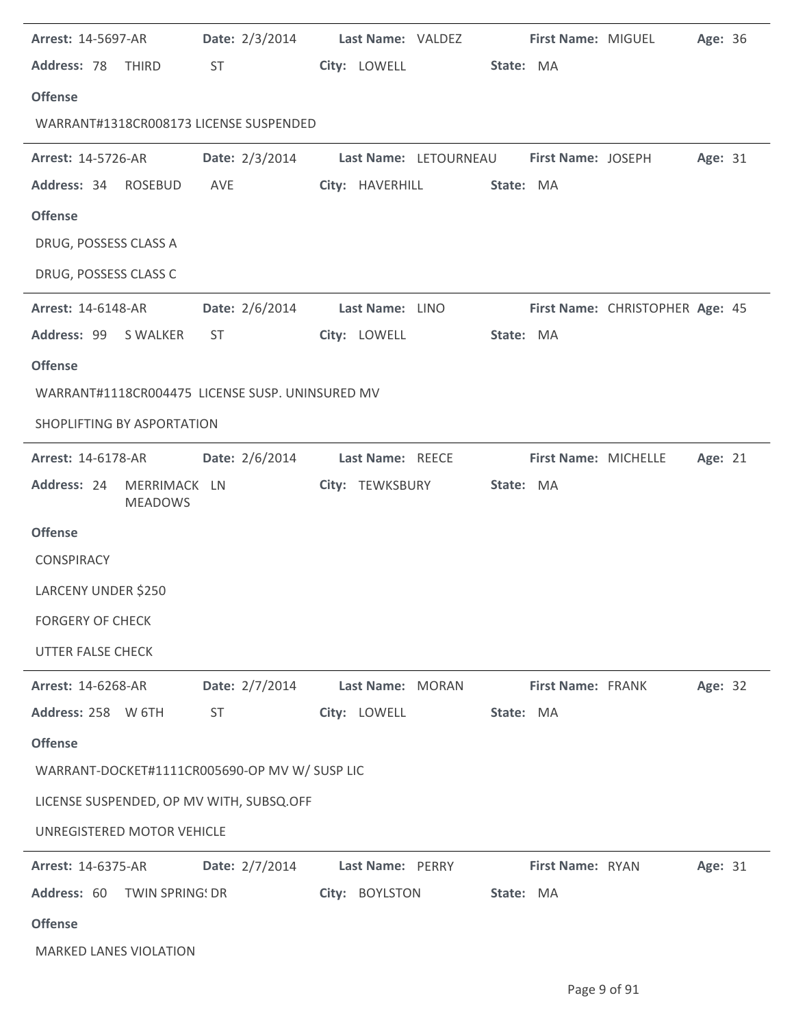| <b>Arrest: 14-5697-AR</b>     |                | Date: 2/3/2014 Last Name: VALDEZ First Name: MIGUEL                                                                                                                                                                            |                  |                 |           |                   |                                 | Age: 36 |  |
|-------------------------------|----------------|--------------------------------------------------------------------------------------------------------------------------------------------------------------------------------------------------------------------------------|------------------|-----------------|-----------|-------------------|---------------------------------|---------|--|
| Address: 78 THIRD             |                | ST and the state of the state of the state of the state of the state of the state of the state of the state of the state of the state of the state of the state of the state of the state of the state of the state of the sta |                  | City: LOWELL    | State: MA |                   |                                 |         |  |
| <b>Offense</b>                |                |                                                                                                                                                                                                                                |                  |                 |           |                   |                                 |         |  |
|                               |                | WARRANT#1318CR008173 LICENSE SUSPENDED                                                                                                                                                                                         |                  |                 |           |                   |                                 |         |  |
| <b>Arrest: 14-5726-AR</b>     |                | Date: 2/3/2014 Last Name: LETOURNEAU First Name: JOSEPH                                                                                                                                                                        |                  |                 |           |                   |                                 | Age: 31 |  |
| Address: 34 ROSEBUD           |                | AVE                                                                                                                                                                                                                            |                  | City: HAVERHILL | State: MA |                   |                                 |         |  |
| <b>Offense</b>                |                |                                                                                                                                                                                                                                |                  |                 |           |                   |                                 |         |  |
| DRUG, POSSESS CLASS A         |                |                                                                                                                                                                                                                                |                  |                 |           |                   |                                 |         |  |
| DRUG, POSSESS CLASS C         |                |                                                                                                                                                                                                                                |                  |                 |           |                   |                                 |         |  |
| <b>Arrest: 14-6148-AR</b>     |                | Date: 2/6/2014 Last Name: LINO                                                                                                                                                                                                 |                  |                 |           |                   | First Name: CHRISTOPHER Age: 45 |         |  |
| Address: 99 S WALKER          |                | ST and the state of the state of the state of the state of the state of the state of the state of the state of the state of the state of the state of the state of the state of the state of the state of the state of the sta |                  | City: LOWELL    | State: MA |                   |                                 |         |  |
| <b>Offense</b>                |                |                                                                                                                                                                                                                                |                  |                 |           |                   |                                 |         |  |
|                               |                | WARRANT#1118CR004475 LICENSE SUSP. UNINSURED MV                                                                                                                                                                                |                  |                 |           |                   |                                 |         |  |
| SHOPLIFTING BY ASPORTATION    |                |                                                                                                                                                                                                                                |                  |                 |           |                   |                                 |         |  |
| <b>Arrest: 14-6178-AR</b>     |                | Date: 2/6/2014 Last Name: REECE                                                                                                                                                                                                |                  |                 |           |                   | First Name: MICHELLE            | Age: 21 |  |
| Address: 24 MERRIMACK LN      | <b>MEADOWS</b> |                                                                                                                                                                                                                                |                  | City: TEWKSBURY | State: MA |                   |                                 |         |  |
| <b>Offense</b>                |                |                                                                                                                                                                                                                                |                  |                 |           |                   |                                 |         |  |
| <b>CONSPIRACY</b>             |                |                                                                                                                                                                                                                                |                  |                 |           |                   |                                 |         |  |
| LARCENY UNDER \$250           |                |                                                                                                                                                                                                                                |                  |                 |           |                   |                                 |         |  |
| <b>FORGERY OF CHECK</b>       |                |                                                                                                                                                                                                                                |                  |                 |           |                   |                                 |         |  |
| <b>UTTER FALSE CHECK</b>      |                |                                                                                                                                                                                                                                |                  |                 |           |                   |                                 |         |  |
| Arrest: 14-6268-AR            |                | Date: 2/7/2014                                                                                                                                                                                                                 | Last Name: MORAN |                 |           | First Name: FRANK |                                 | Age: 32 |  |
| Address: 258 W 6TH            |                | <b>ST</b>                                                                                                                                                                                                                      | City: LOWELL     |                 | State: MA |                   |                                 |         |  |
| <b>Offense</b>                |                |                                                                                                                                                                                                                                |                  |                 |           |                   |                                 |         |  |
|                               |                | WARRANT-DOCKET#1111CR005690-OP MV W/ SUSP LIC                                                                                                                                                                                  |                  |                 |           |                   |                                 |         |  |
|                               |                | LICENSE SUSPENDED, OP MV WITH, SUBSQ.OFF                                                                                                                                                                                       |                  |                 |           |                   |                                 |         |  |
| UNREGISTERED MOTOR VEHICLE    |                |                                                                                                                                                                                                                                |                  |                 |           |                   |                                 |         |  |
| <b>Arrest: 14-6375-AR</b>     |                | Date: 2/7/2014                                                                                                                                                                                                                 | Last Name: PERRY |                 |           | First Name: RYAN  |                                 | Age: 31 |  |
| Address: 60 TWIN SPRING! DR   |                |                                                                                                                                                                                                                                | City: BOYLSTON   |                 | State: MA |                   |                                 |         |  |
| <b>Offense</b>                |                |                                                                                                                                                                                                                                |                  |                 |           |                   |                                 |         |  |
| <b>MARKED LANES VIOLATION</b> |                |                                                                                                                                                                                                                                |                  |                 |           |                   |                                 |         |  |

l.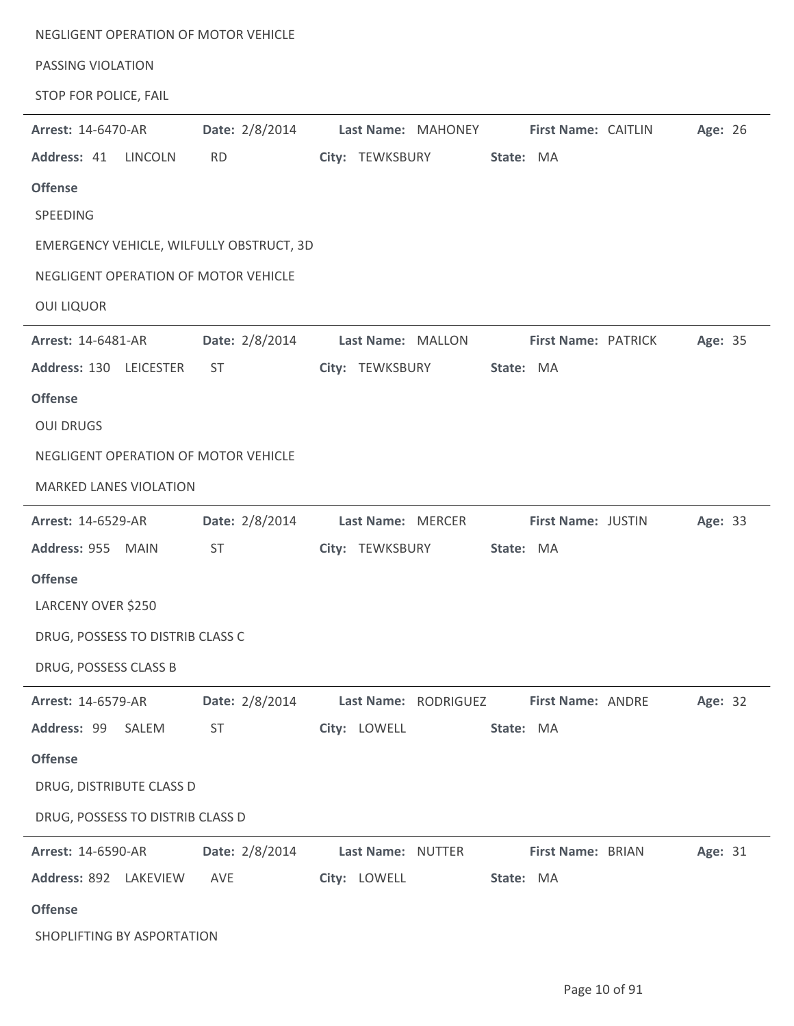| PASSING VIOLATION             | NEGLIGENT OPERATION OF MOTOR VEHICLE     |              |                                        |           |                     |         |  |
|-------------------------------|------------------------------------------|--------------|----------------------------------------|-----------|---------------------|---------|--|
| STOP FOR POLICE, FAIL         |                                          |              |                                        |           |                     |         |  |
| <b>Arrest: 14-6470-AR</b>     | Date: 2/8/2014                           |              | Last Name: MAHONEY First Name: CAITLIN |           |                     | Age: 26 |  |
| Address: 41                   | <b>LINCOLN</b><br><b>RD</b>              |              | City: TEWKSBURY                        | State: MA |                     |         |  |
| <b>Offense</b>                |                                          |              |                                        |           |                     |         |  |
| SPEEDING                      |                                          |              |                                        |           |                     |         |  |
|                               | EMERGENCY VEHICLE, WILFULLY OBSTRUCT, 3D |              |                                        |           |                     |         |  |
|                               | NEGLIGENT OPERATION OF MOTOR VEHICLE     |              |                                        |           |                     |         |  |
| <b>OUI LIQUOR</b>             |                                          |              |                                        |           |                     |         |  |
| <b>Arrest: 14-6481-AR</b>     | Date: 2/8/2014                           |              | Last Name: MALLON                      |           | First Name: PATRICK | Age: 35 |  |
| Address: 130 LEICESTER        | ST                                       |              | City: TEWKSBURY                        | State: MA |                     |         |  |
| <b>Offense</b>                |                                          |              |                                        |           |                     |         |  |
| <b>OUI DRUGS</b>              |                                          |              |                                        |           |                     |         |  |
|                               | NEGLIGENT OPERATION OF MOTOR VEHICLE     |              |                                        |           |                     |         |  |
| <b>MARKED LANES VIOLATION</b> |                                          |              |                                        |           |                     |         |  |
| <b>Arrest: 14-6529-AR</b>     | Date: 2/8/2014                           |              | Last Name: MERCER                      |           | First Name: JUSTIN  | Age: 33 |  |
| Address: 955 MAIN             | <b>ST</b>                                |              | City: TEWKSBURY                        | State: MA |                     |         |  |
| <b>Offense</b>                |                                          |              |                                        |           |                     |         |  |
| LARCENY OVER \$250            |                                          |              |                                        |           |                     |         |  |
|                               | DRUG, POSSESS TO DISTRIB CLASS C         |              |                                        |           |                     |         |  |
| DRUG, POSSESS CLASS B         |                                          |              |                                        |           |                     |         |  |
| Arrest: 14-6579-AR            | Date: 2/8/2014                           |              | Last Name: RODRIGUEZ                   |           | First Name: ANDRE   | Age: 32 |  |
| Address: 99 SALEM             | <b>ST</b>                                | City: LOWELL |                                        | State: MA |                     |         |  |
| <b>Offense</b>                |                                          |              |                                        |           |                     |         |  |
| DRUG, DISTRIBUTE CLASS D      |                                          |              |                                        |           |                     |         |  |
|                               | DRUG, POSSESS TO DISTRIB CLASS D         |              |                                        |           |                     |         |  |
| Arrest: 14-6590-AR            | Date: 2/8/2014                           |              | Last Name: NUTTER                      |           | First Name: BRIAN   | Age: 31 |  |
| Address: 892 LAKEVIEW         | AVE                                      | City: LOWELL |                                        | State: MA |                     |         |  |
| <b>Offense</b>                |                                          |              |                                        |           |                     |         |  |
| SHOPLIFTING BY ASPORTATION    |                                          |              |                                        |           |                     |         |  |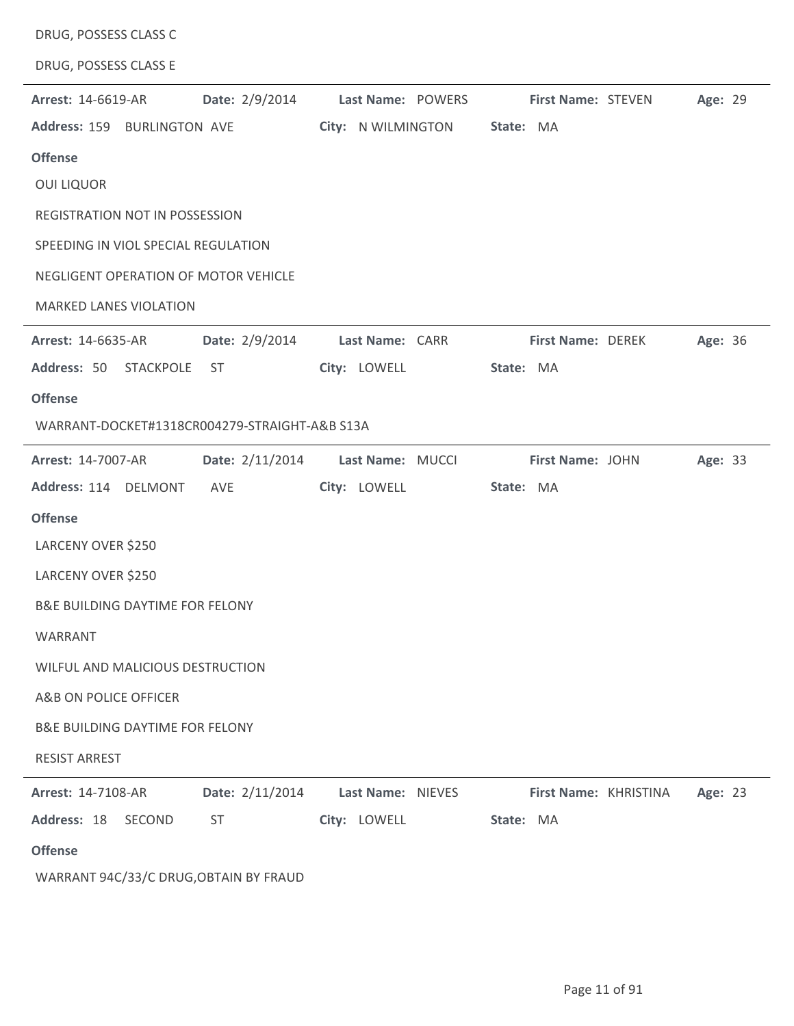| DRUG, POSSESS CLASS C                      |                                               |                    |                           |         |
|--------------------------------------------|-----------------------------------------------|--------------------|---------------------------|---------|
| DRUG, POSSESS CLASS E                      |                                               |                    |                           |         |
| <b>Arrest: 14-6619-AR</b>                  | Date: 2/9/2014                                | Last Name: POWERS  | <b>First Name: STEVEN</b> | Age: 29 |
| Address: 159 BURLINGTON AVE                |                                               | City: N WILMINGTON | State: MA                 |         |
| <b>Offense</b>                             |                                               |                    |                           |         |
| <b>OUI LIQUOR</b>                          |                                               |                    |                           |         |
| REGISTRATION NOT IN POSSESSION             |                                               |                    |                           |         |
| SPEEDING IN VIOL SPECIAL REGULATION        |                                               |                    |                           |         |
|                                            | NEGLIGENT OPERATION OF MOTOR VEHICLE          |                    |                           |         |
| <b>MARKED LANES VIOLATION</b>              |                                               |                    |                           |         |
| <b>Arrest: 14-6635-AR</b>                  | Date: 2/9/2014                                | Last Name: CARR    | First Name: DEREK         | Age: 36 |
| Address: 50                                | STACKPOLE<br>ST                               | City: LOWELL       | State: MA                 |         |
| <b>Offense</b>                             |                                               |                    |                           |         |
|                                            | WARRANT-DOCKET#1318CR004279-STRAIGHT-A&B S13A |                    |                           |         |
| Arrest: 14-7007-AR                         | Date: 2/11/2014                               | Last Name: MUCCI   | First Name: JOHN          | Age: 33 |
| Address: 114 DELMONT                       | AVE                                           | City: LOWELL       | State: MA                 |         |
| <b>Offense</b>                             |                                               |                    |                           |         |
| LARCENY OVER \$250                         |                                               |                    |                           |         |
| LARCENY OVER \$250                         |                                               |                    |                           |         |
| B&E BUILDING DAYTIME FOR FELONY            |                                               |                    |                           |         |
| <b>WARRANT</b>                             |                                               |                    |                           |         |
| WILFUL AND MALICIOUS DESTRUCTION           |                                               |                    |                           |         |
| A&B ON POLICE OFFICER                      |                                               |                    |                           |         |
| <b>B&amp;E BUILDING DAYTIME FOR FELONY</b> |                                               |                    |                           |         |
| <b>RESIST ARREST</b>                       |                                               |                    |                           |         |
| <b>Arrest: 14-7108-AR</b>                  | Date: 2/11/2014                               | Last Name: NIEVES  | First Name: KHRISTINA     | Age: 23 |
| Address: 18<br>SECOND                      | <b>ST</b>                                     | City: LOWELL       | State: MA                 |         |
| <b>Offense</b>                             |                                               |                    |                           |         |
|                                            | WARRANT 94C/33/C DRUG, OBTAIN BY FRAUD        |                    |                           |         |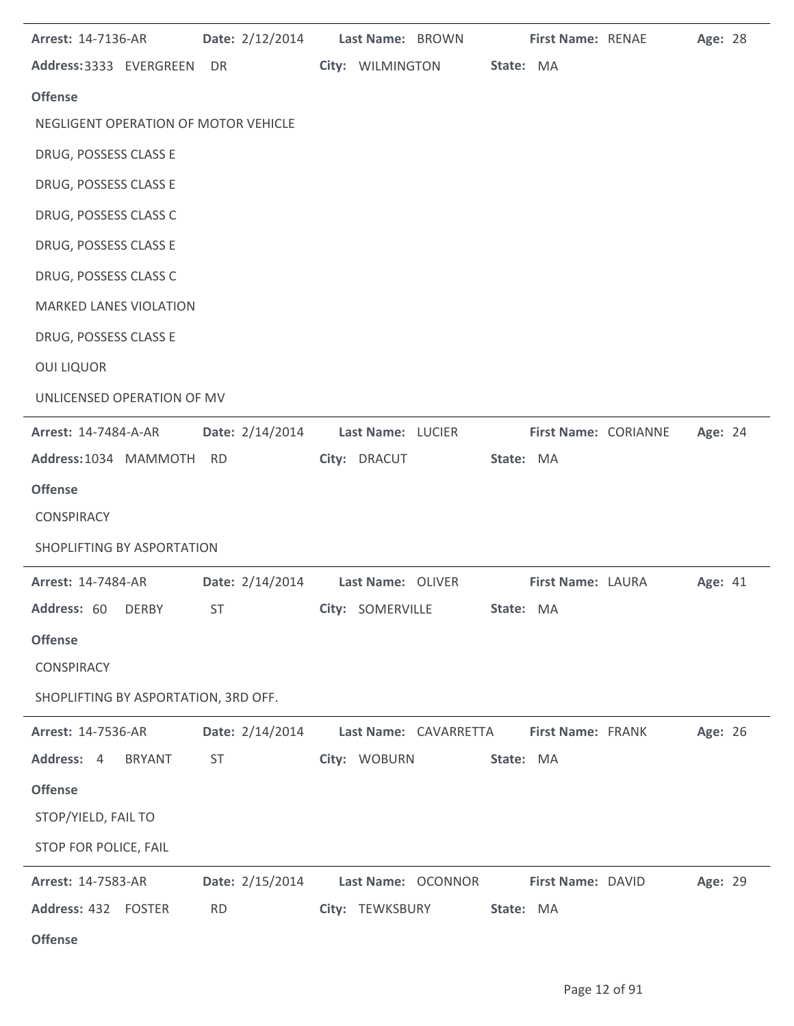| <b>Arrest: 14-7136-AR</b>            | Date: 2/12/2014 | Last Name: BROWN                                                     | First Name: RENAE |                             | Age: 28 |  |
|--------------------------------------|-----------------|----------------------------------------------------------------------|-------------------|-----------------------------|---------|--|
| Address: 3333 EVERGREEN DR           |                 | City: WILMINGTON                                                     | State: MA         |                             |         |  |
| <b>Offense</b>                       |                 |                                                                      |                   |                             |         |  |
| NEGLIGENT OPERATION OF MOTOR VEHICLE |                 |                                                                      |                   |                             |         |  |
| DRUG, POSSESS CLASS E                |                 |                                                                      |                   |                             |         |  |
| DRUG, POSSESS CLASS E                |                 |                                                                      |                   |                             |         |  |
| DRUG, POSSESS CLASS C                |                 |                                                                      |                   |                             |         |  |
| DRUG, POSSESS CLASS E                |                 |                                                                      |                   |                             |         |  |
| DRUG, POSSESS CLASS C                |                 |                                                                      |                   |                             |         |  |
| <b>MARKED LANES VIOLATION</b>        |                 |                                                                      |                   |                             |         |  |
| DRUG, POSSESS CLASS E                |                 |                                                                      |                   |                             |         |  |
| <b>OUI LIQUOR</b>                    |                 |                                                                      |                   |                             |         |  |
| UNLICENSED OPERATION OF MV           |                 |                                                                      |                   |                             |         |  |
| <b>Arrest: 14-7484-A-AR</b>          | Date: 2/14/2014 | Last Name: LUCIER                                                    |                   | <b>First Name: CORIANNE</b> | Age: 24 |  |
| Address:1034 MAMMOTH RD              |                 | City: DRACUT                                                         | State: MA         |                             |         |  |
| <b>Offense</b>                       |                 |                                                                      |                   |                             |         |  |
| <b>CONSPIRACY</b>                    |                 |                                                                      |                   |                             |         |  |
| SHOPLIFTING BY ASPORTATION           |                 |                                                                      |                   |                             |         |  |
|                                      |                 |                                                                      |                   |                             |         |  |
| <b>Arrest: 14-7484-AR</b>            | Date: 2/14/2014 | Last Name: OLIVER<br>Address: 60 DERBY ST City: SOMERVILLE State: MA | First Name: LAURA |                             | Age: 41 |  |
|                                      |                 |                                                                      |                   |                             |         |  |
| <b>Offense</b><br><b>CONSPIRACY</b>  |                 |                                                                      |                   |                             |         |  |
|                                      |                 |                                                                      |                   |                             |         |  |
| SHOPLIFTING BY ASPORTATION, 3RD OFF. |                 |                                                                      |                   |                             |         |  |
| <b>Arrest: 14-7536-AR</b>            | Date: 2/14/2014 | Last Name: CAVARRETTA                                                | First Name: FRANK |                             | Age: 26 |  |
| Address: 4<br><b>BRYANT</b>          | <b>ST</b>       | City: WOBURN                                                         | State: MA         |                             |         |  |
| <b>Offense</b>                       |                 |                                                                      |                   |                             |         |  |
| STOP/YIELD, FAIL TO                  |                 |                                                                      |                   |                             |         |  |
| STOP FOR POLICE, FAIL                |                 |                                                                      |                   |                             |         |  |
| <b>Arrest: 14-7583-AR</b>            | Date: 2/15/2014 | Last Name: OCONNOR                                                   | First Name: DAVID |                             | Age: 29 |  |
| Address: 432 FOSTER                  | <b>RD</b>       | City: TEWKSBURY                                                      | State: MA         |                             |         |  |
| <b>Offense</b>                       |                 |                                                                      |                   |                             |         |  |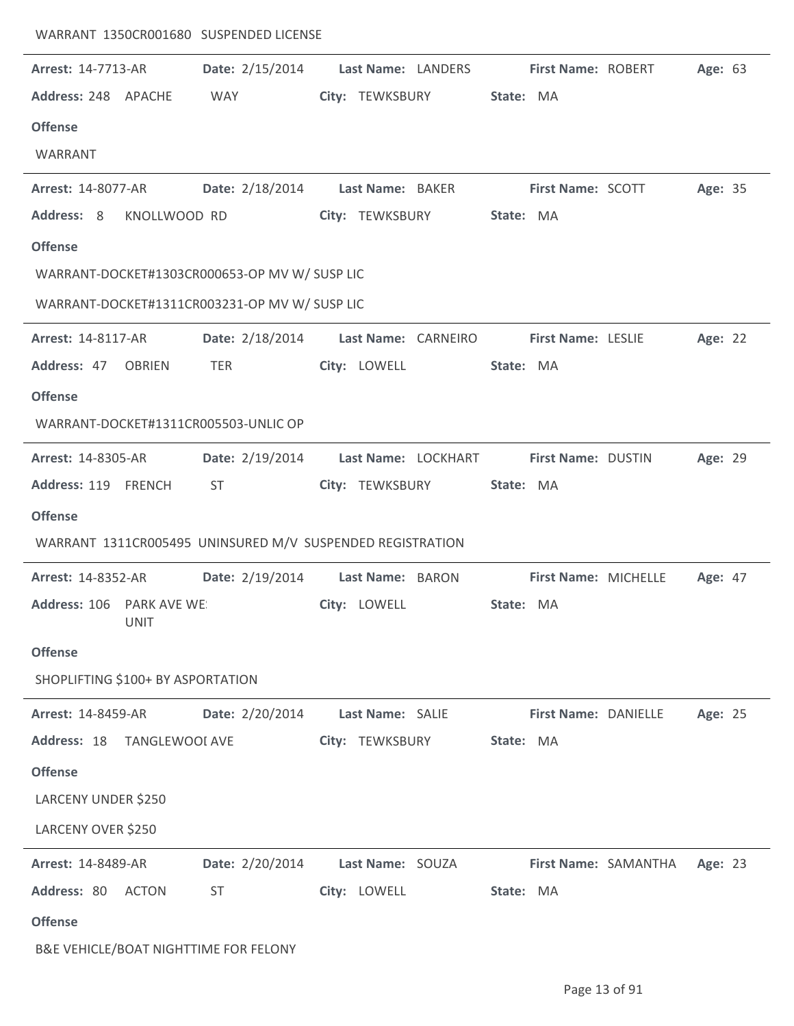| <b>Arrest: 14-7713-AR</b>         |                       | Date: 2/15/2014                                           |                  | Last Name: LANDERS  |           | <b>First Name: ROBERT</b> |                      | Age: 63 |  |
|-----------------------------------|-----------------------|-----------------------------------------------------------|------------------|---------------------|-----------|---------------------------|----------------------|---------|--|
| Address: 248 APACHE               |                       | WAY                                                       |                  | City: TEWKSBURY     | State: MA |                           |                      |         |  |
| <b>Offense</b>                    |                       |                                                           |                  |                     |           |                           |                      |         |  |
| WARRANT                           |                       |                                                           |                  |                     |           |                           |                      |         |  |
| <b>Arrest: 14-8077-AR</b>         |                       | Date: 2/18/2014                                           | Last Name: BAKER |                     |           | <b>First Name: SCOTT</b>  |                      | Age: 35 |  |
| Address: 8                        | KNOLLWOOD RD          |                                                           | City: TEWKSBURY  |                     | State: MA |                           |                      |         |  |
| <b>Offense</b>                    |                       |                                                           |                  |                     |           |                           |                      |         |  |
|                                   |                       | WARRANT-DOCKET#1303CR000653-OP MV W/ SUSP LIC             |                  |                     |           |                           |                      |         |  |
|                                   |                       | WARRANT-DOCKET#1311CR003231-OP MV W/ SUSP LIC             |                  |                     |           |                           |                      |         |  |
| <b>Arrest: 14-8117-AR</b>         |                       | Date: 2/18/2014                                           |                  | Last Name: CARNEIRO |           | <b>First Name: LESLIE</b> |                      | Age: 22 |  |
| Address: 47 OBRIEN                |                       | <b>TER</b>                                                | City: LOWELL     |                     | State: MA |                           |                      |         |  |
| <b>Offense</b>                    |                       |                                                           |                  |                     |           |                           |                      |         |  |
|                                   |                       | WARRANT-DOCKET#1311CR005503-UNLIC OP                      |                  |                     |           |                           |                      |         |  |
| <b>Arrest: 14-8305-AR</b>         |                       | Date: 2/19/2014                                           |                  | Last Name: LOCKHART |           | First Name: DUSTIN        |                      | Age: 29 |  |
| Address: 119 FRENCH               |                       | ST.                                                       |                  | City: TEWKSBURY     | State: MA |                           |                      |         |  |
| <b>Offense</b>                    |                       |                                                           |                  |                     |           |                           |                      |         |  |
|                                   |                       | WARRANT 1311CR005495 UNINSURED M/V SUSPENDED REGISTRATION |                  |                     |           |                           |                      |         |  |
| <b>Arrest: 14-8352-AR</b>         |                       | Date: 2/19/2014                                           | Last Name: BARON |                     |           | First Name: MICHELLE      |                      | Age: 47 |  |
| Address: 106 PARK AVE WE:         | <b>UNIT</b>           |                                                           | City: LOWELL     |                     | State: MA |                           |                      |         |  |
| <b>Offense</b>                    |                       |                                                           |                  |                     |           |                           |                      |         |  |
| SHOPLIFTING \$100+ BY ASPORTATION |                       |                                                           |                  |                     |           |                           |                      |         |  |
| Arrest: 14-8459-AR                |                       | Date: 2/20/2014                                           | Last Name: SALIE |                     |           | First Name: DANIELLE      |                      | Age: 25 |  |
| Address: 18                       | <b>TANGLEWOOI AVE</b> |                                                           | City: TEWKSBURY  |                     | State: MA |                           |                      |         |  |
| <b>Offense</b>                    |                       |                                                           |                  |                     |           |                           |                      |         |  |
| LARCENY UNDER \$250               |                       |                                                           |                  |                     |           |                           |                      |         |  |
| LARCENY OVER \$250                |                       |                                                           |                  |                     |           |                           |                      |         |  |
| <b>Arrest: 14-8489-AR</b>         |                       | Date: 2/20/2014                                           | Last Name: SOUZA |                     |           |                           | First Name: SAMANTHA | Age: 23 |  |
| Address: 80                       | ACTON                 | ST                                                        | City: LOWELL     |                     | State: MA |                           |                      |         |  |
| <b>Offense</b>                    |                       |                                                           |                  |                     |           |                           |                      |         |  |

B&E VEHICLE/BOAT NIGHTTIME FOR FELONY

WARRANT 1350CR001680 SUSPENDED LICENSE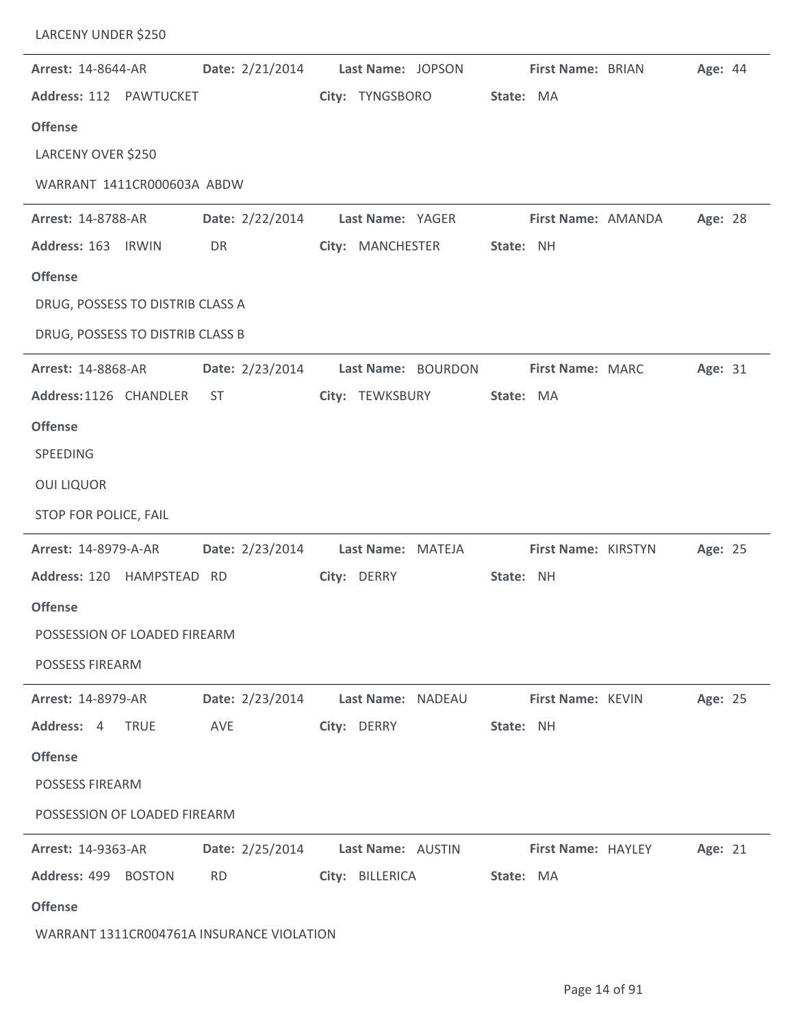| <b>Arrest: 14-8644-AR</b>                 |                 | Date: 2/21/2014 Last Name: JOPSON First Name: BRIAN |           |                     |                    | Age: 44 |  |
|-------------------------------------------|-----------------|-----------------------------------------------------|-----------|---------------------|--------------------|---------|--|
| Address: 112 PAWTUCKET                    |                 | City: TYNGSBORO                                     | State: MA |                     |                    |         |  |
| <b>Offense</b>                            |                 |                                                     |           |                     |                    |         |  |
| LARCENY OVER \$250                        |                 |                                                     |           |                     |                    |         |  |
| WARRANT 1411CR000603A ABDW                |                 |                                                     |           |                     |                    |         |  |
| <b>Arrest: 14-8788-AR</b>                 |                 | Date: 2/22/2014 Last Name: YAGER                    |           |                     | First Name: AMANDA | Age: 28 |  |
| Address: 163 IRWIN                        | DR              | City: MANCHESTER                                    | State: NH |                     |                    |         |  |
| <b>Offense</b>                            |                 |                                                     |           |                     |                    |         |  |
| DRUG, POSSESS TO DISTRIB CLASS A          |                 |                                                     |           |                     |                    |         |  |
| DRUG, POSSESS TO DISTRIB CLASS B          |                 |                                                     |           |                     |                    |         |  |
| <b>Arrest: 14-8868-AR</b>                 |                 | Date: 2/23/2014 Last Name: BOURDON                  |           | First Name: MARC    |                    | Age: 31 |  |
| Address:1126 CHANDLER                     | ST              | City: TEWKSBURY                                     | State: MA |                     |                    |         |  |
| <b>Offense</b>                            |                 |                                                     |           |                     |                    |         |  |
| SPEEDING                                  |                 |                                                     |           |                     |                    |         |  |
| <b>OUI LIQUOR</b>                         |                 |                                                     |           |                     |                    |         |  |
| STOP FOR POLICE, FAIL                     |                 |                                                     |           |                     |                    |         |  |
| <b>Arrest: 14-8979-A-AR</b>               |                 | Date: 2/23/2014 Last Name: MATEJA                   |           | First Name: KIRSTYN |                    | Age: 25 |  |
| Address: 120 HAMPSTEAD RD                 |                 | City: DERRY                                         | State: NH |                     |                    |         |  |
| <b>Offense</b>                            |                 |                                                     |           |                     |                    |         |  |
| POSSESSION OF LOADED FIREARM              |                 |                                                     |           |                     |                    |         |  |
| <b>POSSESS FIREARM</b>                    |                 |                                                     |           |                     |                    |         |  |
| <b>Arrest: 14-8979-AR</b>                 | Date: 2/23/2014 | Last Name: NADEAU                                   |           | First Name: KEVIN   |                    | Age: 25 |  |
| Address: 4<br><b>TRUE</b>                 | AVE             | City: DERRY                                         | State: NH |                     |                    |         |  |
| <b>Offense</b>                            |                 |                                                     |           |                     |                    |         |  |
| <b>POSSESS FIREARM</b>                    |                 |                                                     |           |                     |                    |         |  |
| POSSESSION OF LOADED FIREARM              |                 |                                                     |           |                     |                    |         |  |
| <b>Arrest: 14-9363-AR</b>                 | Date: 2/25/2014 | Last Name: AUSTIN                                   |           | First Name: HAYLEY  |                    | Age: 21 |  |
| Address: 499 BOSTON                       | <b>RD</b>       | City: BILLERICA                                     | State: MA |                     |                    |         |  |
| <b>Offense</b>                            |                 |                                                     |           |                     |                    |         |  |
| WARRANT 1311CR004761A INSURANCE VIOLATION |                 |                                                     |           |                     |                    |         |  |

LARCENY UNDER \$250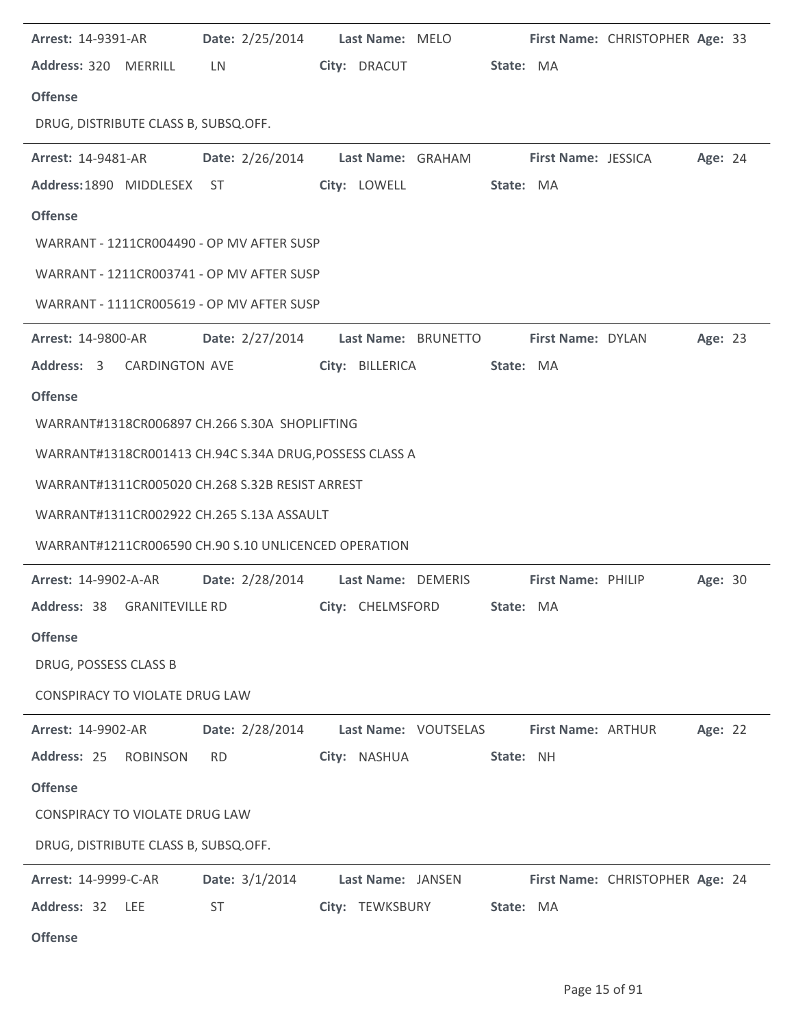| <b>Arrest: 14-9391-AR</b>                                                       | Date: 2/25/2014 Last Name: MELO First Name: CHRISTOPHER Age: 33 |                        |           |                           |                                 |         |  |
|---------------------------------------------------------------------------------|-----------------------------------------------------------------|------------------------|-----------|---------------------------|---------------------------------|---------|--|
| Address: 320 MERRILL                                                            | <b>LN</b>                                                       | City: DRACUT           | State: MA |                           |                                 |         |  |
| <b>Offense</b>                                                                  |                                                                 |                        |           |                           |                                 |         |  |
| DRUG, DISTRIBUTE CLASS B, SUBSQ.OFF.                                            |                                                                 |                        |           |                           |                                 |         |  |
| Arrest: 14-9481-AR <b>Date: 2/26/2014 Last Name: GRAHAM First Name: JESSICA</b> |                                                                 |                        |           |                           |                                 | Age: 24 |  |
| Address:1890 MIDDLESEX ST                                                       |                                                                 | City: LOWELL State: MA |           |                           |                                 |         |  |
| <b>Offense</b>                                                                  |                                                                 |                        |           |                           |                                 |         |  |
| WARRANT - 1211CR004490 - OP MV AFTER SUSP                                       |                                                                 |                        |           |                           |                                 |         |  |
| WARRANT - 1211CR003741 - OP MV AFTER SUSP                                       |                                                                 |                        |           |                           |                                 |         |  |
| WARRANT - 1111CR005619 - OP MV AFTER SUSP                                       |                                                                 |                        |           |                           |                                 |         |  |
| <b>Arrest: 14-9800-AR</b>                                                       | Date: 2/27/2014 Last Name: BRUNETTO First Name: DYLAN           |                        |           |                           |                                 | Age: 23 |  |
| Address: 3 CARDINGTON AVE                                                       |                                                                 | City: BILLERICA        | State: MA |                           |                                 |         |  |
| <b>Offense</b>                                                                  |                                                                 |                        |           |                           |                                 |         |  |
| WARRANT#1318CR006897 CH.266 S.30A SHOPLIFTING                                   |                                                                 |                        |           |                           |                                 |         |  |
| WARRANT#1318CR001413 CH.94C S.34A DRUG, POSSESS CLASS A                         |                                                                 |                        |           |                           |                                 |         |  |
| WARRANT#1311CR005020 CH.268 S.32B RESIST ARREST                                 |                                                                 |                        |           |                           |                                 |         |  |
| WARRANT#1311CR002922 CH.265 S.13A ASSAULT                                       |                                                                 |                        |           |                           |                                 |         |  |
| WARRANT#1211CR006590 CH.90 S.10 UNLICENCED OPERATION                            |                                                                 |                        |           |                           |                                 |         |  |
| Arrest: 14-9902-A-AR   Date: 2/28/2014   Last Name: DEMERIS                     |                                                                 |                        |           | <b>First Name: PHILIP</b> |                                 | Age: 30 |  |
| Address: 38 GRANITEVILLE RD City: CHELMSFORD State: MA                          |                                                                 |                        |           |                           |                                 |         |  |
| <b>Offense</b>                                                                  |                                                                 |                        |           |                           |                                 |         |  |
| DRUG, POSSESS CLASS B                                                           |                                                                 |                        |           |                           |                                 |         |  |
| CONSPIRACY TO VIOLATE DRUG LAW                                                  |                                                                 |                        |           |                           |                                 |         |  |
| <b>Arrest: 14-9902-AR</b>                                                       | Date: 2/28/2014                                                 | Last Name: VOUTSELAS   |           | First Name: ARTHUR        |                                 | Age: 22 |  |
| Address: 25 ROBINSON                                                            | <b>RD</b>                                                       | City: NASHUA           | State: NH |                           |                                 |         |  |
| <b>Offense</b>                                                                  |                                                                 |                        |           |                           |                                 |         |  |
| CONSPIRACY TO VIOLATE DRUG LAW                                                  |                                                                 |                        |           |                           |                                 |         |  |
| DRUG, DISTRIBUTE CLASS B, SUBSQ.OFF.                                            |                                                                 |                        |           |                           |                                 |         |  |
| Arrest: 14-9999-C-AR                                                            | Date: $3/1/2014$                                                | Last Name: JANSEN      |           |                           | First Name: CHRISTOPHER Age: 24 |         |  |
| Address: 32 LEE                                                                 | ST                                                              | City: TEWKSBURY        | State: MA |                           |                                 |         |  |
| <b>Offense</b>                                                                  |                                                                 |                        |           |                           |                                 |         |  |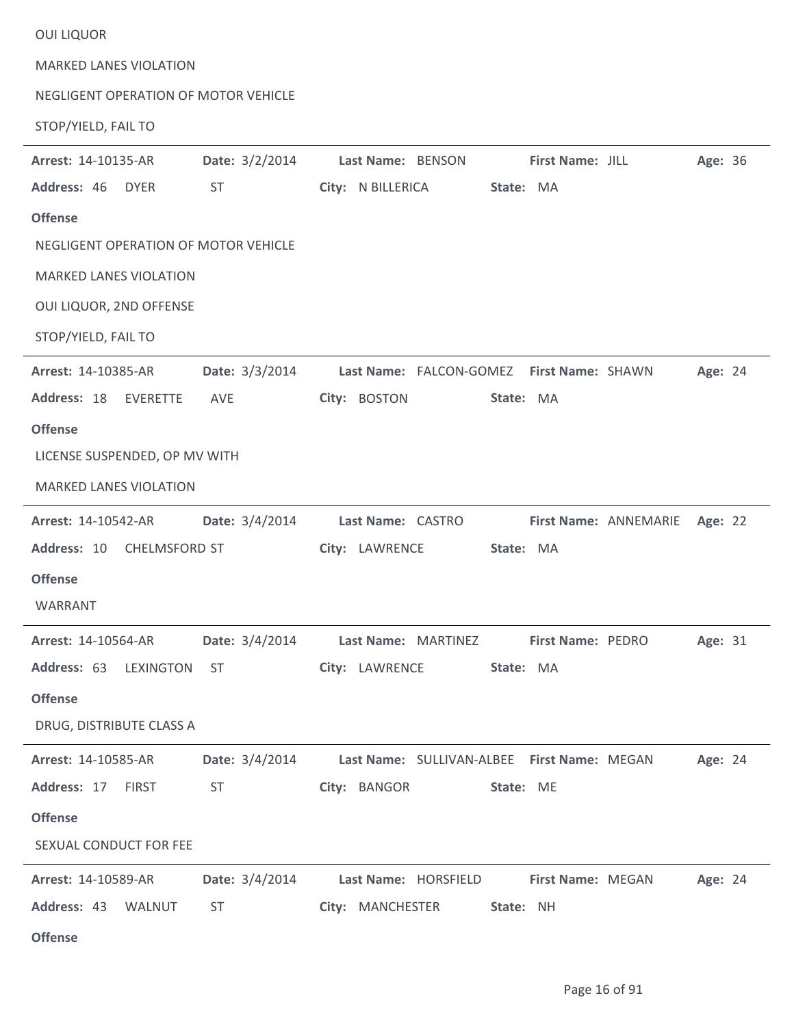| <b>OUI LIQUOR</b>                    |                         |                                                 |         |
|--------------------------------------|-------------------------|-------------------------------------------------|---------|
| <b>MARKED LANES VIOLATION</b>        |                         |                                                 |         |
| NEGLIGENT OPERATION OF MOTOR VEHICLE |                         |                                                 |         |
| STOP/YIELD, FAIL TO                  |                         |                                                 |         |
| Arrest: 14-10135-AR                  | Date: 3/2/2014          | Last Name: BENSON<br>First Name: JILL           | Age: 36 |
| Address: 46<br><b>DYER</b>           | <b>ST</b>               | City: N BILLERICA<br>State: MA                  |         |
| <b>Offense</b>                       |                         |                                                 |         |
| NEGLIGENT OPERATION OF MOTOR VEHICLE |                         |                                                 |         |
| <b>MARKED LANES VIOLATION</b>        |                         |                                                 |         |
| OUI LIQUOR, 2ND OFFENSE              |                         |                                                 |         |
| STOP/YIELD, FAIL TO                  |                         |                                                 |         |
| Arrest: 14-10385-AR                  | Date: 3/3/2014          | Last Name: FALCON-GOMEZ First Name: SHAWN       | Age: 24 |
| Address: 18<br><b>EVERETTE</b>       | AVE                     | City: BOSTON<br>State: MA                       |         |
| <b>Offense</b>                       |                         |                                                 |         |
| LICENSE SUSPENDED, OP MV WITH        |                         |                                                 |         |
| <b>MARKED LANES VIOLATION</b>        |                         |                                                 |         |
| <b>Arrest: 14-10542-AR</b>           | Date: 3/4/2014          | Last Name: CASTRO<br>First Name: ANNEMARIE      | Age: 22 |
| Address: 10<br>CHELMSFORD ST         |                         | City: LAWRENCE<br>State: MA                     |         |
| <b>Offense</b>                       |                         |                                                 |         |
| WARRANT                              |                         |                                                 |         |
| <b>Arrest: 14-10564-AR</b>           | <b>Date:</b> $3/4/2014$ | Last Name: MARTINEZ<br><b>First Name: PEDRO</b> | Age: 31 |
| Address: 63 LEXINGTON                | ST                      | City: LAWRENCE<br>State: MA                     |         |
| <b>Offense</b>                       |                         |                                                 |         |
| DRUG, DISTRIBUTE CLASS A             |                         |                                                 |         |
| Arrest: 14-10585-AR                  | Date: 3/4/2014          | Last Name: SULLIVAN-ALBEE First Name: MEGAN     | Age: 24 |
| Address: 17<br><b>FIRST</b>          | <b>ST</b>               | City: BANGOR<br>State: ME                       |         |
| <b>Offense</b>                       |                         |                                                 |         |
| SEXUAL CONDUCT FOR FEE               |                         |                                                 |         |
| Arrest: 14-10589-AR                  | Date: 3/4/2014          | Last Name: HORSFIELD<br>First Name: MEGAN       | Age: 24 |
| Address: 43<br>WALNUT                | <b>ST</b>               | City: MANCHESTER<br>State: NH                   |         |
| <b>Offense</b>                       |                         |                                                 |         |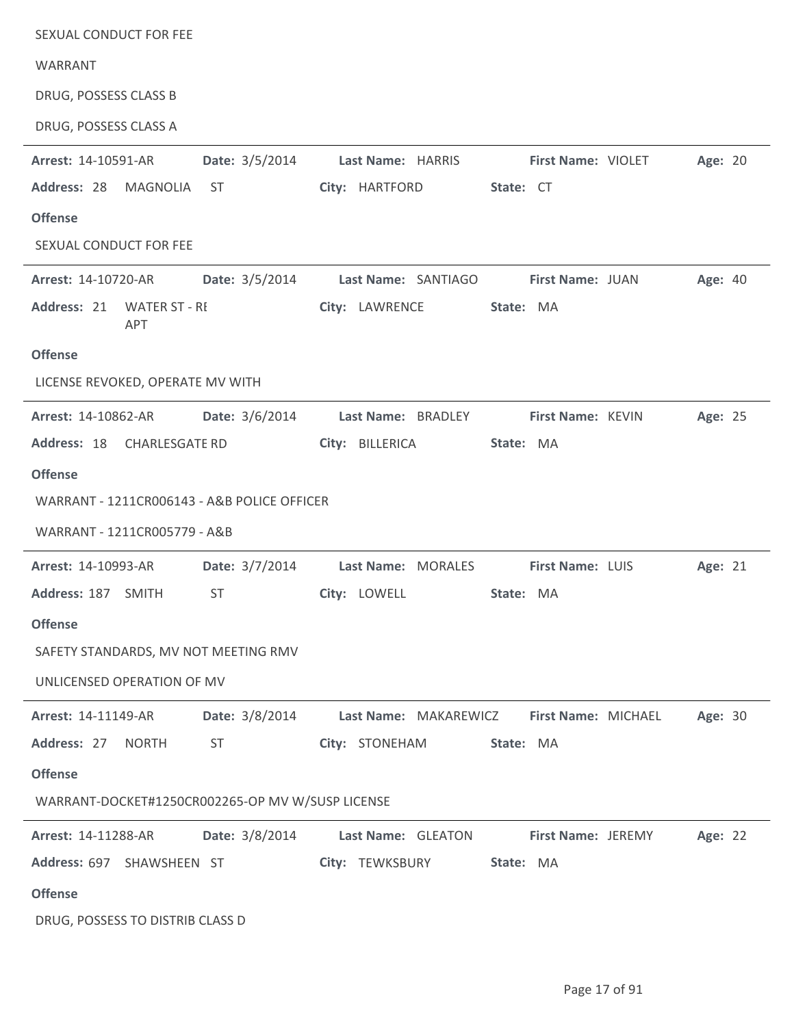| SEXUAL CONDUCT FOR FEE           |              |                                                  |                    |                       |           |                         |         |  |
|----------------------------------|--------------|--------------------------------------------------|--------------------|-----------------------|-----------|-------------------------|---------|--|
| WARRANT                          |              |                                                  |                    |                       |           |                         |         |  |
| DRUG, POSSESS CLASS B            |              |                                                  |                    |                       |           |                         |         |  |
| DRUG, POSSESS CLASS A            |              |                                                  |                    |                       |           |                         |         |  |
| Arrest: 14-10591-AR              |              | Date: 3/5/2014                                   |                    | Last Name: HARRIS     |           | First Name: VIOLET      | Age: 20 |  |
| Address: 28                      | MAGNOLIA     | ST                                               | City: HARTFORD     |                       | State: CT |                         |         |  |
| <b>Offense</b>                   |              |                                                  |                    |                       |           |                         |         |  |
| SEXUAL CONDUCT FOR FEE           |              |                                                  |                    |                       |           |                         |         |  |
| Arrest: 14-10720-AR              |              | Date: 3/5/2014 Last Name: SANTIAGO               |                    |                       |           | <b>First Name: JUAN</b> | Age: 40 |  |
| Address: 21 WATER ST - RI        | <b>APT</b>   |                                                  | City: LAWRENCE     |                       | State: MA |                         |         |  |
| <b>Offense</b>                   |              |                                                  |                    |                       |           |                         |         |  |
| LICENSE REVOKED, OPERATE MV WITH |              |                                                  |                    |                       |           |                         |         |  |
| <b>Arrest: 14-10862-AR</b>       |              | <b>Date:</b> 3/6/2014                            | Last Name: BRADLEY |                       |           | First Name: KEVIN       | Age: 25 |  |
| Address: 18 CHARLESGATE RD       |              |                                                  | City: BILLERICA    |                       | State: MA |                         |         |  |
| <b>Offense</b>                   |              |                                                  |                    |                       |           |                         |         |  |
|                                  |              | WARRANT - 1211CR006143 - A&B POLICE OFFICER      |                    |                       |           |                         |         |  |
| WARRANT - 1211CR005779 - A&B     |              |                                                  |                    |                       |           |                         |         |  |
| Arrest: 14-10993-AR              |              | Date: 3/7/2014                                   |                    | Last Name: MORALES    |           | First Name: LUIS        | Age: 21 |  |
| Address: 187 SMITH               |              | <b>ST</b>                                        | City: LOWELL       |                       | State: MA |                         |         |  |
| <b>Offense</b>                   |              |                                                  |                    |                       |           |                         |         |  |
|                                  |              | SAFETY STANDARDS, MV NOT MEETING RMV             |                    |                       |           |                         |         |  |
| UNLICENSED OPERATION OF MV       |              |                                                  |                    |                       |           |                         |         |  |
| Arrest: 14-11149-AR              |              | Date: 3/8/2014                                   |                    | Last Name: MAKAREWICZ |           | First Name: MICHAEL     | Age: 30 |  |
| Address: 27                      | <b>NORTH</b> | ST                                               | City: STONEHAM     |                       | State: MA |                         |         |  |
|                                  |              |                                                  |                    |                       |           |                         |         |  |
| <b>Offense</b>                   |              |                                                  |                    |                       |           |                         |         |  |
|                                  |              | WARRANT-DOCKET#1250CR002265-OP MV W/SUSP LICENSE |                    |                       |           |                         |         |  |
| Arrest: 14-11288-AR              |              | Date: 3/8/2014                                   | Last Name: GLEATON |                       |           | First Name: JEREMY      | Age: 22 |  |
| Address: 697 SHAWSHEEN ST        |              |                                                  |                    | City: TEWKSBURY       | State: MA |                         |         |  |
| <b>Offense</b>                   |              |                                                  |                    |                       |           |                         |         |  |
| DRUG, POSSESS TO DISTRIB CLASS D |              |                                                  |                    |                       |           |                         |         |  |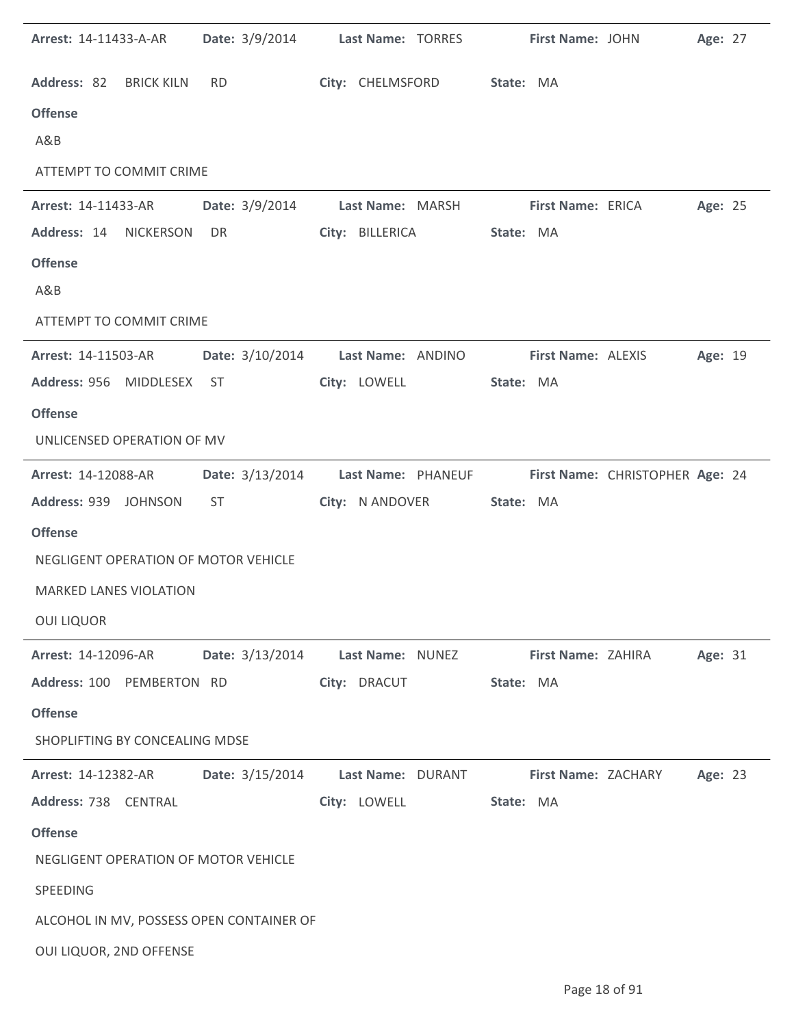| <b>Arrest: 14-11433-A-AR</b>         |                                          | Date: 3/9/2014 Last Name: TORRES                                   | First Name: JOHN    | Age: 27 |
|--------------------------------------|------------------------------------------|--------------------------------------------------------------------|---------------------|---------|
| Address: 82 BRICK KILN               | RD <sub>2</sub>                          | City: CHELMSFORD State: MA                                         |                     |         |
| <b>Offense</b>                       |                                          |                                                                    |                     |         |
| A&B                                  |                                          |                                                                    |                     |         |
| ATTEMPT TO COMMIT CRIME              |                                          |                                                                    |                     |         |
| <b>Arrest: 14-11433-AR</b>           |                                          | Date: 3/9/2014 Last Name: MARSH First Name: ERICA                  |                     | Age: 25 |
| Address: 14<br><b>NICKERSON</b>      | DR <sub>2</sub>                          | City: BILLERICA                                                    | State: MA           |         |
| <b>Offense</b>                       |                                          |                                                                    |                     |         |
| A&B                                  |                                          |                                                                    |                     |         |
| ATTEMPT TO COMMIT CRIME              |                                          |                                                                    |                     |         |
| <b>Arrest: 14-11503-AR</b>           |                                          | Date: 3/10/2014 Last Name: ANDINO                                  | First Name: ALEXIS  | Age: 19 |
| Address: 956 MIDDLESEX ST            |                                          | City: LOWELL                                                       | State: MA           |         |
| <b>Offense</b>                       |                                          |                                                                    |                     |         |
| UNLICENSED OPERATION OF MV           |                                          |                                                                    |                     |         |
| <b>Arrest: 14-12088-AR</b>           |                                          | Date: 3/13/2014 Last Name: PHANEUF First Name: CHRISTOPHER Age: 24 |                     |         |
| Address: 939 JOHNSON                 | ST.                                      | City: N ANDOVER                                                    | State: MA           |         |
| <b>Offense</b>                       |                                          |                                                                    |                     |         |
| NEGLIGENT OPERATION OF MOTOR VEHICLE |                                          |                                                                    |                     |         |
| <b>MARKED LANES VIOLATION</b>        |                                          |                                                                    |                     |         |
| <b>OUI LIQUOR</b>                    |                                          |                                                                    |                     |         |
| Arrest: 14-12096-AR                  | Date: 3/13/2014                          | Last Name: NUNEZ                                                   | First Name: ZAHIRA  | Age: 31 |
| Address: 100 PEMBERTON RD            |                                          | City: DRACUT                                                       | State: MA           |         |
| <b>Offense</b>                       |                                          |                                                                    |                     |         |
| SHOPLIFTING BY CONCEALING MDSE       |                                          |                                                                    |                     |         |
| <b>Arrest: 14-12382-AR</b>           | Date: 3/15/2014                          | Last Name: DURANT                                                  | First Name: ZACHARY | Age: 23 |
| Address: 738 CENTRAL                 |                                          | City: LOWELL                                                       | State: MA           |         |
| <b>Offense</b>                       |                                          |                                                                    |                     |         |
| NEGLIGENT OPERATION OF MOTOR VEHICLE |                                          |                                                                    |                     |         |
| SPEEDING                             |                                          |                                                                    |                     |         |
|                                      | ALCOHOL IN MV, POSSESS OPEN CONTAINER OF |                                                                    |                     |         |
| OUI LIQUOR, 2ND OFFENSE              |                                          |                                                                    |                     |         |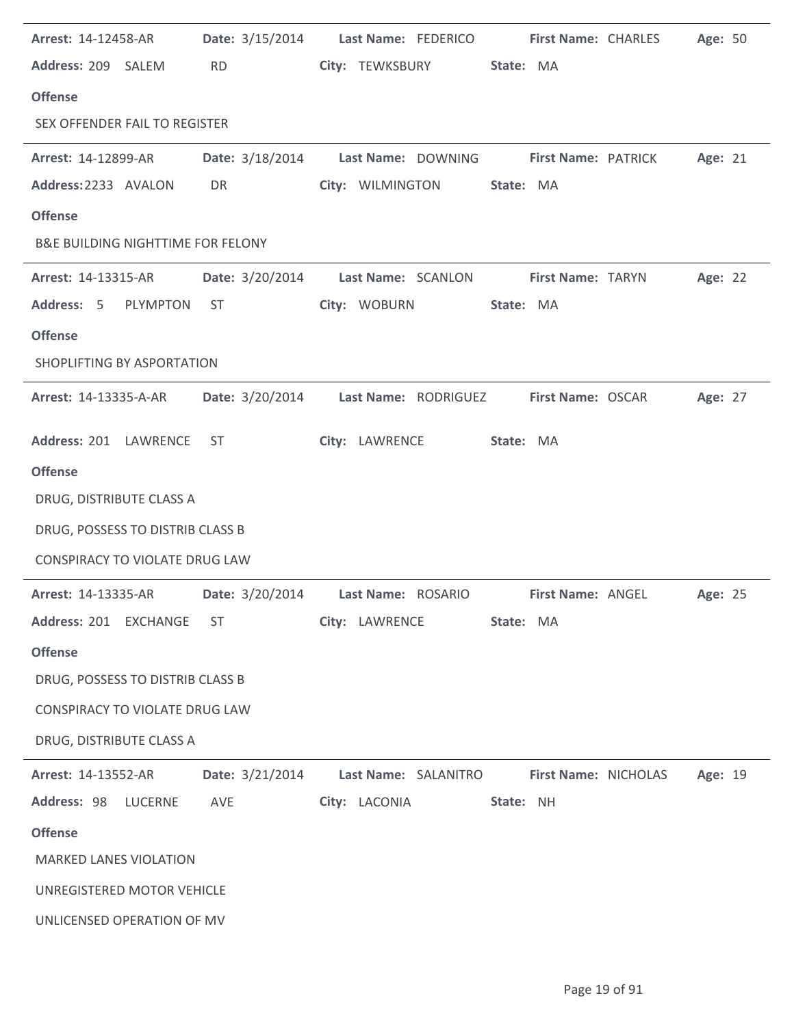| Arrest: 14-12458-AR                          | <b>Date:</b> 3/15/2014 | Last Name: FEDERICO                                    |                      | <b>First Name: CHARLES</b><br>Age: 50 |
|----------------------------------------------|------------------------|--------------------------------------------------------|----------------------|---------------------------------------|
| Address: 209 SALEM                           | <b>RD</b>              | City: TEWKSBURY                                        | State: MA            |                                       |
| <b>Offense</b>                               |                        |                                                        |                      |                                       |
| SEX OFFENDER FAIL TO REGISTER                |                        |                                                        |                      |                                       |
| <b>Arrest: 14-12899-AR</b>                   |                        | Date: 3/18/2014 Last Name: DOWNING First Name: PATRICK |                      | Age: 21                               |
| Address: 2233 AVALON                         | DR                     | City: WILMINGTON                                       | State: MA            |                                       |
| <b>Offense</b>                               |                        |                                                        |                      |                                       |
| <b>B&amp;E BUILDING NIGHTTIME FOR FELONY</b> |                        |                                                        |                      |                                       |
| <b>Arrest: 14-13315-AR</b>                   | Date: 3/20/2014        | Last Name: SCANLON                                     | First Name: TARYN    | Age: 22                               |
| Address: 5 PLYMPTON                          | ST                     | City: WOBURN                                           | State: MA            |                                       |
| <b>Offense</b>                               |                        |                                                        |                      |                                       |
| SHOPLIFTING BY ASPORTATION                   |                        |                                                        |                      |                                       |
|                                              |                        |                                                        |                      |                                       |
| <b>Arrest: 14-13335-A-AR</b>                 | Date: 3/20/2014        | Last Name: RODRIGUEZ                                   | First Name: OSCAR    | Age: 27                               |
| Address: 201 LAWRENCE                        | ST                     | City: LAWRENCE                                         | State: MA            |                                       |
| <b>Offense</b>                               |                        |                                                        |                      |                                       |
| DRUG, DISTRIBUTE CLASS A                     |                        |                                                        |                      |                                       |
| DRUG, POSSESS TO DISTRIB CLASS B             |                        |                                                        |                      |                                       |
| CONSPIRACY TO VIOLATE DRUG LAW               |                        |                                                        |                      |                                       |
| <b>Arrest: 14-13335-AR</b>                   |                        | Date: 3/20/2014 Last Name: ROSARIO                     | First Name: ANGEL    | Age: 25                               |
| Address: 201 EXCHANGE                        | ST                     | City: LAWRENCE                                         | State: MA            |                                       |
| <b>Offense</b>                               |                        |                                                        |                      |                                       |
| DRUG, POSSESS TO DISTRIB CLASS B             |                        |                                                        |                      |                                       |
| CONSPIRACY TO VIOLATE DRUG LAW               |                        |                                                        |                      |                                       |
| DRUG, DISTRIBUTE CLASS A                     |                        |                                                        |                      |                                       |
| Arrest: 14-13552-AR                          | Date: 3/21/2014        | Last Name: SALANITRO                                   | First Name: NICHOLAS | Age: 19                               |
| Address: 98 LUCERNE                          | AVE                    | City: LACONIA                                          | State: NH            |                                       |
| <b>Offense</b>                               |                        |                                                        |                      |                                       |
| <b>MARKED LANES VIOLATION</b>                |                        |                                                        |                      |                                       |
|                                              |                        |                                                        |                      |                                       |
| UNREGISTERED MOTOR VEHICLE                   |                        |                                                        |                      |                                       |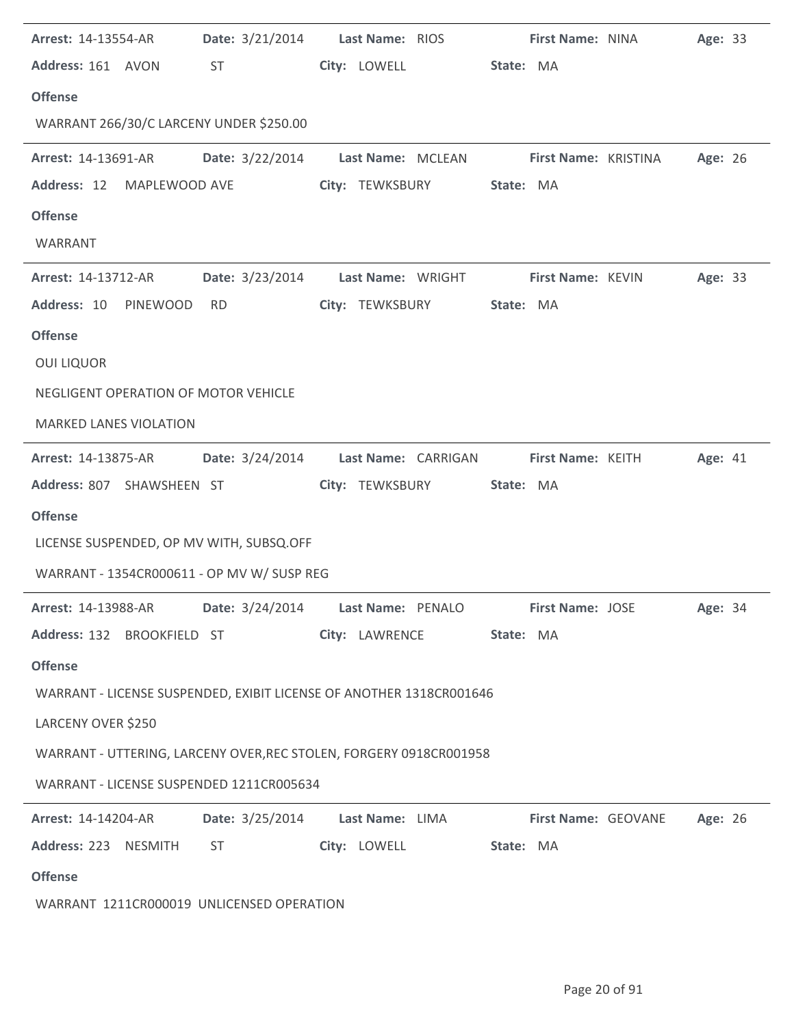| <b>Arrest: 14-13554-AR</b>                 |                                                                                                                                                                                                                                | <b>Date:</b> 3/21/2014 <b>Last Name:</b> RIOS                       | First Name: NINA                                                               | Age: 33 |
|--------------------------------------------|--------------------------------------------------------------------------------------------------------------------------------------------------------------------------------------------------------------------------------|---------------------------------------------------------------------|--------------------------------------------------------------------------------|---------|
| Address: 161 AVON                          | ST                                                                                                                                                                                                                             | City: LOWELL                                                        | State: MA                                                                      |         |
| <b>Offense</b>                             |                                                                                                                                                                                                                                |                                                                     |                                                                                |         |
| WARRANT 266/30/C LARCENY UNDER \$250.00    |                                                                                                                                                                                                                                |                                                                     |                                                                                |         |
| <b>Arrest: 14-13691-AR</b>                 |                                                                                                                                                                                                                                | Date: 3/22/2014 Last Name: MCLEAN                                   | <b>First Name: KRISTINA</b>                                                    | Age: 26 |
| Address: 12 MAPLEWOOD AVE                  |                                                                                                                                                                                                                                | City: TEWKSBURY                                                     | State: MA                                                                      |         |
| <b>Offense</b>                             |                                                                                                                                                                                                                                |                                                                     |                                                                                |         |
| WARRANT                                    |                                                                                                                                                                                                                                |                                                                     |                                                                                |         |
| Arrest: 14-13712-AR                        |                                                                                                                                                                                                                                | Date: 3/23/2014 Last Name: WRIGHT                                   | First Name: KEVIN                                                              | Age: 33 |
| Address: 10 PINEWOOD                       | <b>RD</b>                                                                                                                                                                                                                      | City: TEWKSBURY                                                     | State: MA                                                                      |         |
| <b>Offense</b>                             |                                                                                                                                                                                                                                |                                                                     |                                                                                |         |
| <b>OUI LIQUOR</b>                          |                                                                                                                                                                                                                                |                                                                     |                                                                                |         |
| NEGLIGENT OPERATION OF MOTOR VEHICLE       |                                                                                                                                                                                                                                |                                                                     |                                                                                |         |
| <b>MARKED LANES VIOLATION</b>              |                                                                                                                                                                                                                                |                                                                     |                                                                                |         |
| <b>Arrest: 14-13875-AR</b>                 |                                                                                                                                                                                                                                | Date: 3/24/2014 Last Name: CARRIGAN                                 | First Name: KEITH                                                              | Age: 41 |
| Address: 807 SHAWSHEEN ST                  |                                                                                                                                                                                                                                | City: TEWKSBURY                                                     | State: MA                                                                      |         |
| <b>Offense</b>                             |                                                                                                                                                                                                                                |                                                                     |                                                                                |         |
| LICENSE SUSPENDED, OP MV WITH, SUBSQ.OFF   |                                                                                                                                                                                                                                |                                                                     |                                                                                |         |
| WARRANT - 1354CR000611 - OP MV W/ SUSP REG |                                                                                                                                                                                                                                |                                                                     |                                                                                |         |
|                                            |                                                                                                                                                                                                                                |                                                                     | Arrest: 14-13988-AR Date: 3/24/2014 Last Name: PENALO First Name: JOSE Age: 34 |         |
|                                            |                                                                                                                                                                                                                                | Address: 132 BROOKFIELD ST City: LAWRENCE State: MA                 |                                                                                |         |
| <b>Offense</b>                             |                                                                                                                                                                                                                                |                                                                     |                                                                                |         |
|                                            |                                                                                                                                                                                                                                | WARRANT - LICENSE SUSPENDED, EXIBIT LICENSE OF ANOTHER 1318CR001646 |                                                                                |         |
| LARCENY OVER \$250                         |                                                                                                                                                                                                                                |                                                                     |                                                                                |         |
|                                            |                                                                                                                                                                                                                                | WARRANT - UTTERING, LARCENY OVER, REC STOLEN, FORGERY 0918CR001958  |                                                                                |         |
| WARRANT - LICENSE SUSPENDED 1211CR005634   |                                                                                                                                                                                                                                |                                                                     |                                                                                |         |
| <b>Arrest: 14-14204-AR</b>                 |                                                                                                                                                                                                                                | Date: 3/25/2014 Last Name: LIMA                                     | <b>First Name: GEOVANE</b>                                                     | Age: 26 |
| Address: 223 NESMITH                       | ST and the state of the state of the state of the state of the state of the state of the state of the state of the state of the state of the state of the state of the state of the state of the state of the state of the sta | City: LOWELL State: MA                                              |                                                                                |         |
| <b>Offense</b>                             |                                                                                                                                                                                                                                |                                                                     |                                                                                |         |
| WARRANT 1211CR000019 UNLICENSED OPERATION  |                                                                                                                                                                                                                                |                                                                     |                                                                                |         |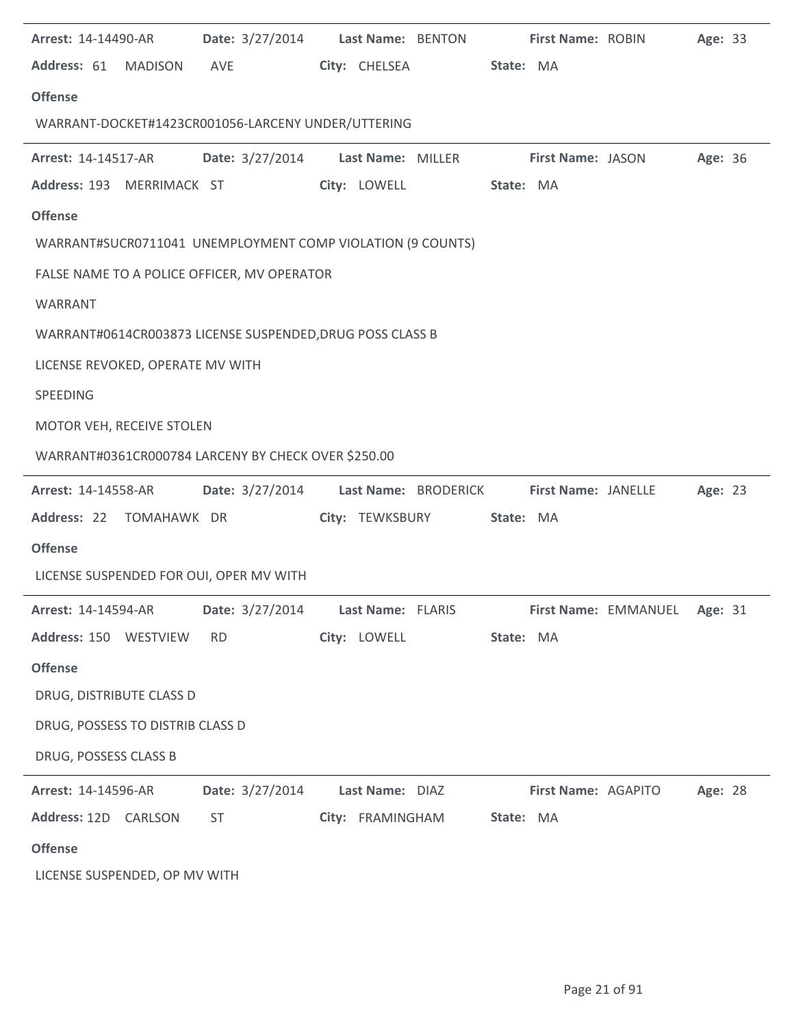| <b>Arrest: 14-14490-AR</b>       | Date: 3/27/2014 Last Name: BENTON                                      |                  |                 |           |                     | First Name: ROBIN            | Age: 33 |  |
|----------------------------------|------------------------------------------------------------------------|------------------|-----------------|-----------|---------------------|------------------------------|---------|--|
| Address: 61 MADISON AVE          |                                                                        | City: CHELSEA    |                 | State: MA |                     |                              |         |  |
| <b>Offense</b>                   |                                                                        |                  |                 |           |                     |                              |         |  |
|                                  | WARRANT-DOCKET#1423CR001056-LARCENY UNDER/UTTERING                     |                  |                 |           |                     |                              |         |  |
| <b>Arrest: 14-14517-AR</b>       | Date: 3/27/2014 Last Name: MILLER                                      |                  |                 |           | First Name: JASON   |                              | Age: 36 |  |
| Address: 193 MERRIMACK ST        |                                                                        |                  | City: LOWELL    | State: MA |                     |                              |         |  |
| <b>Offense</b>                   |                                                                        |                  |                 |           |                     |                              |         |  |
|                                  | WARRANT#SUCR0711041 UNEMPLOYMENT COMP VIOLATION (9 COUNTS)             |                  |                 |           |                     |                              |         |  |
|                                  | FALSE NAME TO A POLICE OFFICER, MV OPERATOR                            |                  |                 |           |                     |                              |         |  |
| WARRANT                          |                                                                        |                  |                 |           |                     |                              |         |  |
|                                  | WARRANT#0614CR003873 LICENSE SUSPENDED, DRUG POSS CLASS B              |                  |                 |           |                     |                              |         |  |
| LICENSE REVOKED, OPERATE MV WITH |                                                                        |                  |                 |           |                     |                              |         |  |
| SPEEDING                         |                                                                        |                  |                 |           |                     |                              |         |  |
| MOTOR VEH, RECEIVE STOLEN        |                                                                        |                  |                 |           |                     |                              |         |  |
|                                  | WARRANT#0361CR000784 LARCENY BY CHECK OVER \$250.00                    |                  |                 |           |                     |                              |         |  |
|                                  | Arrest: 14-14558-AR        Date: 3/27/2014        Last Name: BRODERICK |                  |                 |           |                     | <b>First Name: JANELLE</b>   | Age: 23 |  |
|                                  | Address: 22 TOMAHAWK DR                                                |                  | City: TEWKSBURY | State: MA |                     |                              |         |  |
| <b>Offense</b>                   |                                                                        |                  |                 |           |                     |                              |         |  |
|                                  | LICENSE SUSPENDED FOR OUI, OPER MV WITH                                |                  |                 |           |                     |                              |         |  |
| Arrest: 14-14594-AR              | Date: 3/27/2014 Last Name: FLARIS                                      |                  |                 |           |                     | First Name: EMMANUEL Age: 31 |         |  |
| Address: 150 WESTVIEW            | <b>RD</b>                                                              | City: LOWELL     |                 | State: MA |                     |                              |         |  |
| <b>Offense</b>                   |                                                                        |                  |                 |           |                     |                              |         |  |
| DRUG, DISTRIBUTE CLASS D         |                                                                        |                  |                 |           |                     |                              |         |  |
| DRUG, POSSESS TO DISTRIB CLASS D |                                                                        |                  |                 |           |                     |                              |         |  |
| DRUG, POSSESS CLASS B            |                                                                        |                  |                 |           |                     |                              |         |  |
| Arrest: 14-14596-AR              | Date: 3/27/2014                                                        | Last Name: DIAZ  |                 |           | First Name: AGAPITO |                              | Age: 28 |  |
| Address: 12D CARLSON             | ST                                                                     | City: FRAMINGHAM |                 | State: MA |                     |                              |         |  |
| <b>Offense</b>                   |                                                                        |                  |                 |           |                     |                              |         |  |
| LICENSE SUSPENDED, OP MV WITH    |                                                                        |                  |                 |           |                     |                              |         |  |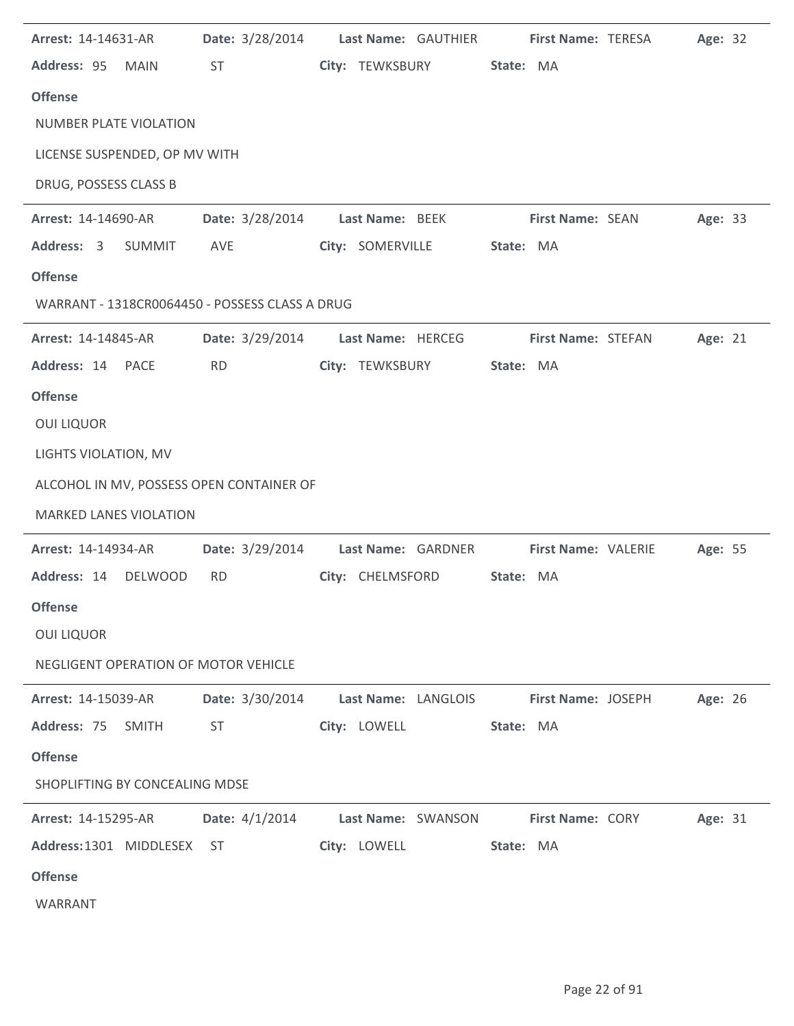| Arrest: 14-14631-AR                            |                        | Date: 3/28/2014 Last Name: GAUTHIER                                    | <b>First Name: TERESA</b>  | Age: 32 |
|------------------------------------------------|------------------------|------------------------------------------------------------------------|----------------------------|---------|
| Address: 95 MAIN                               | <b>ST</b>              | City: TEWKSBURY                                                        | State: MA                  |         |
| <b>Offense</b>                                 |                        |                                                                        |                            |         |
| <b>NUMBER PLATE VIOLATION</b>                  |                        |                                                                        |                            |         |
| LICENSE SUSPENDED, OP MV WITH                  |                        |                                                                        |                            |         |
| DRUG, POSSESS CLASS B                          |                        |                                                                        |                            |         |
| Arrest: 14-14690-AR                            | <b>Date:</b> 3/28/2014 | Last Name: BEEK                                                        | <b>First Name: SEAN</b>    | Age: 33 |
| Address: 3<br>SUMMIT                           | AVE                    | City: SOMERVILLE                                                       | State: MA                  |         |
| <b>Offense</b>                                 |                        |                                                                        |                            |         |
| WARRANT - 1318CR0064450 - POSSESS CLASS A DRUG |                        |                                                                        |                            |         |
| Arrest: 14-14845-AR                            | <b>Date:</b> 3/29/2014 | Last Name: HERCEG                                                      | First Name: STEFAN         | Age: 21 |
| Address: 14 PACE                               | <b>RD</b>              | City: TEWKSBURY                                                        | State: MA                  |         |
| <b>Offense</b>                                 |                        |                                                                        |                            |         |
| <b>OUI LIQUOR</b>                              |                        |                                                                        |                            |         |
| LIGHTS VIOLATION, MV                           |                        |                                                                        |                            |         |
| ALCOHOL IN MV, POSSESS OPEN CONTAINER OF       |                        |                                                                        |                            |         |
| <b>MARKED LANES VIOLATION</b>                  |                        |                                                                        |                            |         |
| Arrest: 14-14934-AR                            | <b>Date:</b> 3/29/2014 | Last Name: GARDNER                                                     | <b>First Name: VALERIE</b> | Age: 55 |
| Address: 14 DELWOOD                            | <b>RD</b>              | City: CHELMSFORD                                                       | State: MA                  |         |
| <b>Offense</b>                                 |                        |                                                                        |                            |         |
| <b>OUI LIQUOR</b>                              |                        |                                                                        |                            |         |
| NEGLIGENT OPERATION OF MOTOR VEHICLE           |                        |                                                                        |                            |         |
| <b>Arrest: 14-15039-AR</b>                     |                        | Date: 3/30/2014 Last Name: LANGLOIS First Name: JOSEPH                 |                            | Age: 26 |
| Address: 75 SMITH                              | ST                     | City: LOWELL                                                           | State: MA                  |         |
| <b>Offense</b>                                 |                        |                                                                        |                            |         |
| SHOPLIFTING BY CONCEALING MDSE                 |                        |                                                                        |                            |         |
|                                                |                        | Arrest: 14-15295-AR Date: 4/1/2014 Last Name: SWANSON First Name: CORY |                            | Age: 31 |
|                                                |                        |                                                                        |                            |         |
| <b>Offense</b>                                 |                        |                                                                        |                            |         |
| WARRANT                                        |                        |                                                                        |                            |         |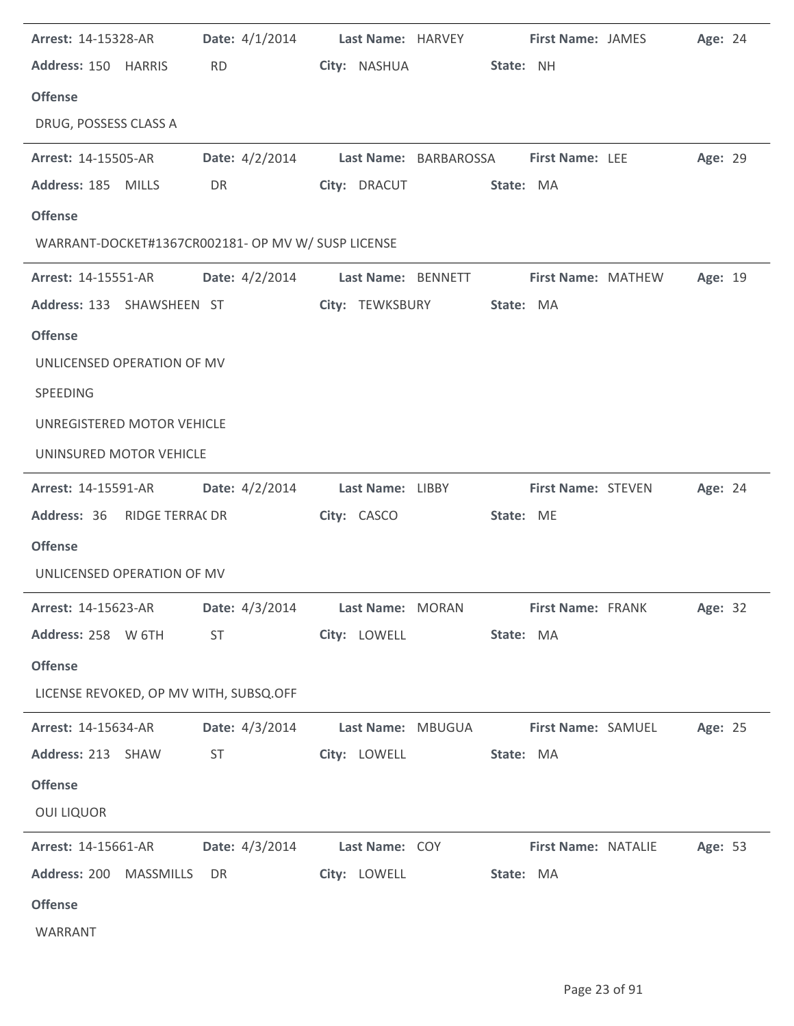| <b>Arrest: 14-15328-AR</b>                                                    |                                                                                                                                                                                                                                          |                 | Date: 4/1/2014 Last Name: HARVEY First Name: JAMES   |                           | Age: 24 |  |
|-------------------------------------------------------------------------------|------------------------------------------------------------------------------------------------------------------------------------------------------------------------------------------------------------------------------------------|-----------------|------------------------------------------------------|---------------------------|---------|--|
| Address: 150 HARRIS                                                           | RD <sub>2</sub>                                                                                                                                                                                                                          |                 | City: NASHUA 5tate: NH                               |                           |         |  |
| <b>Offense</b>                                                                |                                                                                                                                                                                                                                          |                 |                                                      |                           |         |  |
| DRUG, POSSESS CLASS A                                                         |                                                                                                                                                                                                                                          |                 |                                                      |                           |         |  |
| <b>Arrest: 14-15505-AR</b>                                                    |                                                                                                                                                                                                                                          |                 | Date: 4/2/2014 Last Name: BARBAROSSA First Name: LEE |                           | Age: 29 |  |
| Address: 185 MILLS                                                            | DR <sub>2</sub> and the set of the set of the set of the set of the set of the set of the set of the set of the set of the set of the set of the set of the set of the set of the set of the set of the set of the set of the set of the |                 | City: DRACUT State: MA                               |                           |         |  |
| <b>Offense</b>                                                                |                                                                                                                                                                                                                                          |                 |                                                      |                           |         |  |
| WARRANT-DOCKET#1367CR002181- OP MV W/ SUSP LICENSE                            |                                                                                                                                                                                                                                          |                 |                                                      |                           |         |  |
| <b>Arrest: 14-15551-AR</b>                                                    |                                                                                                                                                                                                                                          |                 | Date: 4/2/2014 Last Name: BENNETT First Name: MATHEW |                           | Age: 19 |  |
| Address: 133 SHAWSHEEN ST                                                     |                                                                                                                                                                                                                                          | City: TEWKSBURY | State: MA                                            |                           |         |  |
| <b>Offense</b>                                                                |                                                                                                                                                                                                                                          |                 |                                                      |                           |         |  |
| UNLICENSED OPERATION OF MV                                                    |                                                                                                                                                                                                                                          |                 |                                                      |                           |         |  |
| SPEEDING                                                                      |                                                                                                                                                                                                                                          |                 |                                                      |                           |         |  |
| UNREGISTERED MOTOR VEHICLE                                                    |                                                                                                                                                                                                                                          |                 |                                                      |                           |         |  |
| UNINSURED MOTOR VEHICLE                                                       |                                                                                                                                                                                                                                          |                 |                                                      |                           |         |  |
| Arrest: 14-15591-AR   Date: 4/2/2014   Last Name: LIBBY                       |                                                                                                                                                                                                                                          |                 |                                                      | <b>First Name: STEVEN</b> | Age: 24 |  |
| Address: 36 RIDGE TERRA( DR                                                   |                                                                                                                                                                                                                                          | City: CASCO     | State: ME                                            |                           |         |  |
| <b>Offense</b>                                                                |                                                                                                                                                                                                                                          |                 |                                                      |                           |         |  |
| UNLICENSED OPERATION OF MV                                                    |                                                                                                                                                                                                                                          |                 |                                                      |                           |         |  |
| Arrest: 14-15623-AR Date: 4/3/2014 Last Name: MORAN First Name: FRANK Age: 32 |                                                                                                                                                                                                                                          |                 |                                                      |                           |         |  |
| Address: 258 W 6TH                                                            | ST                                                                                                                                                                                                                                       | City: LOWELL    | State: MA                                            |                           |         |  |
| <b>Offense</b>                                                                |                                                                                                                                                                                                                                          |                 |                                                      |                           |         |  |
| LICENSE REVOKED, OP MV WITH, SUBSQ.OFF                                        |                                                                                                                                                                                                                                          |                 |                                                      |                           |         |  |
| <b>Arrest: 14-15634-AR</b>                                                    | Date: 4/3/2014                                                                                                                                                                                                                           |                 | Last Name: MBUGUA First Name: SAMUEL                 |                           | Age: 25 |  |
| Address: 213 SHAW                                                             | <b>ST</b>                                                                                                                                                                                                                                | City: LOWELL    | State: MA                                            |                           |         |  |
| <b>Offense</b>                                                                |                                                                                                                                                                                                                                          |                 |                                                      |                           |         |  |
| <b>OUI LIQUOR</b>                                                             |                                                                                                                                                                                                                                          |                 |                                                      |                           |         |  |
| <b>Arrest: 14-15661-AR</b>                                                    | Date: 4/3/2014 Last Name: COY                                                                                                                                                                                                            |                 |                                                      | First Name: NATALIE       | Age: 53 |  |
| Address: 200 MASSMILLS                                                        | DR                                                                                                                                                                                                                                       | City: LOWELL    | State: MA                                            |                           |         |  |
| <b>Offense</b>                                                                |                                                                                                                                                                                                                                          |                 |                                                      |                           |         |  |
| WARRANT                                                                       |                                                                                                                                                                                                                                          |                 |                                                      |                           |         |  |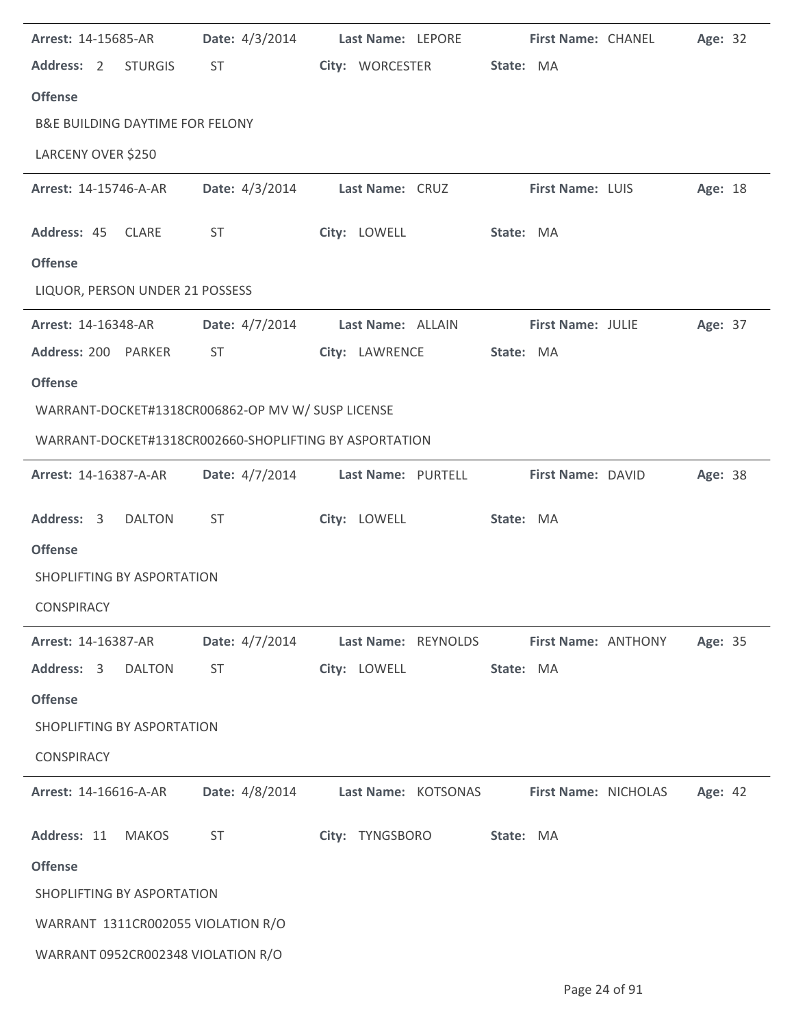| Arrest: 14-15685-AR                                    | Date: 4/3/2014   | Last Name: LEPORE   |           | First Name: CHANEL   | Age: 32 |  |
|--------------------------------------------------------|------------------|---------------------|-----------|----------------------|---------|--|
| Address: 2<br><b>STURGIS</b>                           | ST               | City: WORCESTER     | State: MA |                      |         |  |
| <b>Offense</b>                                         |                  |                     |           |                      |         |  |
| <b>B&amp;E BUILDING DAYTIME FOR FELONY</b>             |                  |                     |           |                      |         |  |
| LARCENY OVER \$250                                     |                  |                     |           |                      |         |  |
| Arrest: 14-15746-A-AR                                  | Date: 4/3/2014   | Last Name: CRUZ     |           | First Name: LUIS     | Age: 18 |  |
| Address: 45 CLARE                                      | ST               | City: LOWELL        | State: MA |                      |         |  |
| <b>Offense</b>                                         |                  |                     |           |                      |         |  |
| LIQUOR, PERSON UNDER 21 POSSESS                        |                  |                     |           |                      |         |  |
| Arrest: 14-16348-AR                                    | Date: 4/7/2014   | Last Name: ALLAIN   |           | First Name: JULIE    | Age: 37 |  |
| Address: 200 PARKER                                    | <b>ST</b>        | City: LAWRENCE      | State: MA |                      |         |  |
| <b>Offense</b>                                         |                  |                     |           |                      |         |  |
| WARRANT-DOCKET#1318CR006862-OP MV W/ SUSP LICENSE      |                  |                     |           |                      |         |  |
| WARRANT-DOCKET#1318CR002660-SHOPLIFTING BY ASPORTATION |                  |                     |           |                      |         |  |
| Arrest: 14-16387-A-AR                                  | Date: 4/7/2014   | Last Name: PURTELL  |           | First Name: DAVID    | Age: 38 |  |
|                                                        |                  |                     |           |                      |         |  |
| Address: 3<br><b>DALTON</b>                            | <b>ST</b>        | City: LOWELL        | State: MA |                      |         |  |
| <b>Offense</b>                                         |                  |                     |           |                      |         |  |
| SHOPLIFTING BY ASPORTATION                             |                  |                     |           |                      |         |  |
| CONSPIRACY                                             |                  |                     |           |                      |         |  |
| Arrest: 14-16387-AR                                    | Date: $4/7/2014$ | Last Name: REYNOLDS |           | First Name: ANTHONY  | Age: 35 |  |
| Address: 3<br><b>DALTON</b>                            | <b>ST</b>        | City: LOWELL        | State: MA |                      |         |  |
| <b>Offense</b>                                         |                  |                     |           |                      |         |  |
| SHOPLIFTING BY ASPORTATION                             |                  |                     |           |                      |         |  |
| <b>CONSPIRACY</b>                                      |                  |                     |           |                      |         |  |
| Arrest: 14-16616-A-AR                                  | Date: 4/8/2014   | Last Name: KOTSONAS |           | First Name: NICHOLAS | Age: 42 |  |
| Address: 11<br><b>MAKOS</b>                            | <b>ST</b>        | City: TYNGSBORO     | State: MA |                      |         |  |
| <b>Offense</b>                                         |                  |                     |           |                      |         |  |
| SHOPLIFTING BY ASPORTATION                             |                  |                     |           |                      |         |  |
| WARRANT 1311CR002055 VIOLATION R/O                     |                  |                     |           |                      |         |  |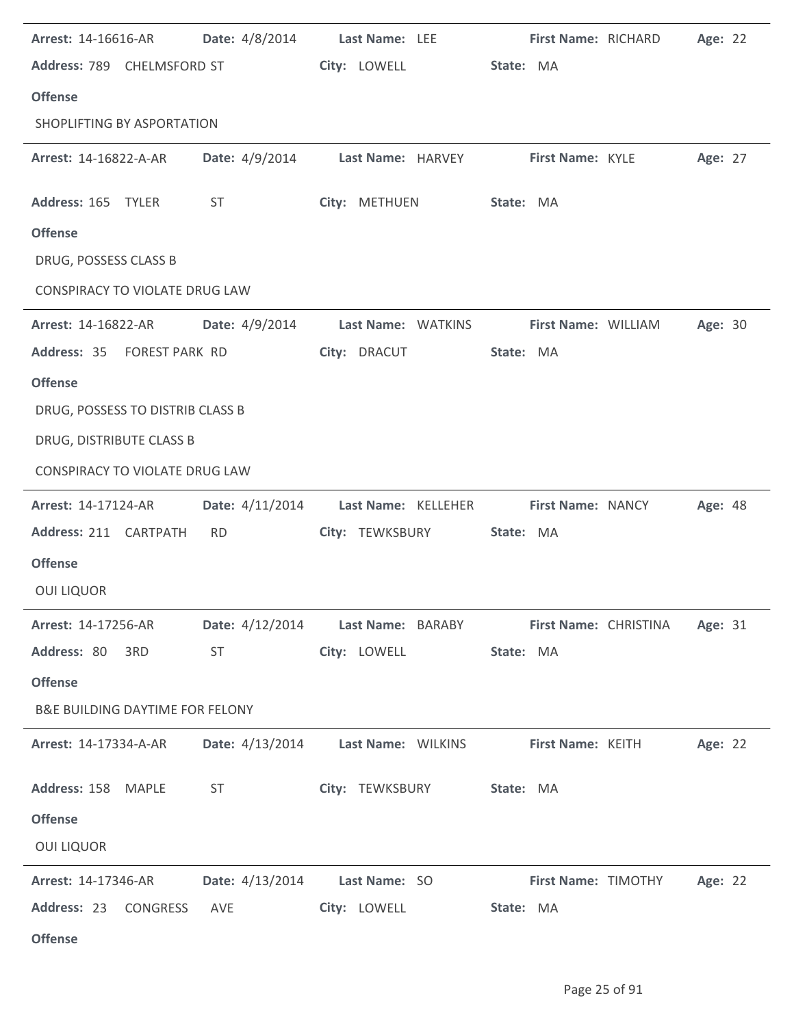| Arrest: 14-16616-AR                        | Date: 4/8/2014                                                                                                                                                                                                                 | Last Name: LEE                                    | First Name: RICHARD                                             | Age: 22 |
|--------------------------------------------|--------------------------------------------------------------------------------------------------------------------------------------------------------------------------------------------------------------------------------|---------------------------------------------------|-----------------------------------------------------------------|---------|
| Address: 789 CHELMSFORD ST                 |                                                                                                                                                                                                                                | City: LOWELL                                      | State: MA                                                       |         |
| <b>Offense</b>                             |                                                                                                                                                                                                                                |                                                   |                                                                 |         |
| SHOPLIFTING BY ASPORTATION                 |                                                                                                                                                                                                                                |                                                   |                                                                 |         |
| <b>Arrest: 14-16822-A-AR</b>               |                                                                                                                                                                                                                                | Date: 4/9/2014 Last Name: HARVEY First Name: KYLE |                                                                 | Age: 27 |
| Address: 165 TYLER                         | ST                                                                                                                                                                                                                             | City: METHUEN                                     | State: MA                                                       |         |
| <b>Offense</b>                             |                                                                                                                                                                                                                                |                                                   |                                                                 |         |
| DRUG, POSSESS CLASS B                      |                                                                                                                                                                                                                                |                                                   |                                                                 |         |
| CONSPIRACY TO VIOLATE DRUG LAW             |                                                                                                                                                                                                                                |                                                   |                                                                 |         |
| <b>Arrest: 14-16822-AR</b>                 |                                                                                                                                                                                                                                | Date: 4/9/2014 Last Name: WATKINS                 | First Name: WILLIAM                                             | Age: 30 |
| Address: 35 FOREST PARK RD                 |                                                                                                                                                                                                                                | City: DRACUT                                      | State: MA                                                       |         |
| <b>Offense</b>                             |                                                                                                                                                                                                                                |                                                   |                                                                 |         |
| DRUG, POSSESS TO DISTRIB CLASS B           |                                                                                                                                                                                                                                |                                                   |                                                                 |         |
| DRUG, DISTRIBUTE CLASS B                   |                                                                                                                                                                                                                                |                                                   |                                                                 |         |
| CONSPIRACY TO VIOLATE DRUG LAW             |                                                                                                                                                                                                                                |                                                   |                                                                 |         |
| <b>Arrest: 14-17124-AR</b>                 |                                                                                                                                                                                                                                | Date: 4/11/2014 Last Name: KELLEHER               | First Name: NANCY                                               | Age: 48 |
| Address: 211 CARTPATH                      | <b>RD</b>                                                                                                                                                                                                                      | City: TEWKSBURY                                   | State: MA                                                       |         |
| <b>Offense</b>                             |                                                                                                                                                                                                                                |                                                   |                                                                 |         |
| <b>OUI LIQUOR</b>                          |                                                                                                                                                                                                                                |                                                   |                                                                 |         |
| <b>Arrest: 14-17256-AR</b>                 |                                                                                                                                                                                                                                |                                                   | Date: 4/12/2014 Last Name: BARABY First Name: CHRISTINA Age: 31 |         |
| Address: 80 3RD                            | ST and the state of the state of the state of the state of the state of the state of the state of the state of the state of the state of the state of the state of the state of the state of the state of the state of the sta | City: LOWELL                                      | State: MA                                                       |         |
| <b>Offense</b>                             |                                                                                                                                                                                                                                |                                                   |                                                                 |         |
| <b>B&amp;E BUILDING DAYTIME FOR FELONY</b> |                                                                                                                                                                                                                                |                                                   |                                                                 |         |
| <b>Arrest: 14-17334-A-AR</b>               |                                                                                                                                                                                                                                | Date: 4/13/2014 Last Name: WILKINS                | <b>First Name: KEITH</b>                                        | Age: 22 |
| Address: 158 MAPLE                         | ST                                                                                                                                                                                                                             | City: TEWKSBURY State: MA                         |                                                                 |         |
| <b>Offense</b>                             |                                                                                                                                                                                                                                |                                                   |                                                                 |         |
| <b>OUI LIQUOR</b>                          |                                                                                                                                                                                                                                |                                                   |                                                                 |         |
| <b>Arrest: 14-17346-AR</b>                 |                                                                                                                                                                                                                                | <b>Date:</b> 4/13/2014 <b>Last Name:</b> SO       | <b>First Name: TIMOTHY Age: 22</b>                              |         |
| Address: 23<br>CONGRESS                    | AVE                                                                                                                                                                                                                            | City: LOWELL                                      | State: MA                                                       |         |
| <b>Offense</b>                             |                                                                                                                                                                                                                                |                                                   |                                                                 |         |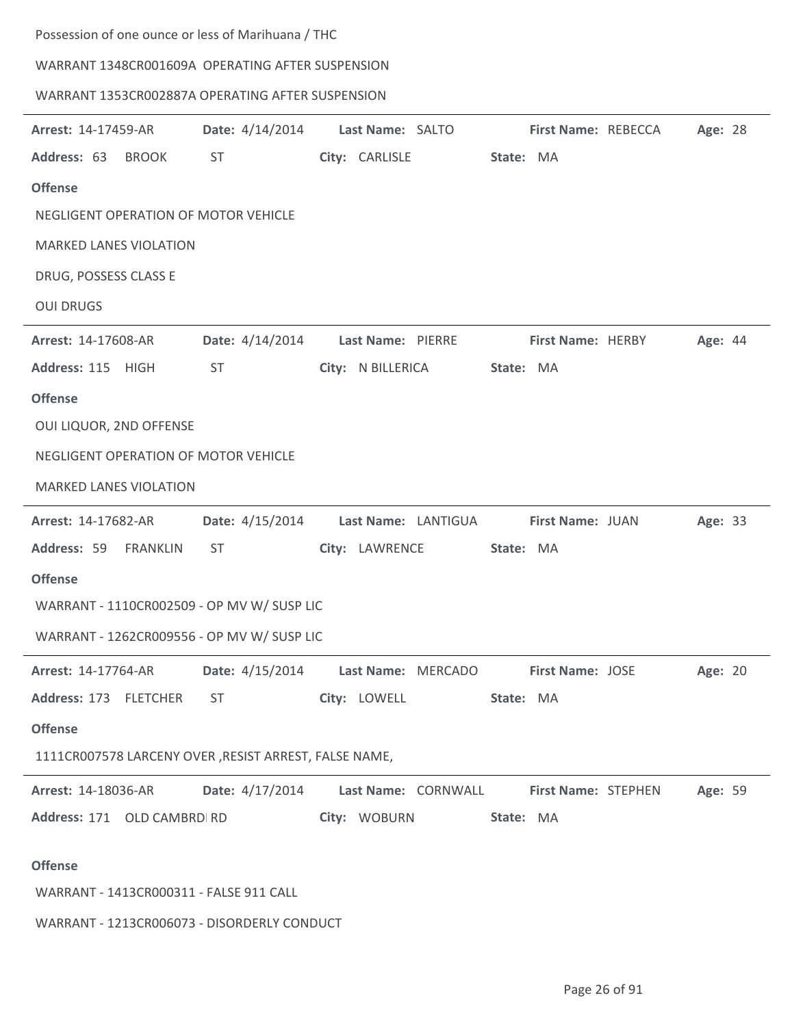Possession of one ounce or less of Marihuana / THC

WARRANT 1348CR001609A OPERATING AFTER SUSPENSION

## WARRANT 1353CR002887A OPERATING AFTER SUSPENSION

| Arrest: 14-17459-AR                                   | Date: 4/14/2014        | Last Name: SALTO    |           | First Name: REBECCA        | Age: 28 |  |
|-------------------------------------------------------|------------------------|---------------------|-----------|----------------------------|---------|--|
| Address: 63<br><b>BROOK</b>                           | ST                     | City: CARLISLE      | State: MA |                            |         |  |
| <b>Offense</b>                                        |                        |                     |           |                            |         |  |
| NEGLIGENT OPERATION OF MOTOR VEHICLE                  |                        |                     |           |                            |         |  |
| <b>MARKED LANES VIOLATION</b>                         |                        |                     |           |                            |         |  |
| DRUG, POSSESS CLASS E                                 |                        |                     |           |                            |         |  |
| <b>OUI DRUGS</b>                                      |                        |                     |           |                            |         |  |
| Arrest: 14-17608-AR                                   | Date: 4/14/2014        | Last Name: PIERRE   |           | First Name: HERBY          | Age: 44 |  |
| Address: 115 HIGH                                     | ST                     | City: N BILLERICA   | State: MA |                            |         |  |
| <b>Offense</b>                                        |                        |                     |           |                            |         |  |
| OUI LIQUOR, 2ND OFFENSE                               |                        |                     |           |                            |         |  |
| NEGLIGENT OPERATION OF MOTOR VEHICLE                  |                        |                     |           |                            |         |  |
| <b>MARKED LANES VIOLATION</b>                         |                        |                     |           |                            |         |  |
| Arrest: 14-17682-AR                                   | Date: 4/15/2014        | Last Name: LANTIGUA |           | First Name: JUAN           | Age: 33 |  |
| Address: 59<br>FRANKLIN                               | <b>ST</b>              | City: LAWRENCE      | State: MA |                            |         |  |
| <b>Offense</b>                                        |                        |                     |           |                            |         |  |
| WARRANT - 1110CR002509 - OP MV W/ SUSP LIC            |                        |                     |           |                            |         |  |
| WARRANT - 1262CR009556 - OP MV W/ SUSP LIC            |                        |                     |           |                            |         |  |
| Arrest: 14-17764-AR                                   | <b>Date:</b> 4/15/2014 | Last Name: MERCADO  |           | First Name: JOSE           | Age: 20 |  |
| Address: 173 FLETCHER                                 | ST.                    | City: LOWELL        | State: MA |                            |         |  |
| <b>Offense</b>                                        |                        |                     |           |                            |         |  |
| 1111CR007578 LARCENY OVER, RESIST ARREST, FALSE NAME, |                        |                     |           |                            |         |  |
| Arrest: 14-18036-AR                                   | Date: 4/17/2014        | Last Name: CORNWALL |           | <b>First Name: STEPHEN</b> | Age: 59 |  |
| Address: 171 OLD CAMBRD RD                            |                        | City: WOBURN        | State: MA |                            |         |  |
|                                                       |                        |                     |           |                            |         |  |
| <b>Offense</b>                                        |                        |                     |           |                            |         |  |
| WARRANT - 1413CR000311 - FALSE 911 CALL               |                        |                     |           |                            |         |  |
| WARRANT - 1213CR006073 - DISORDERLY CONDUCT           |                        |                     |           |                            |         |  |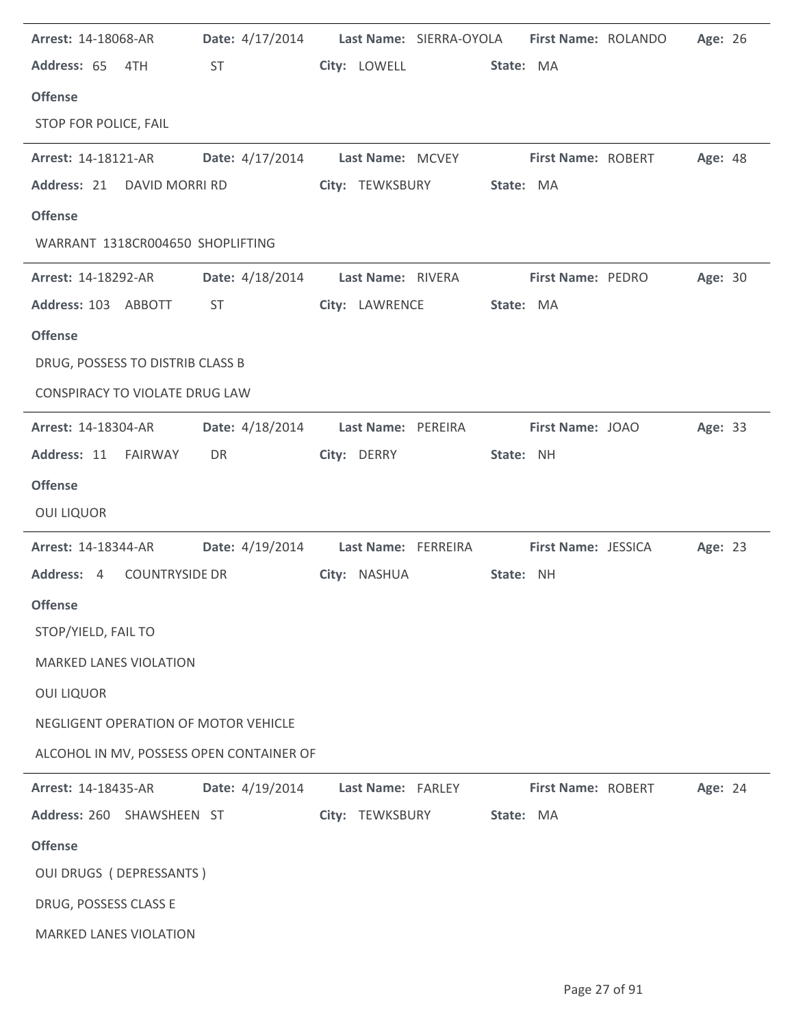| Arrest: 14-18068-AR              |                                                                                                                                                                                                                                |                    | Date: 4/17/2014 Last Name: SIERRA-OYOLA First Name: ROLANDO |                    |                          | Age: 26        |  |
|----------------------------------|--------------------------------------------------------------------------------------------------------------------------------------------------------------------------------------------------------------------------------|--------------------|-------------------------------------------------------------|--------------------|--------------------------|----------------|--|
| Address: 65 4TH                  | ST and the state of the state of the state of the state of the state of the state of the state of the state of the state of the state of the state of the state of the state of the state of the state of the state of the sta |                    | City: LOWELL State: MA                                      |                    |                          |                |  |
| <b>Offense</b>                   |                                                                                                                                                                                                                                |                    |                                                             |                    |                          |                |  |
| STOP FOR POLICE, FAIL            |                                                                                                                                                                                                                                |                    |                                                             |                    |                          |                |  |
| <b>Arrest: 14-18121-AR</b>       |                                                                                                                                                                                                                                |                    | Date: 4/17/2014 Last Name: MCVEY First Name: ROBERT         |                    |                          | <b>Age: 48</b> |  |
|                                  | Address: 21 DAVID MORRI RD                                                                                                                                                                                                     | City: TEWKSBURY    | State: MA                                                   |                    |                          |                |  |
| <b>Offense</b>                   |                                                                                                                                                                                                                                |                    |                                                             |                    |                          |                |  |
| WARRANT 1318CR004650 SHOPLIFTING |                                                                                                                                                                                                                                |                    |                                                             |                    |                          |                |  |
| <b>Arrest: 14-18292-AR</b>       | Date: 4/18/2014 Last Name: RIVERA                                                                                                                                                                                              |                    |                                                             |                    | <b>First Name: PEDRO</b> | Age: 30        |  |
| Address: 103 ABBOTT              | ST                                                                                                                                                                                                                             | City: LAWRENCE     | State: MA                                                   |                    |                          |                |  |
| <b>Offense</b>                   |                                                                                                                                                                                                                                |                    |                                                             |                    |                          |                |  |
| DRUG, POSSESS TO DISTRIB CLASS B |                                                                                                                                                                                                                                |                    |                                                             |                    |                          |                |  |
| CONSPIRACY TO VIOLATE DRUG LAW   |                                                                                                                                                                                                                                |                    |                                                             |                    |                          |                |  |
| <b>Arrest: 14-18304-AR</b>       | Date: 4/18/2014                                                                                                                                                                                                                | Last Name: PEREIRA |                                                             | First Name: JOAO   |                          | Age: 33        |  |
| Address: 11 FAIRWAY              | DR                                                                                                                                                                                                                             | City: DERRY        | State: NH                                                   |                    |                          |                |  |
| <b>Offense</b>                   |                                                                                                                                                                                                                                |                    |                                                             |                    |                          |                |  |
| <b>OUI LIQUOR</b>                |                                                                                                                                                                                                                                |                    |                                                             |                    |                          |                |  |
| <b>Arrest: 14-18344-AR</b>       |                                                                                                                                                                                                                                |                    | Date: 4/19/2014 Last Name: FERREIRA First Name: JESSICA     |                    |                          | Age: 23        |  |
| Address: 4                       | COUNTRYSIDE DR                                                                                                                                                                                                                 | City: NASHUA       | State: NH                                                   |                    |                          |                |  |
| <b>Offense</b>                   |                                                                                                                                                                                                                                |                    |                                                             |                    |                          |                |  |
| STOP/YIELD, FAIL TO              |                                                                                                                                                                                                                                |                    |                                                             |                    |                          |                |  |
| <b>MARKED LANES VIOLATION</b>    |                                                                                                                                                                                                                                |                    |                                                             |                    |                          |                |  |
| <b>OUI LIQUOR</b>                |                                                                                                                                                                                                                                |                    |                                                             |                    |                          |                |  |
|                                  | NEGLIGENT OPERATION OF MOTOR VEHICLE                                                                                                                                                                                           |                    |                                                             |                    |                          |                |  |
|                                  | ALCOHOL IN MV, POSSESS OPEN CONTAINER OF                                                                                                                                                                                       |                    |                                                             |                    |                          |                |  |
| Arrest: 14-18435-AR              | Date: 4/19/2014                                                                                                                                                                                                                | Last Name: FARLEY  |                                                             | First Name: ROBERT |                          | Age: 24        |  |
| Address: 260 SHAWSHEEN ST        |                                                                                                                                                                                                                                | City: TEWKSBURY    | State: MA                                                   |                    |                          |                |  |
| <b>Offense</b>                   |                                                                                                                                                                                                                                |                    |                                                             |                    |                          |                |  |
| <b>OUI DRUGS (DEPRESSANTS)</b>   |                                                                                                                                                                                                                                |                    |                                                             |                    |                          |                |  |
| DRUG, POSSESS CLASS E            |                                                                                                                                                                                                                                |                    |                                                             |                    |                          |                |  |
| <b>MARKED LANES VIOLATION</b>    |                                                                                                                                                                                                                                |                    |                                                             |                    |                          |                |  |
|                                  |                                                                                                                                                                                                                                |                    |                                                             |                    |                          |                |  |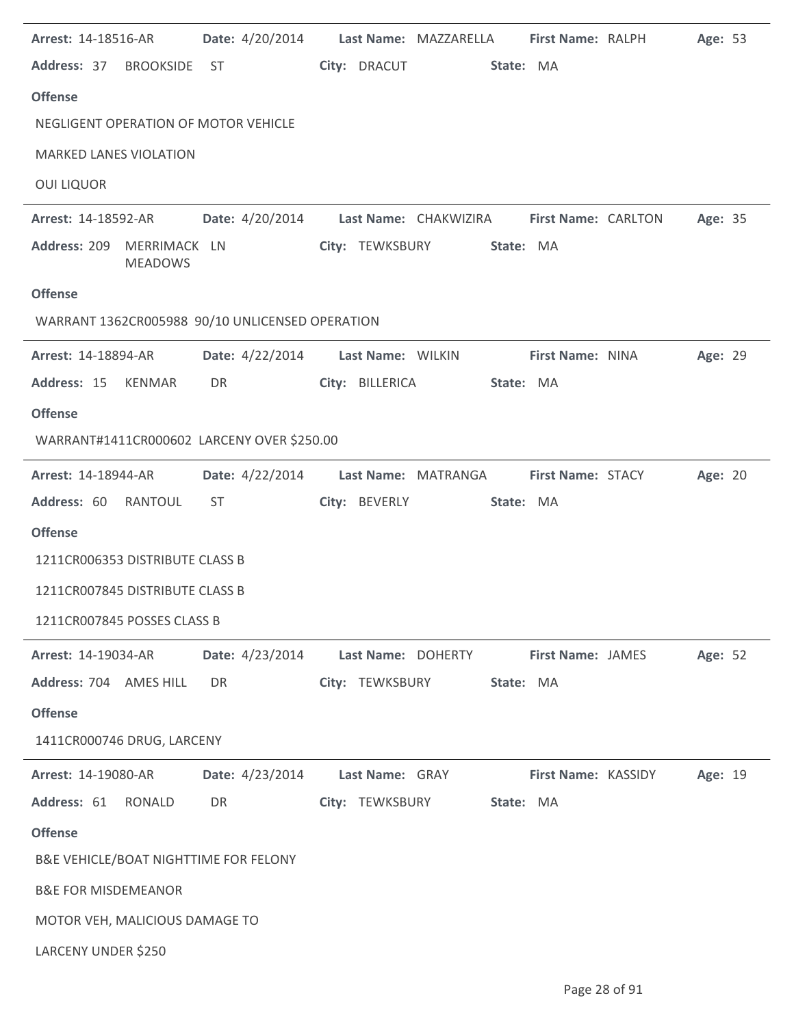| Arrest: 14-18516-AR                             |                                   |                    | Date: 4/20/2014 Last Name: MAZZARELLA                     | First Name: RALPH   | Age: 53 |  |
|-------------------------------------------------|-----------------------------------|--------------------|-----------------------------------------------------------|---------------------|---------|--|
| Address: 37 BROOKSIDE ST                        |                                   | City: DRACUT       | State: MA                                                 |                     |         |  |
| <b>Offense</b>                                  |                                   |                    |                                                           |                     |         |  |
| NEGLIGENT OPERATION OF MOTOR VEHICLE            |                                   |                    |                                                           |                     |         |  |
| <b>MARKED LANES VIOLATION</b>                   |                                   |                    |                                                           |                     |         |  |
| <b>OUI LIQUOR</b>                               |                                   |                    |                                                           |                     |         |  |
| <b>Arrest: 14-18592-AR</b>                      |                                   |                    | Date: 4/20/2014 Last Name: CHAKWIZIRA First Name: CARLTON |                     | Age: 35 |  |
| Address: 209 MERRIMACK LN<br><b>MEADOWS</b>     |                                   | City: TEWKSBURY    | State: MA                                                 |                     |         |  |
| <b>Offense</b>                                  |                                   |                    |                                                           |                     |         |  |
| WARRANT 1362CR005988 90/10 UNLICENSED OPERATION |                                   |                    |                                                           |                     |         |  |
| <b>Arrest: 14-18894-AR</b>                      | Date: 4/22/2014 Last Name: WILKIN |                    |                                                           | First Name: NINA    | Age: 29 |  |
| Address: 15 KENMAR                              | DR                                | City: BILLERICA    | State: MA                                                 |                     |         |  |
| <b>Offense</b>                                  |                                   |                    |                                                           |                     |         |  |
| WARRANT#1411CR000602 LARCENY OVER \$250.00      |                                   |                    |                                                           |                     |         |  |
| <b>Arrest: 14-18944-AR</b>                      | Date: 4/22/2014                   |                    | Last Name: MATRANGA First Name: STACY                     |                     | Age: 20 |  |
| Address: 60 RANTOUL                             | ST                                | City: BEVERLY      | State: MA                                                 |                     |         |  |
| <b>Offense</b>                                  |                                   |                    |                                                           |                     |         |  |
| 1211CR006353 DISTRIBUTE CLASS B                 |                                   |                    |                                                           |                     |         |  |
| 1211CR007845 DISTRIBUTE CLASS B                 |                                   |                    |                                                           |                     |         |  |
| 1211CR007845 POSSES CLASS B                     |                                   |                    |                                                           |                     |         |  |
| Arrest: 14-19034-AR                             | Date: 4/23/2014                   | Last Name: DOHERTY |                                                           | First Name: JAMES   | Age: 52 |  |
| Address: 704 AMES HILL                          | DR                                | City: TEWKSBURY    | State: MA                                                 |                     |         |  |
| <b>Offense</b>                                  |                                   |                    |                                                           |                     |         |  |
| 1411CR000746 DRUG, LARCENY                      |                                   |                    |                                                           |                     |         |  |
| Arrest: 14-19080-AR                             | Date: 4/23/2014                   | Last Name: GRAY    |                                                           | First Name: KASSIDY | Age: 19 |  |
| Address: 61<br>RONALD                           | DR                                | City: TEWKSBURY    | State: MA                                                 |                     |         |  |
| <b>Offense</b>                                  |                                   |                    |                                                           |                     |         |  |
| B&E VEHICLE/BOAT NIGHTTIME FOR FELONY           |                                   |                    |                                                           |                     |         |  |
| <b>B&amp;E FOR MISDEMEANOR</b>                  |                                   |                    |                                                           |                     |         |  |
| MOTOR VEH, MALICIOUS DAMAGE TO                  |                                   |                    |                                                           |                     |         |  |
| LARCENY UNDER \$250                             |                                   |                    |                                                           |                     |         |  |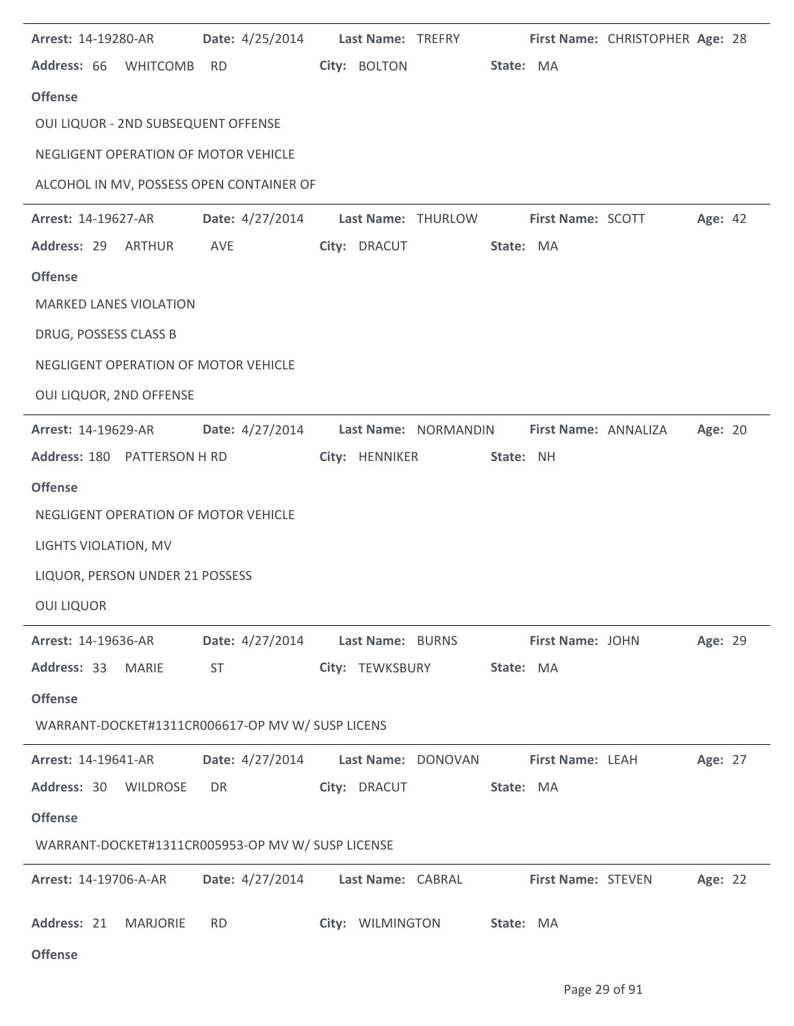| Arrest: 14-19280-AR                               | <b>Date:</b> 4/25/2014            |                    | Last Name: TREFRY    |                           | First Name: CHRISTOPHER Age: 28 |         |  |
|---------------------------------------------------|-----------------------------------|--------------------|----------------------|---------------------------|---------------------------------|---------|--|
| Address: 66 WHITCOMB                              | RD                                | City: BOLTON       | State: MA            |                           |                                 |         |  |
| <b>Offense</b>                                    |                                   |                    |                      |                           |                                 |         |  |
| OUI LIQUOR - 2ND SUBSEQUENT OFFENSE               |                                   |                    |                      |                           |                                 |         |  |
| NEGLIGENT OPERATION OF MOTOR VEHICLE              |                                   |                    |                      |                           |                                 |         |  |
| ALCOHOL IN MV, POSSESS OPEN CONTAINER OF          |                                   |                    |                      |                           |                                 |         |  |
| Arrest: 14-19627-AR                               | Date: 4/27/2014                   |                    | Last Name: THURLOW   | <b>First Name: SCOTT</b>  |                                 | Age: 42 |  |
| Address: 29 ARTHUR                                | AVE                               | City: DRACUT       | State: MA            |                           |                                 |         |  |
| <b>Offense</b>                                    |                                   |                    |                      |                           |                                 |         |  |
| <b>MARKED LANES VIOLATION</b>                     |                                   |                    |                      |                           |                                 |         |  |
| DRUG, POSSESS CLASS B                             |                                   |                    |                      |                           |                                 |         |  |
| NEGLIGENT OPERATION OF MOTOR VEHICLE              |                                   |                    |                      |                           |                                 |         |  |
| OUI LIQUOR, 2ND OFFENSE                           |                                   |                    |                      |                           |                                 |         |  |
| <b>Arrest: 14-19629-AR</b>                        | Date: 4/27/2014                   |                    | Last Name: NORMANDIN | First Name: ANNALIZA      |                                 | Age: 20 |  |
| Address: 180 PATTERSON H RD                       |                                   | City: HENNIKER     | State: NH            |                           |                                 |         |  |
| <b>Offense</b>                                    |                                   |                    |                      |                           |                                 |         |  |
| NEGLIGENT OPERATION OF MOTOR VEHICLE              |                                   |                    |                      |                           |                                 |         |  |
| LIGHTS VIOLATION, MV                              |                                   |                    |                      |                           |                                 |         |  |
| LIQUOR, PERSON UNDER 21 POSSESS                   |                                   |                    |                      |                           |                                 |         |  |
| <b>OUI LIQUOR</b>                                 |                                   |                    |                      |                           |                                 |         |  |
| <b>Arrest: 14-19636-AR</b>                        | Date: 4/27/2014 Last Name: BURNS  |                    |                      | First Name: JOHN          |                                 | Age: 29 |  |
| Address: 33 MARIE                                 | ST                                | City: TEWKSBURY    | State: MA            |                           |                                 |         |  |
| <b>Offense</b>                                    |                                   |                    |                      |                           |                                 |         |  |
| WARRANT-DOCKET#1311CR006617-OP MV W/ SUSP LICENS  |                                   |                    |                      |                           |                                 |         |  |
| <b>Arrest: 14-19641-AR</b>                        | Date: 4/27/2014                   | Last Name: DONOVAN |                      | First Name: LEAH          |                                 | Age: 27 |  |
| Address: 30 WILDROSE                              | DR                                | City: DRACUT       | State: MA            |                           |                                 |         |  |
| <b>Offense</b>                                    |                                   |                    |                      |                           |                                 |         |  |
| WARRANT-DOCKET#1311CR005953-OP MV W/ SUSP LICENSE |                                   |                    |                      |                           |                                 |         |  |
| Arrest: 14-19706-A-AR                             | Date: 4/27/2014 Last Name: CABRAL |                    |                      | <b>First Name: STEVEN</b> |                                 | Age: 22 |  |
| Address: 21 MARJORIE                              | <b>RD</b>                         | City: WILMINGTON   | State: MA            |                           |                                 |         |  |
| <b>Offense</b>                                    |                                   |                    |                      |                           |                                 |         |  |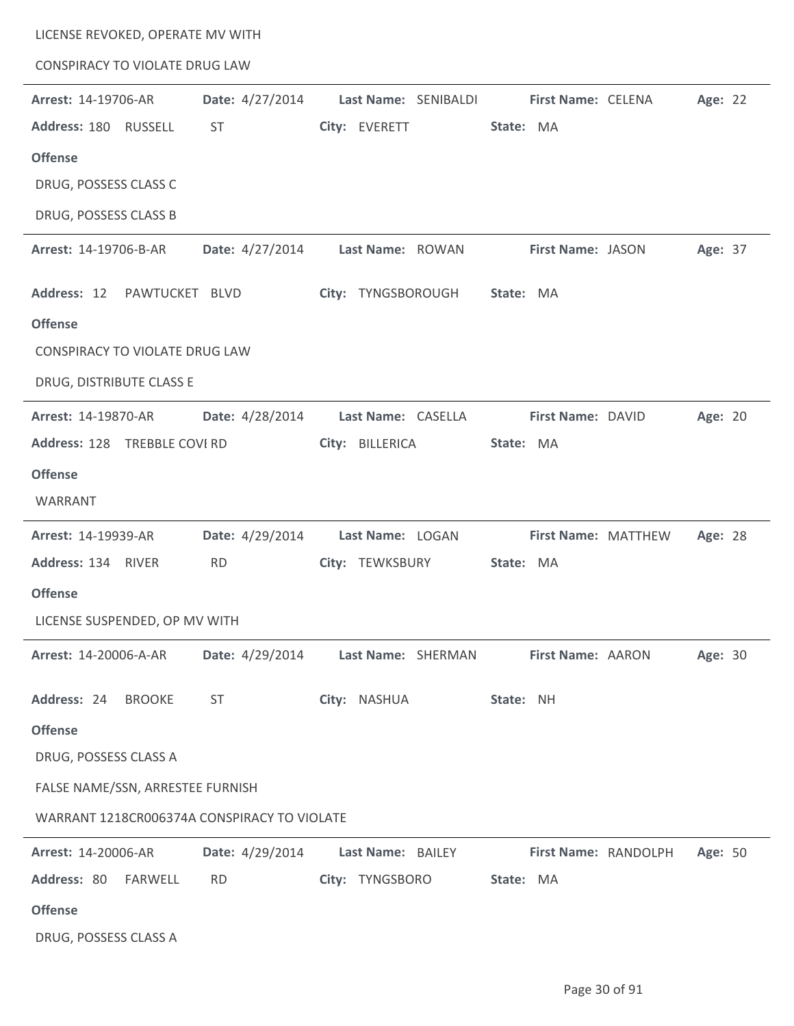| LICENSE REVOKED, OPERATE MV WITH      |                                             |                      |                      |         |
|---------------------------------------|---------------------------------------------|----------------------|----------------------|---------|
| <b>CONSPIRACY TO VIOLATE DRUG LAW</b> |                                             |                      |                      |         |
| Arrest: 14-19706-AR                   | Date: 4/27/2014                             | Last Name: SENIBALDI | First Name: CELENA   | Age: 22 |
| Address: 180 RUSSELL                  | <b>ST</b>                                   | City: EVERETT        | State: MA            |         |
| <b>Offense</b>                        |                                             |                      |                      |         |
| DRUG, POSSESS CLASS C                 |                                             |                      |                      |         |
| DRUG, POSSESS CLASS B                 |                                             |                      |                      |         |
| Arrest: 14-19706-B-AR                 | Date: 4/27/2014                             | Last Name: ROWAN     | First Name: JASON    | Age: 37 |
| Address: 12 PAWTUCKET BLVD            |                                             | City: TYNGSBOROUGH   | State: MA            |         |
| <b>Offense</b>                        |                                             |                      |                      |         |
| CONSPIRACY TO VIOLATE DRUG LAW        |                                             |                      |                      |         |
| DRUG, DISTRIBUTE CLASS E              |                                             |                      |                      |         |
| Arrest: 14-19870-AR                   | Date: 4/28/2014                             | Last Name: CASELLA   | First Name: DAVID    | Age: 20 |
| Address: 128 TREBBLE COVI RD          |                                             | City: BILLERICA      | State: MA            |         |
| <b>Offense</b>                        |                                             |                      |                      |         |
| WARRANT                               |                                             |                      |                      |         |
| Arrest: 14-19939-AR                   | Date: 4/29/2014                             | Last Name: LOGAN     | First Name: MATTHEW  | Age: 28 |
| Address: 134 RIVER                    | <b>RD</b>                                   | City: TEWKSBURY      | State: MA            |         |
| <b>Offense</b>                        |                                             |                      |                      |         |
| LICENSE SUSPENDED, OP MV WITH         |                                             |                      |                      |         |
| Arrest: 14-20006-A-AR                 | Date: 4/29/2014                             | Last Name: SHERMAN   | First Name: AARON    | Age: 30 |
|                                       |                                             |                      |                      |         |
| Address: 24<br><b>BROOKE</b>          | <b>ST</b>                                   | City: NASHUA         | State: NH            |         |
| <b>Offense</b>                        |                                             |                      |                      |         |
| DRUG, POSSESS CLASS A                 |                                             |                      |                      |         |
| FALSE NAME/SSN, ARRESTEE FURNISH      |                                             |                      |                      |         |
|                                       | WARRANT 1218CR006374A CONSPIRACY TO VIOLATE |                      |                      |         |
| Arrest: 14-20006-AR                   | Date: 4/29/2014                             | Last Name: BAILEY    | First Name: RANDOLPH | Age: 50 |
| Address: 80<br>FARWELL                | <b>RD</b>                                   | City: TYNGSBORO      | State: MA            |         |
| <b>Offense</b>                        |                                             |                      |                      |         |

 $\overline{a}$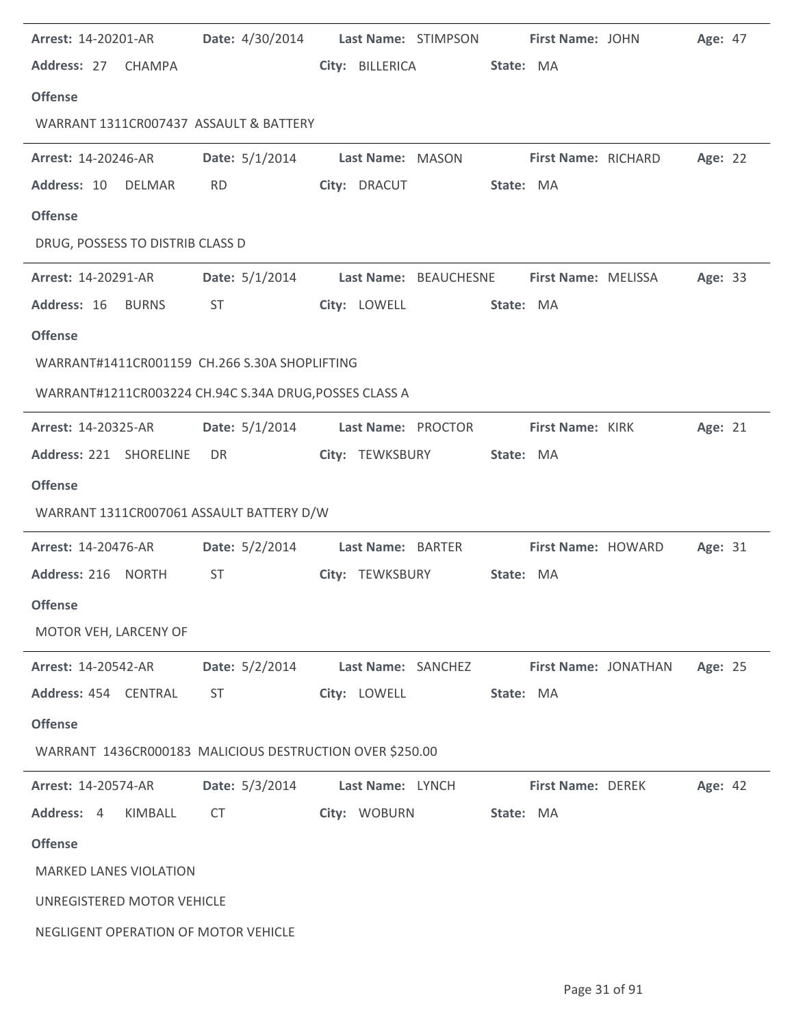|                                  | <b>Arrest: 14-20201-AR</b> |                                                          |                    | Date: 4/30/2014    Last Name: STIMPSON    First Name: JOHN |                            |                           | Age: 47 |  |
|----------------------------------|----------------------------|----------------------------------------------------------|--------------------|------------------------------------------------------------|----------------------------|---------------------------|---------|--|
| Address: 27 CHAMPA               |                            |                                                          | City: BILLERICA    | State: MA                                                  |                            |                           |         |  |
| <b>Offense</b>                   |                            |                                                          |                    |                                                            |                            |                           |         |  |
|                                  |                            | WARRANT 1311CR007437 ASSAULT & BATTERY                   |                    |                                                            |                            |                           |         |  |
| <b>Arrest: 14-20246-AR</b>       |                            |                                                          |                    | Date: 5/1/2014 Last Name: MASON First Name: RICHARD        |                            |                           | Age: 22 |  |
| Address: 10 DELMAR               |                            | <b>RD</b>                                                | City: DRACUT       | State: MA                                                  |                            |                           |         |  |
| <b>Offense</b>                   |                            |                                                          |                    |                                                            |                            |                           |         |  |
| DRUG, POSSESS TO DISTRIB CLASS D |                            |                                                          |                    |                                                            |                            |                           |         |  |
| <b>Arrest: 14-20291-AR</b>       |                            | Date: 5/1/2014 Last Name: BEAUCHESNE                     |                    |                                                            | <b>First Name: MELISSA</b> |                           | Age: 33 |  |
| Address: 16 BURNS                |                            | ST                                                       | City: LOWELL       | State: MA                                                  |                            |                           |         |  |
| <b>Offense</b>                   |                            |                                                          |                    |                                                            |                            |                           |         |  |
|                                  |                            | WARRANT#1411CR001159 CH.266 S.30A SHOPLIFTING            |                    |                                                            |                            |                           |         |  |
|                                  |                            | WARRANT#1211CR003224 CH.94C S.34A DRUG, POSSES CLASS A   |                    |                                                            |                            |                           |         |  |
| <b>Arrest: 14-20325-AR</b>       |                            | <b>Date:</b> 5/1/2014                                    |                    | Last Name: PROCTOR                                         | <b>First Name: KIRK</b>    |                           | Age: 21 |  |
| Address: 221 SHORELINE           |                            | DR                                                       | City: TEWKSBURY    | State: MA                                                  |                            |                           |         |  |
| <b>Offense</b>                   |                            |                                                          |                    |                                                            |                            |                           |         |  |
|                                  |                            | WARRANT 1311CR007061 ASSAULT BATTERY D/W                 |                    |                                                            |                            |                           |         |  |
| <b>Arrest: 14-20476-AR</b>       |                            | Date: $5/2/2014$                                         | Last Name: BARTER  |                                                            |                            | <b>First Name: HOWARD</b> | Age: 31 |  |
| Address: 216 NORTH               |                            | ST                                                       | City: TEWKSBURY    | State: MA                                                  |                            |                           |         |  |
| <b>Offense</b>                   |                            |                                                          |                    |                                                            |                            |                           |         |  |
| MOTOR VEH, LARCENY OF            |                            |                                                          |                    |                                                            |                            |                           |         |  |
| <b>Arrest: 14-20542-AR</b>       |                            | Date: 5/2/2014                                           | Last Name: SANCHEZ |                                                            |                            | First Name: JONATHAN      | Age: 25 |  |
| Address: 454 CENTRAL             |                            | ST                                                       | City: LOWELL       | State: MA                                                  |                            |                           |         |  |
| <b>Offense</b>                   |                            |                                                          |                    |                                                            |                            |                           |         |  |
|                                  |                            |                                                          |                    |                                                            |                            |                           |         |  |
|                                  |                            | WARRANT 1436CR000183 MALICIOUS DESTRUCTION OVER \$250.00 |                    |                                                            |                            |                           |         |  |
| <b>Arrest: 14-20574-AR</b>       |                            | Date: 5/3/2014                                           | Last Name: LYNCH   |                                                            | <b>First Name: DEREK</b>   |                           | Age: 42 |  |
| Address: 4                       | KIMBALL                    | CT                                                       | City: WOBURN       | State: MA                                                  |                            |                           |         |  |
| <b>Offense</b>                   |                            |                                                          |                    |                                                            |                            |                           |         |  |
| <b>MARKED LANES VIOLATION</b>    |                            |                                                          |                    |                                                            |                            |                           |         |  |
| UNREGISTERED MOTOR VEHICLE       |                            |                                                          |                    |                                                            |                            |                           |         |  |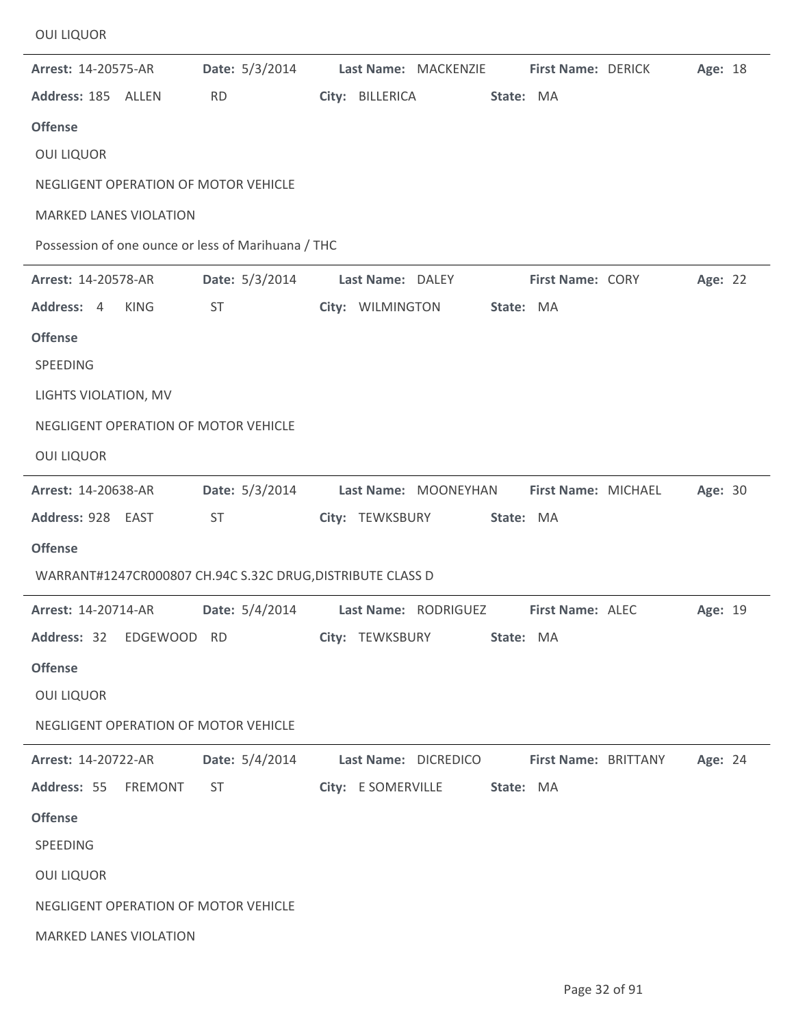| Arrest: 14-20575-AR<br>Address: 185 ALLEN<br><b>Offense</b><br><b>OUI LIQUOR</b><br>NEGLIGENT OPERATION OF MOTOR VEHICLE<br><b>MARKED LANES VIOLATION</b>                        | Date: 5/3/2014<br><b>RD</b><br>Possession of one ounce or less of Marihuana / THC         | Last Name: MACKENZIE<br>City: BILLERICA    | First Name: DERICK<br>State: MA   | Age: 18 |
|----------------------------------------------------------------------------------------------------------------------------------------------------------------------------------|-------------------------------------------------------------------------------------------|--------------------------------------------|-----------------------------------|---------|
| Arrest: 14-20578-AR<br>Address: 4<br><b>KING</b><br><b>Offense</b><br>SPEEDING<br>LIGHTS VIOLATION, MV<br>NEGLIGENT OPERATION OF MOTOR VEHICLE<br><b>OUI LIQUOR</b>              | Date: 5/3/2014<br>ST                                                                      | Last Name: DALEY<br>City: WILMINGTON       | First Name: CORY<br>State: MA     | Age: 22 |
| Arrest: 14-20638-AR<br>Address: 928 EAST<br><b>Offense</b>                                                                                                                       | Date: 5/3/2014<br><b>ST</b><br>WARRANT#1247CR000807 CH.94C S.32C DRUG, DISTRIBUTE CLASS D | Last Name: MOONEYHAN<br>City: TEWKSBURY    | First Name: MICHAEL<br>State: MA  | Age: 30 |
| Arrest: 14-20714-AR<br>Address: 32<br><b>Offense</b><br><b>OUI LIQUOR</b><br>NEGLIGENT OPERATION OF MOTOR VEHICLE                                                                | Date: 5/4/2014<br>EDGEWOOD RD                                                             | Last Name: RODRIGUEZ<br>City: TEWKSBURY    | First Name: ALEC<br>State: MA     | Age: 19 |
| Arrest: 14-20722-AR<br>Address: 55<br><b>FREMONT</b><br><b>Offense</b><br>SPEEDING<br><b>OUI LIQUOR</b><br>NEGLIGENT OPERATION OF MOTOR VEHICLE<br><b>MARKED LANES VIOLATION</b> | Date: 5/4/2014<br><b>ST</b>                                                               | Last Name: DICREDICO<br>City: E SOMERVILLE | First Name: BRITTANY<br>State: MA | Age: 24 |

OUI LIQUOR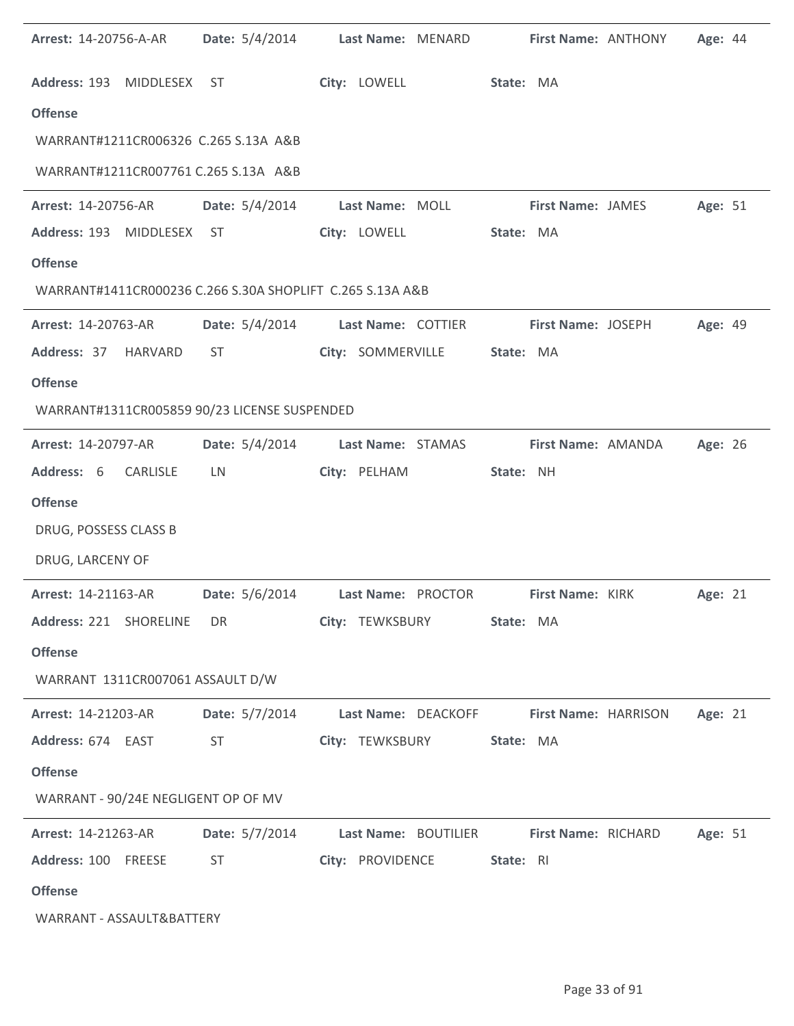| Arrest: 14-20756-A-AR                                     | Date: 5/4/2014        | Last Name: MENARD    |                     | First Name: ANTHONY      | Age: 44 |  |
|-----------------------------------------------------------|-----------------------|----------------------|---------------------|--------------------------|---------|--|
| Address: 193 MIDDLESEX                                    | ST                    | City: LOWELL         |                     | State: MA                |         |  |
| <b>Offense</b>                                            |                       |                      |                     |                          |         |  |
| WARRANT#1211CR006326 C.265 S.13A A&B                      |                       |                      |                     |                          |         |  |
| WARRANT#1211CR007761 C.265 S.13A A&B                      |                       |                      |                     |                          |         |  |
| Arrest: 14-20756-AR                                       | Date: 5/4/2014        | Last Name: MOLL      |                     | <b>First Name: JAMES</b> | Age: 51 |  |
| Address: 193 MIDDLESEX ST                                 |                       | City: LOWELL         |                     | State: MA                |         |  |
| <b>Offense</b>                                            |                       |                      |                     |                          |         |  |
| WARRANT#1411CR000236 C.266 S.30A SHOPLIFT C.265 S.13A A&B |                       |                      |                     |                          |         |  |
| Arrest: 14-20763-AR                                       | Date: $5/4/2014$      | Last Name: COTTIER   |                     | First Name: JOSEPH       | Age: 49 |  |
| Address: 37 HARVARD                                       | <b>ST</b>             | City: SOMMERVILLE    |                     | State: MA                |         |  |
| <b>Offense</b>                                            |                       |                      |                     |                          |         |  |
| WARRANT#1311CR005859 90/23 LICENSE SUSPENDED              |                       |                      |                     |                          |         |  |
| Arrest: 14-20797-AR                                       | Date: 5/4/2014        | Last Name: STAMAS    |                     | First Name: AMANDA       | Age: 26 |  |
| Address: 6<br><b>CARLISLE</b>                             | LN                    | City: PELHAM         | State: NH           |                          |         |  |
| <b>Offense</b>                                            |                       |                      |                     |                          |         |  |
| DRUG, POSSESS CLASS B                                     |                       |                      |                     |                          |         |  |
| DRUG, LARCENY OF                                          |                       |                      |                     |                          |         |  |
| Arrest: 14-21163-AR                                       | <b>Date:</b> 5/6/2014 | Last Name: PROCTOR   |                     | First Name: KIRK         | Age: 21 |  |
| Address: 221 SHORELINE                                    | DR.                   | City: TEWKSBURY      |                     | State: MA                |         |  |
| <b>Offense</b>                                            |                       |                      |                     |                          |         |  |
| WARRANT 1311CR007061 ASSAULT D/W                          |                       |                      |                     |                          |         |  |
| Arrest: 14-21203-AR                                       | Date: 5/7/2014        |                      | Last Name: DEACKOFF | First Name: HARRISON     | Age: 21 |  |
| Address: 674 EAST                                         | <b>ST</b>             | City: TEWKSBURY      |                     | State: MA                |         |  |
| <b>Offense</b>                                            |                       |                      |                     |                          |         |  |
| WARRANT - 90/24E NEGLIGENT OP OF MV                       |                       |                      |                     |                          |         |  |
| Arrest: 14-21263-AR                                       | Date: 5/7/2014        | Last Name: BOUTILIER |                     | First Name: RICHARD      | Age: 51 |  |
| Address: 100 FREESE                                       | <b>ST</b>             | City: PROVIDENCE     | State: RI           |                          |         |  |
| <b>Offense</b>                                            |                       |                      |                     |                          |         |  |
| WARRANT - ASSAULT&BATTERY                                 |                       |                      |                     |                          |         |  |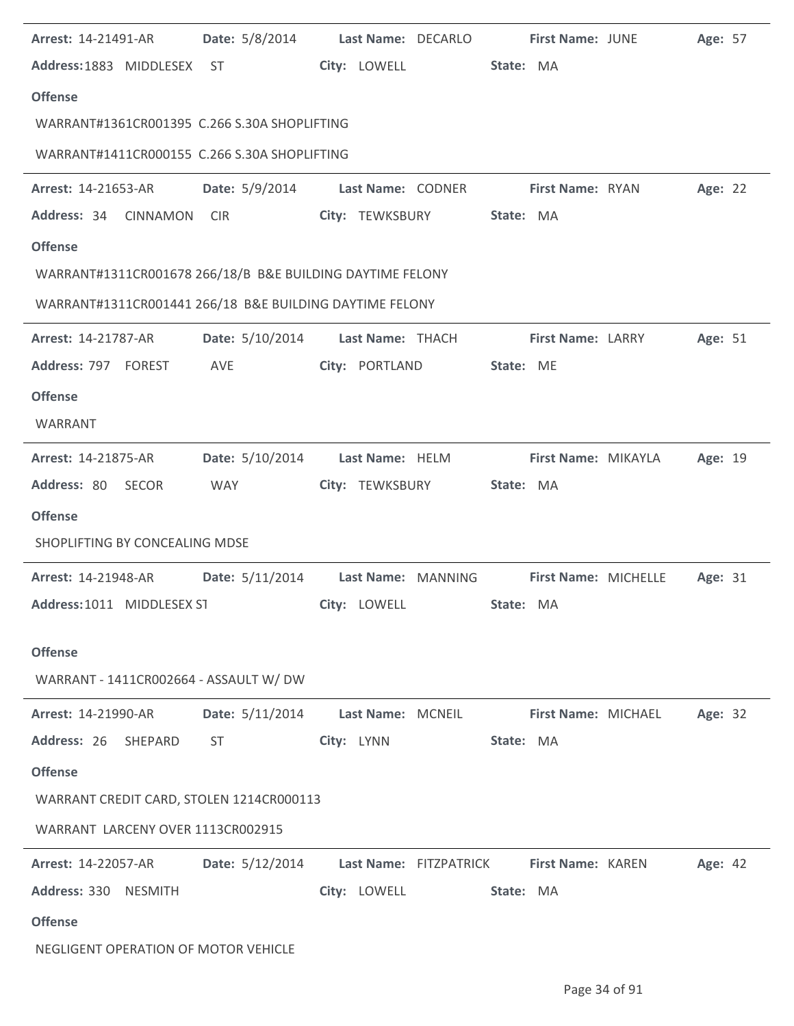| Arrest: 14-21491-AR                                       | Date: 5/8/2014                   | Last Name: DECARLO |                        | <b>First Name: JUNE</b> | Age: 57 |  |
|-----------------------------------------------------------|----------------------------------|--------------------|------------------------|-------------------------|---------|--|
| Address: 1883 MIDDLESEX ST                                |                                  | City: LOWELL       |                        | State: MA               |         |  |
| <b>Offense</b>                                            |                                  |                    |                        |                         |         |  |
| WARRANT#1361CR001395 C.266 S.30A SHOPLIFTING              |                                  |                    |                        |                         |         |  |
| WARRANT#1411CR000155 C.266 S.30A SHOPLIFTING              |                                  |                    |                        |                         |         |  |
| <b>Arrest: 14-21653-AR</b>                                | Date: 5/9/2014 Last Name: CODNER |                    |                        | First Name: RYAN        | Age: 22 |  |
| Address: 34<br><b>CINNAMON</b>                            | <b>CIR</b>                       | City: TEWKSBURY    |                        | State: MA               |         |  |
| <b>Offense</b>                                            |                                  |                    |                        |                         |         |  |
| WARRANT#1311CR001678 266/18/B B&E BUILDING DAYTIME FELONY |                                  |                    |                        |                         |         |  |
| WARRANT#1311CR001441 266/18 B&E BUILDING DAYTIME FELONY   |                                  |                    |                        |                         |         |  |
| Arrest: 14-21787-AR                                       | <b>Date:</b> 5/10/2014           | Last Name: THACH   |                        | First Name: LARRY       | Age: 51 |  |
| Address: 797 FOREST                                       | AVE                              | City: PORTLAND     |                        | State: ME               |         |  |
| <b>Offense</b>                                            |                                  |                    |                        |                         |         |  |
| WARRANT                                                   |                                  |                    |                        |                         |         |  |
| <b>Arrest: 14-21875-AR</b>                                | <b>Date:</b> 5/10/2014           | Last Name: HELM    |                        | First Name: MIKAYLA     | Age: 19 |  |
| Address: 80 SECOR                                         | WAY                              | City: TEWKSBURY    |                        | State: MA               |         |  |
| <b>Offense</b>                                            |                                  |                    |                        |                         |         |  |
| SHOPLIFTING BY CONCEALING MDSE                            |                                  |                    |                        |                         |         |  |
| <b>Arrest: 14-21948-AR</b>                                | <b>Date:</b> 5/11/2014           | Last Name: MANNING |                        | First Name: MICHELLE    | Age: 31 |  |
| Address: 1011 MIDDLESEX ST                                |                                  | City: LOWELL       |                        | State: MA               |         |  |
|                                                           |                                  |                    |                        |                         |         |  |
| <b>Offense</b><br>WARRANT - 1411CR002664 - ASSAULT W/ DW  |                                  |                    |                        |                         |         |  |
|                                                           |                                  |                    |                        |                         |         |  |
| Arrest: 14-21990-AR                                       | Date: 5/11/2014                  | Last Name: MCNEIL  |                        | First Name: MICHAEL     | Age: 32 |  |
| Address: 26<br>SHEPARD                                    | <b>ST</b>                        | City: LYNN         |                        | State: MA               |         |  |
| <b>Offense</b>                                            |                                  |                    |                        |                         |         |  |
| WARRANT CREDIT CARD, STOLEN 1214CR000113                  |                                  |                    |                        |                         |         |  |
| WARRANT LARCENY OVER 1113CR002915                         |                                  |                    |                        |                         |         |  |
| Arrest: 14-22057-AR                                       | Date: 5/12/2014                  |                    | Last Name: FITZPATRICK | First Name: KAREN       | Age: 42 |  |
| Address: 330<br><b>NESMITH</b>                            |                                  | City: LOWELL       |                        | State: MA               |         |  |
| <b>Offense</b>                                            |                                  |                    |                        |                         |         |  |
| NEGLIGENT OPERATION OF MOTOR VEHICLE                      |                                  |                    |                        |                         |         |  |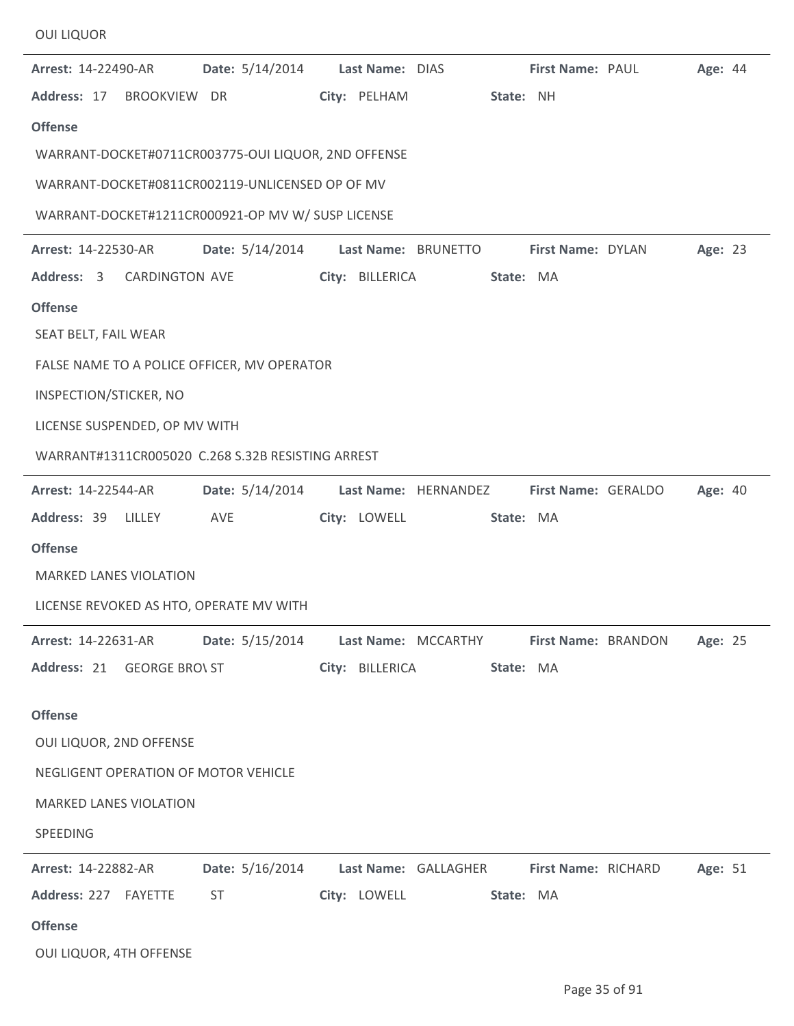| <b>OUI LIQUOR</b>                                   |                        |                 |                      |           |                     |                |  |
|-----------------------------------------------------|------------------------|-----------------|----------------------|-----------|---------------------|----------------|--|
| <b>Arrest: 14-22490-AR</b>                          | Date: 5/14/2014        |                 | Last Name: DIAS      |           | First Name: PAUL    | <b>Age: 44</b> |  |
| Address: 17 BROOKVIEW DR                            |                        | City: PELHAM    |                      | State: NH |                     |                |  |
| <b>Offense</b>                                      |                        |                 |                      |           |                     |                |  |
| WARRANT-DOCKET#0711CR003775-OUI LIQUOR, 2ND OFFENSE |                        |                 |                      |           |                     |                |  |
| WARRANT-DOCKET#0811CR002119-UNLICENSED OP OF MV     |                        |                 |                      |           |                     |                |  |
| WARRANT-DOCKET#1211CR000921-OP MV W/ SUSP LICENSE   |                        |                 |                      |           |                     |                |  |
| <b>Arrest: 14-22530-AR</b>                          | Date: 5/14/2014        |                 | Last Name: BRUNETTO  |           | First Name: DYLAN   | Age: 23        |  |
| Address: 3 CARDINGTON AVE                           |                        |                 | City: BILLERICA      | State: MA |                     |                |  |
| <b>Offense</b>                                      |                        |                 |                      |           |                     |                |  |
| SEAT BELT, FAIL WEAR                                |                        |                 |                      |           |                     |                |  |
| FALSE NAME TO A POLICE OFFICER, MV OPERATOR         |                        |                 |                      |           |                     |                |  |
| INSPECTION/STICKER, NO                              |                        |                 |                      |           |                     |                |  |
| LICENSE SUSPENDED, OP MV WITH                       |                        |                 |                      |           |                     |                |  |
| WARRANT#1311CR005020 C.268 S.32B RESISTING ARREST   |                        |                 |                      |           |                     |                |  |
| <b>Arrest: 14-22544-AR</b>                          | <b>Date:</b> 5/14/2014 |                 | Last Name: HERNANDEZ |           | First Name: GERALDO | <b>Age: 40</b> |  |
| Address: 39 LILLEY AVE                              |                        | City: LOWELL    |                      | State: MA |                     |                |  |
| <b>Offense</b>                                      |                        |                 |                      |           |                     |                |  |
| <b>MARKED LANES VIOLATION</b>                       |                        |                 |                      |           |                     |                |  |
| LICENSE REVOKED AS HTO, OPERATE MV WITH             |                        |                 |                      |           |                     |                |  |
| <b>Arrest: 14-22631-AR</b>                          | Date: 5/15/2014        |                 | Last Name: MCCARTHY  |           | First Name: BRANDON | Age: 25        |  |
| Address: 21 GEORGE BRO\ ST                          |                        | City: BILLERICA |                      | State: MA |                     |                |  |
| <b>Offense</b>                                      |                        |                 |                      |           |                     |                |  |
| OUI LIQUOR, 2ND OFFENSE                             |                        |                 |                      |           |                     |                |  |
| NEGLIGENT OPERATION OF MOTOR VEHICLE                |                        |                 |                      |           |                     |                |  |
| <b>MARKED LANES VIOLATION</b>                       |                        |                 |                      |           |                     |                |  |
| SPEEDING                                            |                        |                 |                      |           |                     |                |  |
| Arrest: 14-22882-AR                                 | Date: 5/16/2014        |                 | Last Name: GALLAGHER |           | First Name: RICHARD | Age: 51        |  |
| Address: 227 FAYETTE                                | <b>ST</b>              | City: LOWELL    |                      | State: MA |                     |                |  |
| <b>Offense</b>                                      |                        |                 |                      |           |                     |                |  |
| OUI LIQUOR, 4TH OFFENSE                             |                        |                 |                      |           |                     |                |  |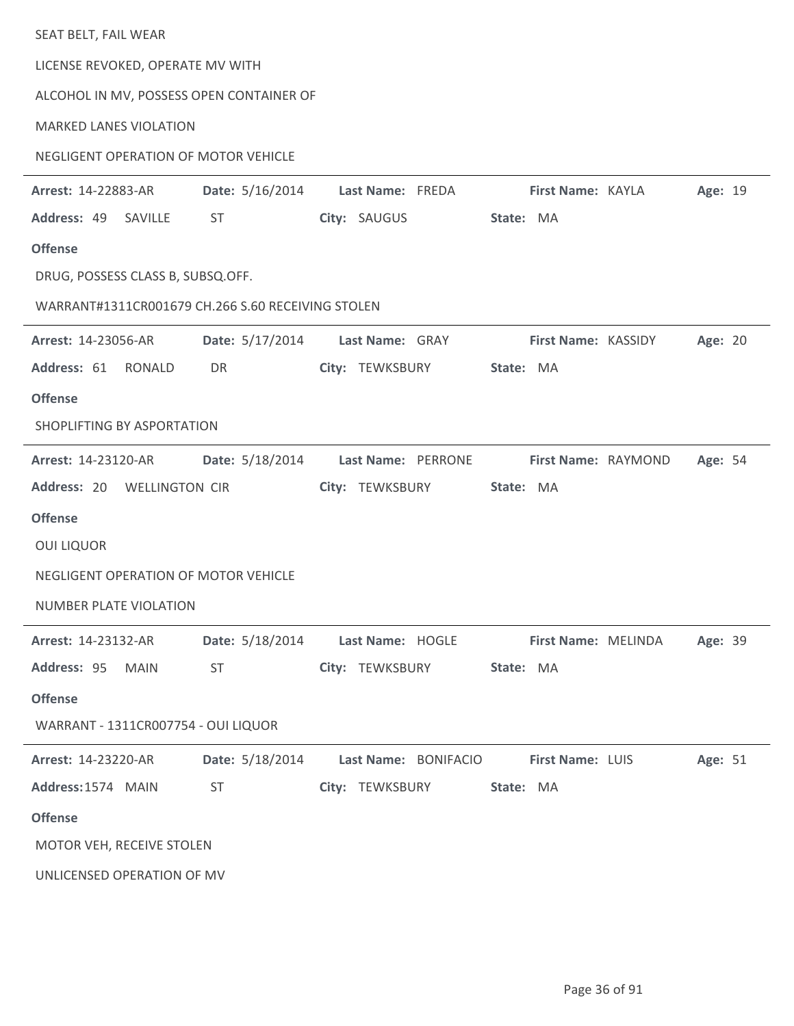| SEAT BELT, FAIL WEAR                |             |                                                   |                      |           |                     |         |  |
|-------------------------------------|-------------|---------------------------------------------------|----------------------|-----------|---------------------|---------|--|
| LICENSE REVOKED, OPERATE MV WITH    |             |                                                   |                      |           |                     |         |  |
|                                     |             | ALCOHOL IN MV, POSSESS OPEN CONTAINER OF          |                      |           |                     |         |  |
| <b>MARKED LANES VIOLATION</b>       |             |                                                   |                      |           |                     |         |  |
|                                     |             | NEGLIGENT OPERATION OF MOTOR VEHICLE              |                      |           |                     |         |  |
| Arrest: 14-22883-AR                 |             | Date: 5/16/2014                                   | Last Name: FREDA     |           | First Name: KAYLA   | Age: 19 |  |
| Address: 49 SAVILLE                 |             | ST.                                               | City: SAUGUS         | State: MA |                     |         |  |
| <b>Offense</b>                      |             |                                                   |                      |           |                     |         |  |
| DRUG, POSSESS CLASS B, SUBSQ.OFF.   |             |                                                   |                      |           |                     |         |  |
|                                     |             | WARRANT#1311CR001679 CH.266 S.60 RECEIVING STOLEN |                      |           |                     |         |  |
| Arrest: 14-23056-AR                 |             | Date: 5/17/2014                                   | Last Name: GRAY      |           | First Name: KASSIDY | Age: 20 |  |
| Address: 61                         | RONALD      | DR                                                | City: TEWKSBURY      | State: MA |                     |         |  |
| <b>Offense</b>                      |             |                                                   |                      |           |                     |         |  |
| SHOPLIFTING BY ASPORTATION          |             |                                                   |                      |           |                     |         |  |
| Arrest: 14-23120-AR                 |             | <b>Date:</b> 5/18/2014                            | Last Name: PERRONE   |           | First Name: RAYMOND | Age: 54 |  |
| Address: 20 WELLINGTON CIR          |             |                                                   | City: TEWKSBURY      | State: MA |                     |         |  |
| <b>Offense</b>                      |             |                                                   |                      |           |                     |         |  |
| <b>OUI LIQUOR</b>                   |             |                                                   |                      |           |                     |         |  |
|                                     |             | NEGLIGENT OPERATION OF MOTOR VEHICLE              |                      |           |                     |         |  |
| NUMBER PLATE VIOLATION              |             |                                                   |                      |           |                     |         |  |
| Arrest: 14-23132-AR                 |             | <b>Date:</b> 5/18/2014                            | Last Name: HOGLE     |           | First Name: MELINDA | Age: 39 |  |
| Address: 95                         | <b>MAIN</b> | <b>ST</b>                                         | City: TEWKSBURY      | State: MA |                     |         |  |
| <b>Offense</b>                      |             |                                                   |                      |           |                     |         |  |
| WARRANT - 1311CR007754 - OUI LIQUOR |             |                                                   |                      |           |                     |         |  |
| Arrest: 14-23220-AR                 |             | Date: 5/18/2014                                   | Last Name: BONIFACIO |           | First Name: LUIS    | Age: 51 |  |
| Address: 1574 MAIN                  |             | <b>ST</b>                                         | City: TEWKSBURY      | State: MA |                     |         |  |
| <b>Offense</b>                      |             |                                                   |                      |           |                     |         |  |
| MOTOR VEH, RECEIVE STOLEN           |             |                                                   |                      |           |                     |         |  |
| UNLICENSED OPERATION OF MV          |             |                                                   |                      |           |                     |         |  |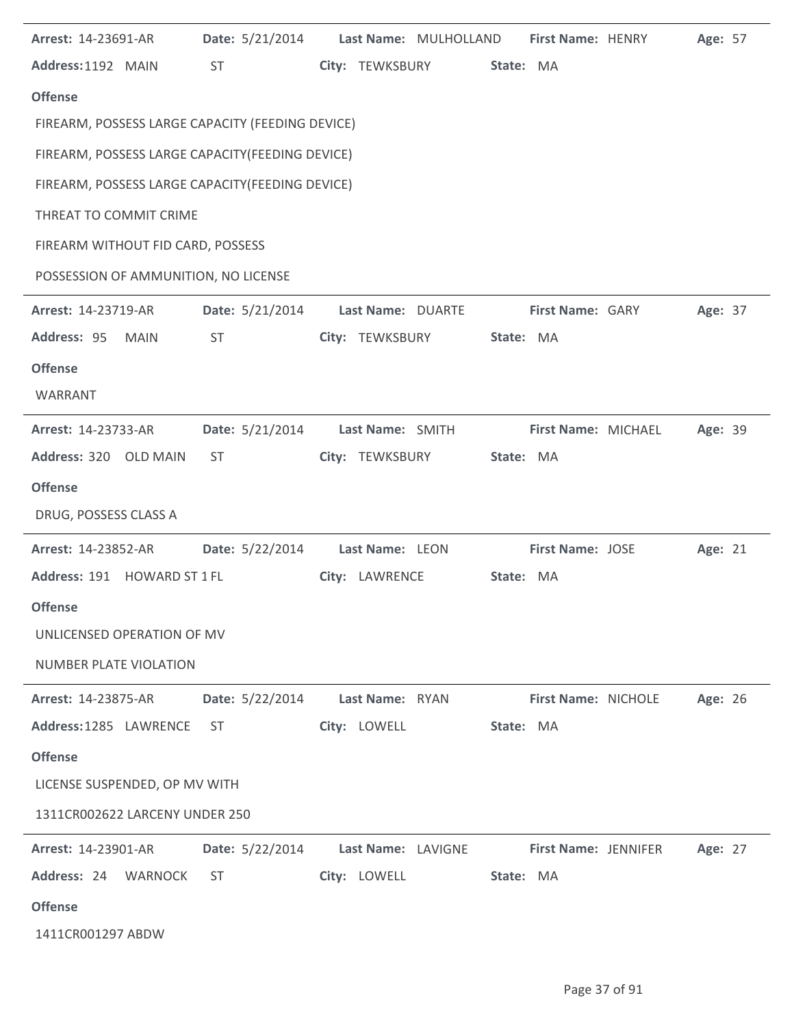| Arrest: 14-23691-AR                              | Date: 5/21/2014 |                    | Last Name: MULHOLLAND | First Name: HENRY       | Age: 57 |  |
|--------------------------------------------------|-----------------|--------------------|-----------------------|-------------------------|---------|--|
| Address: 1192 MAIN                               | <b>ST</b>       | City: TEWKSBURY    | State: MA             |                         |         |  |
| <b>Offense</b>                                   |                 |                    |                       |                         |         |  |
| FIREARM, POSSESS LARGE CAPACITY (FEEDING DEVICE) |                 |                    |                       |                         |         |  |
| FIREARM, POSSESS LARGE CAPACITY (FEEDING DEVICE) |                 |                    |                       |                         |         |  |
| FIREARM, POSSESS LARGE CAPACITY (FEEDING DEVICE) |                 |                    |                       |                         |         |  |
| THREAT TO COMMIT CRIME                           |                 |                    |                       |                         |         |  |
| FIREARM WITHOUT FID CARD, POSSESS                |                 |                    |                       |                         |         |  |
| POSSESSION OF AMMUNITION, NO LICENSE             |                 |                    |                       |                         |         |  |
| Arrest: 14-23719-AR                              | Date: 5/21/2014 | Last Name: DUARTE  |                       | <b>First Name: GARY</b> | Age: 37 |  |
| Address: 95<br>MAIN                              | ST              | City: TEWKSBURY    | State: MA             |                         |         |  |
| <b>Offense</b>                                   |                 |                    |                       |                         |         |  |
| WARRANT                                          |                 |                    |                       |                         |         |  |
| Arrest: 14-23733-AR                              | Date: 5/21/2014 | Last Name: SMITH   |                       | First Name: MICHAEL     | Age: 39 |  |
| Address: 320 OLD MAIN                            | ST.             | City: TEWKSBURY    | State: MA             |                         |         |  |
| <b>Offense</b>                                   |                 |                    |                       |                         |         |  |
| DRUG, POSSESS CLASS A                            |                 |                    |                       |                         |         |  |
| Arrest: 14-23852-AR                              | Date: 5/22/2014 | Last Name: LEON    |                       | <b>First Name: JOSE</b> | Age: 21 |  |
| Address: 191 HOWARD ST 1 FL                      |                 | City: LAWRENCE     | State: MA             |                         |         |  |
| <b>Offense</b>                                   |                 |                    |                       |                         |         |  |
| UNLICENSED OPERATION OF MV                       |                 |                    |                       |                         |         |  |
| <b>NUMBER PLATE VIOLATION</b>                    |                 |                    |                       |                         |         |  |
| Arrest: 14-23875-AR                              | Date: 5/22/2014 | Last Name: RYAN    |                       | First Name: NICHOLE     | Age: 26 |  |
| Address: 1285 LAWRENCE                           | ST              | City: LOWELL       | State: MA             |                         |         |  |
| <b>Offense</b>                                   |                 |                    |                       |                         |         |  |
| LICENSE SUSPENDED, OP MV WITH                    |                 |                    |                       |                         |         |  |
| 1311CR002622 LARCENY UNDER 250                   |                 |                    |                       |                         |         |  |
| Arrest: 14-23901-AR                              | Date: 5/22/2014 | Last Name: LAVIGNE |                       | First Name: JENNIFER    | Age: 27 |  |
| Address: 24 WARNOCK                              | <b>ST</b>       | City: LOWELL       | State: MA             |                         |         |  |
| <b>Offense</b>                                   |                 |                    |                       |                         |         |  |
| 1411CR001297 ABDW                                |                 |                    |                       |                         |         |  |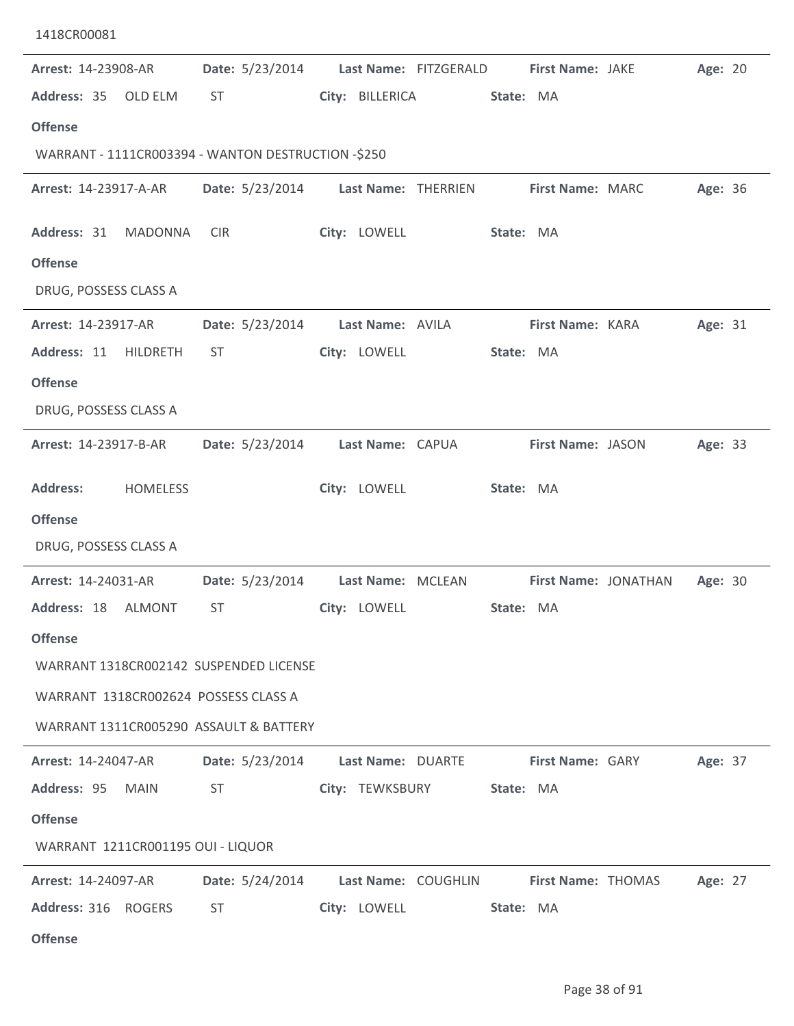| 1418CR00081                                        |                                                                                                                                                                                                                                |                                          |                               |         |  |
|----------------------------------------------------|--------------------------------------------------------------------------------------------------------------------------------------------------------------------------------------------------------------------------------|------------------------------------------|-------------------------------|---------|--|
| Arrest: 14-23908-AR<br>Address: 35 OLD ELM         | Date: 5/23/2014<br><b>ST</b>                                                                                                                                                                                                   | Last Name: FITZGERALD<br>City: BILLERICA | First Name: JAKE<br>State: MA | Age: 20 |  |
| <b>Offense</b>                                     |                                                                                                                                                                                                                                |                                          |                               |         |  |
| WARRANT - 1111CR003394 - WANTON DESTRUCTION -\$250 |                                                                                                                                                                                                                                |                                          |                               |         |  |
| Arrest: 14-23917-A-AR                              | <b>Date:</b> 5/23/2014                                                                                                                                                                                                         | Last Name: THERRIEN                      | First Name: MARC              | Age: 36 |  |
| Address: 31<br><b>MADONNA</b>                      | <b>CIR</b>                                                                                                                                                                                                                     | City: LOWELL                             | State: MA                     |         |  |
| <b>Offense</b>                                     |                                                                                                                                                                                                                                |                                          |                               |         |  |
| DRUG, POSSESS CLASS A                              |                                                                                                                                                                                                                                |                                          |                               |         |  |
| Arrest: 14-23917-AR                                | Date: 5/23/2014                                                                                                                                                                                                                | Last Name: AVILA                         | First Name: KARA              | Age: 31 |  |
| Address: 11<br>HILDRETH                            | <b>ST</b>                                                                                                                                                                                                                      | City: LOWELL                             | State: MA                     |         |  |
| <b>Offense</b>                                     |                                                                                                                                                                                                                                |                                          |                               |         |  |
| DRUG, POSSESS CLASS A                              |                                                                                                                                                                                                                                |                                          |                               |         |  |
| Arrest: 14-23917-B-AR                              | Date: 5/23/2014                                                                                                                                                                                                                | Last Name: CAPUA                         | First Name: JASON             | Age: 33 |  |
| <b>Address:</b><br><b>HOMELESS</b>                 |                                                                                                                                                                                                                                | City: LOWELL                             | State: MA                     |         |  |
| <b>Offense</b>                                     |                                                                                                                                                                                                                                |                                          |                               |         |  |
| DRUG, POSSESS CLASS A                              |                                                                                                                                                                                                                                |                                          |                               |         |  |
| <b>Arrest: 14-24031-AR</b>                         | Date: 5/23/2014                                                                                                                                                                                                                | Last Name: MCLEAN                        | First Name: JONATHAN          | Age: 30 |  |
| Address: 18 ALMONT                                 |                                                                                                                                                                                                                                |                                          | State: MA                     |         |  |
| <b>Offense</b>                                     |                                                                                                                                                                                                                                |                                          |                               |         |  |
| WARRANT 1318CR002142 SUSPENDED LICENSE             |                                                                                                                                                                                                                                |                                          |                               |         |  |
| WARRANT 1318CR002624 POSSESS CLASS A               |                                                                                                                                                                                                                                |                                          |                               |         |  |
| WARRANT 1311CR005290 ASSAULT & BATTERY             |                                                                                                                                                                                                                                |                                          |                               |         |  |
| <b>Arrest: 14-24047-AR</b>                         | Date: 5/23/2014 Last Name: DUARTE                                                                                                                                                                                              |                                          | <b>First Name: GARY</b>       | Age: 37 |  |
| Address: 95 MAIN                                   | ST and the state of the state of the state of the state of the state of the state of the state of the state of the state of the state of the state of the state of the state of the state of the state of the state of the sta | City: TEWKSBURY State: MA                |                               |         |  |
| <b>Offense</b>                                     |                                                                                                                                                                                                                                |                                          |                               |         |  |
| WARRANT 1211CR001195 OUI - LIQUOR                  |                                                                                                                                                                                                                                |                                          |                               |         |  |
| <b>Arrest: 14-24097-AR</b>                         | Date: 5/24/2014 Last Name: COUGHLIN First Name: THOMAS                                                                                                                                                                         |                                          |                               | Age: 27 |  |
| Address: 316 ROGERS                                | <b>ST</b>                                                                                                                                                                                                                      | City: LOWELL                             | State: MA                     |         |  |
| <b>Offense</b>                                     |                                                                                                                                                                                                                                |                                          |                               |         |  |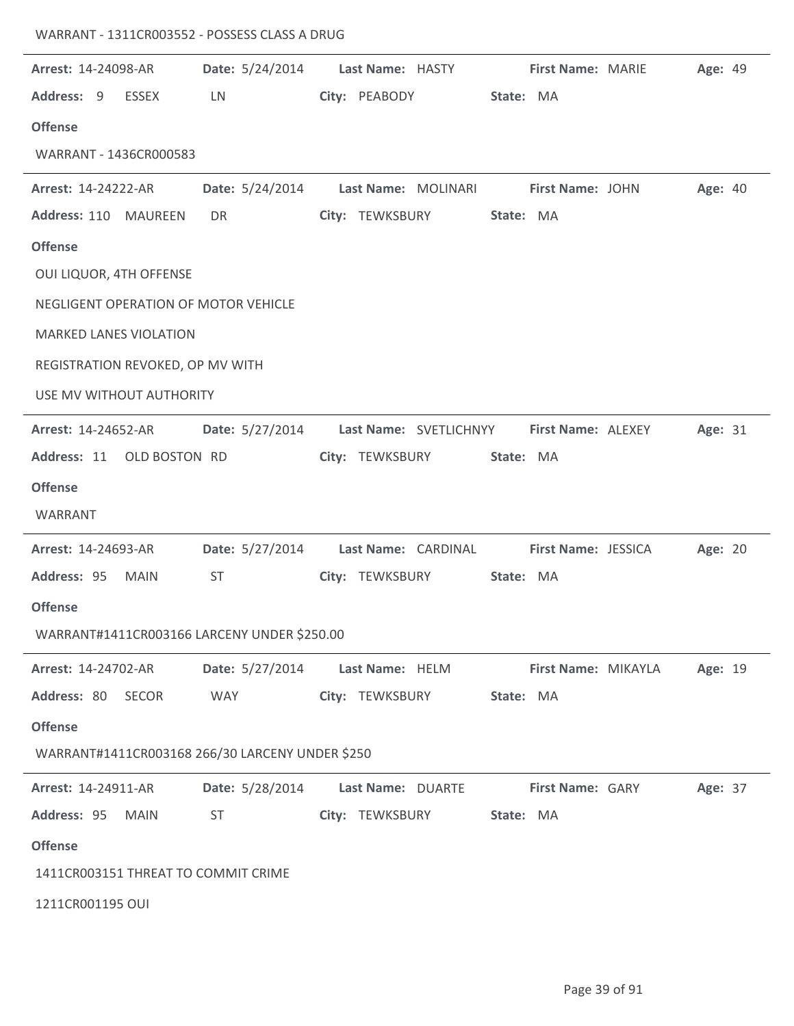| <b>Arrest: 14-24098-AR</b>           |              | Date: 5/24/2014 Last Name: HASTY First Name: MARIE      |                   |                     |           |                     |                                           | Age: 49 |  |
|--------------------------------------|--------------|---------------------------------------------------------|-------------------|---------------------|-----------|---------------------|-------------------------------------------|---------|--|
| Address: 9                           | <b>ESSEX</b> | LN                                                      |                   | City: PEABODY       | State: MA |                     |                                           |         |  |
| <b>Offense</b>                       |              |                                                         |                   |                     |           |                     |                                           |         |  |
| WARRANT - 1436CR000583               |              |                                                         |                   |                     |           |                     |                                           |         |  |
| <b>Arrest: 14-24222-AR</b>           |              | Date: 5/24/2014                                         |                   | Last Name: MOLINARI |           | First Name: JOHN    |                                           | Age: 40 |  |
| Address: 110 MAUREEN                 |              | DR                                                      |                   | City: TEWKSBURY     | State: MA |                     |                                           |         |  |
| <b>Offense</b>                       |              |                                                         |                   |                     |           |                     |                                           |         |  |
| <b>OUI LIQUOR, 4TH OFFENSE</b>       |              |                                                         |                   |                     |           |                     |                                           |         |  |
| NEGLIGENT OPERATION OF MOTOR VEHICLE |              |                                                         |                   |                     |           |                     |                                           |         |  |
| <b>MARKED LANES VIOLATION</b>        |              |                                                         |                   |                     |           |                     |                                           |         |  |
| REGISTRATION REVOKED, OP MV WITH     |              |                                                         |                   |                     |           |                     |                                           |         |  |
| USE MV WITHOUT AUTHORITY             |              |                                                         |                   |                     |           |                     |                                           |         |  |
| Arrest: 14-24652-AR                  |              | Date: 5/27/2014                                         |                   |                     |           |                     | Last Name: SVETLICHNYY First Name: ALEXEY | Age: 31 |  |
| Address: 11 OLD BOSTON RD            |              |                                                         |                   | City: TEWKSBURY     | State: MA |                     |                                           |         |  |
| <b>Offense</b>                       |              |                                                         |                   |                     |           |                     |                                           |         |  |
| WARRANT                              |              |                                                         |                   |                     |           |                     |                                           |         |  |
| Arrest: 14-24693-AR                  |              | Date: 5/27/2014 Last Name: CARDINAL First Name: JESSICA |                   |                     |           |                     |                                           | Age: 20 |  |
| Address: 95                          | <b>MAIN</b>  | ST                                                      |                   | City: TEWKSBURY     | State: MA |                     |                                           |         |  |
| <b>Offense</b>                       |              |                                                         |                   |                     |           |                     |                                           |         |  |
|                                      |              | WARRANT#1411CR003166 LARCENY UNDER \$250.00             |                   |                     |           |                     |                                           |         |  |
| Arrest: 14-24702-AR                  |              | Date: 5/27/2014                                         | Last Name: HELM   |                     |           | First Name: MIKAYLA |                                           | Age: 19 |  |
| Address: 80                          | SECOR        | <b>WAY</b>                                              | City: TEWKSBURY   |                     | State: MA |                     |                                           |         |  |
| <b>Offense</b>                       |              |                                                         |                   |                     |           |                     |                                           |         |  |
|                                      |              | WARRANT#1411CR003168 266/30 LARCENY UNDER \$250         |                   |                     |           |                     |                                           |         |  |
| Arrest: 14-24911-AR                  |              | Date: 5/28/2014                                         | Last Name: DUARTE |                     |           | First Name: GARY    |                                           | Age: 37 |  |
| Address: 95                          | <b>MAIN</b>  | <b>ST</b>                                               | City: TEWKSBURY   |                     | State: MA |                     |                                           |         |  |
| <b>Offense</b>                       |              |                                                         |                   |                     |           |                     |                                           |         |  |
| 1411CR003151 THREAT TO COMMIT CRIME  |              |                                                         |                   |                     |           |                     |                                           |         |  |
| 1211CR001195 OUI                     |              |                                                         |                   |                     |           |                     |                                           |         |  |

WARRANT - 1311CR003552 - POSSESS CLASS A DRUG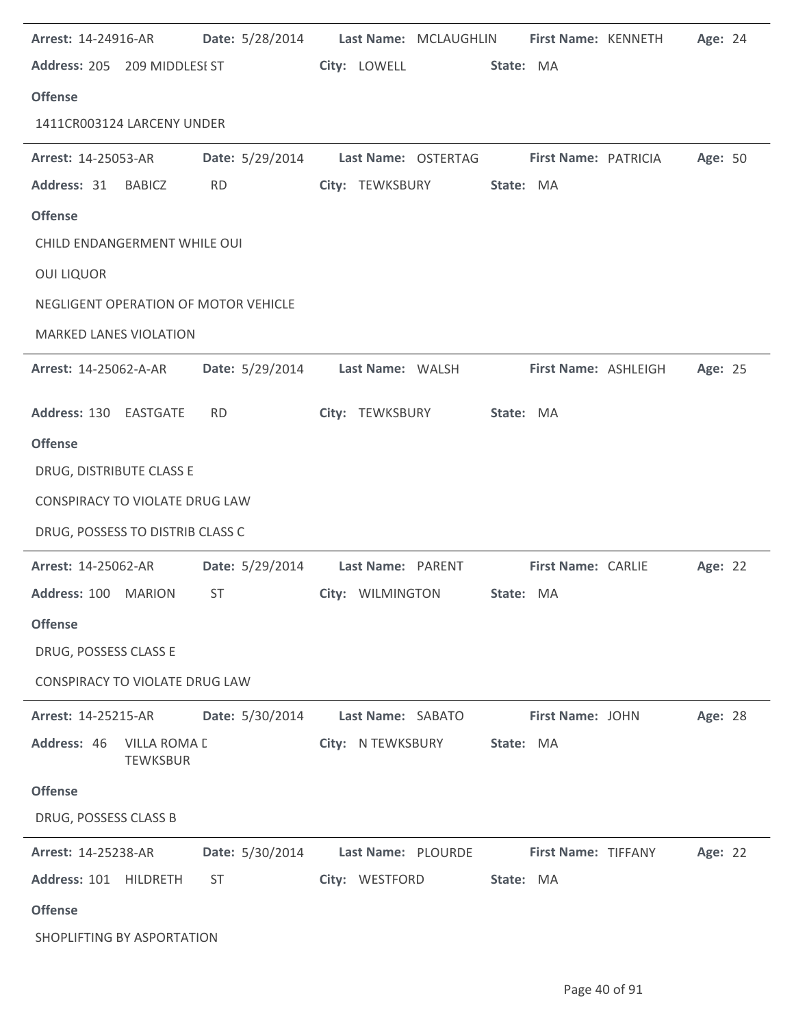| Arrest: 14-24916-AR                         |                 | Date: 5/28/2014 Last Name: MCLAUGHLIN First Name: KENNETH |                            | Age: 24 |  |
|---------------------------------------------|-----------------|-----------------------------------------------------------|----------------------------|---------|--|
| Address: 205 209 MIDDLESI ST                |                 | City: LOWELL State: MA                                    |                            |         |  |
| <b>Offense</b>                              |                 |                                                           |                            |         |  |
| 1411CR003124 LARCENY UNDER                  |                 |                                                           |                            |         |  |
| <b>Arrest: 14-25053-AR</b>                  |                 | Date: 5/29/2014 Last Name: OSTERTAG First Name: PATRICIA  |                            | Age: 50 |  |
| Address: 31 BABICZ                          | <b>RD</b>       | City: TEWKSBURY                                           | State: MA                  |         |  |
| <b>Offense</b>                              |                 |                                                           |                            |         |  |
| CHILD ENDANGERMENT WHILE OUI                |                 |                                                           |                            |         |  |
| <b>OUI LIQUOR</b>                           |                 |                                                           |                            |         |  |
| NEGLIGENT OPERATION OF MOTOR VEHICLE        |                 |                                                           |                            |         |  |
| <b>MARKED LANES VIOLATION</b>               |                 |                                                           |                            |         |  |
| <b>Arrest: 14-25062-A-AR</b>                | Date: 5/29/2014 | Last Name: WALSH                                          | First Name: ASHLEIGH       | Age: 25 |  |
| Address: 130 EASTGATE                       | <b>RD</b>       | City: TEWKSBURY                                           | State: MA                  |         |  |
| <b>Offense</b>                              |                 |                                                           |                            |         |  |
| DRUG, DISTRIBUTE CLASS E                    |                 |                                                           |                            |         |  |
| CONSPIRACY TO VIOLATE DRUG LAW              |                 |                                                           |                            |         |  |
| DRUG, POSSESS TO DISTRIB CLASS C            |                 |                                                           |                            |         |  |
| <b>Arrest: 14-25062-AR</b>                  |                 | Date: 5/29/2014 Last Name: PARENT First Name: CARLIE      |                            | Age: 22 |  |
| Address: 100 MARION                         | ST              | City: WILMINGTON                                          | State: MA                  |         |  |
| <b>Offense</b>                              |                 |                                                           |                            |         |  |
| DRUG, POSSESS CLASS E                       |                 |                                                           |                            |         |  |
| CONSPIRACY TO VIOLATE DRUG LAW              |                 |                                                           |                            |         |  |
| Arrest: 14-25215-AR                         | Date: 5/30/2014 | Last Name: SABATO                                         | First Name: JOHN           | Age: 28 |  |
| Address: 46 VILLA ROMA [<br><b>TEWKSBUR</b> |                 | City: N TEWKSBURY                                         | State: MA                  |         |  |
| <b>Offense</b>                              |                 |                                                           |                            |         |  |
| DRUG, POSSESS CLASS B                       |                 |                                                           |                            |         |  |
| Arrest: 14-25238-AR                         | Date: 5/30/2014 | Last Name: PLOURDE                                        | <b>First Name: TIFFANY</b> | Age: 22 |  |
| Address: 101 HILDRETH                       | <b>ST</b>       | City: WESTFORD                                            | State: MA                  |         |  |
| <b>Offense</b>                              |                 |                                                           |                            |         |  |
| SHOPLIFTING BY ASPORTATION                  |                 |                                                           |                            |         |  |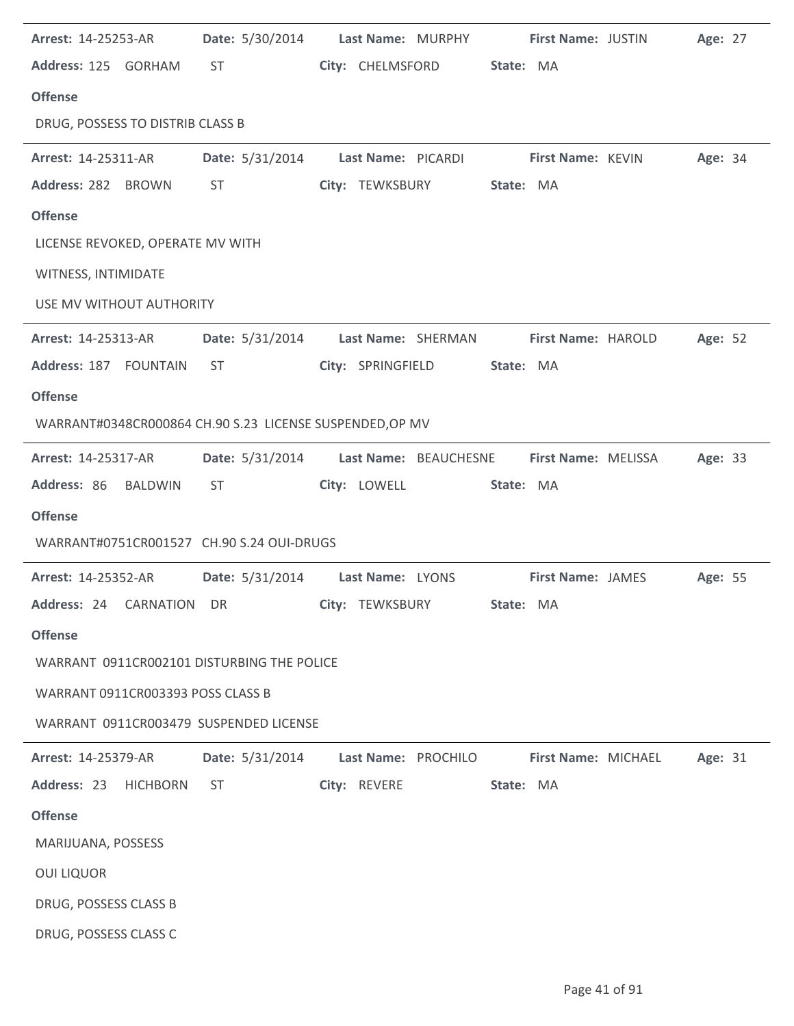| <b>Arrest: 14-25253-AR</b>        | Date: 5/30/2014 Last Name: MURPHY First Name: JUSTIN                                                                                                                                                                           |              |                            |                  |                     |                     | Age: 27 |  |
|-----------------------------------|--------------------------------------------------------------------------------------------------------------------------------------------------------------------------------------------------------------------------------|--------------|----------------------------|------------------|---------------------|---------------------|---------|--|
| Address: 125 GORHAM ST            |                                                                                                                                                                                                                                |              | City: CHELMSFORD State: MA |                  |                     |                     |         |  |
| <b>Offense</b>                    |                                                                                                                                                                                                                                |              |                            |                  |                     |                     |         |  |
| DRUG, POSSESS TO DISTRIB CLASS B  |                                                                                                                                                                                                                                |              |                            |                  |                     |                     |         |  |
| <b>Arrest: 14-25311-AR</b>        | Date: 5/31/2014 Last Name: PICARDI First Name: KEVIN                                                                                                                                                                           |              |                            |                  |                     |                     | Age: 34 |  |
| Address: 282 BROWN                | ST and the state of the state of the state of the state of the state of the state of the state of the state of the state of the state of the state of the state of the state of the state of the state of the state of the sta |              | City: TEWKSBURY State: MA  |                  |                     |                     |         |  |
| <b>Offense</b>                    |                                                                                                                                                                                                                                |              |                            |                  |                     |                     |         |  |
| LICENSE REVOKED, OPERATE MV WITH  |                                                                                                                                                                                                                                |              |                            |                  |                     |                     |         |  |
| WITNESS, INTIMIDATE               |                                                                                                                                                                                                                                |              |                            |                  |                     |                     |         |  |
| USE MV WITHOUT AUTHORITY          |                                                                                                                                                                                                                                |              |                            |                  |                     |                     |         |  |
| <b>Arrest: 14-25313-AR</b>        | Date: 5/31/2014 Last Name: SHERMAN                                                                                                                                                                                             |              |                            |                  |                     | First Name: HAROLD  | Age: 52 |  |
| Address: 187 FOUNTAIN             | ST                                                                                                                                                                                                                             |              | City: SPRINGFIELD          | State: MA        |                     |                     |         |  |
| <b>Offense</b>                    |                                                                                                                                                                                                                                |              |                            |                  |                     |                     |         |  |
|                                   | WARRANT#0348CR000864 CH.90 S.23 LICENSE SUSPENDED, OP MV                                                                                                                                                                       |              |                            |                  |                     |                     |         |  |
| <b>Arrest: 14-25317-AR</b>        | Date: 5/31/2014 Last Name: BEAUCHESNE                                                                                                                                                                                          |              |                            |                  |                     | First Name: MELISSA | Age: 33 |  |
| Address: 86 BALDWIN               | ST.                                                                                                                                                                                                                            | City: LOWELL |                            | State: MA        |                     |                     |         |  |
| <b>Offense</b>                    |                                                                                                                                                                                                                                |              |                            |                  |                     |                     |         |  |
|                                   | WARRANT#0751CR001527 CH.90 S.24 OUI-DRUGS                                                                                                                                                                                      |              |                            |                  |                     |                     |         |  |
|                                   | Arrest: 14-25352-AR Date: 5/31/2014 Last Name: LYONS First Name: JAMES                                                                                                                                                         |              |                            |                  |                     |                     | Age: 55 |  |
|                                   |                                                                                                                                                                                                                                |              |                            | <b>State: MA</b> |                     |                     |         |  |
| <b>Offense</b>                    |                                                                                                                                                                                                                                |              |                            |                  |                     |                     |         |  |
|                                   | WARRANT 0911CR002101 DISTURBING THE POLICE                                                                                                                                                                                     |              |                            |                  |                     |                     |         |  |
| WARRANT 0911CR003393 POSS CLASS B |                                                                                                                                                                                                                                |              |                            |                  |                     |                     |         |  |
|                                   | WARRANT 0911CR003479 SUSPENDED LICENSE                                                                                                                                                                                         |              |                            |                  |                     |                     |         |  |
| <b>Arrest: 14-25379-AR</b>        | Date: 5/31/2014    Last Name: PROCHILO                                                                                                                                                                                         |              |                            |                  | First Name: MICHAEL |                     | Age: 31 |  |
| Address: 23 HICHBORN              | ST and the state of the state of the state of the state of the state of the state of the state of the state of the state of the state of the state of the state of the state of the state of the state of the state of the sta |              | City: REVERE               | State: MA        |                     |                     |         |  |
| <b>Offense</b>                    |                                                                                                                                                                                                                                |              |                            |                  |                     |                     |         |  |
| MARIJUANA, POSSESS                |                                                                                                                                                                                                                                |              |                            |                  |                     |                     |         |  |
|                                   |                                                                                                                                                                                                                                |              |                            |                  |                     |                     |         |  |
| <b>OUI LIQUOR</b>                 |                                                                                                                                                                                                                                |              |                            |                  |                     |                     |         |  |
| DRUG, POSSESS CLASS B             |                                                                                                                                                                                                                                |              |                            |                  |                     |                     |         |  |
| DRUG, POSSESS CLASS C             |                                                                                                                                                                                                                                |              |                            |                  |                     |                     |         |  |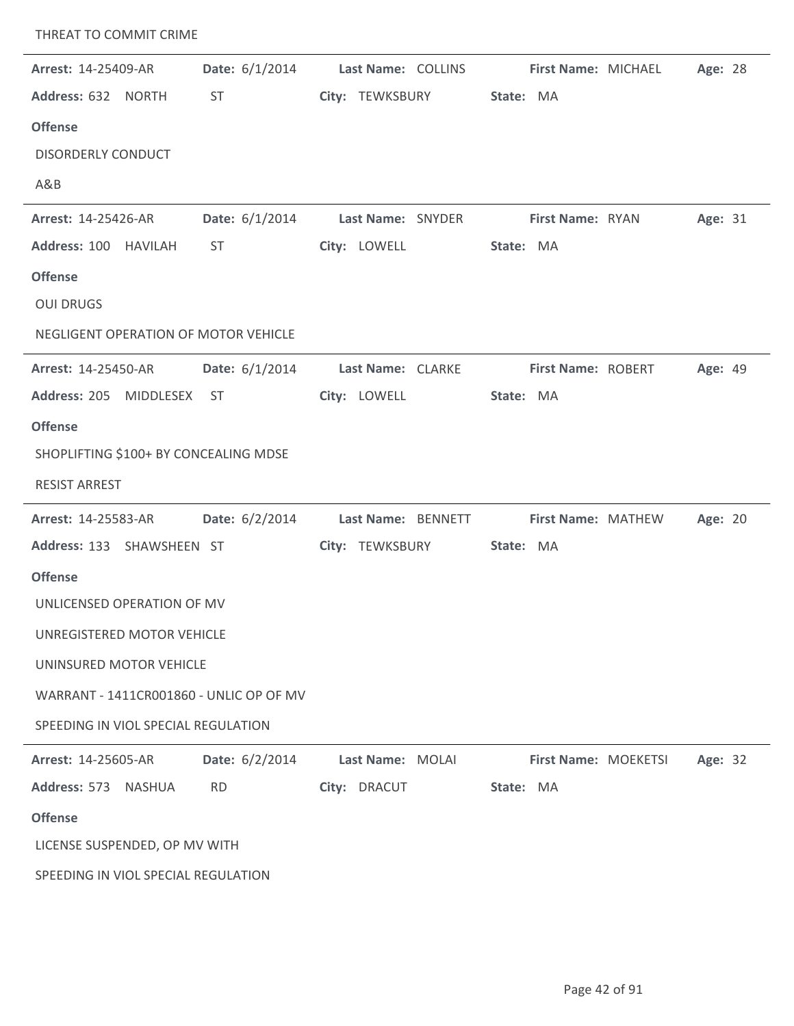| THREAT TO COMMIT CRIME                  |                  |                                  |           |                           |         |
|-----------------------------------------|------------------|----------------------------------|-----------|---------------------------|---------|
| <b>Arrest: 14-25409-AR</b>              | Date: $6/1/2014$ | Last Name: COLLINS               |           | First Name: MICHAEL       | Age: 28 |
| Address: 632 NORTH                      | <b>ST</b>        | City: TEWKSBURY                  | State: MA |                           |         |
| <b>Offense</b>                          |                  |                                  |           |                           |         |
| <b>DISORDERLY CONDUCT</b>               |                  |                                  |           |                           |         |
| A&B                                     |                  |                                  |           |                           |         |
| Arrest: 14-25426-AR                     |                  | Date: 6/1/2014 Last Name: SNYDER |           | <b>First Name: RYAN</b>   | Age: 31 |
| Address: 100 HAVILAH                    | <b>ST</b>        | City: LOWELL                     | State: MA |                           |         |
| <b>Offense</b>                          |                  |                                  |           |                           |         |
| <b>OUI DRUGS</b>                        |                  |                                  |           |                           |         |
| NEGLIGENT OPERATION OF MOTOR VEHICLE    |                  |                                  |           |                           |         |
| <b>Arrest: 14-25450-AR</b>              | Date: $6/1/2014$ | Last Name: CLARKE                |           | First Name: ROBERT        | Age: 49 |
| Address: 205 MIDDLESEX ST               |                  | City: LOWELL                     | State: MA |                           |         |
| <b>Offense</b>                          |                  |                                  |           |                           |         |
| SHOPLIFTING \$100+ BY CONCEALING MDSE   |                  |                                  |           |                           |         |
| <b>RESIST ARREST</b>                    |                  |                                  |           |                           |         |
| <b>Arrest: 14-25583-AR</b>              | Date: $6/2/2014$ | Last Name: BENNETT               |           | <b>First Name: MATHEW</b> | Age: 20 |
| Address: 133 SHAWSHEEN ST               |                  | City: TEWKSBURY                  | State: MA |                           |         |
| <b>Offense</b>                          |                  |                                  |           |                           |         |
| UNLICENSED OPERATION OF MV              |                  |                                  |           |                           |         |
| UNREGISTERED MOTOR VEHICLE              |                  |                                  |           |                           |         |
| UNINSURED MOTOR VEHICLE                 |                  |                                  |           |                           |         |
| WARRANT - 1411CR001860 - UNLIC OP OF MV |                  |                                  |           |                           |         |
| SPEEDING IN VIOL SPECIAL REGULATION     |                  |                                  |           |                           |         |
| <b>Arrest: 14-25605-AR</b>              | Date: 6/2/2014   | Last Name: MOLAI                 |           | First Name: MOEKETSI      | Age: 32 |
| Address: 573<br>NASHUA                  | <b>RD</b>        | City: DRACUT                     | State: MA |                           |         |
| <b>Offense</b>                          |                  |                                  |           |                           |         |
| LICENSE SUSPENDED, OP MV WITH           |                  |                                  |           |                           |         |
| SPEEDING IN VIOL SPECIAL REGULATION     |                  |                                  |           |                           |         |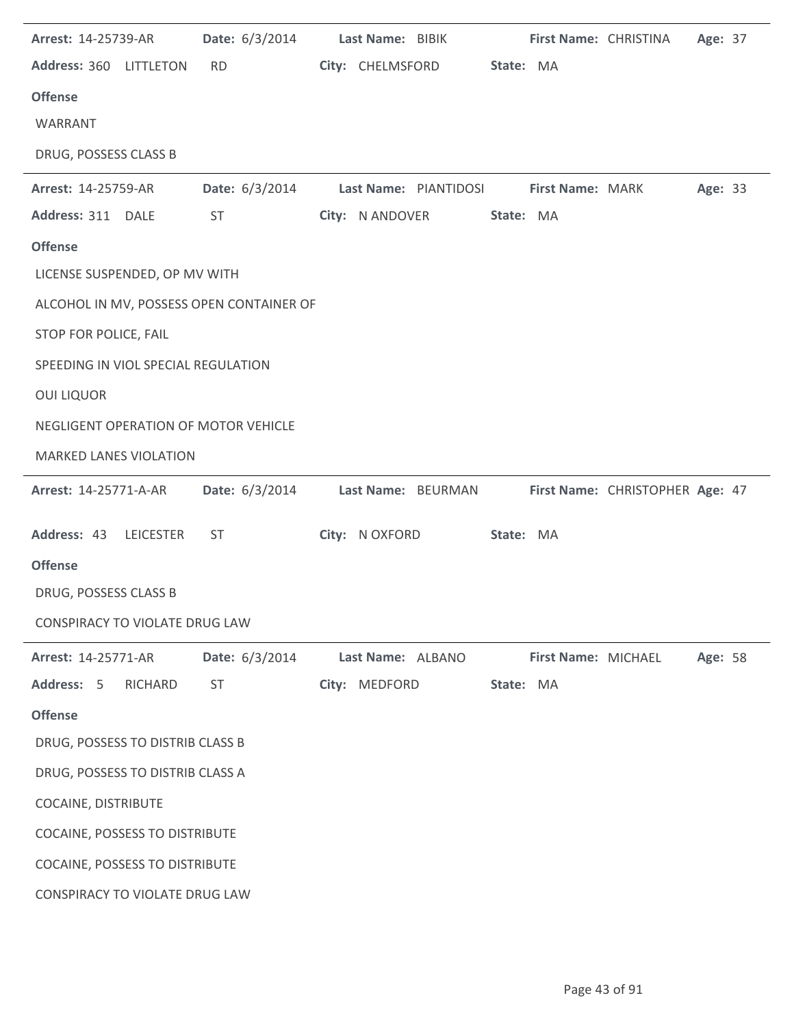| Arrest: 14-25739-AR                   | Date: 6/3/2014                           | Last Name: BIBIK  |                            |           | First Name: CHRISTINA |                                 | Age: 37 |  |
|---------------------------------------|------------------------------------------|-------------------|----------------------------|-----------|-----------------------|---------------------------------|---------|--|
| Address: 360 LITTLETON                | <b>RD</b>                                |                   | City: CHELMSFORD State: MA |           |                       |                                 |         |  |
| <b>Offense</b>                        |                                          |                   |                            |           |                       |                                 |         |  |
| WARRANT                               |                                          |                   |                            |           |                       |                                 |         |  |
| DRUG, POSSESS CLASS B                 |                                          |                   |                            |           |                       |                                 |         |  |
| Arrest: 14-25759-AR                   | Date: 6/3/2014                           |                   | Last Name: PIANTIDOSI      |           | First Name: MARK      |                                 | Age: 33 |  |
| Address: 311 DALE                     | ST                                       |                   | City: N ANDOVER            | State: MA |                       |                                 |         |  |
| <b>Offense</b>                        |                                          |                   |                            |           |                       |                                 |         |  |
| LICENSE SUSPENDED, OP MV WITH         |                                          |                   |                            |           |                       |                                 |         |  |
|                                       | ALCOHOL IN MV, POSSESS OPEN CONTAINER OF |                   |                            |           |                       |                                 |         |  |
| STOP FOR POLICE, FAIL                 |                                          |                   |                            |           |                       |                                 |         |  |
| SPEEDING IN VIOL SPECIAL REGULATION   |                                          |                   |                            |           |                       |                                 |         |  |
| <b>OUI LIQUOR</b>                     |                                          |                   |                            |           |                       |                                 |         |  |
| NEGLIGENT OPERATION OF MOTOR VEHICLE  |                                          |                   |                            |           |                       |                                 |         |  |
| <b>MARKED LANES VIOLATION</b>         |                                          |                   |                            |           |                       |                                 |         |  |
| <b>Arrest: 14-25771-A-AR</b>          | Date: 6/3/2014                           |                   | Last Name: BEURMAN         |           |                       | First Name: CHRISTOPHER Age: 47 |         |  |
| Address: 43 LEICESTER                 | <b>ST</b>                                | City: N OXFORD    |                            | State: MA |                       |                                 |         |  |
| <b>Offense</b>                        |                                          |                   |                            |           |                       |                                 |         |  |
| DRUG, POSSESS CLASS B                 |                                          |                   |                            |           |                       |                                 |         |  |
| CONSPIRACY TO VIOLATE DRUG LAW        |                                          |                   |                            |           |                       |                                 |         |  |
| Arrest: 14-25771-AR                   | Date: 6/3/2014                           | Last Name: ALBANO |                            |           | First Name: MICHAEL   |                                 | Age: 58 |  |
| Address: 5<br>RICHARD                 | ST                                       | City: MEDFORD     |                            | State: MA |                       |                                 |         |  |
| <b>Offense</b>                        |                                          |                   |                            |           |                       |                                 |         |  |
| DRUG, POSSESS TO DISTRIB CLASS B      |                                          |                   |                            |           |                       |                                 |         |  |
| DRUG, POSSESS TO DISTRIB CLASS A      |                                          |                   |                            |           |                       |                                 |         |  |
| <b>COCAINE, DISTRIBUTE</b>            |                                          |                   |                            |           |                       |                                 |         |  |
| <b>COCAINE, POSSESS TO DISTRIBUTE</b> |                                          |                   |                            |           |                       |                                 |         |  |
| <b>COCAINE, POSSESS TO DISTRIBUTE</b> |                                          |                   |                            |           |                       |                                 |         |  |
| CONSPIRACY TO VIOLATE DRUG LAW        |                                          |                   |                            |           |                       |                                 |         |  |

 $\overline{\phantom{a}}$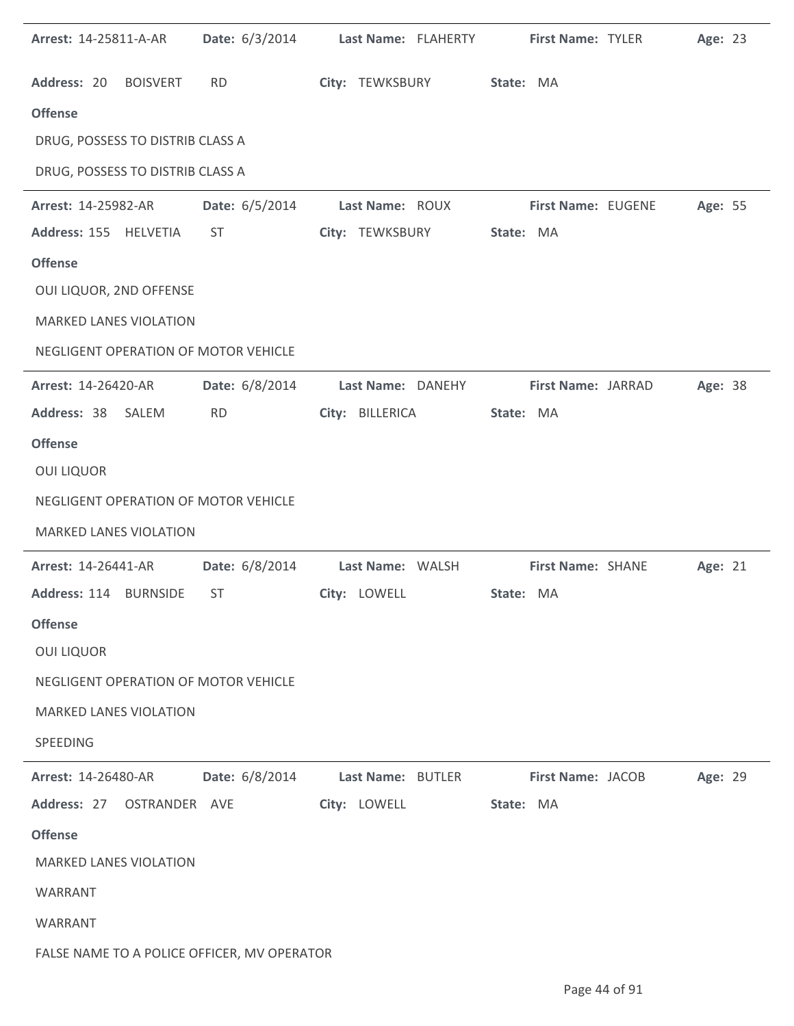| Arrest: 14-25811-A-AR                       | <b>Date:</b> 6/3/2014 | Last Name: FLAHERTY       | First Name: TYLER         | Age: 23 |  |
|---------------------------------------------|-----------------------|---------------------------|---------------------------|---------|--|
| Address: 20 BOISVERT                        | <b>RD</b>             | City: TEWKSBURY State: MA |                           |         |  |
| <b>Offense</b>                              |                       |                           |                           |         |  |
| DRUG, POSSESS TO DISTRIB CLASS A            |                       |                           |                           |         |  |
| DRUG, POSSESS TO DISTRIB CLASS A            |                       |                           |                           |         |  |
| <b>Arrest: 14-25982-AR</b>                  | <b>Date:</b> 6/5/2014 | Last Name: ROUX           | <b>First Name: EUGENE</b> | Age: 55 |  |
| Address: 155 HELVETIA                       | ST                    | City: TEWKSBURY           | State: MA                 |         |  |
| <b>Offense</b>                              |                       |                           |                           |         |  |
| OUI LIQUOR, 2ND OFFENSE                     |                       |                           |                           |         |  |
| <b>MARKED LANES VIOLATION</b>               |                       |                           |                           |         |  |
| NEGLIGENT OPERATION OF MOTOR VEHICLE        |                       |                           |                           |         |  |
| <b>Arrest: 14-26420-AR</b>                  | Date: 6/8/2014        | Last Name: DANEHY         | First Name: JARRAD        | Age: 38 |  |
| Address: 38 SALEM                           | <b>RD</b>             | City: BILLERICA           | State: MA                 |         |  |
| <b>Offense</b>                              |                       |                           |                           |         |  |
| <b>OUI LIQUOR</b>                           |                       |                           |                           |         |  |
| NEGLIGENT OPERATION OF MOTOR VEHICLE        |                       |                           |                           |         |  |
| <b>MARKED LANES VIOLATION</b>               |                       |                           |                           |         |  |
| <b>Arrest: 14-26441-AR</b>                  | Date: 6/8/2014        | Last Name: WALSH          | <b>First Name: SHANE</b>  | Age: 21 |  |
| Address: 114 BURNSIDE                       | ST                    | City: LOWELL              | State: MA                 |         |  |
| <b>Offense</b>                              |                       |                           |                           |         |  |
| <b>OUI LIQUOR</b>                           |                       |                           |                           |         |  |
| NEGLIGENT OPERATION OF MOTOR VEHICLE        |                       |                           |                           |         |  |
| <b>MARKED LANES VIOLATION</b>               |                       |                           |                           |         |  |
| SPEEDING                                    |                       |                           |                           |         |  |
| Arrest: 14-26480-AR                         | Date: 6/8/2014        | Last Name: BUTLER         | First Name: JACOB         | Age: 29 |  |
| Address: 27<br>OSTRANDER AVE                |                       | City: LOWELL              | State: MA                 |         |  |
| <b>Offense</b>                              |                       |                           |                           |         |  |
| <b>MARKED LANES VIOLATION</b>               |                       |                           |                           |         |  |
| WARRANT                                     |                       |                           |                           |         |  |
| WARRANT                                     |                       |                           |                           |         |  |
| FALSE NAME TO A POLICE OFFICER, MV OPERATOR |                       |                           |                           |         |  |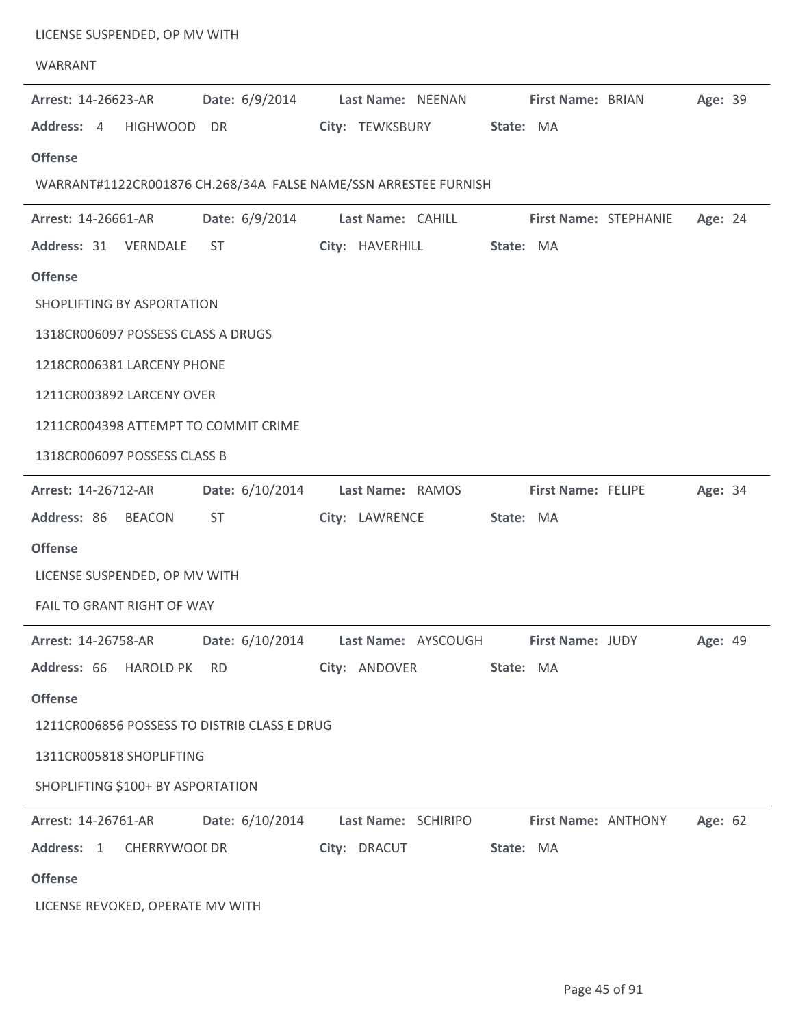| LICENSE SUSPENDED, OP MV WITH<br>WARRANT     |                 |                                                                 |           |                         |                              |         |  |
|----------------------------------------------|-----------------|-----------------------------------------------------------------|-----------|-------------------------|------------------------------|---------|--|
| Arrest: 14-26623-AR                          | Date: 6/9/2014  | Last Name: NEENAN First Name: BRIAN                             |           |                         |                              | Age: 39 |  |
| Address: 4<br><b>HIGHWOOD</b>                | DR              | City: TEWKSBURY                                                 | State: MA |                         |                              |         |  |
| <b>Offense</b>                               |                 |                                                                 |           |                         |                              |         |  |
|                                              |                 | WARRANT#1122CR001876 CH.268/34A FALSE NAME/SSN ARRESTEE FURNISH |           |                         |                              |         |  |
| Arrest: 14-26661-AR                          | Date: 6/9/2014  | Last Name: CAHILL                                               |           |                         | <b>First Name: STEPHANIE</b> | Age: 24 |  |
| Address: 31 VERNDALE                         | ST              | City: HAVERHILL                                                 | State: MA |                         |                              |         |  |
| <b>Offense</b>                               |                 |                                                                 |           |                         |                              |         |  |
| SHOPLIFTING BY ASPORTATION                   |                 |                                                                 |           |                         |                              |         |  |
| 1318CR006097 POSSESS CLASS A DRUGS           |                 |                                                                 |           |                         |                              |         |  |
| 1218CR006381 LARCENY PHONE                   |                 |                                                                 |           |                         |                              |         |  |
| 1211CR003892 LARCENY OVER                    |                 |                                                                 |           |                         |                              |         |  |
| 1211CR004398 ATTEMPT TO COMMIT CRIME         |                 |                                                                 |           |                         |                              |         |  |
| 1318CR006097 POSSESS CLASS B                 |                 |                                                                 |           |                         |                              |         |  |
| Arrest: 14-26712-AR                          | Date: 6/10/2014 | Last Name: RAMOS                                                |           | First Name: FELIPE      |                              | Age: 34 |  |
| Address: 86 BEACON                           | ST              | City: LAWRENCE                                                  | State: MA |                         |                              |         |  |
| <b>Offense</b>                               |                 |                                                                 |           |                         |                              |         |  |
| LICENSE SUSPENDED, OP MV WITH                |                 |                                                                 |           |                         |                              |         |  |
| FAIL TO GRANT RIGHT OF WAY                   |                 |                                                                 |           |                         |                              |         |  |
| <b>Arrest: 14-26758-AR</b>                   | Date: 6/10/2014 | Last Name: AYSCOUGH                                             |           | <b>First Name: JUDY</b> |                              | Age: 49 |  |
| Address: 66 HAROLD PK                        | <b>RD</b>       | City: ANDOVER                                                   | State: MA |                         |                              |         |  |
| <b>Offense</b>                               |                 |                                                                 |           |                         |                              |         |  |
| 1211CR006856 POSSESS TO DISTRIB CLASS E DRUG |                 |                                                                 |           |                         |                              |         |  |
| 1311CR005818 SHOPLIFTING                     |                 |                                                                 |           |                         |                              |         |  |
| SHOPLIFTING \$100+ BY ASPORTATION            |                 |                                                                 |           |                         |                              |         |  |
| Arrest: 14-26761-AR                          | Date: 6/10/2014 | Last Name: SCHIRIPO                                             |           | First Name: ANTHONY     |                              | Age: 62 |  |
| Address: 1<br>CHERRYWOOI DR                  |                 | City: DRACUT                                                    | State: MA |                         |                              |         |  |
| <b>Offense</b>                               |                 |                                                                 |           |                         |                              |         |  |
| LICENSE REVOKED, OPERATE MV WITH             |                 |                                                                 |           |                         |                              |         |  |
|                                              |                 |                                                                 |           |                         |                              |         |  |

 $\overline{a}$ 

 $\overline{a}$ 

÷

 $\overline{a}$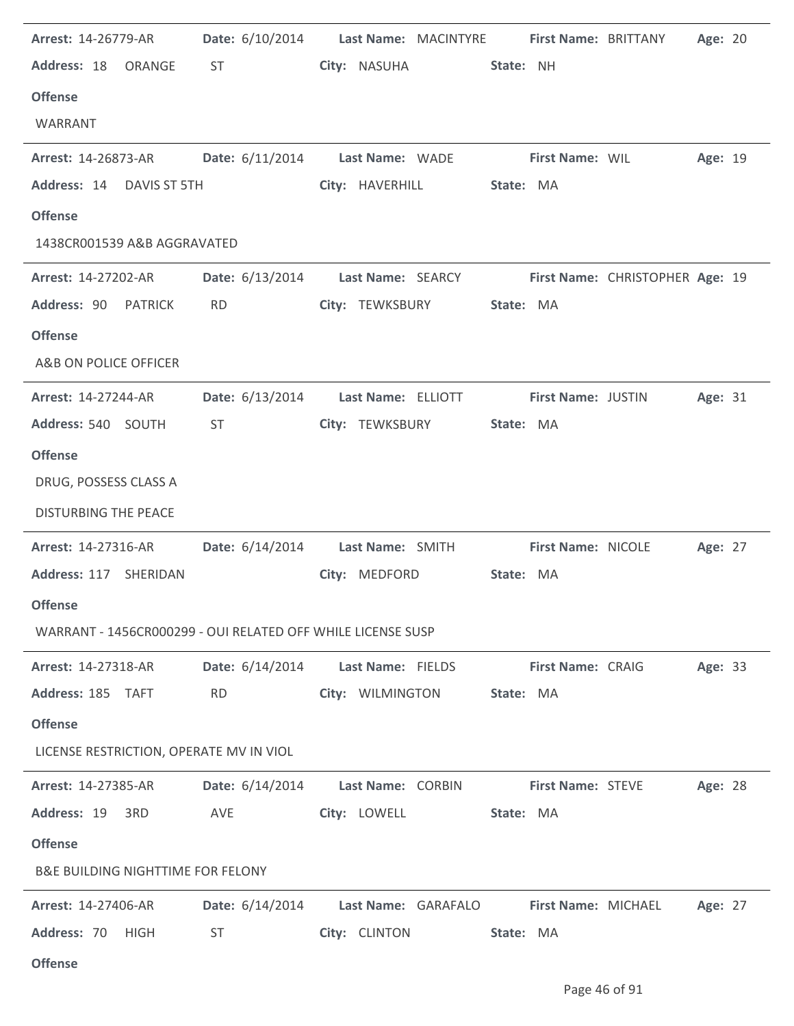| Arrest: 14-26779-AR                          | <b>Date:</b> 6/10/2014                                      | Last Name: MACINTYRE                            |                            | First Name: BRITTANY            | Age: 20 |  |
|----------------------------------------------|-------------------------------------------------------------|-------------------------------------------------|----------------------------|---------------------------------|---------|--|
| Address: 18<br>ORANGE                        | <b>ST</b>                                                   | City: NASUHA                                    | State: NH                  |                                 |         |  |
| <b>Offense</b>                               |                                                             |                                                 |                            |                                 |         |  |
| WARRANT                                      |                                                             |                                                 |                            |                                 |         |  |
| <b>Arrest: 14-26873-AR</b>                   |                                                             | Date: 6/11/2014 Last Name: WADE First Name: WIL |                            |                                 | Age: 19 |  |
| Address: 14<br>DAVIS ST 5TH                  |                                                             | City: HAVERHILL                                 | State: MA                  |                                 |         |  |
| <b>Offense</b>                               |                                                             |                                                 |                            |                                 |         |  |
| 1438CR001539 A&B AGGRAVATED                  |                                                             |                                                 |                            |                                 |         |  |
| <b>Arrest: 14-27202-AR</b>                   | <b>Date:</b> 6/13/2014                                      | Last Name: SEARCY                               |                            | First Name: CHRISTOPHER Age: 19 |         |  |
| Address: 90 PATRICK                          | <b>RD</b>                                                   | City: TEWKSBURY                                 | State: MA                  |                                 |         |  |
| <b>Offense</b>                               |                                                             |                                                 |                            |                                 |         |  |
| A&B ON POLICE OFFICER                        |                                                             |                                                 |                            |                                 |         |  |
| Arrest: 14-27244-AR                          | Date: 6/13/2014                                             | Last Name: ELLIOTT                              | First Name: JUSTIN         |                                 | Age: 31 |  |
| Address: 540 SOUTH                           | <b>ST</b>                                                   | City: TEWKSBURY                                 | State: MA                  |                                 |         |  |
| <b>Offense</b>                               |                                                             |                                                 |                            |                                 |         |  |
| DRUG, POSSESS CLASS A                        |                                                             |                                                 |                            |                                 |         |  |
| <b>DISTURBING THE PEACE</b>                  |                                                             |                                                 |                            |                                 |         |  |
|                                              |                                                             |                                                 |                            |                                 |         |  |
| Arrest: 14-27316-AR                          | Date: 6/14/2014                                             | Last Name: SMITH                                | <b>First Name: NICOLE</b>  |                                 | Age: 27 |  |
| Address: 117 SHERIDAN                        |                                                             | City: MEDFORD                                   | State: MA                  |                                 |         |  |
| <b>Offense</b>                               |                                                             |                                                 |                            |                                 |         |  |
|                                              | WARRANT - 1456CR000299 - OUI RELATED OFF WHILE LICENSE SUSP |                                                 |                            |                                 |         |  |
| <b>Arrest: 14-27318-AR</b>                   | Date: 6/14/2014                                             | Last Name: FIELDS                               | First Name: CRAIG          |                                 | Age: 33 |  |
| Address: 185 TAFT                            | <b>RD</b>                                                   | City: WILMINGTON                                | State: MA                  |                                 |         |  |
| <b>Offense</b>                               |                                                             |                                                 |                            |                                 |         |  |
| LICENSE RESTRICTION, OPERATE MV IN VIOL      |                                                             |                                                 |                            |                                 |         |  |
| Arrest: 14-27385-AR                          | <b>Date:</b> 6/14/2014                                      | Last Name: CORBIN                               | <b>First Name: STEVE</b>   |                                 | Age: 28 |  |
| Address: 19 3RD                              | AVE                                                         | City: LOWELL                                    | State: MA                  |                                 |         |  |
| <b>Offense</b>                               |                                                             |                                                 |                            |                                 |         |  |
| <b>B&amp;E BUILDING NIGHTTIME FOR FELONY</b> |                                                             |                                                 |                            |                                 |         |  |
| <b>Arrest: 14-27406-AR</b>                   |                                                             | Last Name: GARAFALO                             | <b>First Name: MICHAEL</b> |                                 | Age: 27 |  |
|                                              | <b>Date:</b> 6/14/2014                                      |                                                 |                            |                                 |         |  |
| Address: 70<br><b>HIGH</b>                   | <b>ST</b>                                                   | City: CLINTON                                   | State: MA                  |                                 |         |  |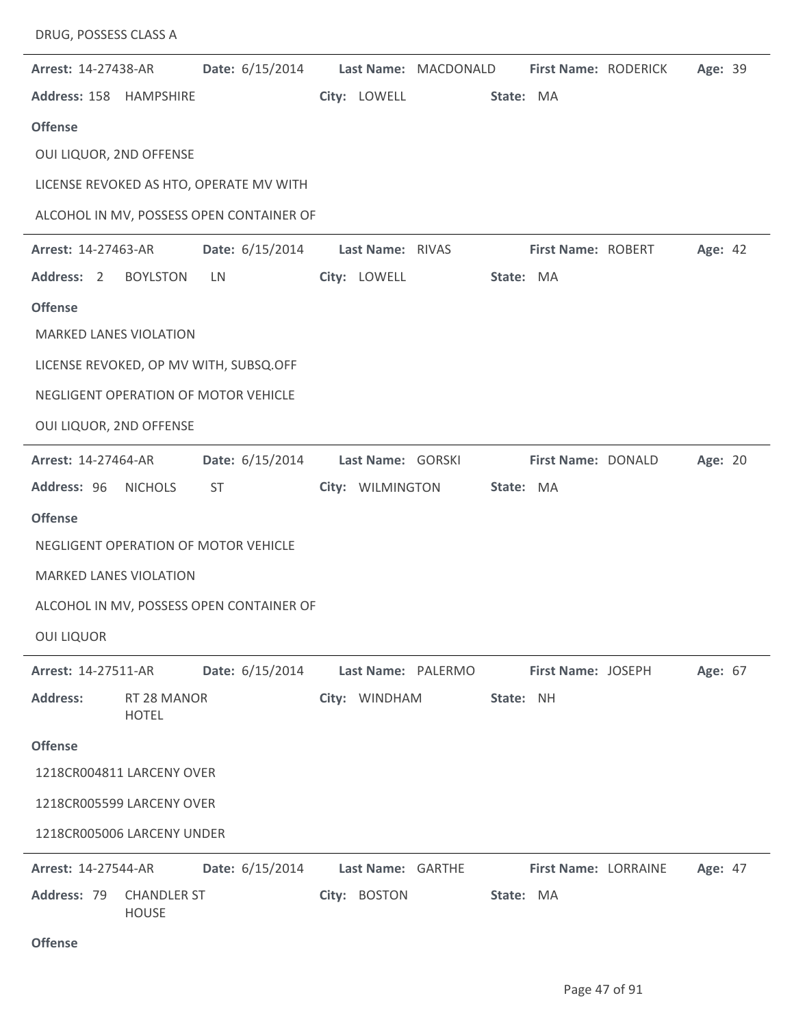| <b>Arrest: 14-27438-AR</b>    |                                    | Date: 6/15/2014                          |                   | Last Name: MACDONALD |           | First Name: RODERICK | Age: 39 |  |
|-------------------------------|------------------------------------|------------------------------------------|-------------------|----------------------|-----------|----------------------|---------|--|
| Address: 158 HAMPSHIRE        |                                    |                                          | City: LOWELL      |                      | State: MA |                      |         |  |
| <b>Offense</b>                |                                    |                                          |                   |                      |           |                      |         |  |
| OUI LIQUOR, 2ND OFFENSE       |                                    |                                          |                   |                      |           |                      |         |  |
|                               |                                    | LICENSE REVOKED AS HTO, OPERATE MV WITH  |                   |                      |           |                      |         |  |
|                               |                                    | ALCOHOL IN MV, POSSESS OPEN CONTAINER OF |                   |                      |           |                      |         |  |
| Arrest: 14-27463-AR           |                                    | Date: 6/15/2014                          | Last Name: RIVAS  |                      |           | First Name: ROBERT   | Age: 42 |  |
| Address: 2                    | <b>BOYLSTON</b>                    | LN                                       | City: LOWELL      |                      | State: MA |                      |         |  |
| <b>Offense</b>                |                                    |                                          |                   |                      |           |                      |         |  |
| <b>MARKED LANES VIOLATION</b> |                                    |                                          |                   |                      |           |                      |         |  |
|                               |                                    | LICENSE REVOKED, OP MV WITH, SUBSQ.OFF   |                   |                      |           |                      |         |  |
|                               |                                    | NEGLIGENT OPERATION OF MOTOR VEHICLE     |                   |                      |           |                      |         |  |
| OUI LIQUOR, 2ND OFFENSE       |                                    |                                          |                   |                      |           |                      |         |  |
| Arrest: 14-27464-AR           |                                    | Date: 6/15/2014                          | Last Name: GORSKI |                      |           | First Name: DONALD   | Age: 20 |  |
| Address: 96 NICHOLS           |                                    | ST                                       |                   | City: WILMINGTON     | State: MA |                      |         |  |
| <b>Offense</b>                |                                    |                                          |                   |                      |           |                      |         |  |
|                               |                                    | NEGLIGENT OPERATION OF MOTOR VEHICLE     |                   |                      |           |                      |         |  |
| <b>MARKED LANES VIOLATION</b> |                                    |                                          |                   |                      |           |                      |         |  |
|                               |                                    | ALCOHOL IN MV, POSSESS OPEN CONTAINER OF |                   |                      |           |                      |         |  |
| <b>OUI LIQUOR</b>             |                                    |                                          |                   |                      |           |                      |         |  |
| Arrest: 14-27511-AR           |                                    | Date: 6/15/2014                          |                   | Last Name: PALERMO   |           | First Name: JOSEPH   | Age: 67 |  |
| <b>Address:</b>               | RT 28 MANOR<br><b>HOTEL</b>        |                                          | City: WINDHAM     |                      | State: NH |                      |         |  |
| <b>Offense</b>                |                                    |                                          |                   |                      |           |                      |         |  |
| 1218CR004811 LARCENY OVER     |                                    |                                          |                   |                      |           |                      |         |  |
| 1218CR005599 LARCENY OVER     |                                    |                                          |                   |                      |           |                      |         |  |
| 1218CR005006 LARCENY UNDER    |                                    |                                          |                   |                      |           |                      |         |  |
| <b>Arrest: 14-27544-AR</b>    |                                    | Date: 6/15/2014                          | Last Name: GARTHE |                      |           | First Name: LORRAINE | Age: 47 |  |
| Address: 79                   | <b>CHANDLER ST</b><br><b>HOUSE</b> |                                          | City: BOSTON      |                      | State: MA |                      |         |  |

## **Offense**

DRUG, POSSESS CLASS A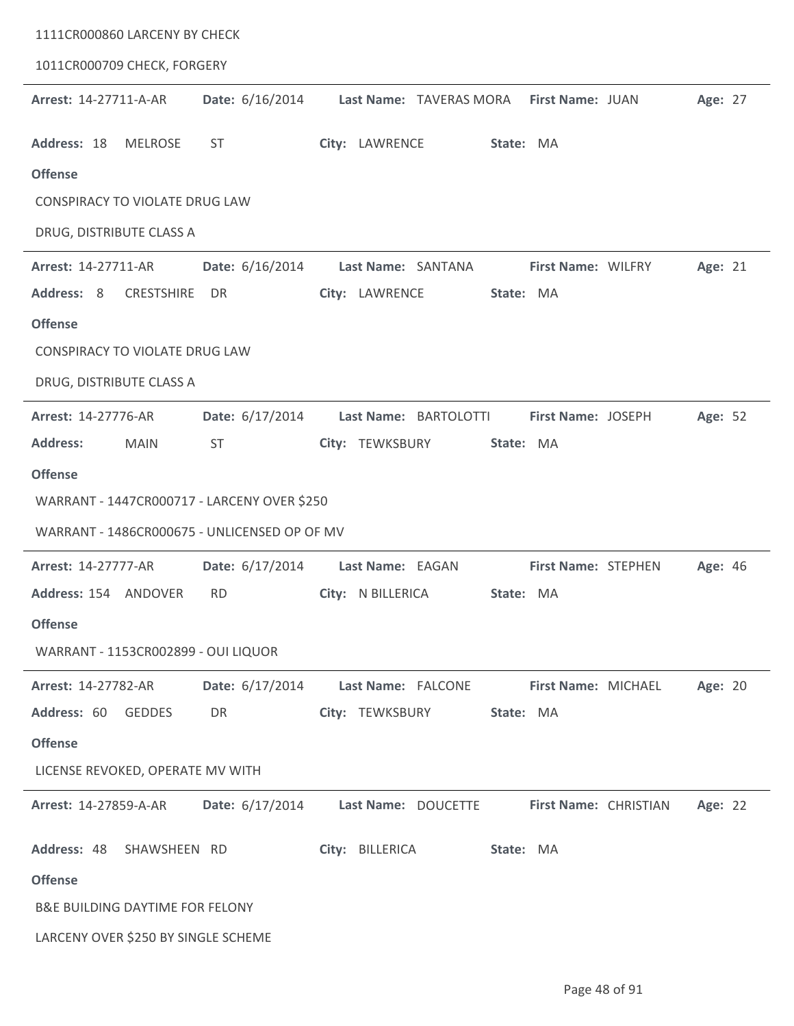| 1111CR000860 LARCENY BY CHECK                |                 |                     |                                          |                       |                |
|----------------------------------------------|-----------------|---------------------|------------------------------------------|-----------------------|----------------|
| 1011CR000709 CHECK, FORGERY                  |                 |                     |                                          |                       |                |
| Arrest: 14-27711-A-AR                        | Date: 6/16/2014 |                     | Last Name: TAVERAS MORA First Name: JUAN |                       | Age: 27        |
| Address: 18<br><b>MELROSE</b>                | <b>ST</b>       | City: LAWRENCE      |                                          | State: MA             |                |
| <b>Offense</b>                               |                 |                     |                                          |                       |                |
| <b>CONSPIRACY TO VIOLATE DRUG LAW</b>        |                 |                     |                                          |                       |                |
| DRUG, DISTRIBUTE CLASS A                     |                 |                     |                                          |                       |                |
| Arrest: 14-27711-AR                          | Date: 6/16/2014 | Last Name: SANTANA  |                                          | First Name: WILFRY    | Age: 21        |
| Address: 8<br><b>CRESTSHIRE</b>              | DR              | City: LAWRENCE      |                                          | State: MA             |                |
| <b>Offense</b>                               |                 |                     |                                          |                       |                |
| <b>CONSPIRACY TO VIOLATE DRUG LAW</b>        |                 |                     |                                          |                       |                |
| DRUG, DISTRIBUTE CLASS A                     |                 |                     |                                          |                       |                |
| Arrest: 14-27776-AR                          | Date: 6/17/2014 |                     | Last Name: BARTOLOTTI                    | First Name: JOSEPH    | Age: 52        |
| <b>Address:</b><br><b>MAIN</b>               | <b>ST</b>       | City: TEWKSBURY     |                                          | State: MA             |                |
| <b>Offense</b>                               |                 |                     |                                          |                       |                |
| WARRANT - 1447CR000717 - LARCENY OVER \$250  |                 |                     |                                          |                       |                |
| WARRANT - 1486CR000675 - UNLICENSED OP OF MV |                 |                     |                                          |                       |                |
| <b>Arrest: 14-27777-AR</b>                   | Date: 6/17/2014 | Last Name: EAGAN    |                                          | First Name: STEPHEN   | <b>Age: 46</b> |
| Address: 154 ANDOVER                         | <b>RD</b>       | City: N BILLERICA   |                                          | State: MA             |                |
| <b>Offense</b>                               |                 |                     |                                          |                       |                |
| WARRANT - 1153CR002899 - OUI LIQUOR          |                 |                     |                                          |                       |                |
| Arrest: 14-27782-AR                          | Date: 6/17/2014 | Last Name: FALCONE  |                                          | First Name: MICHAEL   | Age: 20        |
| Address: 60<br><b>GEDDES</b>                 | DR              | City: TEWKSBURY     |                                          | State: MA             |                |
| <b>Offense</b>                               |                 |                     |                                          |                       |                |
| LICENSE REVOKED, OPERATE MV WITH             |                 |                     |                                          |                       |                |
| Arrest: 14-27859-A-AR                        | Date: 6/17/2014 | Last Name: DOUCETTE |                                          | First Name: CHRISTIAN | Age: 22        |
| Address: 48<br>SHAWSHEEN RD                  |                 | City: BILLERICA     |                                          | State: MA             |                |
| <b>Offense</b>                               |                 |                     |                                          |                       |                |
| <b>B&amp;E BUILDING DAYTIME FOR FELONY</b>   |                 |                     |                                          |                       |                |
| LARCENY OVER \$250 BY SINGLE SCHEME          |                 |                     |                                          |                       |                |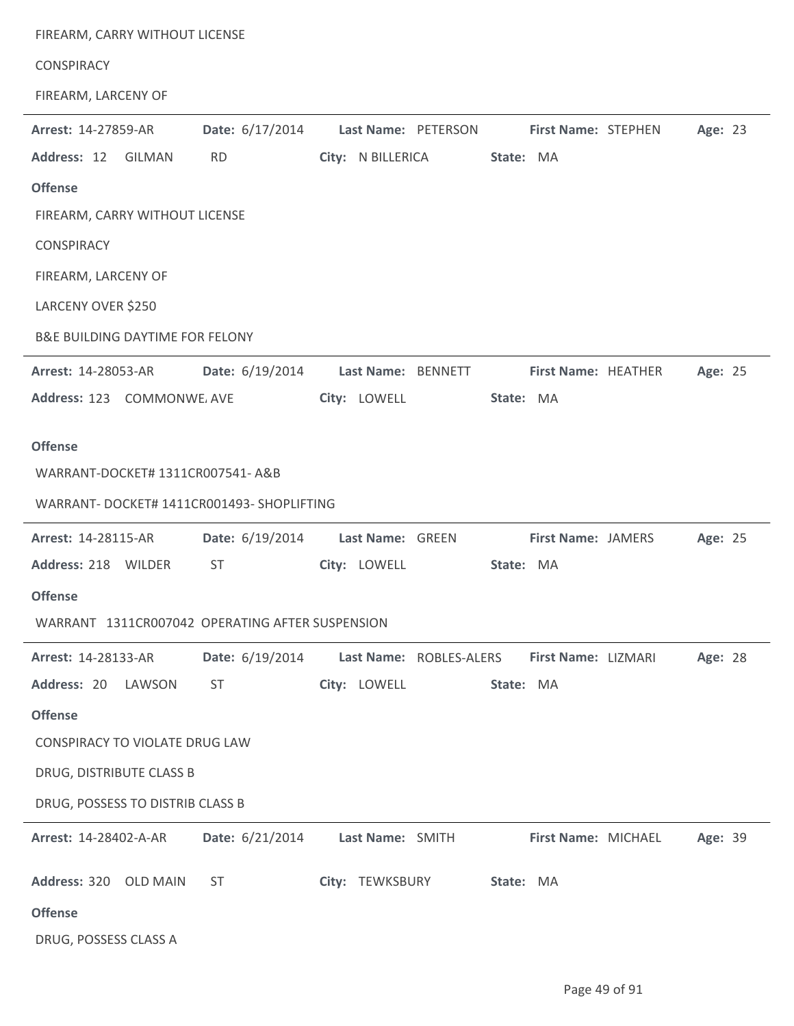| FIREARM, CARRY WITHOUT LICENSE                  |                        |                     |                         |                           |         |  |
|-------------------------------------------------|------------------------|---------------------|-------------------------|---------------------------|---------|--|
| <b>CONSPIRACY</b>                               |                        |                     |                         |                           |         |  |
| FIREARM, LARCENY OF                             |                        |                     |                         |                           |         |  |
| Arrest: 14-27859-AR                             | Date: 6/17/2014        | Last Name: PETERSON |                         | First Name: STEPHEN       | Age: 23 |  |
| Address: 12 GILMAN                              | <b>RD</b>              | City: N BILLERICA   |                         | State: MA                 |         |  |
| <b>Offense</b>                                  |                        |                     |                         |                           |         |  |
| FIREARM, CARRY WITHOUT LICENSE                  |                        |                     |                         |                           |         |  |
| <b>CONSPIRACY</b>                               |                        |                     |                         |                           |         |  |
| FIREARM, LARCENY OF                             |                        |                     |                         |                           |         |  |
| LARCENY OVER \$250                              |                        |                     |                         |                           |         |  |
| <b>B&amp;E BUILDING DAYTIME FOR FELONY</b>      |                        |                     |                         |                           |         |  |
| Arrest: 14-28053-AR                             | Date: 6/19/2014        | Last Name: BENNETT  |                         | First Name: HEATHER       | Age: 25 |  |
| Address: 123 COMMONWE AVE                       |                        | City: LOWELL        |                         | State: MA                 |         |  |
| <b>Offense</b>                                  |                        |                     |                         |                           |         |  |
| WARRANT-DOCKET# 1311CR007541- A&B               |                        |                     |                         |                           |         |  |
| WARRANT- DOCKET# 1411CR001493- SHOPLIFTING      |                        |                     |                         |                           |         |  |
| Arrest: 14-28115-AR                             | Date: 6/19/2014        | Last Name: GREEN    |                         | <b>First Name: JAMERS</b> | Age: 25 |  |
| Address: 218 WILDER                             | <b>ST</b>              | City: LOWELL        |                         | State: MA                 |         |  |
| <b>Offense</b>                                  |                        |                     |                         |                           |         |  |
| WARRANT 1311CR007042 OPERATING AFTER SUSPENSION |                        |                     |                         |                           |         |  |
| Arrest: 14-28133-AR                             | <b>Date:</b> 6/19/2014 |                     | Last Name: ROBLES-ALERS | First Name: LIZMARI       | Age: 28 |  |
| Address: 20 LAWSON                              | <b>ST</b>              | City: LOWELL        |                         | State: MA                 |         |  |
| <b>Offense</b>                                  |                        |                     |                         |                           |         |  |
| CONSPIRACY TO VIOLATE DRUG LAW                  |                        |                     |                         |                           |         |  |
| DRUG, DISTRIBUTE CLASS B                        |                        |                     |                         |                           |         |  |
| DRUG, POSSESS TO DISTRIB CLASS B                |                        |                     |                         |                           |         |  |
| Arrest: 14-28402-A-AR                           | Date: 6/21/2014        | Last Name: SMITH    |                         | First Name: MICHAEL       | Age: 39 |  |
| Address: 320 OLD MAIN                           | <b>ST</b>              | City: TEWKSBURY     |                         | State: MA                 |         |  |
| <b>Offense</b>                                  |                        |                     |                         |                           |         |  |
|                                                 |                        |                     |                         |                           |         |  |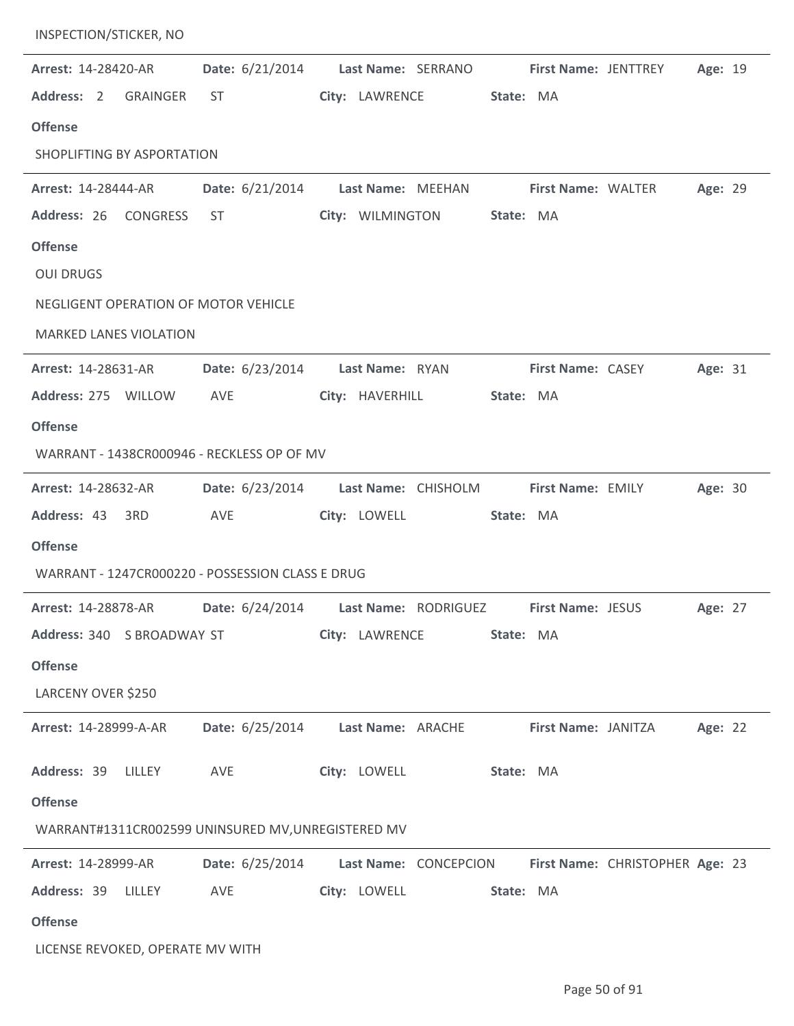| <b>INSPECTION/STICKER, NO</b>                      |                        |                                                                                    |                           |                             |         |  |
|----------------------------------------------------|------------------------|------------------------------------------------------------------------------------|---------------------------|-----------------------------|---------|--|
| Arrest: 14-28420-AR                                | Date: 6/21/2014        | Last Name: SERRANO                                                                 |                           | <b>First Name: JENTTREY</b> | Age: 19 |  |
| Address: 2 GRAINGER                                | ST.                    | City: LAWRENCE                                                                     | State: MA                 |                             |         |  |
| <b>Offense</b>                                     |                        |                                                                                    |                           |                             |         |  |
| SHOPLIFTING BY ASPORTATION                         |                        |                                                                                    |                           |                             |         |  |
| <b>Arrest: 14-28444-AR</b>                         | Date: 6/21/2014        | Last Name: MEEHAN                                                                  | <b>First Name: WALTER</b> |                             | Age: 29 |  |
| Address: 26<br>CONGRESS                            | ST                     | City: WILMINGTON                                                                   | State: MA                 |                             |         |  |
| <b>Offense</b>                                     |                        |                                                                                    |                           |                             |         |  |
| <b>OUI DRUGS</b>                                   |                        |                                                                                    |                           |                             |         |  |
| NEGLIGENT OPERATION OF MOTOR VEHICLE               |                        |                                                                                    |                           |                             |         |  |
| <b>MARKED LANES VIOLATION</b>                      |                        |                                                                                    |                           |                             |         |  |
| <b>Arrest: 14-28631-AR</b>                         | <b>Date:</b> 6/23/2014 | Last Name: RYAN                                                                    | <b>First Name: CASEY</b>  |                             | Age: 31 |  |
| Address: 275 WILLOW                                | AVE                    | City: HAVERHILL                                                                    | State: MA                 |                             |         |  |
| <b>Offense</b>                                     |                        |                                                                                    |                           |                             |         |  |
| WARRANT - 1438CR000946 - RECKLESS OP OF MV         |                        |                                                                                    |                           |                             |         |  |
| Arrest: 14-28632-AR                                | Date: 6/23/2014        | Last Name: CHISHOLM                                                                | First Name: EMILY         |                             | Age: 30 |  |
| Address: 43 3RD                                    | AVE                    | City: LOWELL                                                                       | State: MA                 |                             |         |  |
| <b>Offense</b>                                     |                        |                                                                                    |                           |                             |         |  |
| WARRANT - 1247CR000220 - POSSESSION CLASS E DRUG   |                        |                                                                                    |                           |                             |         |  |
|                                                    |                        | Arrest: 14-28878-AR Date: 6/24/2014 Last Name: RODRIGUEZ First Name: JESUS Age: 27 |                           |                             |         |  |
|                                                    |                        | Address: 340 SBROADWAY ST <b>City: LAWRENCE State: MA</b>                          |                           |                             |         |  |
| <b>Offense</b>                                     |                        |                                                                                    |                           |                             |         |  |
| LARCENY OVER \$250                                 |                        |                                                                                    |                           |                             |         |  |
| <b>Arrest: 14-28999-A-AR</b>                       |                        | Date: 6/25/2014 Last Name: ARACHE First Name: JANITZA                              |                           |                             | Age: 22 |  |
|                                                    |                        |                                                                                    |                           |                             |         |  |
| Address: 39 LILLEY AVE                             |                        | City: LOWELL State: MA                                                             |                           |                             |         |  |
| <b>Offense</b>                                     |                        |                                                                                    |                           |                             |         |  |
| WARRANT#1311CR002599 UNINSURED MV, UNREGISTERED MV |                        |                                                                                    |                           |                             |         |  |
| <b>Arrest: 14-28999-AR</b>                         |                        | Date: 6/25/2014 Last Name: CONCEPCION First Name: CHRISTOPHER Age: 23              |                           |                             |         |  |
| Address: 39 LILLEY                                 | <b>AVE</b>             | City: LOWELL State: MA                                                             |                           |                             |         |  |
| <b>Offense</b>                                     |                        |                                                                                    |                           |                             |         |  |
| LICENSE REVOKED, OPERATE MV WITH                   |                        |                                                                                    |                           |                             |         |  |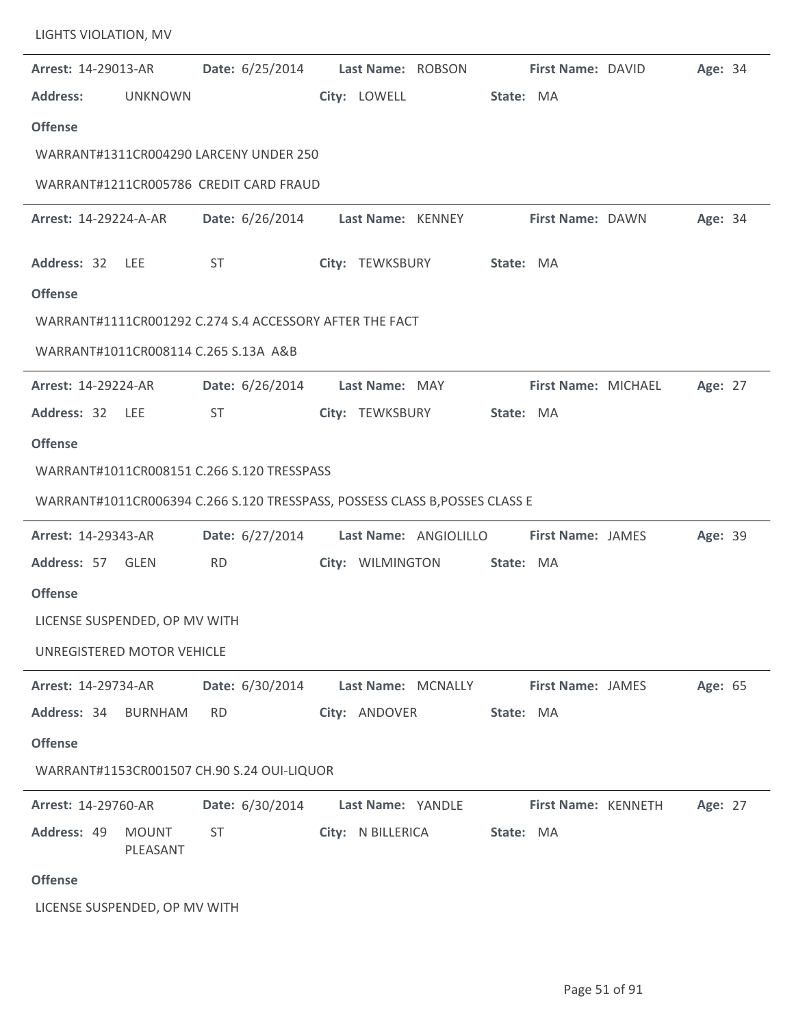| Arrest: 14-29013-AR           |                          | <b>Date:</b> 6/25/2014                                                      | Last Name: ROBSON |                                      | First Name: DAVID          | Age: 34 |  |
|-------------------------------|--------------------------|-----------------------------------------------------------------------------|-------------------|--------------------------------------|----------------------------|---------|--|
| <b>Address:</b>               | <b>UNKNOWN</b>           |                                                                             | City: LOWELL      |                                      | State: MA                  |         |  |
| <b>Offense</b>                |                          |                                                                             |                   |                                      |                            |         |  |
|                               |                          | WARRANT#1311CR004290 LARCENY UNDER 250                                      |                   |                                      |                            |         |  |
|                               |                          | WARRANT#1211CR005786 CREDIT CARD FRAUD                                      |                   |                                      |                            |         |  |
| <b>Arrest: 14-29224-A-AR</b>  |                          | Date: 6/26/2014 Last Name: KENNEY                                           |                   |                                      | <b>First Name: DAWN</b>    | Age: 34 |  |
| Address: 32 LEE               |                          | ST                                                                          | City: TEWKSBURY   |                                      | State: MA                  |         |  |
| <b>Offense</b>                |                          |                                                                             |                   |                                      |                            |         |  |
|                               |                          | WARRANT#1111CR001292 C.274 S.4 ACCESSORY AFTER THE FACT                     |                   |                                      |                            |         |  |
|                               |                          | WARRANT#1011CR008114 C.265 S.13A A&B                                        |                   |                                      |                            |         |  |
| Arrest: 14-29224-AR           |                          | Date: 6/26/2014                                                             | Last Name: MAY    |                                      | First Name: MICHAEL        | Age: 27 |  |
| Address: 32 LEE               |                          | <b>ST</b>                                                                   | City: TEWKSBURY   |                                      | State: MA                  |         |  |
| <b>Offense</b>                |                          |                                                                             |                   |                                      |                            |         |  |
|                               |                          | WARRANT#1011CR008151 C.266 S.120 TRESSPASS                                  |                   |                                      |                            |         |  |
|                               |                          | WARRANT#1011CR006394 C.266 S.120 TRESSPASS, POSSESS CLASS B, POSSES CLASS E |                   |                                      |                            |         |  |
| Arrest: 14-29343-AR           |                          | Date: 6/27/2014                                                             |                   | Last Name: ANGIOLILLO                | <b>First Name: JAMES</b>   | Age: 39 |  |
| Address: 57 GLEN              |                          | <b>RD</b>                                                                   | City: WILMINGTON  |                                      | State: MA                  |         |  |
| <b>Offense</b>                |                          |                                                                             |                   |                                      |                            |         |  |
| LICENSE SUSPENDED, OP MV WITH |                          |                                                                             |                   |                                      |                            |         |  |
| UNREGISTERED MOTOR VEHICLE    |                          |                                                                             |                   |                                      |                            |         |  |
| <b>Arrest: 14-29734-AR</b>    |                          | <b>Date:</b> 6/30/2014                                                      |                   | Last Name: MCNALLY First Name: JAMES |                            | Age: 65 |  |
| Address: 34 BURNHAM           |                          | RD.                                                                         | City: ANDOVER     |                                      | State: MA                  |         |  |
| <b>Offense</b>                |                          |                                                                             |                   |                                      |                            |         |  |
|                               |                          | WARRANT#1153CR001507 CH.90 S.24 OUI-LIQUOR                                  |                   |                                      |                            |         |  |
| <b>Arrest: 14-29760-AR</b>    |                          | Date: 6/30/2014 Last Name: YANDLE                                           |                   |                                      | <b>First Name: KENNETH</b> | Age: 27 |  |
| Address: 49                   | <b>MOUNT</b><br>PLEASANT | <b>ST</b>                                                                   |                   | City: N BILLERICA State: MA          |                            |         |  |
| <b>Offense</b>                |                          |                                                                             |                   |                                      |                            |         |  |
| LICENSE SUSPENDED, OP MV WITH |                          |                                                                             |                   |                                      |                            |         |  |

LIGHTS VIOLATION, MV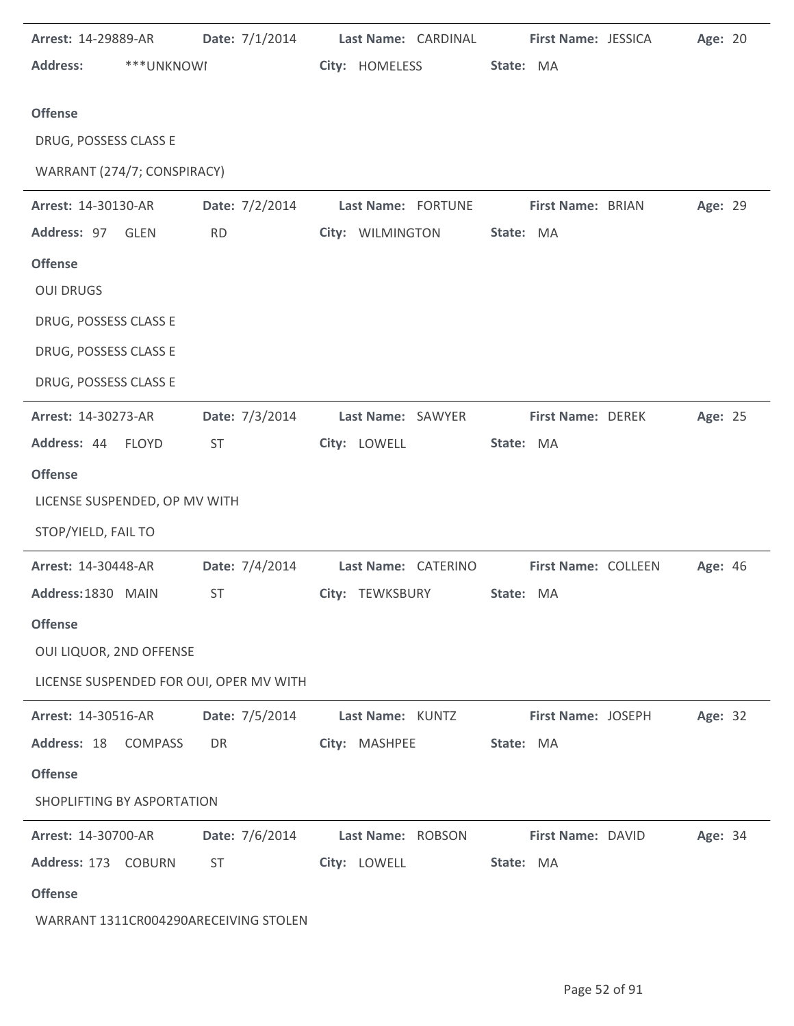| Arrest: 14-29889-AR           |                | Date: 7/1/2014 Last Name: CARDINAL      |                     | First Name: JESSICA | Age: 20 |  |
|-------------------------------|----------------|-----------------------------------------|---------------------|---------------------|---------|--|
| <b>Address:</b>               | ***UNKNOWI     |                                         | City: HOMELESS      | State: MA           |         |  |
| <b>Offense</b>                |                |                                         |                     |                     |         |  |
| DRUG, POSSESS CLASS E         |                |                                         |                     |                     |         |  |
| WARRANT (274/7; CONSPIRACY)   |                |                                         |                     |                     |         |  |
| Arrest: 14-30130-AR           |                | Date: 7/2/2014                          | Last Name: FORTUNE  | First Name: BRIAN   | Age: 29 |  |
| Address: 97 GLEN              |                | <b>RD</b>                               | City: WILMINGTON    | State: MA           |         |  |
| <b>Offense</b>                |                |                                         |                     |                     |         |  |
| <b>OUI DRUGS</b>              |                |                                         |                     |                     |         |  |
| DRUG, POSSESS CLASS E         |                |                                         |                     |                     |         |  |
| DRUG, POSSESS CLASS E         |                |                                         |                     |                     |         |  |
| DRUG, POSSESS CLASS E         |                |                                         |                     |                     |         |  |
| Arrest: 14-30273-AR           |                | Date: 7/3/2014                          | Last Name: SAWYER   | First Name: DEREK   | Age: 25 |  |
| Address: 44 FLOYD             |                | <b>ST</b>                               | City: LOWELL        | State: MA           |         |  |
| <b>Offense</b>                |                |                                         |                     |                     |         |  |
| LICENSE SUSPENDED, OP MV WITH |                |                                         |                     |                     |         |  |
| STOP/YIELD, FAIL TO           |                |                                         |                     |                     |         |  |
| Arrest: 14-30448-AR           |                | Date: 7/4/2014                          | Last Name: CATERINO | First Name: COLLEEN | Age: 46 |  |
| Address: 1830 MAIN            |                | <b>ST</b>                               | City: TEWKSBURY     | State: MA           |         |  |
| <b>Offense</b>                |                |                                         |                     |                     |         |  |
| OUI LIQUOR, 2ND OFFENSE       |                |                                         |                     |                     |         |  |
|                               |                | LICENSE SUSPENDED FOR OUI, OPER MV WITH |                     |                     |         |  |
| Arrest: 14-30516-AR           |                | Date: 7/5/2014                          | Last Name: KUNTZ    | First Name: JOSEPH  | Age: 32 |  |
| Address: 18                   | <b>COMPASS</b> | DR                                      | City: MASHPEE       | State: MA           |         |  |
| <b>Offense</b>                |                |                                         |                     |                     |         |  |
| SHOPLIFTING BY ASPORTATION    |                |                                         |                     |                     |         |  |
| <b>Arrest: 14-30700-AR</b>    |                | Date: 7/6/2014                          | Last Name: ROBSON   | First Name: DAVID   | Age: 34 |  |
| Address: 173 COBURN           |                | <b>ST</b>                               | City: LOWELL        | State: MA           |         |  |
| <b>Offense</b>                |                |                                         |                     |                     |         |  |
|                               |                | WARRANT 1311CR004290ARECEIVING STOLEN   |                     |                     |         |  |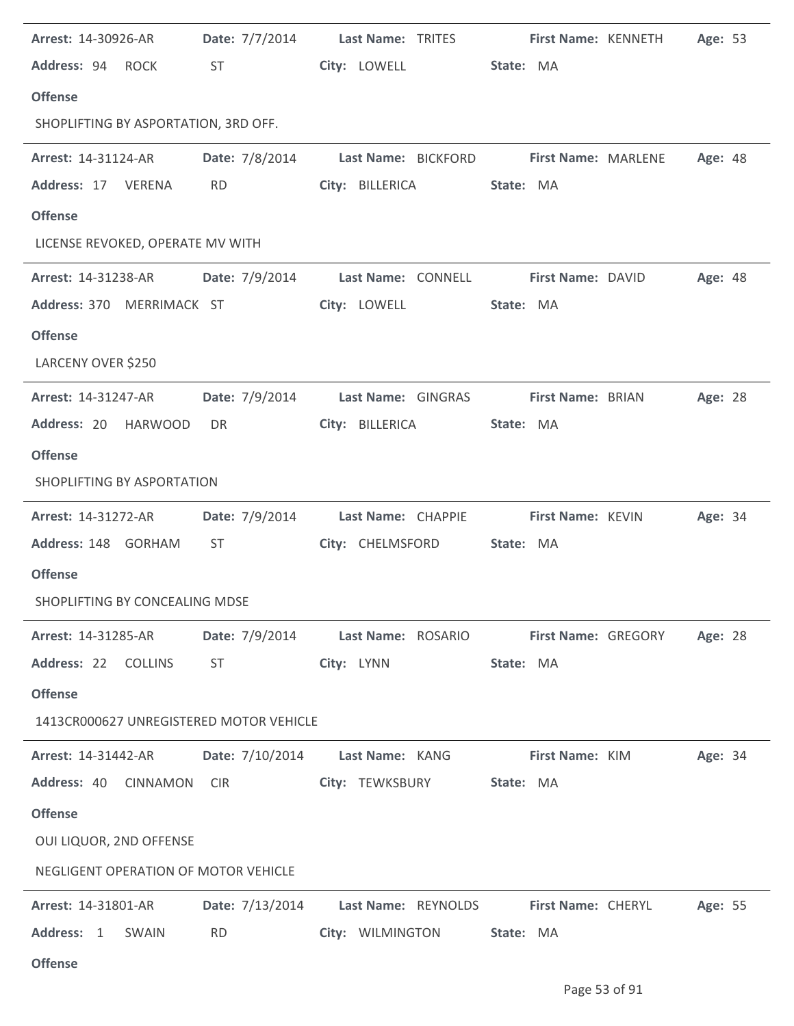| Arrest: 14-30926-AR                     |                                                                                                                                                                                                                                |                                    | Date: 7/7/2014 Last Name: TRITES First Name: KENNETH   | Age: 53 |
|-----------------------------------------|--------------------------------------------------------------------------------------------------------------------------------------------------------------------------------------------------------------------------------|------------------------------------|--------------------------------------------------------|---------|
| Address: 94 ROCK                        | <b>ST</b>                                                                                                                                                                                                                      | City: LOWELL                       | State: MA                                              |         |
| <b>Offense</b>                          |                                                                                                                                                                                                                                |                                    |                                                        |         |
| SHOPLIFTING BY ASPORTATION, 3RD OFF.    |                                                                                                                                                                                                                                |                                    |                                                        |         |
| <b>Arrest: 14-31124-AR</b>              |                                                                                                                                                                                                                                |                                    | Date: 7/8/2014 Last Name: BICKFORD First Name: MARLENE | Age: 48 |
| Address: 17 VERENA                      | <b>RD</b>                                                                                                                                                                                                                      | City: BILLERICA                    | State: MA                                              |         |
| <b>Offense</b>                          |                                                                                                                                                                                                                                |                                    |                                                        |         |
| LICENSE REVOKED, OPERATE MV WITH        |                                                                                                                                                                                                                                |                                    |                                                        |         |
| <b>Arrest: 14-31238-AR</b>              |                                                                                                                                                                                                                                | Date: 7/9/2014 Last Name: CONNELL  | <b>First Name: DAVID</b>                               | Age: 48 |
| Address: 370 MERRIMACK ST               |                                                                                                                                                                                                                                | City: LOWELL                       | State: MA                                              |         |
| <b>Offense</b>                          |                                                                                                                                                                                                                                |                                    |                                                        |         |
| LARCENY OVER \$250                      |                                                                                                                                                                                                                                |                                    |                                                        |         |
| <b>Arrest: 14-31247-AR</b>              | Date: 7/9/2014                                                                                                                                                                                                                 | Last Name: GINGRAS                 | First Name: BRIAN                                      | Age: 28 |
| Address: 20 HARWOOD                     | DR.                                                                                                                                                                                                                            | City: BILLERICA                    | State: MA                                              |         |
| <b>Offense</b>                          |                                                                                                                                                                                                                                |                                    |                                                        |         |
| SHOPLIFTING BY ASPORTATION              |                                                                                                                                                                                                                                |                                    |                                                        |         |
| Arrest: 14-31272-AR                     |                                                                                                                                                                                                                                | Date: 7/9/2014 Last Name: CHAPPIE  | <b>First Name: KEVIN</b>                               | Age: 34 |
| Address: 148 GORHAM                     | ST                                                                                                                                                                                                                             | City: CHELMSFORD                   | State: MA                                              |         |
| <b>Offense</b>                          |                                                                                                                                                                                                                                |                                    |                                                        |         |
| SHOPLIFTING BY CONCEALING MDSE          |                                                                                                                                                                                                                                |                                    |                                                        |         |
| <b>Arrest: 14-31285-AR</b>              | <b>Date:</b> 7/9/2014                                                                                                                                                                                                          | Last Name: ROSARIO                 | <b>First Name: GREGORY</b>                             | Age: 28 |
| Address: 22 COLLINS                     | ST and the state of the state of the state of the state of the state of the state of the state of the state of the state of the state of the state of the state of the state of the state of the state of the state of the sta | City: LYNN                         | State: MA                                              |         |
| <b>Offense</b>                          |                                                                                                                                                                                                                                |                                    |                                                        |         |
| 1413CR000627 UNREGISTERED MOTOR VEHICLE |                                                                                                                                                                                                                                |                                    |                                                        |         |
| <b>Arrest: 14-31442-AR</b>              |                                                                                                                                                                                                                                | Date: 7/10/2014    Last Name: KANG | <b>First Name: KIM</b>                                 | Age: 34 |
| Address: 40<br><b>CINNAMON</b>          | <b>CIR</b>                                                                                                                                                                                                                     | City: TEWKSBURY                    | State: MA                                              |         |
| <b>Offense</b>                          |                                                                                                                                                                                                                                |                                    |                                                        |         |
| OUI LIQUOR, 2ND OFFENSE                 |                                                                                                                                                                                                                                |                                    |                                                        |         |
| NEGLIGENT OPERATION OF MOTOR VEHICLE    |                                                                                                                                                                                                                                |                                    |                                                        |         |
| <b>Arrest: 14-31801-AR</b>              | Date: 7/13/2014                                                                                                                                                                                                                | Last Name: REYNOLDS                | First Name: CHERYL                                     | Age: 55 |
| Address: 1<br>SWAIN                     | <b>RD</b>                                                                                                                                                                                                                      | City: WILMINGTON                   | State: MA                                              |         |
| <b>Offense</b>                          |                                                                                                                                                                                                                                |                                    |                                                        |         |

ż,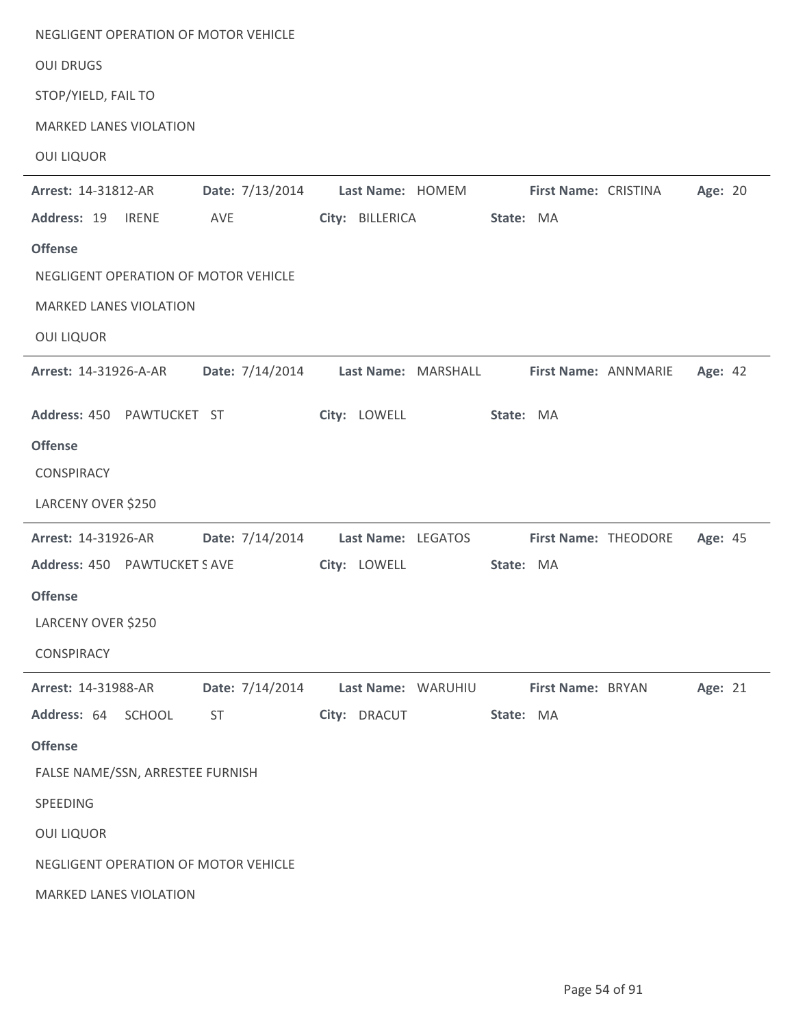| NEGLIGENT OPERATION OF MOTOR VEHICLE |                                    |                     |           |                      |                      |         |  |
|--------------------------------------|------------------------------------|---------------------|-----------|----------------------|----------------------|---------|--|
| <b>OUI DRUGS</b>                     |                                    |                     |           |                      |                      |         |  |
| STOP/YIELD, FAIL TO                  |                                    |                     |           |                      |                      |         |  |
| <b>MARKED LANES VIOLATION</b>        |                                    |                     |           |                      |                      |         |  |
| <b>OUI LIQUOR</b>                    |                                    |                     |           |                      |                      |         |  |
| Arrest: 14-31812-AR                  | Date: 7/13/2014                    | Last Name: HOMEM    |           | First Name: CRISTINA |                      | Age: 20 |  |
| Address: 19<br><b>IRENE</b>          | AVE                                | City: BILLERICA     | State: MA |                      |                      |         |  |
| <b>Offense</b>                       |                                    |                     |           |                      |                      |         |  |
| NEGLIGENT OPERATION OF MOTOR VEHICLE |                                    |                     |           |                      |                      |         |  |
| <b>MARKED LANES VIOLATION</b>        |                                    |                     |           |                      |                      |         |  |
| <b>OUI LIQUOR</b>                    |                                    |                     |           |                      |                      |         |  |
| Arrest: 14-31926-A-AR                | Date: 7/14/2014                    | Last Name: MARSHALL |           |                      | First Name: ANNMARIE | Age: 42 |  |
| Address: 450 PAWTUCKET ST            |                                    | City: LOWELL        | State: MA |                      |                      |         |  |
| <b>Offense</b>                       |                                    |                     |           |                      |                      |         |  |
| <b>CONSPIRACY</b>                    |                                    |                     |           |                      |                      |         |  |
| LARCENY OVER \$250                   |                                    |                     |           |                      |                      |         |  |
| Arrest: 14-31926-AR                  | Date: 7/14/2014 Last Name: LEGATOS |                     |           |                      | First Name: THEODORE | Age: 45 |  |
| Address: 450 PAWTUCKET S AVE         |                                    | City: LOWELL        | State: MA |                      |                      |         |  |
| <b>Offense</b>                       |                                    |                     |           |                      |                      |         |  |
| LARCENY OVER \$250                   |                                    |                     |           |                      |                      |         |  |
| <b>CONSPIRACY</b>                    |                                    |                     |           |                      |                      |         |  |
| Arrest: 14-31988-AR                  | Date: 7/14/2014                    | Last Name: WARUHIU  |           | First Name: BRYAN    |                      | Age: 21 |  |
| Address: 64<br><b>SCHOOL</b>         | <b>ST</b>                          | City: DRACUT        | State: MA |                      |                      |         |  |
| <b>Offense</b>                       |                                    |                     |           |                      |                      |         |  |
| FALSE NAME/SSN, ARRESTEE FURNISH     |                                    |                     |           |                      |                      |         |  |
| SPEEDING                             |                                    |                     |           |                      |                      |         |  |
| <b>OUI LIQUOR</b>                    |                                    |                     |           |                      |                      |         |  |
| NEGLIGENT OPERATION OF MOTOR VEHICLE |                                    |                     |           |                      |                      |         |  |
| MARKED LANES VIOLATION               |                                    |                     |           |                      |                      |         |  |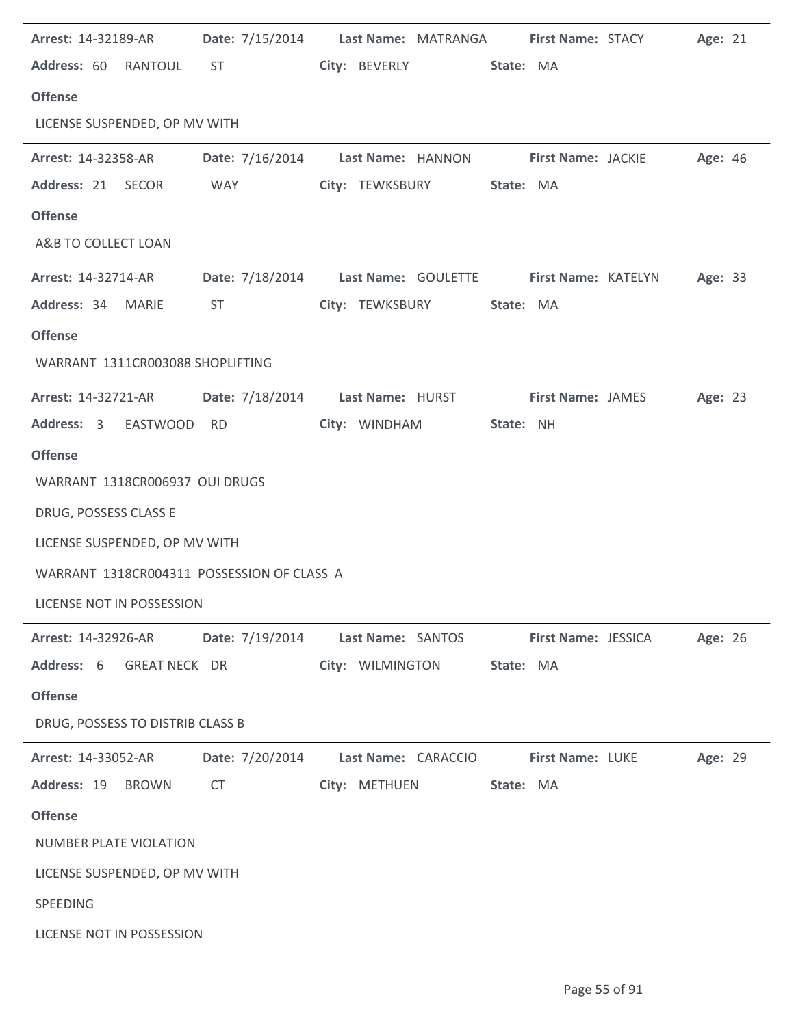| Address: 60 RANTOUL<br>City: BEVERLY State: MA<br>ST and the state of the state of the state of the state of the state of the state of the state of the state of the state of the state of the state of the state of the state of the state of the state of the state of the sta<br><b>Offense</b><br>LICENSE SUSPENDED, OP MV WITH<br>Date: 7/16/2014 Last Name: HANNON First Name: JACKIE<br><b>Arrest: 14-32358-AR</b> |         |
|---------------------------------------------------------------------------------------------------------------------------------------------------------------------------------------------------------------------------------------------------------------------------------------------------------------------------------------------------------------------------------------------------------------------------|---------|
|                                                                                                                                                                                                                                                                                                                                                                                                                           |         |
|                                                                                                                                                                                                                                                                                                                                                                                                                           |         |
|                                                                                                                                                                                                                                                                                                                                                                                                                           |         |
|                                                                                                                                                                                                                                                                                                                                                                                                                           | Age: 46 |
| Address: 21 SECOR<br><b>WAY</b><br>City: TEWKSBURY State: MA                                                                                                                                                                                                                                                                                                                                                              |         |
| <b>Offense</b>                                                                                                                                                                                                                                                                                                                                                                                                            |         |
| A&B TO COLLECT LOAN                                                                                                                                                                                                                                                                                                                                                                                                       |         |
| Date: 7/18/2014 Last Name: GOULETTE First Name: KATELYN<br><b>Arrest: 14-32714-AR</b>                                                                                                                                                                                                                                                                                                                                     | Age: 33 |
| Address: 34 MARIE<br>ST<br>City: TEWKSBURY<br>State: MA                                                                                                                                                                                                                                                                                                                                                                   |         |
| <b>Offense</b>                                                                                                                                                                                                                                                                                                                                                                                                            |         |
| WARRANT 1311CR003088 SHOPLIFTING                                                                                                                                                                                                                                                                                                                                                                                          |         |
| Date: 7/18/2014<br>Last Name: HURST<br><b>First Name: JAMES</b><br><b>Arrest: 14-32721-AR</b>                                                                                                                                                                                                                                                                                                                             | Age: 23 |
| City: WINDHAM<br>Address: 3 EASTWOOD RD<br>State: NH                                                                                                                                                                                                                                                                                                                                                                      |         |
| <b>Offense</b>                                                                                                                                                                                                                                                                                                                                                                                                            |         |
| WARRANT 1318CR006937 OUI DRUGS                                                                                                                                                                                                                                                                                                                                                                                            |         |
| DRUG, POSSESS CLASS E                                                                                                                                                                                                                                                                                                                                                                                                     |         |
| LICENSE SUSPENDED, OP MV WITH                                                                                                                                                                                                                                                                                                                                                                                             |         |
| WARRANT 1318CR004311 POSSESSION OF CLASS A                                                                                                                                                                                                                                                                                                                                                                                |         |
| LICENSE NOT IN POSSESSION                                                                                                                                                                                                                                                                                                                                                                                                 |         |
| Date: 7/19/2014<br>Last Name: SANTOS<br><b>Arrest: 14-32926-AR</b><br><b>First Name: JESSICA</b>                                                                                                                                                                                                                                                                                                                          | Age: 26 |
| Address: 6 GREAT NECK DR<br>City: WILMINGTON<br>State: MA                                                                                                                                                                                                                                                                                                                                                                 |         |
| <b>Offense</b>                                                                                                                                                                                                                                                                                                                                                                                                            |         |
| DRUG, POSSESS TO DISTRIB CLASS B                                                                                                                                                                                                                                                                                                                                                                                          |         |
| Date: 7/20/2014<br>First Name: LUKE<br><b>Arrest: 14-33052-AR</b><br>Last Name: CARACCIO                                                                                                                                                                                                                                                                                                                                  | Age: 29 |
| Address: 19<br><b>BROWN</b><br>CT<br>City: METHUEN<br>State: MA                                                                                                                                                                                                                                                                                                                                                           |         |
|                                                                                                                                                                                                                                                                                                                                                                                                                           |         |
| <b>Offense</b>                                                                                                                                                                                                                                                                                                                                                                                                            |         |
| NUMBER PLATE VIOLATION                                                                                                                                                                                                                                                                                                                                                                                                    |         |
| LICENSE SUSPENDED, OP MV WITH                                                                                                                                                                                                                                                                                                                                                                                             |         |
| SPEEDING                                                                                                                                                                                                                                                                                                                                                                                                                  |         |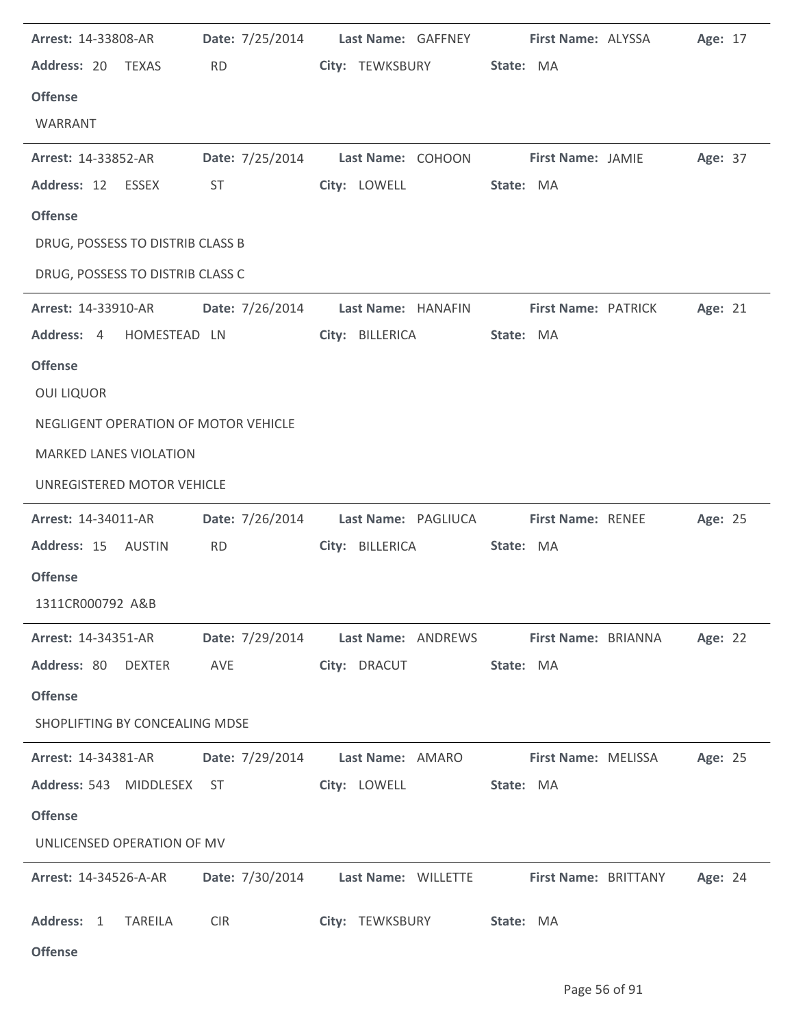| Arrest: 14-33808-AR<br>Address: 20 TEXAS<br><b>Offense</b><br>WARRANT                                                    | <b>RD</b>                    | Date: 7/25/2014 Last Name: GAFFNEY<br>City: TEWKSBURY               | First Name: ALYSSA<br>State: MA       | Age: 17 |
|--------------------------------------------------------------------------------------------------------------------------|------------------------------|---------------------------------------------------------------------|---------------------------------------|---------|
| <b>Arrest: 14-33852-AR</b><br>Address: 12 ESSEX<br><b>Offense</b>                                                        | ST                           | Date: 7/25/2014 Last Name: COHOON First Name: JAMIE<br>City: LOWELL | State: MA                             | Age: 37 |
| DRUG, POSSESS TO DISTRIB CLASS B<br>DRUG, POSSESS TO DISTRIB CLASS C                                                     |                              |                                                                     |                                       |         |
| <b>Arrest: 14-33910-AR</b><br>Address: 4 HOMESTEAD LN<br><b>Offense</b>                                                  | Date: 7/26/2014              | Last Name: HANAFIN<br>City: BILLERICA                               | First Name: PATRICK<br>State: MA      | Age: 21 |
| <b>OUI LIQUOR</b><br>NEGLIGENT OPERATION OF MOTOR VEHICLE<br><b>MARKED LANES VIOLATION</b><br>UNREGISTERED MOTOR VEHICLE |                              |                                                                     |                                       |         |
| <b>Arrest: 14-34011-AR</b><br>Address: 15 AUSTIN<br><b>Offense</b><br>1311CR000792 A&B                                   | Date: 7/26/2014<br><b>RD</b> | Last Name: PAGLIUCA<br>City: BILLERICA                              | <b>First Name: RENEE</b><br>State: MA | Age: 25 |
| <b>Arrest: 14-34351-AR</b><br>Address: 80 DEXTER<br><b>Offense</b><br>SHOPLIFTING BY CONCEALING MDSE                     | Date: 7/29/2014<br>AVE       | Last Name: ANDREWS<br>City: DRACUT                                  | First Name: BRIANNA<br>State: MA      | Age: 22 |
| <b>Arrest: 14-34381-AR</b><br>Address: 543 MIDDLESEX<br><b>Offense</b><br>UNLICENSED OPERATION OF MV                     | Date: 7/29/2014<br>ST        | Last Name: AMARO<br>City: LOWELL                                    | First Name: MELISSA<br>State: MA      | Age: 25 |
| Arrest: 14-34526-A-AR<br>Address: 1<br><b>TAREILA</b><br><b>Offense</b>                                                  | <b>CIR</b>                   | Date: 7/30/2014 Last Name: WILLETTE<br>City: TEWKSBURY              | First Name: BRITTANY<br>State: MA     | Age: 24 |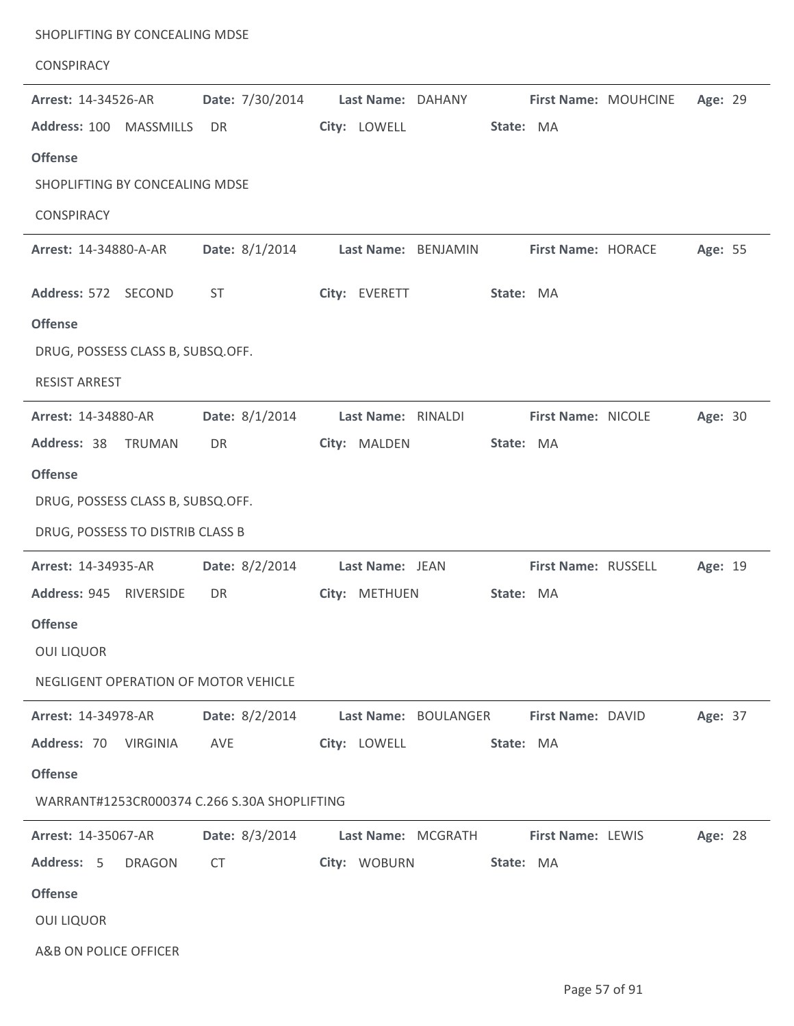| SHOPLIFTING BY CONCEALING MDSE<br><b>CONSPIRACY</b> |                 |                     |                      |                     |                      |         |  |
|-----------------------------------------------------|-----------------|---------------------|----------------------|---------------------|----------------------|---------|--|
| Arrest: 14-34526-AR                                 | Date: 7/30/2014 | Last Name: DAHANY   |                      |                     | First Name: MOUHCINE | Age: 29 |  |
| Address: 100<br><b>MASSMILLS</b>                    | DR              | City: LOWELL        |                      | State: MA           |                      |         |  |
| <b>Offense</b>                                      |                 |                     |                      |                     |                      |         |  |
| SHOPLIFTING BY CONCEALING MDSE                      |                 |                     |                      |                     |                      |         |  |
| <b>CONSPIRACY</b>                                   |                 |                     |                      |                     |                      |         |  |
| Arrest: 14-34880-A-AR                               | Date: 8/1/2014  | Last Name: BENJAMIN |                      | First Name: HORACE  |                      | Age: 55 |  |
| Address: 572 SECOND                                 | <b>ST</b>       | City: EVERETT       |                      | State: MA           |                      |         |  |
| <b>Offense</b>                                      |                 |                     |                      |                     |                      |         |  |
| DRUG, POSSESS CLASS B, SUBSQ.OFF.                   |                 |                     |                      |                     |                      |         |  |
| <b>RESIST ARREST</b>                                |                 |                     |                      |                     |                      |         |  |
| <b>Arrest: 14-34880-AR</b>                          | Date: 8/1/2014  | Last Name: RINALDI  |                      | First Name: NICOLE  |                      | Age: 30 |  |
| Address: 38<br>TRUMAN                               | DR              | City: MALDEN        |                      | State: MA           |                      |         |  |
| <b>Offense</b>                                      |                 |                     |                      |                     |                      |         |  |
| DRUG, POSSESS CLASS B, SUBSQ.OFF.                   |                 |                     |                      |                     |                      |         |  |
| DRUG, POSSESS TO DISTRIB CLASS B                    |                 |                     |                      |                     |                      |         |  |
| Arrest: 14-34935-AR                                 | Date: 8/2/2014  | Last Name: JEAN     |                      | First Name: RUSSELL |                      | Age: 19 |  |
| Address: 945 RIVERSIDE                              | DR              | City: METHUEN       |                      | State: MA           |                      |         |  |
| <b>Offense</b>                                      |                 |                     |                      |                     |                      |         |  |
| <b>OUI LIQUOR</b>                                   |                 |                     |                      |                     |                      |         |  |
| NEGLIGENT OPERATION OF MOTOR VEHICLE                |                 |                     |                      |                     |                      |         |  |
| Arrest: 14-34978-AR                                 | Date: 8/2/2014  |                     | Last Name: BOULANGER | First Name: DAVID   |                      | Age: 37 |  |
| Address: 70 VIRGINIA                                | AVE             | City: LOWELL        |                      | State: MA           |                      |         |  |
| <b>Offense</b>                                      |                 |                     |                      |                     |                      |         |  |
| WARRANT#1253CR000374 C.266 S.30A SHOPLIFTING        |                 |                     |                      |                     |                      |         |  |
| Arrest: 14-35067-AR                                 | Date: 8/3/2014  | Last Name: MCGRATH  |                      | First Name: LEWIS   |                      | Age: 28 |  |
| Address: 5<br><b>DRAGON</b>                         | <b>CT</b>       | City: WOBURN        |                      | State: MA           |                      |         |  |
| <b>Offense</b>                                      |                 |                     |                      |                     |                      |         |  |
| <b>OUI LIQUOR</b>                                   |                 |                     |                      |                     |                      |         |  |
| A&B ON POLICE OFFICER                               |                 |                     |                      |                     |                      |         |  |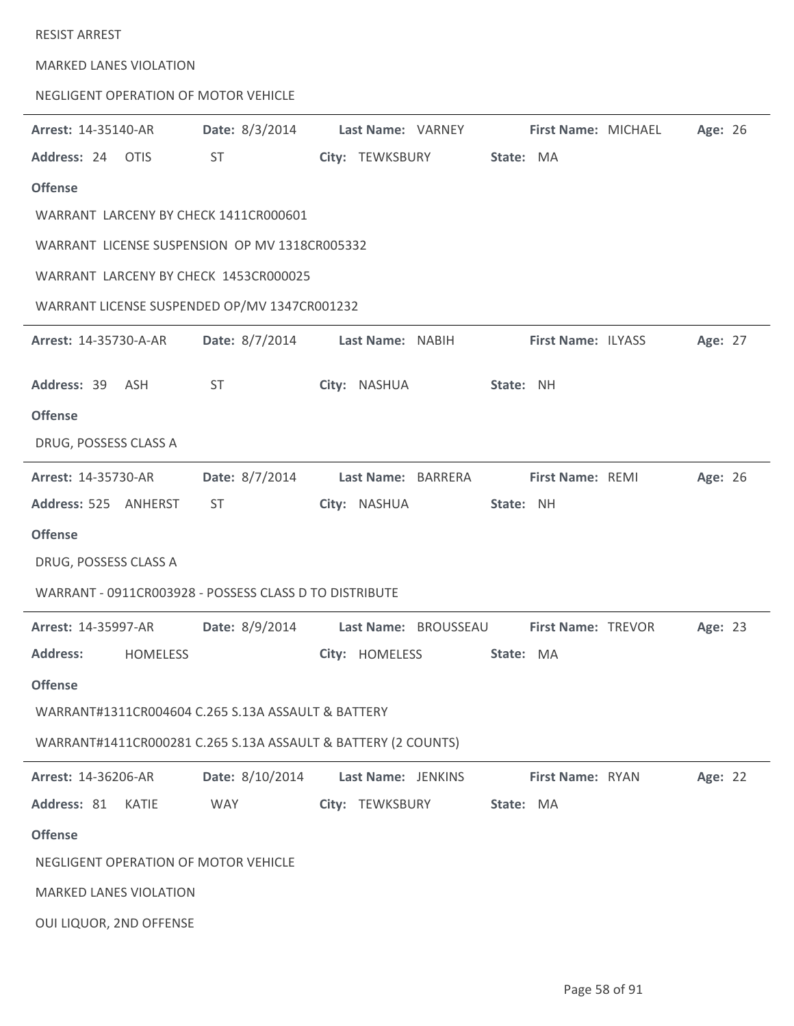| <b>RESIST ARREST</b>          |                 |                                                               |                           |           |                     |         |  |
|-------------------------------|-----------------|---------------------------------------------------------------|---------------------------|-----------|---------------------|---------|--|
| <b>MARKED LANES VIOLATION</b> |                 |                                                               |                           |           |                     |         |  |
|                               |                 | NEGLIGENT OPERATION OF MOTOR VEHICLE                          |                           |           |                     |         |  |
| Arrest: 14-35140-AR           |                 | Date: 8/3/2014                                                | Last Name: VARNEY         |           | First Name: MICHAEL | Age: 26 |  |
| Address: 24 OTIS              |                 | <b>ST</b>                                                     | City: TEWKSBURY           | State: MA |                     |         |  |
| <b>Offense</b>                |                 |                                                               |                           |           |                     |         |  |
|                               |                 | WARRANT LARCENY BY CHECK 1411CR000601                         |                           |           |                     |         |  |
|                               |                 | WARRANT LICENSE SUSPENSION OP MV 1318CR005332                 |                           |           |                     |         |  |
|                               |                 | WARRANT LARCENY BY CHECK 1453CR000025                         |                           |           |                     |         |  |
|                               |                 | WARRANT LICENSE SUSPENDED OP/MV 1347CR001232                  |                           |           |                     |         |  |
| Arrest: 14-35730-A-AR         |                 | Date: 8/7/2014 Last Name: NABIH                               |                           |           | First Name: ILYASS  | Age: 27 |  |
| Address: 39 ASH               |                 | <b>ST</b>                                                     | City: NASHUA              | State: NH |                     |         |  |
| <b>Offense</b>                |                 |                                                               |                           |           |                     |         |  |
| DRUG, POSSESS CLASS A         |                 |                                                               |                           |           |                     |         |  |
| Arrest: 14-35730-AR           |                 | Date: 8/7/2014                                                | Last Name: BARRERA        |           | First Name: REMI    | Age: 26 |  |
| Address: 525 ANHERST          |                 | <b>ST</b>                                                     | City: NASHUA              | State: NH |                     |         |  |
| <b>Offense</b>                |                 |                                                               |                           |           |                     |         |  |
| DRUG, POSSESS CLASS A         |                 |                                                               |                           |           |                     |         |  |
|                               |                 | WARRANT - 0911CR003928 - POSSESS CLASS D TO DISTRIBUTE        |                           |           |                     |         |  |
| <b>Arrest: 14-35997-AR</b>    |                 | <b>Date:</b> 8/9/2014                                         | Last Name: BROUSSEAU      |           | First Name: TREVOR  | Age: 23 |  |
| <b>Address:</b>               | <b>HOMELESS</b> |                                                               | City: HOMELESS            | State: MA |                     |         |  |
| <b>Offense</b>                |                 |                                                               |                           |           |                     |         |  |
|                               |                 | WARRANT#1311CR004604 C.265 S.13A ASSAULT & BATTERY            |                           |           |                     |         |  |
|                               |                 | WARRANT#1411CR000281 C.265 S.13A ASSAULT & BATTERY (2 COUNTS) |                           |           |                     |         |  |
| Arrest: 14-36206-AR           |                 | Date: 8/10/2014                                               | Last Name: JENKINS        |           | First Name: RYAN    | Age: 22 |  |
| Address: 81 KATIE             |                 | <b>WAY</b>                                                    | City: TEWKSBURY State: MA |           |                     |         |  |
| <b>Offense</b>                |                 |                                                               |                           |           |                     |         |  |
|                               |                 | NEGLIGENT OPERATION OF MOTOR VEHICLE                          |                           |           |                     |         |  |
| <b>MARKED LANES VIOLATION</b> |                 |                                                               |                           |           |                     |         |  |

OUI LIQUOR, 2ND OFFENSE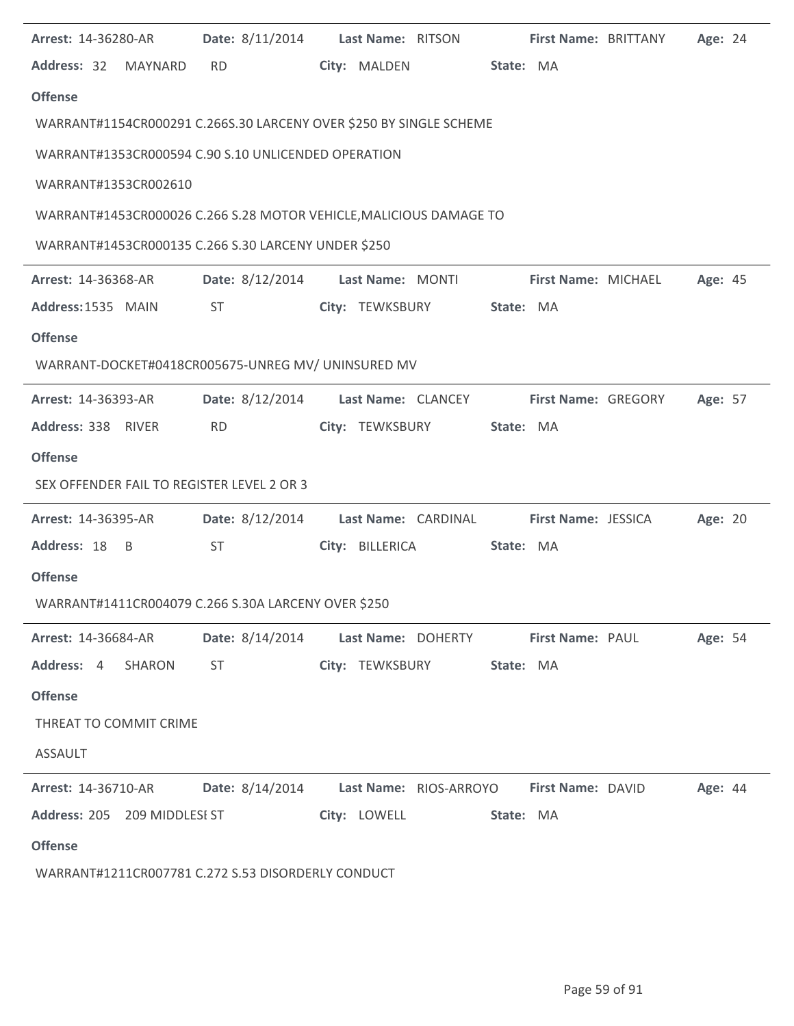| <b>Arrest: 14-36280-AR</b> | Date: 8/11/2014 Last Name: RITSON First Name: BRITTANY                                                                                                                                                                         |                 |                           |           |                            |                            | Age: 24 |  |
|----------------------------|--------------------------------------------------------------------------------------------------------------------------------------------------------------------------------------------------------------------------------|-----------------|---------------------------|-----------|----------------------------|----------------------------|---------|--|
| Address: 32 MAYNARD        | <b>RD</b>                                                                                                                                                                                                                      | City: MALDEN    |                           | State: MA |                            |                            |         |  |
| <b>Offense</b>             |                                                                                                                                                                                                                                |                 |                           |           |                            |                            |         |  |
|                            | WARRANT#1154CR000291 C.266S.30 LARCENY OVER \$250 BY SINGLE SCHEME                                                                                                                                                             |                 |                           |           |                            |                            |         |  |
|                            | WARRANT#1353CR000594 C.90 S.10 UNLICENDED OPERATION                                                                                                                                                                            |                 |                           |           |                            |                            |         |  |
| WARRANT#1353CR002610       |                                                                                                                                                                                                                                |                 |                           |           |                            |                            |         |  |
|                            | WARRANT#1453CR000026 C.266 S.28 MOTOR VEHICLE, MALICIOUS DAMAGE TO                                                                                                                                                             |                 |                           |           |                            |                            |         |  |
|                            | WARRANT#1453CR000135 C.266 S.30 LARCENY UNDER \$250                                                                                                                                                                            |                 |                           |           |                            |                            |         |  |
|                            |                                                                                                                                                                                                                                |                 |                           |           |                            |                            |         |  |
| <b>Arrest: 14-36368-AR</b> | Date: 8/12/2014 Last Name: MONTI                                                                                                                                                                                               |                 |                           |           |                            | First Name: MICHAEL        | Age: 45 |  |
| Address: 1535 MAIN         | ST                                                                                                                                                                                                                             |                 | City: TEWKSBURY           | State: MA |                            |                            |         |  |
| <b>Offense</b>             |                                                                                                                                                                                                                                |                 |                           |           |                            |                            |         |  |
|                            | WARRANT-DOCKET#0418CR005675-UNREG MV/ UNINSURED MV                                                                                                                                                                             |                 |                           |           |                            |                            |         |  |
| <b>Arrest: 14-36393-AR</b> | Date: 8/12/2014 Last Name: CLANCEY                                                                                                                                                                                             |                 |                           |           | <b>First Name: GREGORY</b> |                            | Age: 57 |  |
| Address: 338 RIVER         | <b>RD</b>                                                                                                                                                                                                                      |                 | City: TEWKSBURY           | State: MA |                            |                            |         |  |
| <b>Offense</b>             |                                                                                                                                                                                                                                |                 |                           |           |                            |                            |         |  |
|                            | SEX OFFENDER FAIL TO REGISTER LEVEL 2 OR 3                                                                                                                                                                                     |                 |                           |           |                            |                            |         |  |
| <b>Arrest: 14-36395-AR</b> | Date: 8/12/2014 Last Name: CARDINAL                                                                                                                                                                                            |                 |                           |           |                            | <b>First Name: JESSICA</b> | Age: 20 |  |
| Address: 18 B              | <b>ST</b>                                                                                                                                                                                                                      | City: BILLERICA |                           | State: MA |                            |                            |         |  |
| <b>Offense</b>             |                                                                                                                                                                                                                                |                 |                           |           |                            |                            |         |  |
|                            | WARRANT#1411CR004079 C.266 S.30A LARCENY OVER \$250                                                                                                                                                                            |                 |                           |           |                            |                            |         |  |
| <b>Arrest: 14-36684-AR</b> | Date: 8/14/2014 Last Name: DOHERTY First Name: PAUL                                                                                                                                                                            |                 |                           |           |                            |                            | Age: 54 |  |
| Address: 4 SHARON          | ST and the state of the state of the state of the state of the state of the state of the state of the state of the state of the state of the state of the state of the state of the state of the state of the state of the sta |                 | City: TEWKSBURY State: MA |           |                            |                            |         |  |
| <b>Offense</b>             |                                                                                                                                                                                                                                |                 |                           |           |                            |                            |         |  |
| THREAT TO COMMIT CRIME     |                                                                                                                                                                                                                                |                 |                           |           |                            |                            |         |  |
| <b>ASSAULT</b>             |                                                                                                                                                                                                                                |                 |                           |           |                            |                            |         |  |
| Arrest: 14-36710-AR        | Date: 8/14/2014 Last Name: RIOS-ARROYO First Name: DAVID                                                                                                                                                                       |                 |                           |           |                            |                            | Age: 44 |  |
|                            | Address: 205 209 MIDDLESI ST                                                                                                                                                                                                   |                 | City: LOWELL State: MA    |           |                            |                            |         |  |
| <b>Offense</b>             |                                                                                                                                                                                                                                |                 |                           |           |                            |                            |         |  |
|                            | WARRANT#1211CR007781 C.272 S.53 DISORDERLY CONDUCT                                                                                                                                                                             |                 |                           |           |                            |                            |         |  |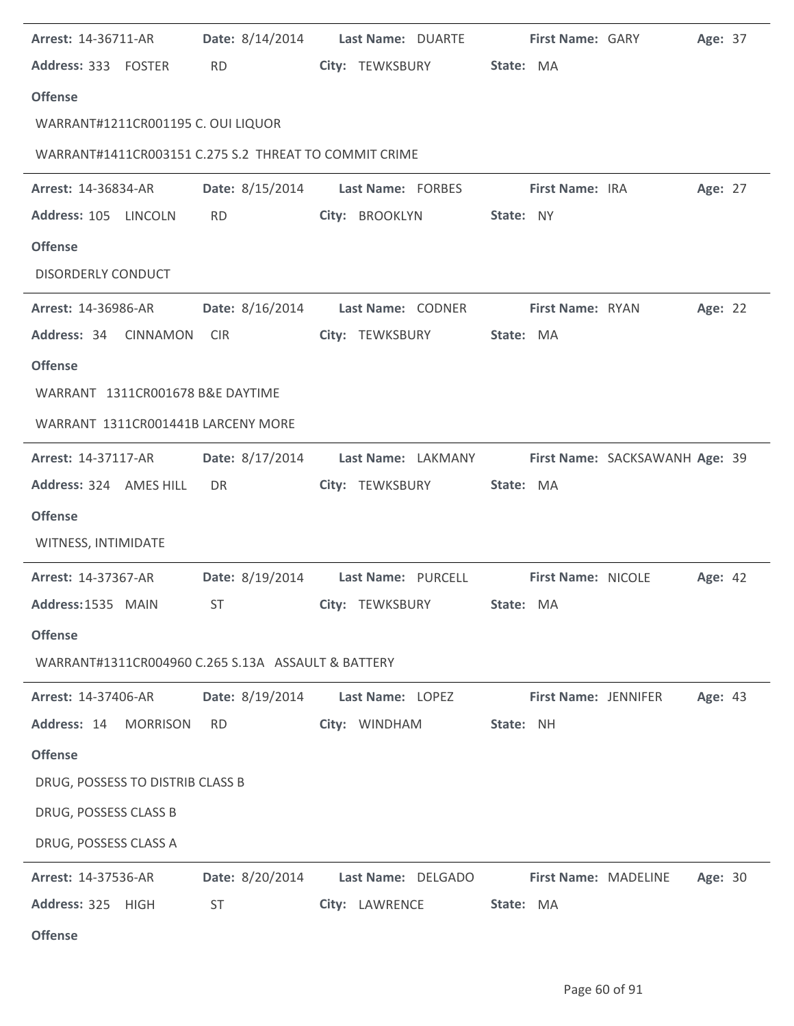| Arrest: 14-36711-AR                                   | Date: 8/14/2014 | Last Name: DUARTE                  | First Name: GARY     |                                | Age: 37 |
|-------------------------------------------------------|-----------------|------------------------------------|----------------------|--------------------------------|---------|
| Address: 333 FOSTER                                   | <b>RD</b>       | City: TEWKSBURY                    | State: MA            |                                |         |
| <b>Offense</b>                                        |                 |                                    |                      |                                |         |
| WARRANT#1211CR001195 C. OUI LIQUOR                    |                 |                                    |                      |                                |         |
| WARRANT#1411CR003151 C.275 S.2 THREAT TO COMMIT CRIME |                 |                                    |                      |                                |         |
| <b>Arrest: 14-36834-AR</b>                            |                 | Date: 8/15/2014 Last Name: FORBES  | First Name: IRA      |                                | Age: 27 |
| Address: 105 LINCOLN                                  | <b>RD</b>       | City: BROOKLYN                     | State: NY            |                                |         |
| <b>Offense</b>                                        |                 |                                    |                      |                                |         |
| <b>DISORDERLY CONDUCT</b>                             |                 |                                    |                      |                                |         |
| <b>Arrest: 14-36986-AR</b>                            | Date: 8/16/2014 | Last Name: CODNER                  | First Name: RYAN     |                                | Age: 22 |
| Address: 34 CINNAMON                                  | <b>CIR</b>      | City: TEWKSBURY                    | State: MA            |                                |         |
| <b>Offense</b>                                        |                 |                                    |                      |                                |         |
| WARRANT 1311CR001678 B&E DAYTIME                      |                 |                                    |                      |                                |         |
| WARRANT 1311CR001441B LARCENY MORE                    |                 |                                    |                      |                                |         |
| Arrest: 14-37117-AR                                   |                 | Date: 8/17/2014 Last Name: LAKMANY |                      | First Name: SACKSAWANH Age: 39 |         |
| Address: 324 AMES HILL                                | DR.             | City: TEWKSBURY                    | State: MA            |                                |         |
| <b>Offense</b>                                        |                 |                                    |                      |                                |         |
| WITNESS, INTIMIDATE                                   |                 |                                    |                      |                                |         |
| Arrest: 14-37367-AR                                   |                 | Date: 8/19/2014 Last Name: PURCELL | First Name: NICOLE   |                                | Age: 42 |
| Address: 1535 MAIN                                    | <b>ST</b>       | City: TEWKSBURY                    | State: MA            |                                |         |
| <b>Offense</b>                                        |                 |                                    |                      |                                |         |
| WARRANT#1311CR004960 C.265 S.13A ASSAULT & BATTERY    |                 |                                    |                      |                                |         |
| Arrest: 14-37406-AR                                   | Date: 8/19/2014 | Last Name: LOPEZ                   | First Name: JENNIFER |                                | Age: 43 |
| Address: 14<br><b>MORRISON</b>                        | <b>RD</b>       | City: WINDHAM                      | State: NH            |                                |         |
| <b>Offense</b>                                        |                 |                                    |                      |                                |         |
| DRUG, POSSESS TO DISTRIB CLASS B                      |                 |                                    |                      |                                |         |
| DRUG, POSSESS CLASS B                                 |                 |                                    |                      |                                |         |
| DRUG, POSSESS CLASS A                                 |                 |                                    |                      |                                |         |
| Arrest: 14-37536-AR                                   | Date: 8/20/2014 | Last Name: DELGADO                 | First Name: MADELINE |                                | Age: 30 |
| Address: 325 HIGH                                     | <b>ST</b>       | City: LAWRENCE                     | State: MA            |                                |         |
| <b>Offense</b>                                        |                 |                                    |                      |                                |         |

 $\overline{a}$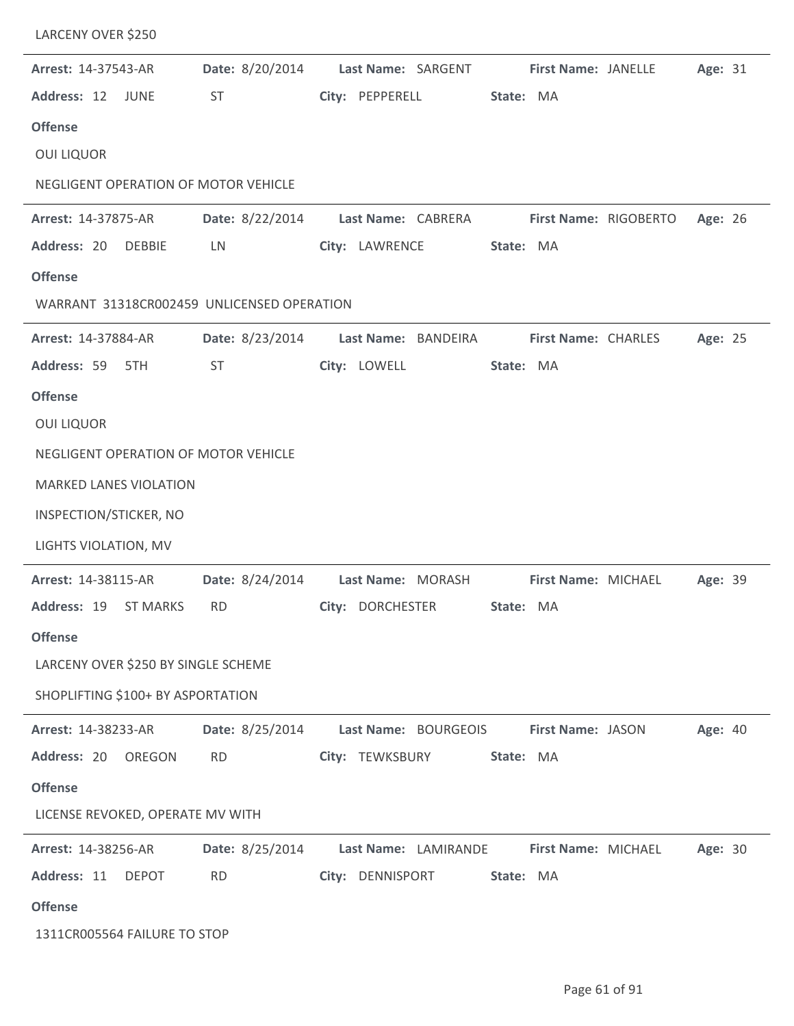| LARCENY OVER \$250                         |                        |                                          |                            |         |
|--------------------------------------------|------------------------|------------------------------------------|----------------------------|---------|
| Arrest: 14-37543-AR                        | Date: 8/20/2014        | Last Name: SARGENT                       | First Name: JANELLE        | Age: 31 |
| Address: 12 JUNE                           | <b>ST</b>              | City: PEPPERELL                          | State: MA                  |         |
| <b>Offense</b>                             |                        |                                          |                            |         |
| <b>OUI LIQUOR</b>                          |                        |                                          |                            |         |
| NEGLIGENT OPERATION OF MOTOR VEHICLE       |                        |                                          |                            |         |
| Arrest: 14-37875-AR                        |                        | Date: 8/22/2014 Last Name: CABRERA       | First Name: RIGOBERTO      | Age: 26 |
| Address: 20<br><b>DEBBIE</b>               | LN                     | City: LAWRENCE                           | State: MA                  |         |
| <b>Offense</b>                             |                        |                                          |                            |         |
| WARRANT 31318CR002459 UNLICENSED OPERATION |                        |                                          |                            |         |
| Arrest: 14-37884-AR                        | <b>Date:</b> 8/23/2014 | Last Name: BANDEIRA                      | <b>First Name: CHARLES</b> | Age: 25 |
| Address: 59 5TH                            | <b>ST</b>              | City: LOWELL                             | State: MA                  |         |
| <b>Offense</b>                             |                        |                                          |                            |         |
| <b>OUI LIQUOR</b>                          |                        |                                          |                            |         |
| NEGLIGENT OPERATION OF MOTOR VEHICLE       |                        |                                          |                            |         |
| <b>MARKED LANES VIOLATION</b>              |                        |                                          |                            |         |
| INSPECTION/STICKER, NO                     |                        |                                          |                            |         |
| LIGHTS VIOLATION, MV                       |                        |                                          |                            |         |
| Arrest: 14-38115-AR                        |                        | Date: 8/24/2014 Last Name: MORASH        | First Name: MICHAEL        | Age: 39 |
|                                            |                        | Address: 19 ST MARKS RD City: DORCHESTER | State: MA                  |         |
| <b>Offense</b>                             |                        |                                          |                            |         |
| LARCENY OVER \$250 BY SINGLE SCHEME        |                        |                                          |                            |         |
| SHOPLIFTING \$100+ BY ASPORTATION          |                        |                                          |                            |         |
| Arrest: 14-38233-AR                        | Date: 8/25/2014        | Last Name: BOURGEOIS                     | First Name: JASON          | Age: 40 |
| Address: 20 OREGON                         | <b>RD</b>              | City: TEWKSBURY                          | State: MA                  |         |
| <b>Offense</b>                             |                        |                                          |                            |         |
| LICENSE REVOKED, OPERATE MV WITH           |                        |                                          |                            |         |
| <b>Arrest: 14-38256-AR</b>                 | Date: 8/25/2014        | Last Name: LAMIRANDE                     | First Name: MICHAEL        | Age: 30 |
| Address: 11<br><b>DEPOT</b>                | <b>RD</b>              | City: DENNISPORT                         | State: MA                  |         |
| <b>Offense</b>                             |                        |                                          |                            |         |
| 1311CR005564 FAILURE TO STOP               |                        |                                          |                            |         |

j.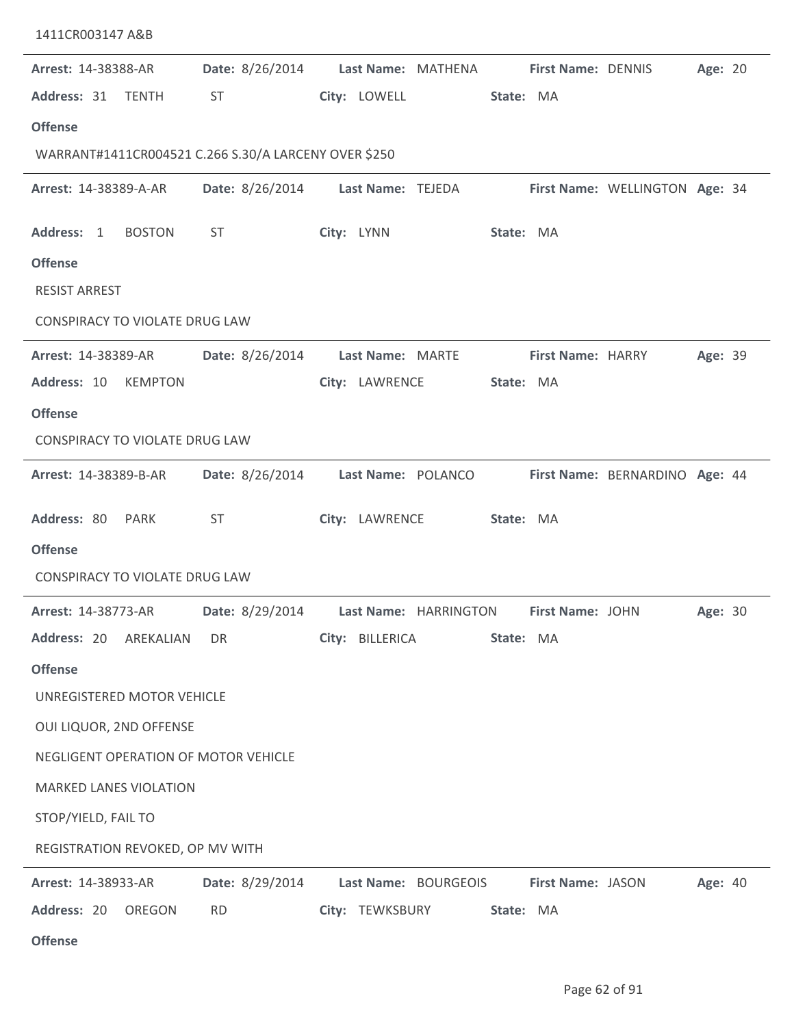| 1411CR003147 A&B                                     |                 |                                                        |                   |                                |
|------------------------------------------------------|-----------------|--------------------------------------------------------|-------------------|--------------------------------|
| Arrest: 14-38388-AR                                  | Date: 8/26/2014 | Last Name: MATHENA First Name: DENNIS                  |                   | Age: 20                        |
| Address: 31<br><b>TENTH</b>                          | <b>ST</b>       | City: LOWELL                                           | State: MA         |                                |
| <b>Offense</b>                                       |                 |                                                        |                   |                                |
| WARRANT#1411CR004521 C.266 S.30/A LARCENY OVER \$250 |                 |                                                        |                   |                                |
| Arrest: 14-38389-A-AR                                |                 | Date: 8/26/2014 Last Name: TEJEDA                      |                   | First Name: WELLINGTON Age: 34 |
| Address: 1<br><b>BOSTON</b>                          | <b>ST</b>       | City: LYNN                                             | State: MA         |                                |
| <b>Offense</b>                                       |                 |                                                        |                   |                                |
| <b>RESIST ARREST</b>                                 |                 |                                                        |                   |                                |
| CONSPIRACY TO VIOLATE DRUG LAW                       |                 |                                                        |                   |                                |
| Arrest: 14-38389-AR                                  | Date: 8/26/2014 | Last Name: MARTE                                       | First Name: HARRY | Age: 39                        |
| Address: 10<br><b>KEMPTON</b>                        |                 | City: LAWRENCE                                         | State: MA         |                                |
| <b>Offense</b>                                       |                 |                                                        |                   |                                |
| CONSPIRACY TO VIOLATE DRUG LAW                       |                 |                                                        |                   |                                |
| Arrest: 14-38389-B-AR                                | Date: 8/26/2014 | Last Name: POLANCO                                     |                   | First Name: BERNARDINO Age: 44 |
| Address: 80 PARK                                     | <b>ST</b>       | City: LAWRENCE                                         | State: MA         |                                |
| <b>Offense</b>                                       |                 |                                                        |                   |                                |
| <b>CONSPIRACY TO VIOLATE DRUG LAW</b>                |                 |                                                        |                   |                                |
| Arrest: 14-38773-AR                                  |                 | Date: 8/29/2014 Last Name: HARRINGTON First Name: JOHN |                   | Age: 30                        |
| Address: 20<br>AREKALIAN                             | DR.             | City: BILLERICA                                        | State: MA         |                                |
| <b>Offense</b>                                       |                 |                                                        |                   |                                |
| UNREGISTERED MOTOR VEHICLE                           |                 |                                                        |                   |                                |
| OUI LIQUOR, 2ND OFFENSE                              |                 |                                                        |                   |                                |
| NEGLIGENT OPERATION OF MOTOR VEHICLE                 |                 |                                                        |                   |                                |
| <b>MARKED LANES VIOLATION</b>                        |                 |                                                        |                   |                                |
| STOP/YIELD, FAIL TO                                  |                 |                                                        |                   |                                |
| REGISTRATION REVOKED, OP MV WITH                     |                 |                                                        |                   |                                |
| <b>Arrest: 14-38933-AR</b>                           | Date: 8/29/2014 | Last Name: BOURGEOIS                                   | First Name: JASON | Age: 40                        |
| Address: 20<br>OREGON                                | <b>RD</b>       | City: TEWKSBURY                                        | State: MA         |                                |
| <b>Offense</b>                                       |                 |                                                        |                   |                                |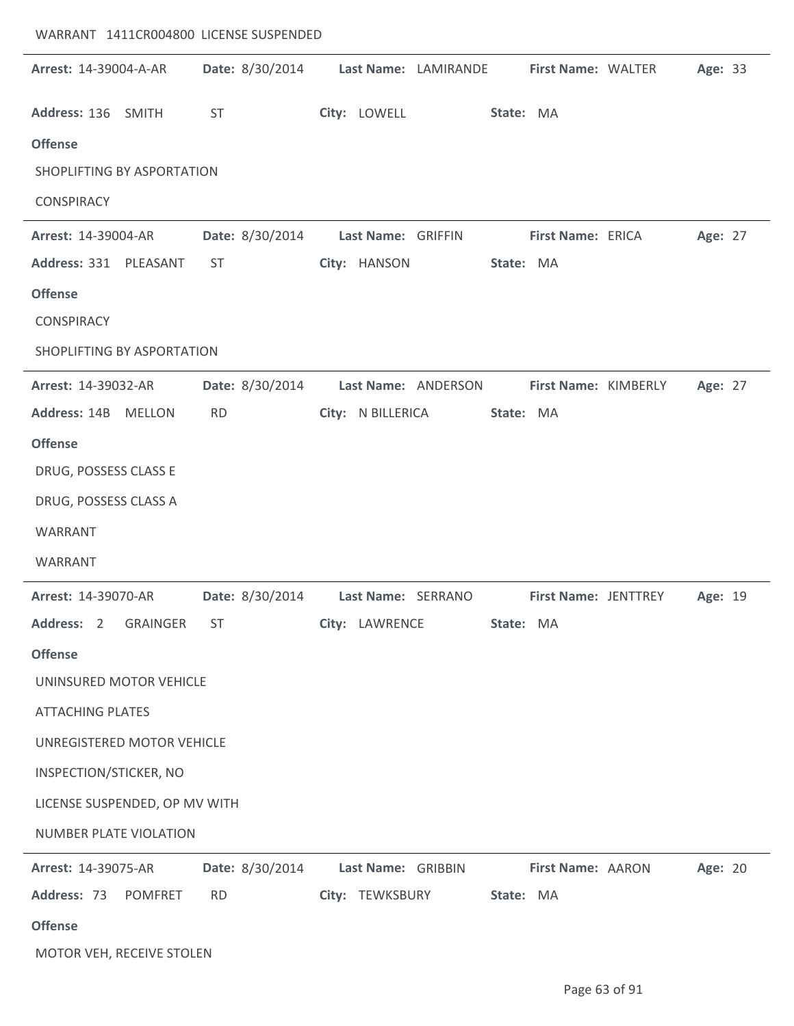| WARRANT 1411CR004800 LICENSE SUSPENDED |                 |                      |           |                      |         |  |
|----------------------------------------|-----------------|----------------------|-----------|----------------------|---------|--|
| Arrest: 14-39004-A-AR                  | Date: 8/30/2014 | Last Name: LAMIRANDE |           | First Name: WALTER   | Age: 33 |  |
| Address: 136 SMITH                     | <b>ST</b>       | City: LOWELL         | State: MA |                      |         |  |
| <b>Offense</b>                         |                 |                      |           |                      |         |  |
| SHOPLIFTING BY ASPORTATION             |                 |                      |           |                      |         |  |
| <b>CONSPIRACY</b>                      |                 |                      |           |                      |         |  |
| Arrest: 14-39004-AR                    | Date: 8/30/2014 | Last Name: GRIFFIN   |           | First Name: ERICA    | Age: 27 |  |
| Address: 331 PLEASANT                  | <b>ST</b>       | City: HANSON         | State: MA |                      |         |  |
| <b>Offense</b>                         |                 |                      |           |                      |         |  |
| <b>CONSPIRACY</b>                      |                 |                      |           |                      |         |  |
| SHOPLIFTING BY ASPORTATION             |                 |                      |           |                      |         |  |
| Arrest: 14-39032-AR                    | Date: 8/30/2014 | Last Name: ANDERSON  |           | First Name: KIMBERLY | Age: 27 |  |
| Address: 14B MELLON                    | <b>RD</b>       | City: N BILLERICA    | State: MA |                      |         |  |
| <b>Offense</b>                         |                 |                      |           |                      |         |  |
| DRUG, POSSESS CLASS E                  |                 |                      |           |                      |         |  |
| DRUG, POSSESS CLASS A                  |                 |                      |           |                      |         |  |
| WARRANT                                |                 |                      |           |                      |         |  |
| WARRANT                                |                 |                      |           |                      |         |  |
| Arrest: 14-39070-AR                    | Date: 8/30/2014 | Last Name: SERRANO   |           | First Name: JENTTREY | Age: 19 |  |
| Address: 2<br><b>GRAINGER</b>          | <b>ST</b>       | City: LAWRENCE       | State: MA |                      |         |  |
| <b>Offense</b>                         |                 |                      |           |                      |         |  |
| UNINSURED MOTOR VEHICLE                |                 |                      |           |                      |         |  |
| <b>ATTACHING PLATES</b>                |                 |                      |           |                      |         |  |
| UNREGISTERED MOTOR VEHICLE             |                 |                      |           |                      |         |  |
| INSPECTION/STICKER, NO                 |                 |                      |           |                      |         |  |
| LICENSE SUSPENDED, OP MV WITH          |                 |                      |           |                      |         |  |
| NUMBER PLATE VIOLATION                 |                 |                      |           |                      |         |  |
| Arrest: 14-39075-AR                    | Date: 8/30/2014 | Last Name: GRIBBIN   |           | First Name: AARON    | Age: 20 |  |
| Address: 73<br>POMFRET                 | <b>RD</b>       | City: TEWKSBURY      | State: MA |                      |         |  |
| <b>Offense</b>                         |                 |                      |           |                      |         |  |
| MOTOR VEH, RECEIVE STOLEN              |                 |                      |           |                      |         |  |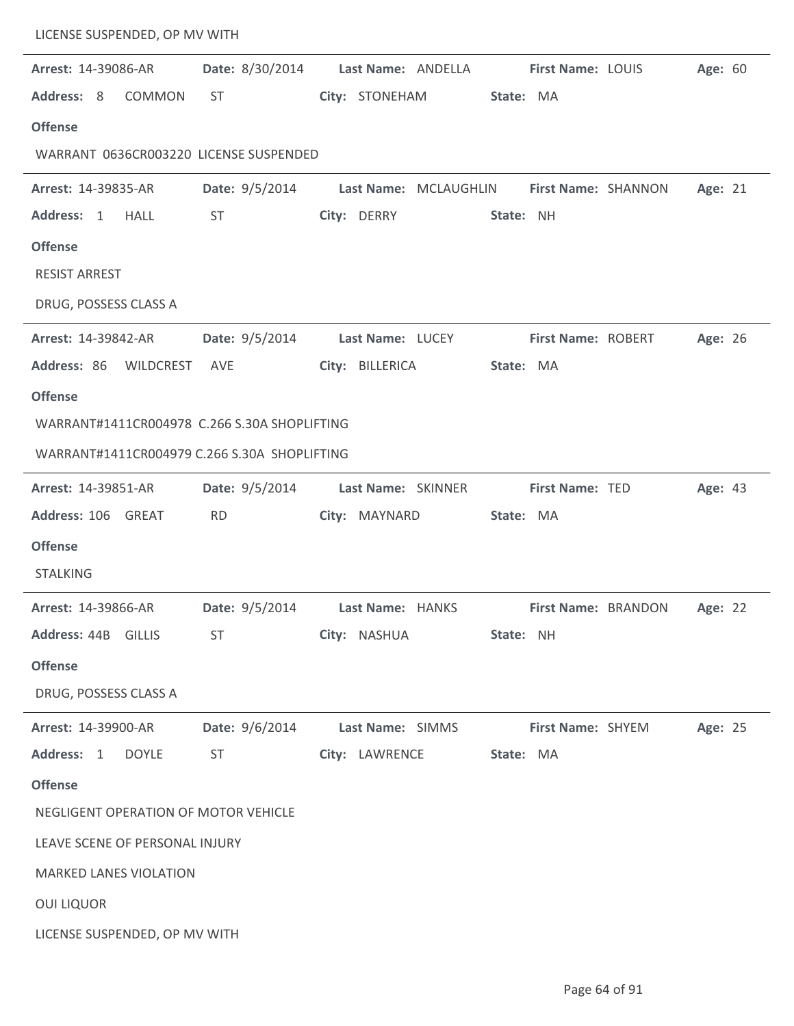| LICENSE SUSPENDED, OP MV WITH  |               |                                              |                    |                       |           |                     |                                    |         |  |
|--------------------------------|---------------|----------------------------------------------|--------------------|-----------------------|-----------|---------------------|------------------------------------|---------|--|
| Arrest: 14-39086-AR            |               | Date: 8/30/2014                              |                    | Last Name: ANDELLA    |           | First Name: LOUIS   |                                    | Age: 60 |  |
| Address: 8                     | <b>COMMON</b> | <b>ST</b>                                    | City: STONEHAM     |                       | State: MA |                     |                                    |         |  |
| <b>Offense</b>                 |               |                                              |                    |                       |           |                     |                                    |         |  |
|                                |               | WARRANT 0636CR003220 LICENSE SUSPENDED       |                    |                       |           |                     |                                    |         |  |
| Arrest: 14-39835-AR            |               | Date: 9/5/2014                               |                    | Last Name: MCLAUGHLIN |           | First Name: SHANNON |                                    | Age: 21 |  |
| Address: 1                     | <b>HALL</b>   | <b>ST</b>                                    | City: DERRY        |                       | State: NH |                     |                                    |         |  |
| <b>Offense</b>                 |               |                                              |                    |                       |           |                     |                                    |         |  |
| <b>RESIST ARREST</b>           |               |                                              |                    |                       |           |                     |                                    |         |  |
| DRUG, POSSESS CLASS A          |               |                                              |                    |                       |           |                     |                                    |         |  |
| Arrest: 14-39842-AR            |               | <b>Date:</b> $9/5/2014$                      | Last Name: LUCEY   |                       |           | First Name: ROBERT  |                                    | Age: 26 |  |
| Address: 86 WILDCREST          |               | AVE                                          | City: BILLERICA    |                       | State: MA |                     |                                    |         |  |
| <b>Offense</b>                 |               |                                              |                    |                       |           |                     |                                    |         |  |
|                                |               | WARRANT#1411CR004978 C.266 S.30A SHOPLIFTING |                    |                       |           |                     |                                    |         |  |
|                                |               | WARRANT#1411CR004979 C.266 S.30A SHOPLIFTING |                    |                       |           |                     |                                    |         |  |
| Arrest: 14-39851-AR            |               | Date: 9/5/2014                               | Last Name: SKINNER |                       |           | First Name: TED     |                                    | Age: 43 |  |
| Address: 106 GREAT             |               | <b>RD</b>                                    | City: MAYNARD      |                       | State: MA |                     |                                    |         |  |
| <b>Offense</b>                 |               |                                              |                    |                       |           |                     |                                    |         |  |
| <b>STALKING</b>                |               |                                              |                    |                       |           |                     |                                    |         |  |
| Arrest: 14-39866-AR            |               | <b>Date:</b> 9/5/2014                        | Last Name: HANKS   |                       |           |                     | <b>First Name: BRANDON Age: 22</b> |         |  |
| Address: 44B GILLIS            |               | <b>ST</b>                                    | City: NASHUA       |                       | State: NH |                     |                                    |         |  |
| <b>Offense</b>                 |               |                                              |                    |                       |           |                     |                                    |         |  |
| DRUG, POSSESS CLASS A          |               |                                              |                    |                       |           |                     |                                    |         |  |
| <b>Arrest: 14-39900-AR</b>     |               | Date: 9/6/2014                               | Last Name: SIMMS   |                       |           | First Name: SHYEM   |                                    | Age: 25 |  |
| Address: 1                     | <b>DOYLE</b>  | <b>ST</b>                                    |                    | City: LAWRENCE        | State: MA |                     |                                    |         |  |
| <b>Offense</b>                 |               |                                              |                    |                       |           |                     |                                    |         |  |
|                                |               | NEGLIGENT OPERATION OF MOTOR VEHICLE         |                    |                       |           |                     |                                    |         |  |
| LEAVE SCENE OF PERSONAL INJURY |               |                                              |                    |                       |           |                     |                                    |         |  |
| <b>MARKED LANES VIOLATION</b>  |               |                                              |                    |                       |           |                     |                                    |         |  |
| <b>OUI LIQUOR</b>              |               |                                              |                    |                       |           |                     |                                    |         |  |
| LICENSE SUSPENDED, OP MV WITH  |               |                                              |                    |                       |           |                     |                                    |         |  |
|                                |               |                                              |                    |                       |           |                     |                                    |         |  |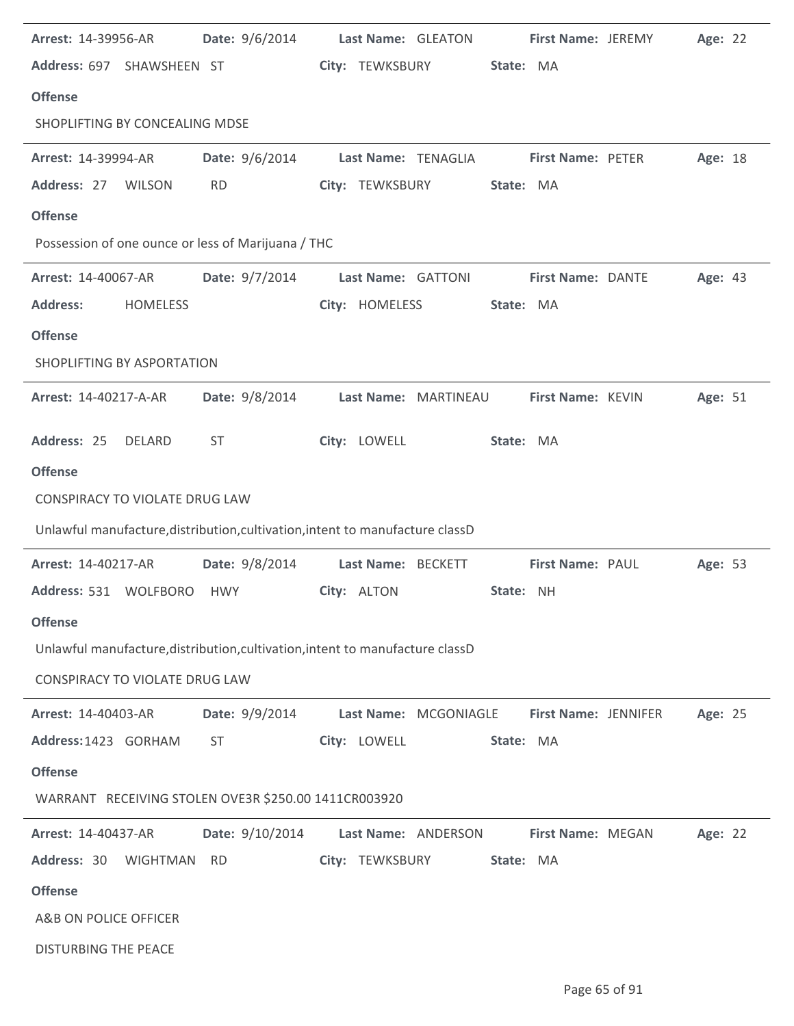| Arrest: 14-39956-AR                                                           | Date: 9/6/2014  |                 | Last Name: GLEATON    |           | First Name: JEREMY   | Age: 22 |  |
|-------------------------------------------------------------------------------|-----------------|-----------------|-----------------------|-----------|----------------------|---------|--|
| Address: 697 SHAWSHEEN ST                                                     |                 | City: TEWKSBURY |                       | State: MA |                      |         |  |
| <b>Offense</b>                                                                |                 |                 |                       |           |                      |         |  |
| SHOPLIFTING BY CONCEALING MDSE                                                |                 |                 |                       |           |                      |         |  |
| Arrest: 14-39994-AR                                                           | Date: 9/6/2014  |                 | Last Name: TENAGLIA   |           | First Name: PETER    | Age: 18 |  |
| Address: 27<br><b>WILSON</b>                                                  | <b>RD</b>       | City: TEWKSBURY |                       | State: MA |                      |         |  |
| <b>Offense</b>                                                                |                 |                 |                       |           |                      |         |  |
| Possession of one ounce or less of Marijuana / THC                            |                 |                 |                       |           |                      |         |  |
| Arrest: 14-40067-AR                                                           | Date: 9/7/2014  |                 | Last Name: GATTONI    |           | First Name: DANTE    | Age: 43 |  |
| <b>Address:</b><br><b>HOMELESS</b>                                            |                 | City: HOMELESS  |                       | State: MA |                      |         |  |
| <b>Offense</b>                                                                |                 |                 |                       |           |                      |         |  |
| SHOPLIFTING BY ASPORTATION                                                    |                 |                 |                       |           |                      |         |  |
| Arrest: 14-40217-A-AR                                                         | Date: 9/8/2014  |                 | Last Name: MARTINEAU  |           | First Name: KEVIN    | Age: 51 |  |
| Address: 25<br>DELARD                                                         | <b>ST</b>       | City: LOWELL    |                       | State: MA |                      |         |  |
| <b>Offense</b>                                                                |                 |                 |                       |           |                      |         |  |
| <b>CONSPIRACY TO VIOLATE DRUG LAW</b>                                         |                 |                 |                       |           |                      |         |  |
| Unlawful manufacture, distribution, cultivation, intent to manufacture classD |                 |                 |                       |           |                      |         |  |
| Arrest: 14-40217-AR                                                           | Date: 9/8/2014  |                 | Last Name: BECKETT    |           | First Name: PAUL     | Age: 53 |  |
| Address: 531 WOLFBORO                                                         | HWY             | City: ALTON     |                       | State: NH |                      |         |  |
| <b>Offense</b>                                                                |                 |                 |                       |           |                      |         |  |
| Unlawful manufacture, distribution, cultivation, intent to manufacture classD |                 |                 |                       |           |                      |         |  |
| <b>CONSPIRACY TO VIOLATE DRUG LAW</b>                                         |                 |                 |                       |           |                      |         |  |
| Arrest: 14-40403-AR                                                           | Date: 9/9/2014  |                 | Last Name: MCGONIAGLE |           | First Name: JENNIFER | Age: 25 |  |
| Address: 1423 GORHAM                                                          | <b>ST</b>       | City: LOWELL    |                       | State: MA |                      |         |  |
| <b>Offense</b>                                                                |                 |                 |                       |           |                      |         |  |
| WARRANT RECEIVING STOLEN OVE3R \$250.00 1411CR003920                          |                 |                 |                       |           |                      |         |  |
| Arrest: 14-40437-AR                                                           | Date: 9/10/2014 |                 | Last Name: ANDERSON   |           | First Name: MEGAN    | Age: 22 |  |
| Address: 30<br><b>WIGHTMAN</b>                                                | <b>RD</b>       | City: TEWKSBURY |                       | State: MA |                      |         |  |
| <b>Offense</b>                                                                |                 |                 |                       |           |                      |         |  |
| A&B ON POLICE OFFICER                                                         |                 |                 |                       |           |                      |         |  |
| <b>DISTURBING THE PEACE</b>                                                   |                 |                 |                       |           |                      |         |  |
|                                                                               |                 |                 |                       |           |                      |         |  |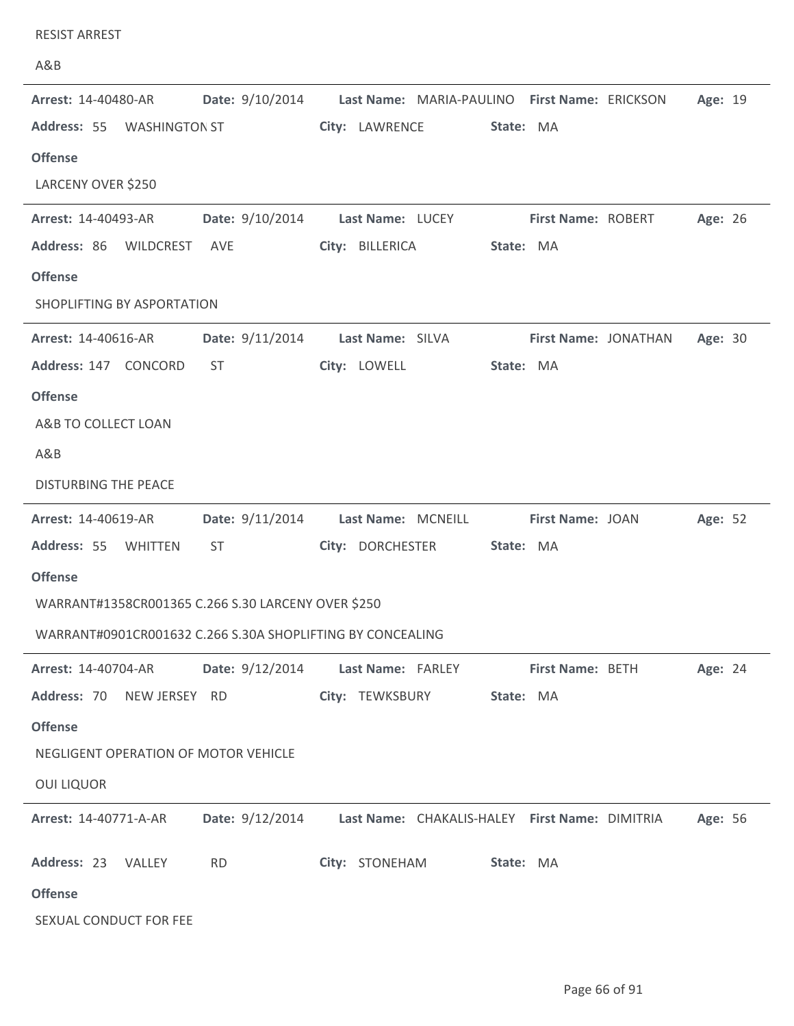| <b>RESIST ARREST</b>                                       |                        |                                                                |         |
|------------------------------------------------------------|------------------------|----------------------------------------------------------------|---------|
| A&B                                                        |                        |                                                                |         |
| Arrest: 14-40480-AR                                        | Date: 9/10/2014        | Last Name: MARIA-PAULINO First Name: ERICKSON                  | Age: 19 |
| Address: 55 WASHINGTON ST                                  |                        | City: LAWRENCE<br>State: MA                                    |         |
| <b>Offense</b>                                             |                        |                                                                |         |
| LARCENY OVER \$250                                         |                        |                                                                |         |
| <b>Arrest: 14-40493-AR</b>                                 | <b>Date:</b> 9/10/2014 | Last Name: LUCEY<br><b>First Name: ROBERT</b>                  | Age: 26 |
| Address: 86<br><b>WILDCREST</b>                            | AVE                    | City: BILLERICA<br>State: MA                                   |         |
| <b>Offense</b>                                             |                        |                                                                |         |
| SHOPLIFTING BY ASPORTATION                                 |                        |                                                                |         |
| Arrest: 14-40616-AR                                        | Date: 9/11/2014        | Last Name: SILVA<br>First Name: JONATHAN                       | Age: 30 |
| Address: 147 CONCORD                                       | <b>ST</b>              | City: LOWELL<br>State: MA                                      |         |
| <b>Offense</b>                                             |                        |                                                                |         |
| A&B TO COLLECT LOAN                                        |                        |                                                                |         |
| A&B                                                        |                        |                                                                |         |
| <b>DISTURBING THE PEACE</b>                                |                        |                                                                |         |
| Arrest: 14-40619-AR                                        | Date: 9/11/2014        | Last Name: MCNEILL<br>First Name: JOAN                         | Age: 52 |
| Address: 55<br>WHITTEN                                     | ST                     | City: DORCHESTER<br>State: MA                                  |         |
| <b>Offense</b>                                             |                        |                                                                |         |
| WARRANT#1358CR001365 C.266 S.30 LARCENY OVER \$250         |                        |                                                                |         |
| WARRANT#0901CR001632 C.266 S.30A SHOPLIFTING BY CONCEALING |                        |                                                                |         |
| Arrest: 14-40704-AR                                        | Date: 9/12/2014        | Last Name: FARLEY<br>First Name: BETH                          | Age: 24 |
| Address: 70<br>NEW JERSEY RD                               |                        | City: TEWKSBURY<br>State: MA                                   |         |
| <b>Offense</b>                                             |                        |                                                                |         |
| NEGLIGENT OPERATION OF MOTOR VEHICLE                       |                        |                                                                |         |
| <b>OUI LIQUOR</b>                                          |                        |                                                                |         |
| Arrest: 14-40771-A-AR                                      |                        | Date: 9/12/2014 Last Name: CHAKALIS-HALEY First Name: DIMITRIA | Age: 56 |
| Address: 23<br>VALLEY                                      | <b>RD</b>              | City: STONEHAM<br>State: MA                                    |         |
| <b>Offense</b>                                             |                        |                                                                |         |
| SEXUAL CONDUCT FOR FEE                                     |                        |                                                                |         |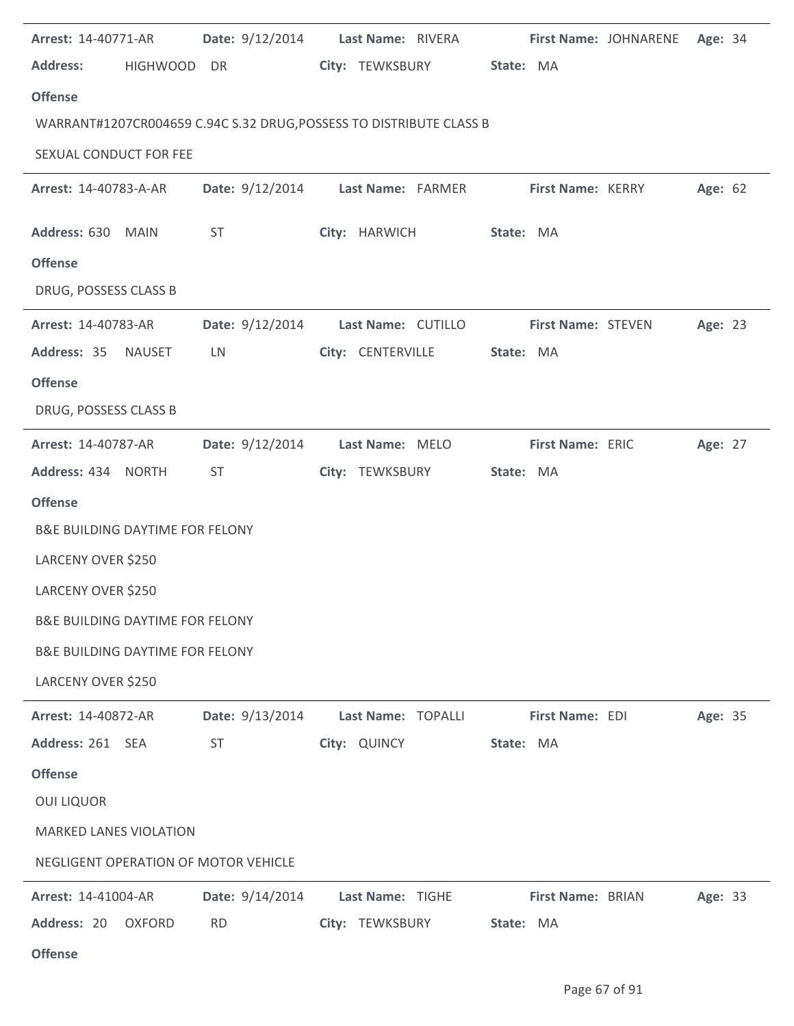| Arrest: 14-40771-AR                        | Date: 9/12/2014                      | Last Name: RIVERA                                                   |                    | First Name: JOHNARENE<br>Age: 34 |
|--------------------------------------------|--------------------------------------|---------------------------------------------------------------------|--------------------|----------------------------------|
| <b>Address:</b>                            | HIGHWOOD DR                          | City: TEWKSBURY                                                     | State: MA          |                                  |
| <b>Offense</b>                             |                                      |                                                                     |                    |                                  |
|                                            |                                      | WARRANT#1207CR004659 C.94C S.32 DRUG, POSSESS TO DISTRIBUTE CLASS B |                    |                                  |
| SEXUAL CONDUCT FOR FEE                     |                                      |                                                                     |                    |                                  |
| Arrest: 14-40783-A-AR                      |                                      | Date: 9/12/2014 Last Name: FARMER                                   | First Name: KERRY  | Age: 62                          |
| Address: 630 MAIN                          | <b>ST</b>                            | City: HARWICH                                                       | State: MA          |                                  |
| <b>Offense</b>                             |                                      |                                                                     |                    |                                  |
| DRUG, POSSESS CLASS B                      |                                      |                                                                     |                    |                                  |
| Arrest: 14-40783-AR                        | Date: 9/12/2014                      | Last Name: CUTILLO                                                  | First Name: STEVEN | Age: 23                          |
| Address: 35 NAUSET                         | <b>LN</b>                            | City: CENTERVILLE                                                   | State: MA          |                                  |
| <b>Offense</b>                             |                                      |                                                                     |                    |                                  |
| DRUG, POSSESS CLASS B                      |                                      |                                                                     |                    |                                  |
| Arrest: 14-40787-AR                        | Date: 9/12/2014                      | Last Name: MELO                                                     | First Name: ERIC   | Age: 27                          |
| Address: 434 NORTH                         | <b>ST</b>                            | City: TEWKSBURY                                                     | State: MA          |                                  |
| <b>Offense</b>                             |                                      |                                                                     |                    |                                  |
| <b>B&amp;E BUILDING DAYTIME FOR FELONY</b> |                                      |                                                                     |                    |                                  |
| LARCENY OVER \$250                         |                                      |                                                                     |                    |                                  |
| LARCENY OVER \$250                         |                                      |                                                                     |                    |                                  |
| <b>B&amp;E BUILDING DAYTIME FOR FELONY</b> |                                      |                                                                     |                    |                                  |
| <b>B&amp;E BUILDING DAYTIME FOR FELONY</b> |                                      |                                                                     |                    |                                  |
| LARCENY OVER \$250                         |                                      |                                                                     |                    |                                  |
| Arrest: 14-40872-AR                        | Date: 9/13/2014                      | Last Name: TOPALLI                                                  | First Name: EDI    | Age: 35                          |
| Address: 261 SEA                           | <b>ST</b>                            | City: QUINCY                                                        | State: MA          |                                  |
| <b>Offense</b>                             |                                      |                                                                     |                    |                                  |
| <b>OUI LIQUOR</b>                          |                                      |                                                                     |                    |                                  |
| <b>MARKED LANES VIOLATION</b>              |                                      |                                                                     |                    |                                  |
|                                            | NEGLIGENT OPERATION OF MOTOR VEHICLE |                                                                     |                    |                                  |
| Arrest: 14-41004-AR                        | Date: 9/14/2014                      | Last Name: TIGHE                                                    | First Name: BRIAN  | Age: 33                          |
| Address: 20<br><b>OXFORD</b>               | <b>RD</b>                            | City: TEWKSBURY                                                     | State: MA          |                                  |

**Offense**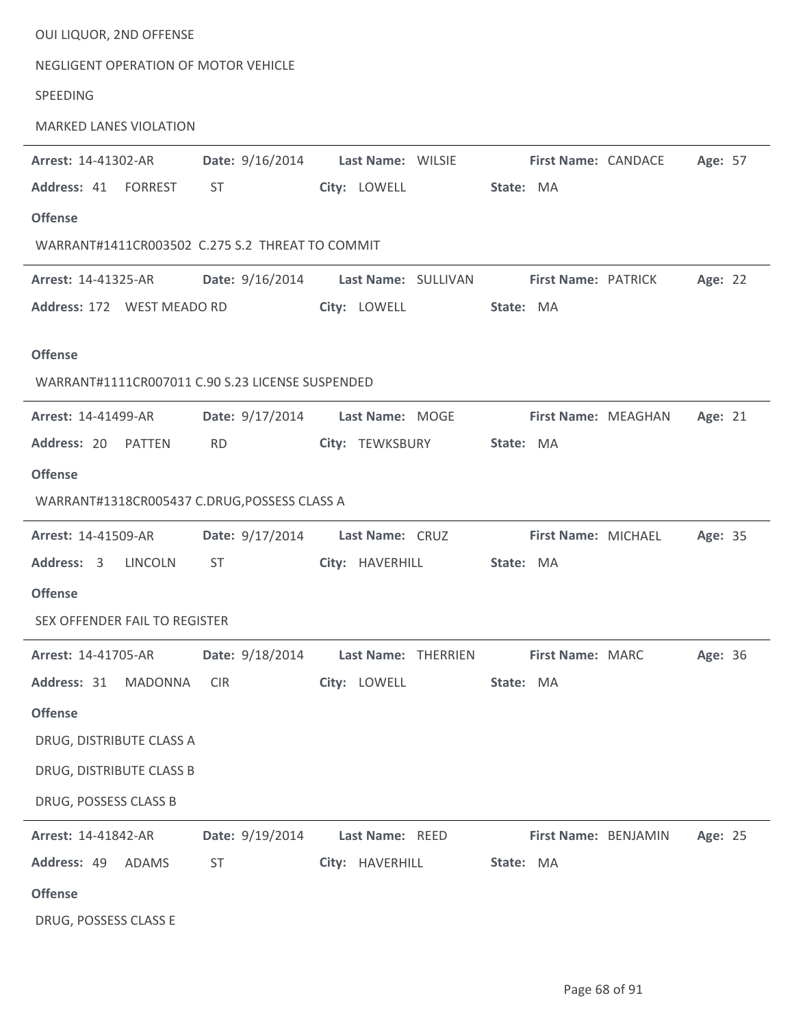| OUI LIQUOR, 2ND OFFENSE                          |                                     |                     |           |                      |         |
|--------------------------------------------------|-------------------------------------|---------------------|-----------|----------------------|---------|
| NEGLIGENT OPERATION OF MOTOR VEHICLE             |                                     |                     |           |                      |         |
| SPEEDING                                         |                                     |                     |           |                      |         |
| <b>MARKED LANES VIOLATION</b>                    |                                     |                     |           |                      |         |
| Arrest: 14-41302-AR                              | Date: 9/16/2014                     | Last Name: WILSIE   |           | First Name: CANDACE  | Age: 57 |
| Address: 41 FORREST                              | ST.                                 | City: LOWELL        | State: MA |                      |         |
| <b>Offense</b>                                   |                                     |                     |           |                      |         |
| WARRANT#1411CR003502 C.275 S.2 THREAT TO COMMIT  |                                     |                     |           |                      |         |
| Arrest: 14-41325-AR                              | Date: 9/16/2014 Last Name: SULLIVAN |                     |           | First Name: PATRICK  | Age: 22 |
| Address: 172 WEST MEADO RD                       |                                     | City: LOWELL        | State: MA |                      |         |
| <b>Offense</b>                                   |                                     |                     |           |                      |         |
| WARRANT#1111CR007011 C.90 S.23 LICENSE SUSPENDED |                                     |                     |           |                      |         |
| <b>Arrest: 14-41499-AR</b>                       | Date: 9/17/2014 Last Name: MOGE     |                     |           | First Name: MEAGHAN  | Age: 21 |
| Address: 20 PATTEN                               | <b>RD</b>                           | City: TEWKSBURY     | State: MA |                      |         |
| <b>Offense</b>                                   |                                     |                     |           |                      |         |
| WARRANT#1318CR005437 C.DRUG, POSSESS CLASS A     |                                     |                     |           |                      |         |
| <b>Arrest: 14-41509-AR</b>                       | Date: 9/17/2014                     | Last Name: CRUZ     |           | First Name: MICHAEL  | Age: 35 |
| Address: 3 LINCOLN                               | ST                                  | City: HAVERHILL     | State: MA |                      |         |
| <b>Offense</b>                                   |                                     |                     |           |                      |         |
| SEX OFFENDER FAIL TO REGISTER                    |                                     |                     |           |                      |         |
| Arrest: 14-41705-AR                              | Date: 9/18/2014                     | Last Name: THERRIEN |           | First Name: MARC     | Age: 36 |
| Address: 31<br><b>MADONNA</b>                    | <b>CIR</b>                          | City: LOWELL        | State: MA |                      |         |
| <b>Offense</b>                                   |                                     |                     |           |                      |         |
| DRUG, DISTRIBUTE CLASS A                         |                                     |                     |           |                      |         |
| DRUG, DISTRIBUTE CLASS B                         |                                     |                     |           |                      |         |
| DRUG, POSSESS CLASS B                            |                                     |                     |           |                      |         |
| Arrest: 14-41842-AR                              | Date: 9/19/2014                     | Last Name: REED     |           |                      |         |
| Address: 49<br>ADAMS                             | <b>ST</b>                           | City: HAVERHILL     | State: MA | First Name: BENJAMIN | Age: 25 |
| <b>Offense</b>                                   |                                     |                     |           |                      |         |
| DRUG, POSSESS CLASS E                            |                                     |                     |           |                      |         |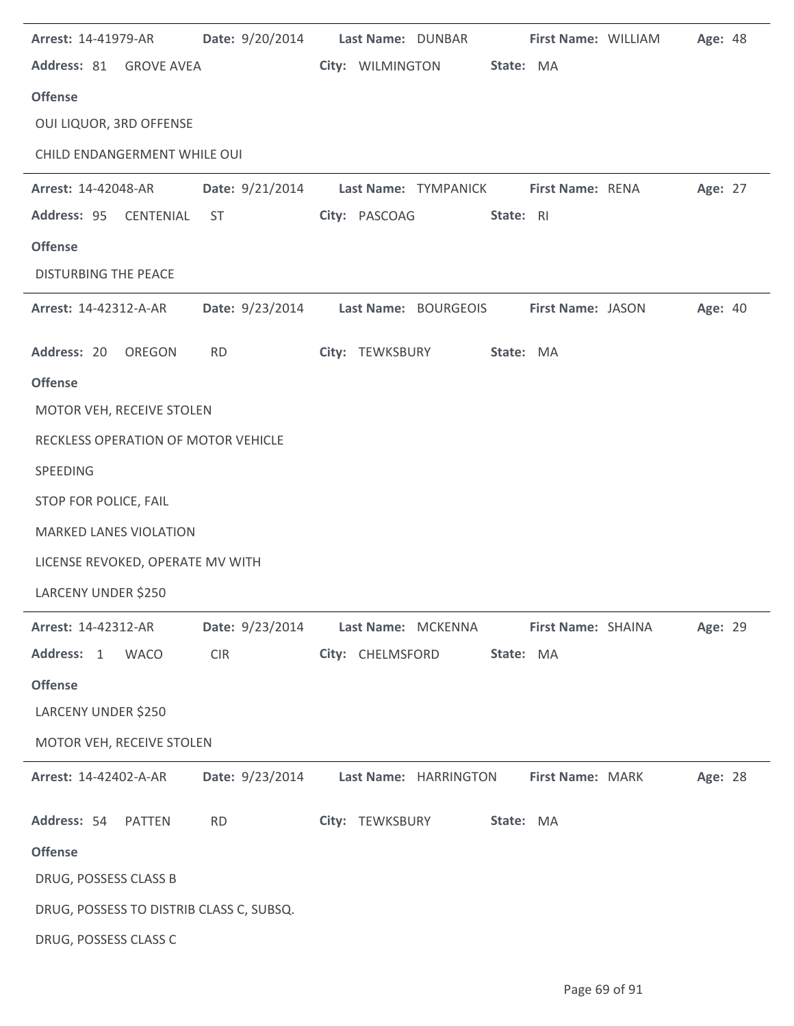| Arrest: 14-41979-AR                      | Date: 9/20/2014 | Last Name: DUNBAR<br>First Name: WILLIAM              | Age: 48 |
|------------------------------------------|-----------------|-------------------------------------------------------|---------|
| Address: 81 GROVE AVEA                   |                 | City: WILMINGTON<br>State: MA                         |         |
| <b>Offense</b>                           |                 |                                                       |         |
| OUI LIQUOR, 3RD OFFENSE                  |                 |                                                       |         |
| CHILD ENDANGERMENT WHILE OUI             |                 |                                                       |         |
| <b>Arrest: 14-42048-AR</b>               |                 | Date: 9/21/2014 Last Name: TYMPANICK First Name: RENA | Age: 27 |
| Address: 95<br>CENTENIAL                 | <b>ST</b>       | City: PASCOAG<br>State: RI                            |         |
| <b>Offense</b>                           |                 |                                                       |         |
| <b>DISTURBING THE PEACE</b>              |                 |                                                       |         |
| Arrest: 14-42312-A-AR                    | Date: 9/23/2014 | Last Name: BOURGEOIS<br>First Name: JASON             | Age: 40 |
| Address: 20<br>OREGON                    | <b>RD</b>       | City: TEWKSBURY<br>State: MA                          |         |
| <b>Offense</b>                           |                 |                                                       |         |
| MOTOR VEH, RECEIVE STOLEN                |                 |                                                       |         |
| RECKLESS OPERATION OF MOTOR VEHICLE      |                 |                                                       |         |
| SPEEDING                                 |                 |                                                       |         |
| STOP FOR POLICE, FAIL                    |                 |                                                       |         |
| <b>MARKED LANES VIOLATION</b>            |                 |                                                       |         |
| LICENSE REVOKED, OPERATE MV WITH         |                 |                                                       |         |
| LARCENY UNDER \$250                      |                 |                                                       |         |
| Arrest: 14-42312-AR                      | Date: 9/23/2014 | Last Name: MCKENNA<br>First Name: SHAINA              | Age: 29 |
| Address: 1 WACO                          | <b>CIR</b>      | City: CHELMSFORD<br>State: MA                         |         |
| <b>Offense</b>                           |                 |                                                       |         |
| LARCENY UNDER \$250                      |                 |                                                       |         |
| MOTOR VEH, RECEIVE STOLEN                |                 |                                                       |         |
| Arrest: 14-42402-A-AR                    | Date: 9/23/2014 | Last Name: HARRINGTON<br>First Name: MARK             | Age: 28 |
| Address: 54 PATTEN                       | <b>RD</b>       | City: TEWKSBURY<br>State: MA                          |         |
| <b>Offense</b>                           |                 |                                                       |         |
| DRUG, POSSESS CLASS B                    |                 |                                                       |         |
| DRUG, POSSESS TO DISTRIB CLASS C, SUBSQ. |                 |                                                       |         |
| DRUG, POSSESS CLASS C                    |                 |                                                       |         |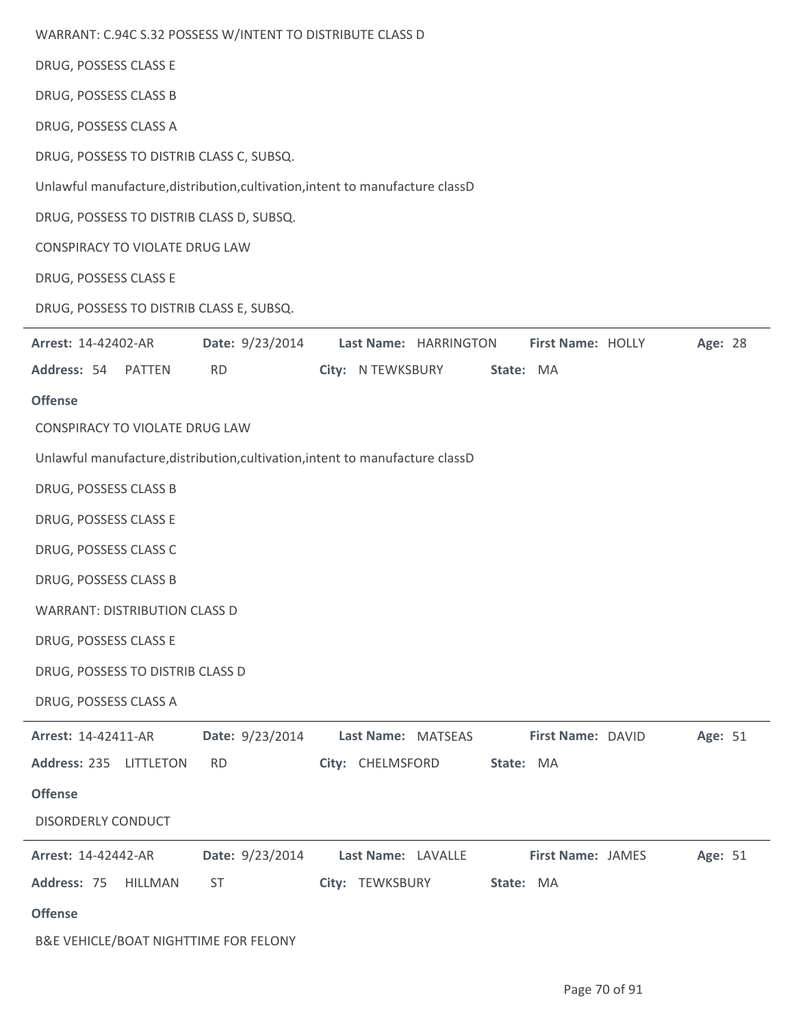| WARRANT: C.94C S.32 POSSESS W/INTENT TO DISTRIBUTE CLASS D                    |                 |                    |                       |                          |         |
|-------------------------------------------------------------------------------|-----------------|--------------------|-----------------------|--------------------------|---------|
| DRUG, POSSESS CLASS E                                                         |                 |                    |                       |                          |         |
| DRUG, POSSESS CLASS B                                                         |                 |                    |                       |                          |         |
| DRUG, POSSESS CLASS A                                                         |                 |                    |                       |                          |         |
| DRUG, POSSESS TO DISTRIB CLASS C, SUBSQ.                                      |                 |                    |                       |                          |         |
| Unlawful manufacture, distribution, cultivation, intent to manufacture classD |                 |                    |                       |                          |         |
| DRUG, POSSESS TO DISTRIB CLASS D, SUBSQ.                                      |                 |                    |                       |                          |         |
| CONSPIRACY TO VIOLATE DRUG LAW                                                |                 |                    |                       |                          |         |
| DRUG, POSSESS CLASS E                                                         |                 |                    |                       |                          |         |
| DRUG, POSSESS TO DISTRIB CLASS E, SUBSQ.                                      |                 |                    |                       |                          |         |
| Arrest: 14-42402-AR                                                           | Date: 9/23/2014 |                    | Last Name: HARRINGTON | First Name: HOLLY        | Age: 28 |
| Address: 54<br>PATTEN                                                         | <b>RD</b>       | City: N TEWKSBURY  |                       | State: MA                |         |
| <b>Offense</b>                                                                |                 |                    |                       |                          |         |
| CONSPIRACY TO VIOLATE DRUG LAW                                                |                 |                    |                       |                          |         |
| Unlawful manufacture, distribution, cultivation, intent to manufacture classD |                 |                    |                       |                          |         |
| DRUG, POSSESS CLASS B                                                         |                 |                    |                       |                          |         |
| DRUG, POSSESS CLASS E                                                         |                 |                    |                       |                          |         |
| DRUG, POSSESS CLASS C                                                         |                 |                    |                       |                          |         |
| DRUG, POSSESS CLASS B                                                         |                 |                    |                       |                          |         |
| <b>WARRANT: DISTRIBUTION CLASS D</b>                                          |                 |                    |                       |                          |         |
| DRUG, POSSESS CLASS E                                                         |                 |                    |                       |                          |         |
| DRUG, POSSESS TO DISTRIB CLASS D                                              |                 |                    |                       |                          |         |
| DRUG, POSSESS CLASS A                                                         |                 |                    |                       |                          |         |
| Arrest: 14-42411-AR                                                           | Date: 9/23/2014 | Last Name: MATSEAS |                       | First Name: DAVID        | Age: 51 |
| Address: 235 LITTLETON                                                        | <b>RD</b>       | City: CHELMSFORD   |                       | State: MA                |         |
| <b>Offense</b>                                                                |                 |                    |                       |                          |         |
| DISORDERLY CONDUCT                                                            |                 |                    |                       |                          |         |
| Arrest: 14-42442-AR                                                           | Date: 9/23/2014 | Last Name: LAVALLE |                       | <b>First Name: JAMES</b> | Age: 51 |
| Address: 75<br>HILLMAN                                                        | <b>ST</b>       | City: TEWKSBURY    |                       | State: MA                |         |
| <b>Offense</b>                                                                |                 |                    |                       |                          |         |
| B&E VEHICLE/BOAT NIGHTTIME FOR FELONY                                         |                 |                    |                       |                          |         |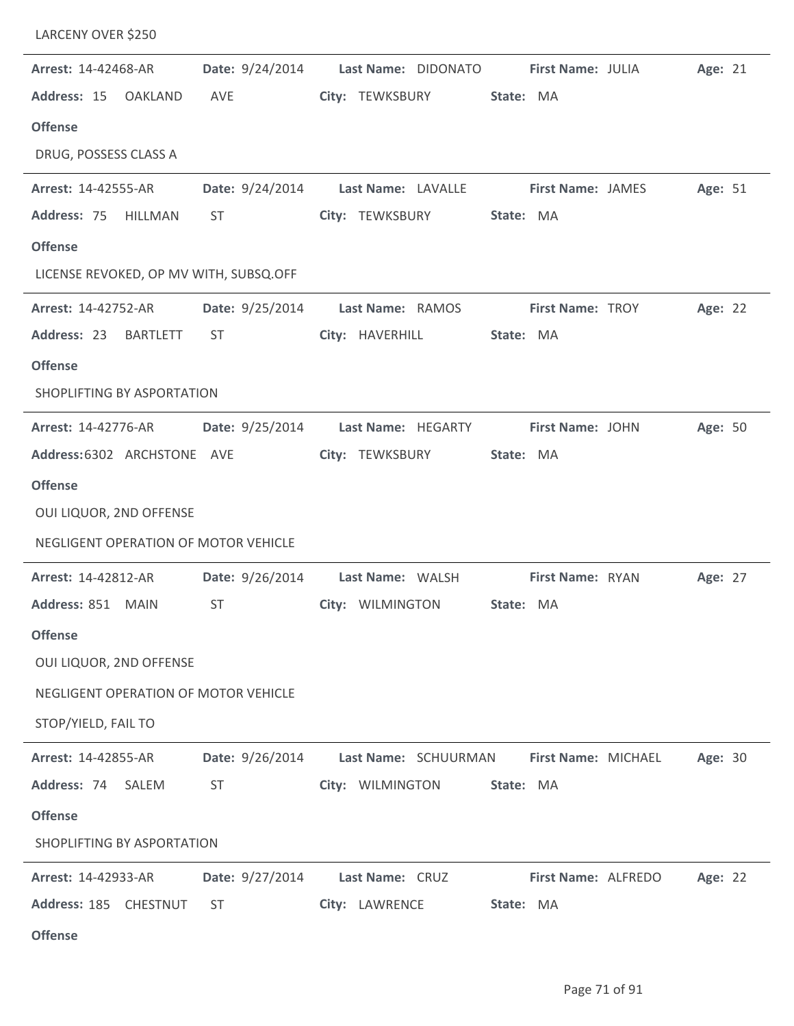| LARCENY OVER \$250                     |                 |                      |           |                         |         |  |
|----------------------------------------|-----------------|----------------------|-----------|-------------------------|---------|--|
| Arrest: 14-42468-AR                    | Date: 9/24/2014 | Last Name: DIDONATO  |           | First Name: JULIA       | Age: 21 |  |
| Address: 15<br><b>OAKLAND</b>          | AVE             | City: TEWKSBURY      | State: MA |                         |         |  |
| <b>Offense</b>                         |                 |                      |           |                         |         |  |
| DRUG, POSSESS CLASS A                  |                 |                      |           |                         |         |  |
| Arrest: 14-42555-AR                    | Date: 9/24/2014 | Last Name: LAVALLE   |           | First Name: JAMES       | Age: 51 |  |
| Address: 75<br>HILLMAN                 | <b>ST</b>       | City: TEWKSBURY      | State: MA |                         |         |  |
| <b>Offense</b>                         |                 |                      |           |                         |         |  |
| LICENSE REVOKED, OP MV WITH, SUBSQ.OFF |                 |                      |           |                         |         |  |
| Arrest: 14-42752-AR                    | Date: 9/25/2014 | Last Name: RAMOS     |           | <b>First Name: TROY</b> | Age: 22 |  |
| Address: 23<br><b>BARTLETT</b>         | <b>ST</b>       | City: HAVERHILL      | State: MA |                         |         |  |
| <b>Offense</b>                         |                 |                      |           |                         |         |  |
| SHOPLIFTING BY ASPORTATION             |                 |                      |           |                         |         |  |
| <b>Arrest: 14-42776-AR</b>             | Date: 9/25/2014 | Last Name: HEGARTY   |           | First Name: JOHN        | Age: 50 |  |
| Address: 6302 ARCHSTONE AVE            |                 | City: TEWKSBURY      | State: MA |                         |         |  |
| <b>Offense</b>                         |                 |                      |           |                         |         |  |
| OUI LIQUOR, 2ND OFFENSE                |                 |                      |           |                         |         |  |
| NEGLIGENT OPERATION OF MOTOR VEHICLE   |                 |                      |           |                         |         |  |
| Arrest: 14-42812-AR                    | Date: 9/26/2014 | Last Name: WALSH     |           | First Name: RYAN        | Age: 27 |  |
| Address: 851 MAIN                      | ST              | City: WILMINGTON     | State: MA |                         |         |  |
| <b>Offense</b>                         |                 |                      |           |                         |         |  |
| OUI LIQUOR, 2ND OFFENSE                |                 |                      |           |                         |         |  |
| NEGLIGENT OPERATION OF MOTOR VEHICLE   |                 |                      |           |                         |         |  |
| STOP/YIELD, FAIL TO                    |                 |                      |           |                         |         |  |
| Arrest: 14-42855-AR                    | Date: 9/26/2014 | Last Name: SCHUURMAN |           | First Name: MICHAEL     | Age: 30 |  |
| Address: 74<br>SALEM                   | <b>ST</b>       | City: WILMINGTON     | State: MA |                         |         |  |
| <b>Offense</b>                         |                 |                      |           |                         |         |  |
| SHOPLIFTING BY ASPORTATION             |                 |                      |           |                         |         |  |
| Arrest: 14-42933-AR                    | Date: 9/27/2014 | Last Name: CRUZ      |           | First Name: ALFREDO     | Age: 22 |  |
| Address: 185 CHESTNUT                  | <b>ST</b>       | City: LAWRENCE       | State: MA |                         |         |  |
| <b>Offense</b>                         |                 |                      |           |                         |         |  |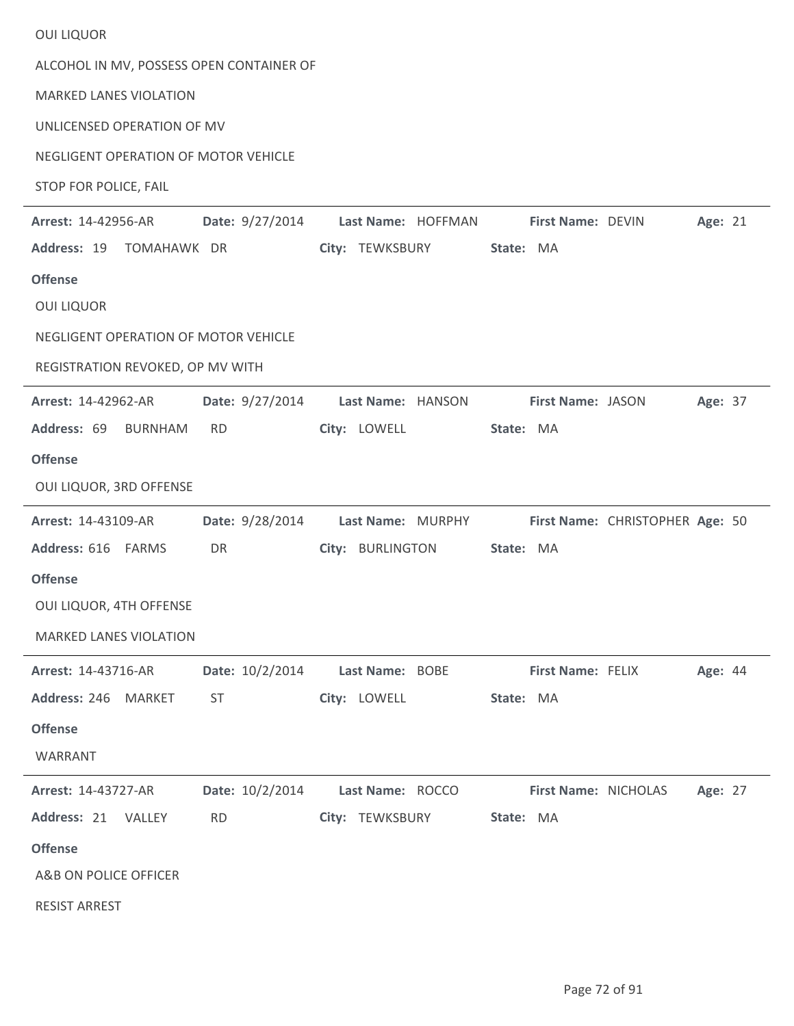| <b>OUI LIQUOR</b>                          |                    |                      |                                 |         |
|--------------------------------------------|--------------------|----------------------|---------------------------------|---------|
| ALCOHOL IN MV, POSSESS OPEN CONTAINER OF   |                    |                      |                                 |         |
| <b>MARKED LANES VIOLATION</b>              |                    |                      |                                 |         |
| UNLICENSED OPERATION OF MV                 |                    |                      |                                 |         |
| NEGLIGENT OPERATION OF MOTOR VEHICLE       |                    |                      |                                 |         |
| STOP FOR POLICE, FAIL                      |                    |                      |                                 |         |
| Date: 9/27/2014<br>Arrest: 14-42956-AR     | Last Name: HOFFMAN | First Name: DEVIN    |                                 | Age: 21 |
| Address: 19<br>TOMAHAWK DR                 | City: TEWKSBURY    | State: MA            |                                 |         |
| <b>Offense</b>                             |                    |                      |                                 |         |
| <b>OUI LIQUOR</b>                          |                    |                      |                                 |         |
| NEGLIGENT OPERATION OF MOTOR VEHICLE       |                    |                      |                                 |         |
| REGISTRATION REVOKED, OP MV WITH           |                    |                      |                                 |         |
| Date: 9/27/2014<br>Arrest: 14-42962-AR     | Last Name: HANSON  | First Name: JASON    |                                 | Age: 37 |
| Address: 69<br><b>BURNHAM</b><br><b>RD</b> | City: LOWELL       | State: MA            |                                 |         |
| <b>Offense</b>                             |                    |                      |                                 |         |
| OUI LIQUOR, 3RD OFFENSE                    |                    |                      |                                 |         |
| Date: 9/28/2014<br>Arrest: 14-43109-AR     | Last Name: MURPHY  |                      | First Name: CHRISTOPHER Age: 50 |         |
| Address: 616 FARMS<br>DR                   | City: BURLINGTON   | State: MA            |                                 |         |
| <b>Offense</b>                             |                    |                      |                                 |         |
| OUI LIQUOR, 4TH OFFENSE                    |                    |                      |                                 |         |
| <b>MARKED LANES VIOLATION</b>              |                    |                      |                                 |         |
| Date: 10/2/2014<br>Arrest: 14-43716-AR     | Last Name: BOBE    | First Name: FELIX    |                                 | Age: 44 |
| Address: 246 MARKET<br><b>ST</b>           | City: LOWELL       | State: MA            |                                 |         |
| <b>Offense</b>                             |                    |                      |                                 |         |
| WARRANT                                    |                    |                      |                                 |         |
| Date: 10/2/2014<br>Arrest: 14-43727-AR     | Last Name: ROCCO   | First Name: NICHOLAS |                                 | Age: 27 |
| Address: 21<br><b>RD</b><br>VALLEY         | City: TEWKSBURY    | State: MA            |                                 |         |
| <b>Offense</b>                             |                    |                      |                                 |         |
| A&B ON POLICE OFFICER                      |                    |                      |                                 |         |
| <b>RESIST ARREST</b>                       |                    |                      |                                 |         |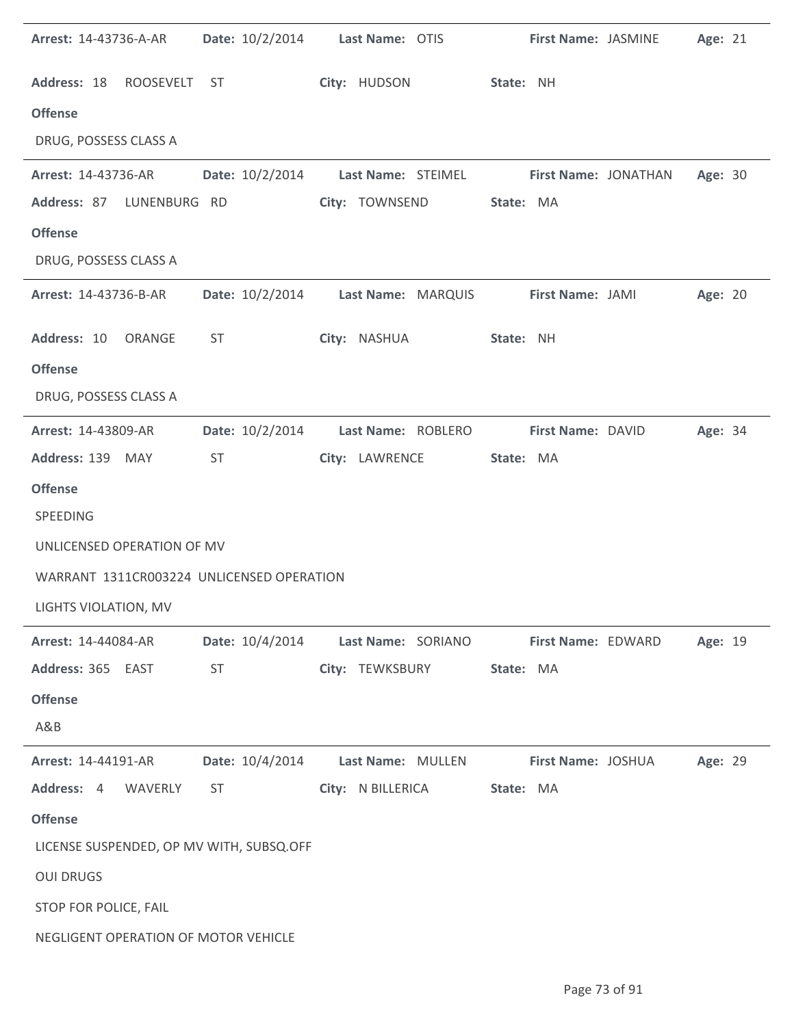| <b>Arrest: 14-43736-A-AR</b>              | Date: 10/2/2014 | Last Name: OTIS                    | First Name: JASMINE  | Age: 21 |
|-------------------------------------------|-----------------|------------------------------------|----------------------|---------|
| Address: 18 ROOSEVELT ST                  |                 | City: HUDSON                       | State: NH            |         |
| <b>Offense</b>                            |                 |                                    |                      |         |
| DRUG, POSSESS CLASS A                     |                 |                                    |                      |         |
| Arrest: 14-43736-AR                       | Date: 10/2/2014 | Last Name: STEIMEL                 | First Name: JONATHAN | Age: 30 |
| Address: 87<br>LUNENBURG RD               |                 | City: TOWNSEND                     | State: MA            |         |
| <b>Offense</b>                            |                 |                                    |                      |         |
| DRUG, POSSESS CLASS A                     |                 |                                    |                      |         |
| Arrest: 14-43736-B-AR                     |                 | Date: 10/2/2014 Last Name: MARQUIS | First Name: JAMI     | Age: 20 |
| Address: 10 ORANGE                        | ST              | City: NASHUA                       | State: NH            |         |
| <b>Offense</b>                            |                 |                                    |                      |         |
| DRUG, POSSESS CLASS A                     |                 |                                    |                      |         |
| Arrest: 14-43809-AR                       | Date: 10/2/2014 | Last Name: ROBLERO                 | First Name: DAVID    | Age: 34 |
| Address: 139 MAY                          | ST              | City: LAWRENCE                     | State: MA            |         |
| <b>Offense</b><br>SPEEDING                |                 |                                    |                      |         |
| UNLICENSED OPERATION OF MV                |                 |                                    |                      |         |
| WARRANT 1311CR003224 UNLICENSED OPERATION |                 |                                    |                      |         |
| LIGHTS VIOLATION, MV                      |                 |                                    |                      |         |
| Arrest: 14-44084-AR                       | Date: 10/4/2014 | Last Name: SORIANO                 | First Name: EDWARD   | Age: 19 |
| Address: 365 EAST                         | <b>ST</b>       | City: TEWKSBURY                    | State: MA            |         |
| <b>Offense</b>                            |                 |                                    |                      |         |
| A&B                                       |                 |                                    |                      |         |
| Arrest: 14-44191-AR                       | Date: 10/4/2014 | Last Name: MULLEN                  | First Name: JOSHUA   | Age: 29 |
| Address: 4<br>WAVERLY                     | ST              | City: N BILLERICA                  | State: MA            |         |
| <b>Offense</b>                            |                 |                                    |                      |         |
| LICENSE SUSPENDED, OP MV WITH, SUBSQ.OFF  |                 |                                    |                      |         |
| <b>OUI DRUGS</b>                          |                 |                                    |                      |         |
| STOP FOR POLICE, FAIL                     |                 |                                    |                      |         |
| NEGLIGENT OPERATION OF MOTOR VEHICLE      |                 |                                    |                      |         |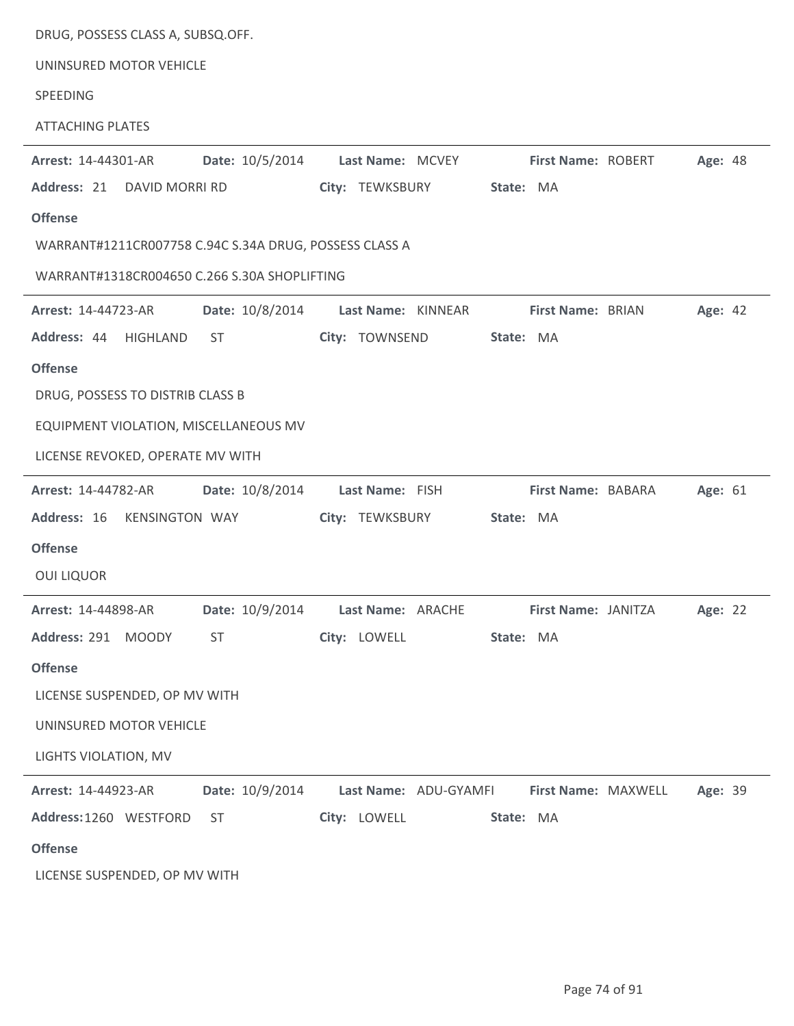| DRUG, POSSESS CLASS A, SUBSQ.OFF.                      |                                   |                     |         |
|--------------------------------------------------------|-----------------------------------|---------------------|---------|
| UNINSURED MOTOR VEHICLE                                |                                   |                     |         |
| SPEEDING                                               |                                   |                     |         |
| <b>ATTACHING PLATES</b>                                |                                   |                     |         |
| Date: 10/5/2014<br>Arrest: 14-44301-AR                 | Last Name: MCVEY                  | First Name: ROBERT  | Age: 48 |
| Address: 21<br>DAVID MORRI RD                          | City: TEWKSBURY                   | State: MA           |         |
| <b>Offense</b>                                         |                                   |                     |         |
| WARRANT#1211CR007758 C.94C S.34A DRUG, POSSESS CLASS A |                                   |                     |         |
| WARRANT#1318CR004650 C.266 S.30A SHOPLIFTING           |                                   |                     |         |
| Date: 10/8/2014<br>Arrest: 14-44723-AR                 | Last Name: KINNEAR                | First Name: BRIAN   | Age: 42 |
| Address: 44<br>HIGHLAND<br><b>ST</b>                   | City: TOWNSEND                    | State: MA           |         |
| <b>Offense</b>                                         |                                   |                     |         |
| DRUG, POSSESS TO DISTRIB CLASS B                       |                                   |                     |         |
| EQUIPMENT VIOLATION, MISCELLANEOUS MV                  |                                   |                     |         |
| LICENSE REVOKED, OPERATE MV WITH                       |                                   |                     |         |
| Date: 10/8/2014<br>Arrest: 14-44782-AR                 | Last Name: FISH                   | First Name: BABARA  | Age: 61 |
| Address: 16<br>KENSINGTON WAY                          | City: TEWKSBURY                   | State: MA           |         |
| <b>Offense</b>                                         |                                   |                     |         |
| <b>OUI LIQUOR</b>                                      |                                   |                     |         |
| Arrest: 14-44898-AR                                    | Date: 10/9/2014 Last Name: ARACHE | First Name: JANITZA | Age: 22 |
| Address: 291 MOODY<br><b>ST</b>                        | City: LOWELL                      | State: MA           |         |
| <b>Offense</b>                                         |                                   |                     |         |
| LICENSE SUSPENDED, OP MV WITH                          |                                   |                     |         |
| UNINSURED MOTOR VEHICLE                                |                                   |                     |         |
| LIGHTS VIOLATION, MV                                   |                                   |                     |         |
| Date: 10/9/2014<br>Arrest: 14-44923-AR                 | Last Name: ADU-GYAMFI             | First Name: MAXWELL | Age: 39 |
| Address: 1260 WESTFORD<br><b>ST</b>                    | City: LOWELL                      | State: MA           |         |
| <b>Offense</b>                                         |                                   |                     |         |
| LICENSE SUSPENDED, OP MV WITH                          |                                   |                     |         |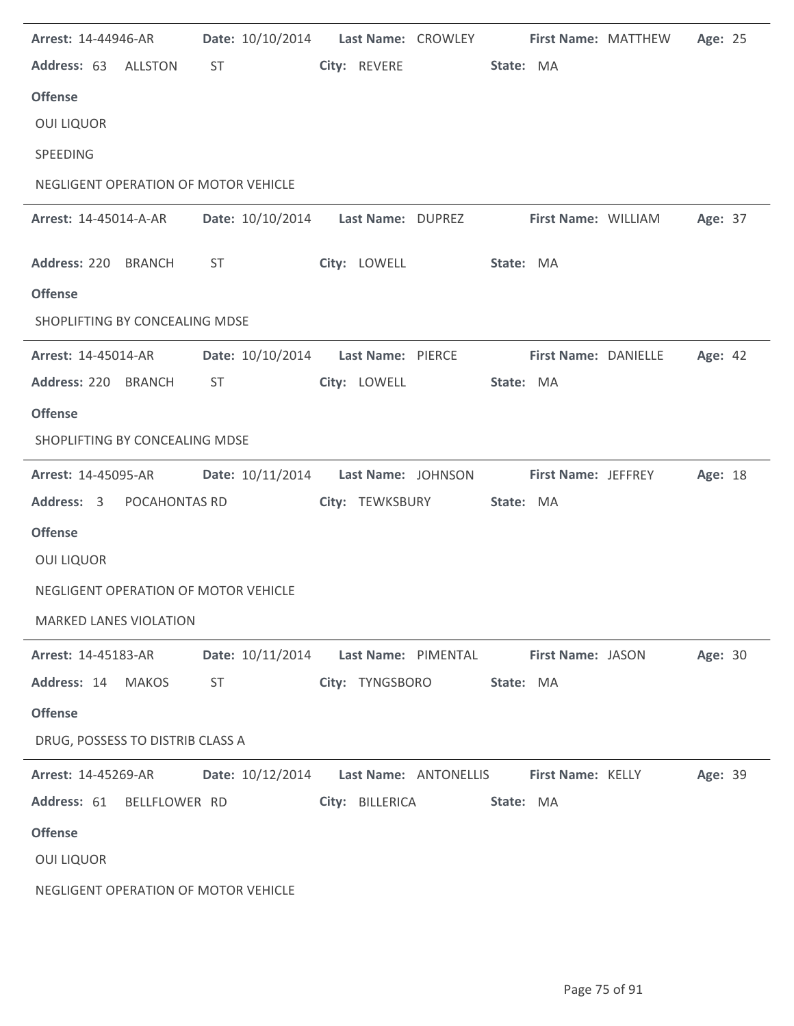| Arrest: 14-44946-AR                  |       |           | Date: 10/10/2014  Last Name: CROWLEY  First Name: MATTHEW     |                 |                       |           |                     |                     | Age: 25 |  |
|--------------------------------------|-------|-----------|---------------------------------------------------------------|-----------------|-----------------------|-----------|---------------------|---------------------|---------|--|
| Address: 63 ALLSTON                  |       | <b>ST</b> |                                                               | City: REVERE    |                       | State: MA |                     |                     |         |  |
| <b>Offense</b>                       |       |           |                                                               |                 |                       |           |                     |                     |         |  |
| <b>OUI LIQUOR</b>                    |       |           |                                                               |                 |                       |           |                     |                     |         |  |
| SPEEDING                             |       |           |                                                               |                 |                       |           |                     |                     |         |  |
| NEGLIGENT OPERATION OF MOTOR VEHICLE |       |           |                                                               |                 |                       |           |                     |                     |         |  |
| <b>Arrest: 14-45014-A-AR</b>         |       |           | Date: 10/10/2014    Last Name: DUPREZ                         |                 |                       |           |                     | First Name: WILLIAM | Age: 37 |  |
| Address: 220 BRANCH                  |       | <b>ST</b> |                                                               |                 | City: LOWELL          | State: MA |                     |                     |         |  |
| <b>Offense</b>                       |       |           |                                                               |                 |                       |           |                     |                     |         |  |
| SHOPLIFTING BY CONCEALING MDSE       |       |           |                                                               |                 |                       |           |                     |                     |         |  |
| <b>Arrest: 14-45014-AR</b>           |       |           | Date: 10/10/2014    Last Name: PIERCE    First Name: DANIELLE |                 |                       |           |                     |                     | Age: 42 |  |
| Address: 220 BRANCH                  |       | ST        |                                                               | City: LOWELL    |                       | State: MA |                     |                     |         |  |
| <b>Offense</b>                       |       |           |                                                               |                 |                       |           |                     |                     |         |  |
| SHOPLIFTING BY CONCEALING MDSE       |       |           |                                                               |                 |                       |           |                     |                     |         |  |
| <b>Arrest: 14-45095-AR</b>           |       |           | Date: 10/11/2014    Last Name: JOHNSON                        |                 |                       |           | First Name: JEFFREY |                     | Age: 18 |  |
| Address: 3 POCAHONTAS RD             |       |           |                                                               |                 | City: TEWKSBURY       | State: MA |                     |                     |         |  |
| <b>Offense</b>                       |       |           |                                                               |                 |                       |           |                     |                     |         |  |
| <b>OUI LIQUOR</b>                    |       |           |                                                               |                 |                       |           |                     |                     |         |  |
| NEGLIGENT OPERATION OF MOTOR VEHICLE |       |           |                                                               |                 |                       |           |                     |                     |         |  |
| <b>MARKED LANES VIOLATION</b>        |       |           |                                                               |                 |                       |           |                     |                     |         |  |
| <b>Arrest: 14-45183-AR</b>           |       |           | Date: 10/11/2014                                              |                 | Last Name: PIMENTAL   |           | First Name: JASON   |                     | Age: 30 |  |
| Address: 14                          | MAKOS | <b>ST</b> |                                                               | City: TYNGSBORO |                       | State: MA |                     |                     |         |  |
| <b>Offense</b>                       |       |           |                                                               |                 |                       |           |                     |                     |         |  |
| DRUG, POSSESS TO DISTRIB CLASS A     |       |           |                                                               |                 |                       |           |                     |                     |         |  |
| Arrest: 14-45269-AR                  |       |           | Date: 10/12/2014                                              |                 | Last Name: ANTONELLIS |           | First Name: KELLY   |                     | Age: 39 |  |
| Address: 61 BELLFLOWER RD            |       |           |                                                               | City: BILLERICA |                       | State: MA |                     |                     |         |  |
| <b>Offense</b>                       |       |           |                                                               |                 |                       |           |                     |                     |         |  |
| <b>OUI LIQUOR</b>                    |       |           |                                                               |                 |                       |           |                     |                     |         |  |
| NEGLIGENT OPERATION OF MOTOR VEHICLE |       |           |                                                               |                 |                       |           |                     |                     |         |  |

l.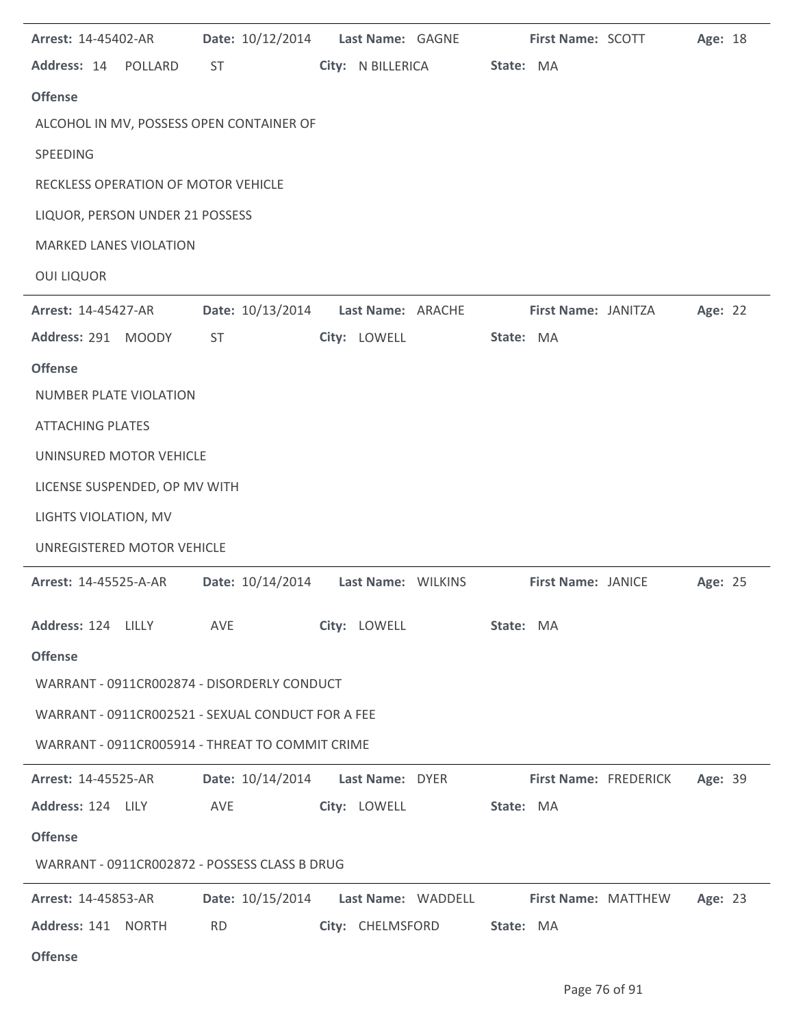| Arrest: 14-45402-AR                               | Date: 10/12/2014 | Last Name: GAGNE                    | First Name: SCOTT   | Age: 18                          |
|---------------------------------------------------|------------------|-------------------------------------|---------------------|----------------------------------|
| Address: 14 POLLARD                               | ST               | City: N BILLERICA                   | State: MA           |                                  |
| <b>Offense</b>                                    |                  |                                     |                     |                                  |
| ALCOHOL IN MV, POSSESS OPEN CONTAINER OF          |                  |                                     |                     |                                  |
| SPEEDING                                          |                  |                                     |                     |                                  |
| RECKLESS OPERATION OF MOTOR VEHICLE               |                  |                                     |                     |                                  |
| LIQUOR, PERSON UNDER 21 POSSESS                   |                  |                                     |                     |                                  |
| <b>MARKED LANES VIOLATION</b>                     |                  |                                     |                     |                                  |
| <b>OUI LIQUOR</b>                                 |                  |                                     |                     |                                  |
| Arrest: 14-45427-AR                               | Date: 10/13/2014 | Last Name: ARACHE                   | First Name: JANITZA | Age: 22                          |
| Address: 291 MOODY                                | <b>ST</b>        | City: LOWELL                        | State: MA           |                                  |
| <b>Offense</b>                                    |                  |                                     |                     |                                  |
| <b>NUMBER PLATE VIOLATION</b>                     |                  |                                     |                     |                                  |
| <b>ATTACHING PLATES</b>                           |                  |                                     |                     |                                  |
| UNINSURED MOTOR VEHICLE                           |                  |                                     |                     |                                  |
| LICENSE SUSPENDED, OP MV WITH                     |                  |                                     |                     |                                  |
| LIGHTS VIOLATION, MV                              |                  |                                     |                     |                                  |
| UNREGISTERED MOTOR VEHICLE                        |                  |                                     |                     |                                  |
| <b>Arrest: 14-45525-A-AR</b>                      | Date: 10/14/2014 | Last Name: WILKINS                  | First Name: JANICE  | Age: 25                          |
| Address: 124 LILLY                                | AVE              | City: LOWELL                        | State: MA           |                                  |
| <b>Offense</b>                                    |                  |                                     |                     |                                  |
| WARRANT - 0911CR002874 - DISORDERLY CONDUCT       |                  |                                     |                     |                                  |
| WARRANT - 0911CR002521 - SEXUAL CONDUCT FOR A FEE |                  |                                     |                     |                                  |
| WARRANT - 0911CR005914 - THREAT TO COMMIT CRIME   |                  |                                     |                     |                                  |
| <b>Arrest: 14-45525-AR</b>                        |                  | Date: 10/14/2014    Last Name: DYER |                     | First Name: FREDERICK<br>Age: 39 |
| Address: 124 LILY                                 | AVE              | City: LOWELL                        | State: MA           |                                  |
| <b>Offense</b>                                    |                  |                                     |                     |                                  |
| WARRANT - 0911CR002872 - POSSESS CLASS B DRUG     |                  |                                     |                     |                                  |
| <b>Arrest: 14-45853-AR</b>                        | Date: 10/15/2014 | Last Name: WADDELL                  |                     | First Name: MATTHEW<br>Age: 23   |
| Address: 141 NORTH                                | <b>RD</b>        | City: CHELMSFORD                    | State: MA           |                                  |
| <b>Offense</b>                                    |                  |                                     |                     |                                  |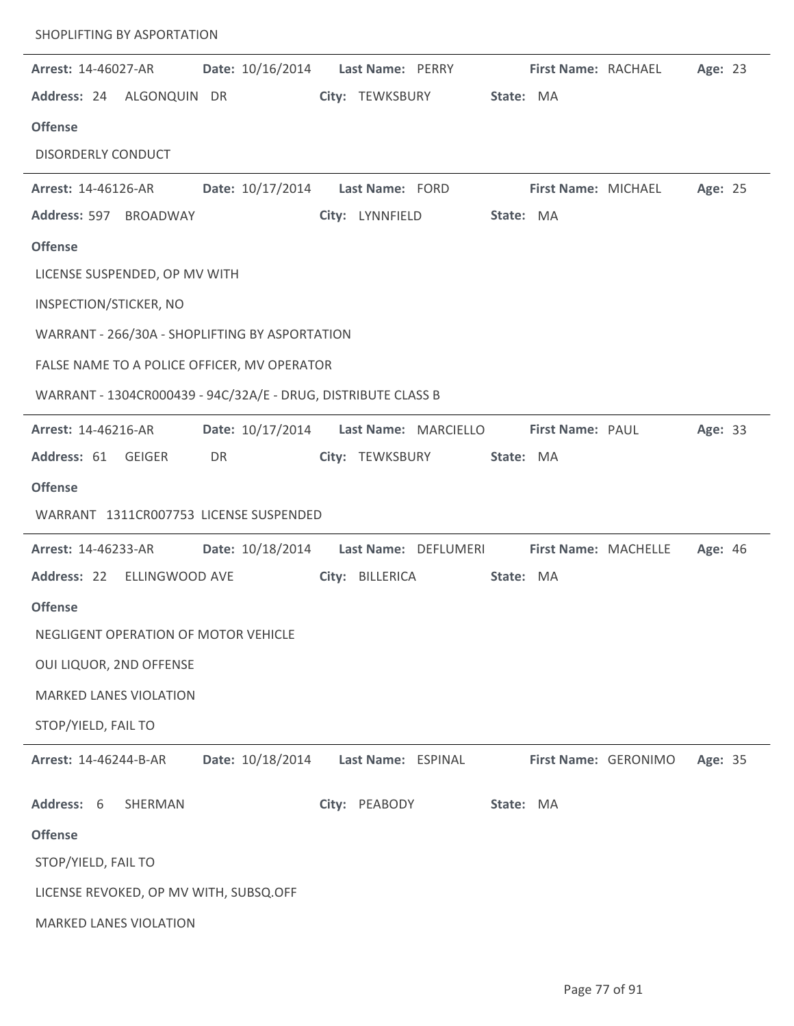| SHOPLIFTING BY ASPORTATION                                    |                  |                    |                      |                      |                      |         |  |
|---------------------------------------------------------------|------------------|--------------------|----------------------|----------------------|----------------------|---------|--|
| <b>Arrest: 14-46027-AR</b>                                    | Date: 10/16/2014 | Last Name: PERRY   |                      | First Name: RACHAEL  |                      | Age: 23 |  |
| Address: 24 ALGONQUIN DR                                      |                  | City: TEWKSBURY    |                      | State: MA            |                      |         |  |
| <b>Offense</b>                                                |                  |                    |                      |                      |                      |         |  |
| <b>DISORDERLY CONDUCT</b>                                     |                  |                    |                      |                      |                      |         |  |
| Arrest: 14-46126-AR                                           | Date: 10/17/2014 | Last Name: FORD    |                      | First Name: MICHAEL  |                      | Age: 25 |  |
| Address: 597 BROADWAY                                         |                  | City: LYNNFIELD    |                      | State: MA            |                      |         |  |
| <b>Offense</b>                                                |                  |                    |                      |                      |                      |         |  |
| LICENSE SUSPENDED, OP MV WITH                                 |                  |                    |                      |                      |                      |         |  |
| INSPECTION/STICKER, NO                                        |                  |                    |                      |                      |                      |         |  |
| WARRANT - 266/30A - SHOPLIFTING BY ASPORTATION                |                  |                    |                      |                      |                      |         |  |
| FALSE NAME TO A POLICE OFFICER, MV OPERATOR                   |                  |                    |                      |                      |                      |         |  |
| WARRANT - 1304CR000439 - 94C/32A/E - DRUG, DISTRIBUTE CLASS B |                  |                    |                      |                      |                      |         |  |
| Arrest: 14-46216-AR                                           | Date: 10/17/2014 |                    | Last Name: MARCIELLO | First Name: PAUL     |                      | Age: 33 |  |
| Address: 61 GEIGER                                            | DR               | City: TEWKSBURY    |                      | State: MA            |                      |         |  |
| <b>Offense</b>                                                |                  |                    |                      |                      |                      |         |  |
| WARRANT 1311CR007753 LICENSE SUSPENDED                        |                  |                    |                      |                      |                      |         |  |
| Arrest: 14-46233-AR                                           | Date: 10/18/2014 |                    | Last Name: DEFLUMERI | First Name: MACHELLE |                      | Age: 46 |  |
| Address: 22<br>ELLINGWOOD AVE                                 |                  | City: BILLERICA    |                      | State: MA            |                      |         |  |
| <b>Offense</b>                                                |                  |                    |                      |                      |                      |         |  |
| NEGLIGENT OPERATION OF MOTOR VEHICLE                          |                  |                    |                      |                      |                      |         |  |
| OUI LIQUOR, 2ND OFFENSE                                       |                  |                    |                      |                      |                      |         |  |
| <b>MARKED LANES VIOLATION</b>                                 |                  |                    |                      |                      |                      |         |  |
| STOP/YIELD, FAIL TO                                           |                  |                    |                      |                      |                      |         |  |
| Arrest: 14-46244-B-AR                                         | Date: 10/18/2014 | Last Name: ESPINAL |                      |                      | First Name: GERONIMO | Age: 35 |  |
| Address: 6<br>SHERMAN                                         |                  | City: PEABODY      |                      | State: MA            |                      |         |  |
| <b>Offense</b>                                                |                  |                    |                      |                      |                      |         |  |
| STOP/YIELD, FAIL TO                                           |                  |                    |                      |                      |                      |         |  |
| LICENSE REVOKED, OP MV WITH, SUBSQ.OFF                        |                  |                    |                      |                      |                      |         |  |
| <b>MARKED LANES VIOLATION</b>                                 |                  |                    |                      |                      |                      |         |  |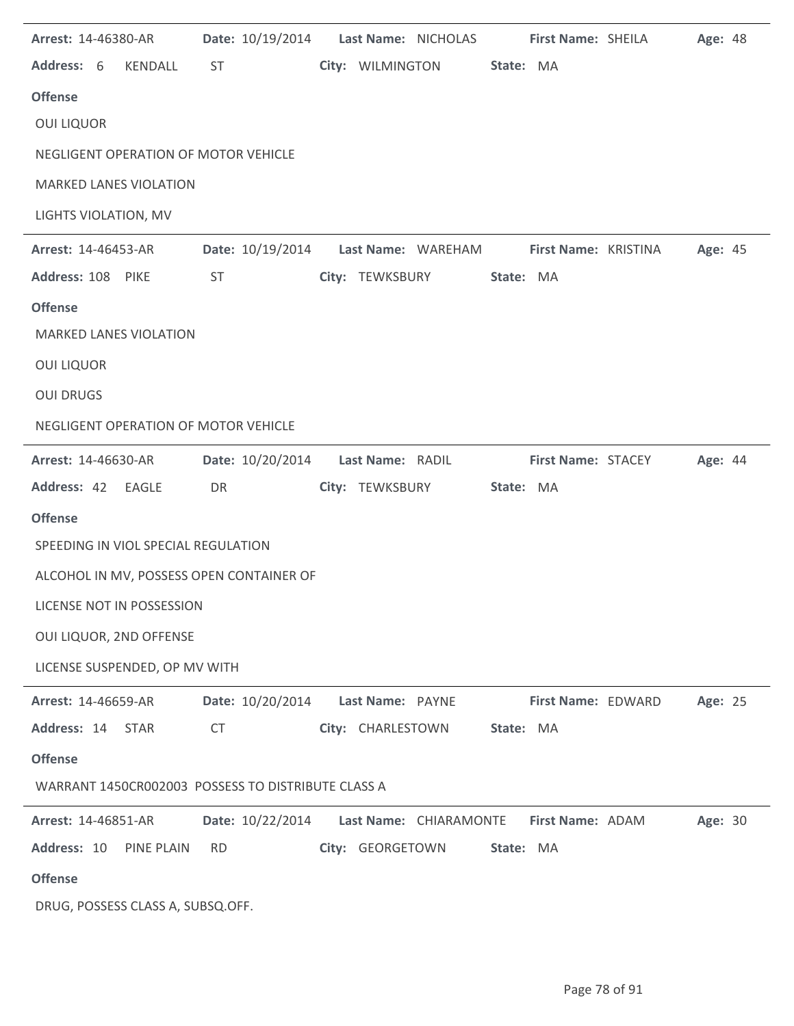| Arrest: 14-46380-AR                                |            |                  |                                      |                   | Date: 10/19/2014    Last Name: NICHOLAS |           | First Name: SHEILA                                       | Age: 48 |  |
|----------------------------------------------------|------------|------------------|--------------------------------------|-------------------|-----------------------------------------|-----------|----------------------------------------------------------|---------|--|
| Address: 6                                         | KENDALL    | <b>ST</b>        |                                      |                   | City: WILMINGTON                        | State: MA |                                                          |         |  |
| <b>Offense</b>                                     |            |                  |                                      |                   |                                         |           |                                                          |         |  |
| <b>OUI LIQUOR</b>                                  |            |                  |                                      |                   |                                         |           |                                                          |         |  |
| NEGLIGENT OPERATION OF MOTOR VEHICLE               |            |                  |                                      |                   |                                         |           |                                                          |         |  |
| <b>MARKED LANES VIOLATION</b>                      |            |                  |                                      |                   |                                         |           |                                                          |         |  |
| LIGHTS VIOLATION, MV                               |            |                  |                                      |                   |                                         |           |                                                          |         |  |
| Arrest: 14-46453-AR                                |            |                  |                                      |                   |                                         |           | Date: 10/19/2014 Last Name: WAREHAM First Name: KRISTINA | Age: 45 |  |
| Address: 108 PIKE                                  |            | <b>ST</b>        |                                      | City: TEWKSBURY   |                                         | State: MA |                                                          |         |  |
| <b>Offense</b>                                     |            |                  |                                      |                   |                                         |           |                                                          |         |  |
| <b>MARKED LANES VIOLATION</b>                      |            |                  |                                      |                   |                                         |           |                                                          |         |  |
| <b>OUI LIQUOR</b>                                  |            |                  |                                      |                   |                                         |           |                                                          |         |  |
| <b>OUI DRUGS</b>                                   |            |                  |                                      |                   |                                         |           |                                                          |         |  |
| NEGLIGENT OPERATION OF MOTOR VEHICLE               |            |                  |                                      |                   |                                         |           |                                                          |         |  |
| <b>Arrest: 14-46630-AR</b>                         |            |                  | Date: 10/20/2014    Last Name: RADIL |                   |                                         |           | <b>First Name: STACEY</b>                                | Age: 44 |  |
| Address: 42 EAGLE                                  |            | DR               |                                      | City: TEWKSBURY   |                                         | State: MA |                                                          |         |  |
| <b>Offense</b>                                     |            |                  |                                      |                   |                                         |           |                                                          |         |  |
| SPEEDING IN VIOL SPECIAL REGULATION                |            |                  |                                      |                   |                                         |           |                                                          |         |  |
| ALCOHOL IN MV, POSSESS OPEN CONTAINER OF           |            |                  |                                      |                   |                                         |           |                                                          |         |  |
| LICENSE NOT IN POSSESSION                          |            |                  |                                      |                   |                                         |           |                                                          |         |  |
| OUI LIQUOR, 2ND OFFENSE                            |            |                  |                                      |                   |                                         |           |                                                          |         |  |
| LICENSE SUSPENDED, OP MV WITH                      |            |                  |                                      |                   |                                         |           |                                                          |         |  |
| Arrest: 14-46659-AR                                |            | Date: 10/20/2014 |                                      | Last Name: PAYNE  |                                         |           | First Name: EDWARD                                       | Age: 25 |  |
| Address: 14                                        | STAR       | <b>CT</b>        |                                      | City: CHARLESTOWN |                                         | State: MA |                                                          |         |  |
| <b>Offense</b>                                     |            |                  |                                      |                   |                                         |           |                                                          |         |  |
| WARRANT 1450CR002003 POSSESS TO DISTRIBUTE CLASS A |            |                  |                                      |                   |                                         |           |                                                          |         |  |
| Arrest: 14-46851-AR                                |            | Date: 10/22/2014 |                                      |                   | Last Name: CHIARAMONTE                  |           | First Name: ADAM                                         | Age: 30 |  |
| Address: 10                                        | PINE PLAIN | <b>RD</b>        |                                      | City: GEORGETOWN  |                                         | State: MA |                                                          |         |  |
| <b>Offense</b>                                     |            |                  |                                      |                   |                                         |           |                                                          |         |  |
| DRUG, POSSESS CLASS A, SUBSQ.OFF.                  |            |                  |                                      |                   |                                         |           |                                                          |         |  |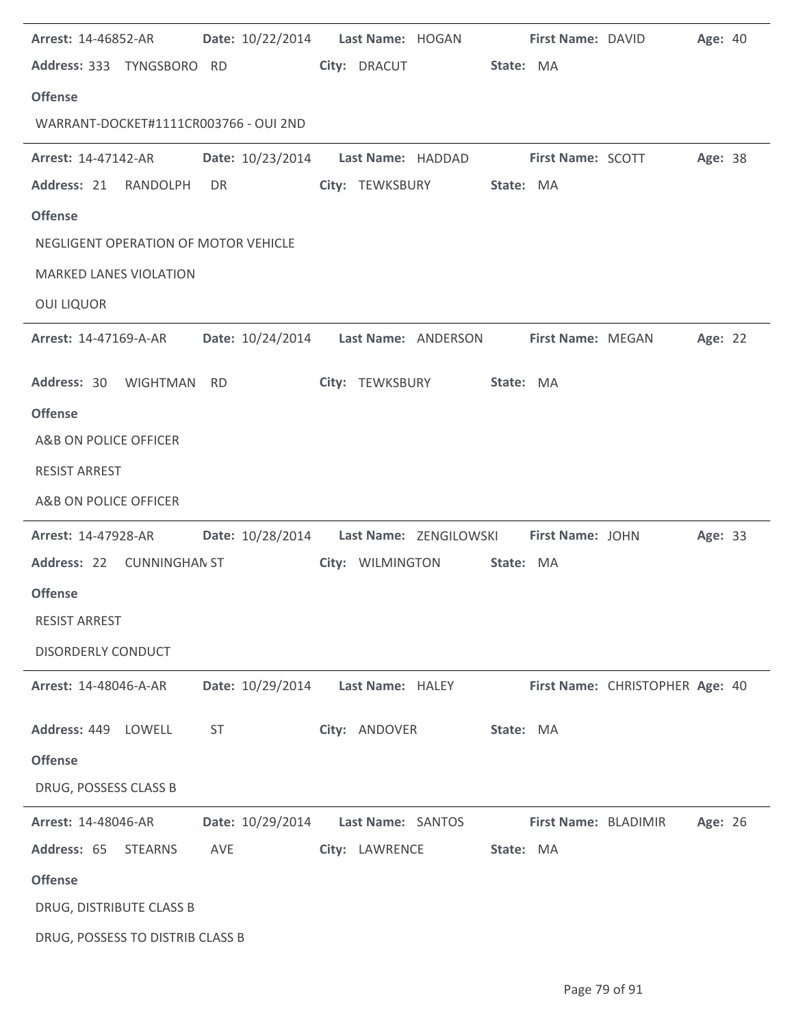| <b>Arrest: 14-46852-AR</b>            |           |                                            |                  | Date: 10/22/2014    Last Name: HOGAN |           | First Name: DAVID        |                                 | Age: 40 |  |
|---------------------------------------|-----------|--------------------------------------------|------------------|--------------------------------------|-----------|--------------------------|---------------------------------|---------|--|
| Address: 333 TYNGSBORO RD             |           |                                            | City: DRACUT     |                                      | State: MA |                          |                                 |         |  |
| <b>Offense</b>                        |           |                                            |                  |                                      |           |                          |                                 |         |  |
| WARRANT-DOCKET#1111CR003766 - OUI 2ND |           |                                            |                  |                                      |           |                          |                                 |         |  |
| <b>Arrest: 14-47142-AR</b>            |           | Date: 10/23/2014 Last Name: HADDAD         |                  |                                      |           | <b>First Name: SCOTT</b> |                                 | Age: 38 |  |
| Address: 21 RANDOLPH                  | DR        |                                            |                  | City: TEWKSBURY                      | State: MA |                          |                                 |         |  |
| <b>Offense</b>                        |           |                                            |                  |                                      |           |                          |                                 |         |  |
| NEGLIGENT OPERATION OF MOTOR VEHICLE  |           |                                            |                  |                                      |           |                          |                                 |         |  |
| <b>MARKED LANES VIOLATION</b>         |           |                                            |                  |                                      |           |                          |                                 |         |  |
| <b>OUI LIQUOR</b>                     |           |                                            |                  |                                      |           |                          |                                 |         |  |
| <b>Arrest: 14-47169-A-AR</b>          |           | Date: 10/24/2014    Last Name: ANDERSON    |                  |                                      |           | First Name: MEGAN        |                                 | Age: 22 |  |
| Address: 30 WIGHTMAN                  | <b>RD</b> |                                            | City: TEWKSBURY  |                                      | State: MA |                          |                                 |         |  |
| <b>Offense</b>                        |           |                                            |                  |                                      |           |                          |                                 |         |  |
| A&B ON POLICE OFFICER                 |           |                                            |                  |                                      |           |                          |                                 |         |  |
| <b>RESIST ARREST</b>                  |           |                                            |                  |                                      |           |                          |                                 |         |  |
| A&B ON POLICE OFFICER                 |           |                                            |                  |                                      |           |                          |                                 |         |  |
|                                       |           |                                            |                  |                                      |           |                          |                                 |         |  |
| Arrest: 14-47928-AR                   |           | Date: 10/28/2014    Last Name: ZENGILOWSKI |                  |                                      |           | First Name: JOHN         |                                 | Age: 33 |  |
| Address: 22 CUNNINGHAN ST             |           |                                            |                  | City: WILMINGTON                     | State: MA |                          |                                 |         |  |
| <b>Offense</b>                        |           |                                            |                  |                                      |           |                          |                                 |         |  |
| <b>RESIST ARREST</b>                  |           |                                            |                  |                                      |           |                          |                                 |         |  |
| <b>DISORDERLY CONDUCT</b>             |           |                                            |                  |                                      |           |                          |                                 |         |  |
| Arrest: 14-48046-A-AR                 |           | Date: 10/29/2014                           | Last Name: HALEY |                                      |           |                          | First Name: CHRISTOPHER Age: 40 |         |  |
| Address: 449 LOWELL                   | <b>ST</b> |                                            | City: ANDOVER    |                                      | State: MA |                          |                                 |         |  |
| <b>Offense</b>                        |           |                                            |                  |                                      |           |                          |                                 |         |  |
| DRUG, POSSESS CLASS B                 |           |                                            |                  |                                      |           |                          |                                 |         |  |
| Arrest: 14-48046-AR                   |           | Date: 10/29/2014                           |                  | Last Name: SANTOS                    |           | First Name: BLADIMIR     |                                 | Age: 26 |  |
| Address: 65<br><b>STEARNS</b>         | AVE       |                                            | City: LAWRENCE   |                                      | State: MA |                          |                                 |         |  |
| <b>Offense</b>                        |           |                                            |                  |                                      |           |                          |                                 |         |  |
| DRUG, DISTRIBUTE CLASS B              |           |                                            |                  |                                      |           |                          |                                 |         |  |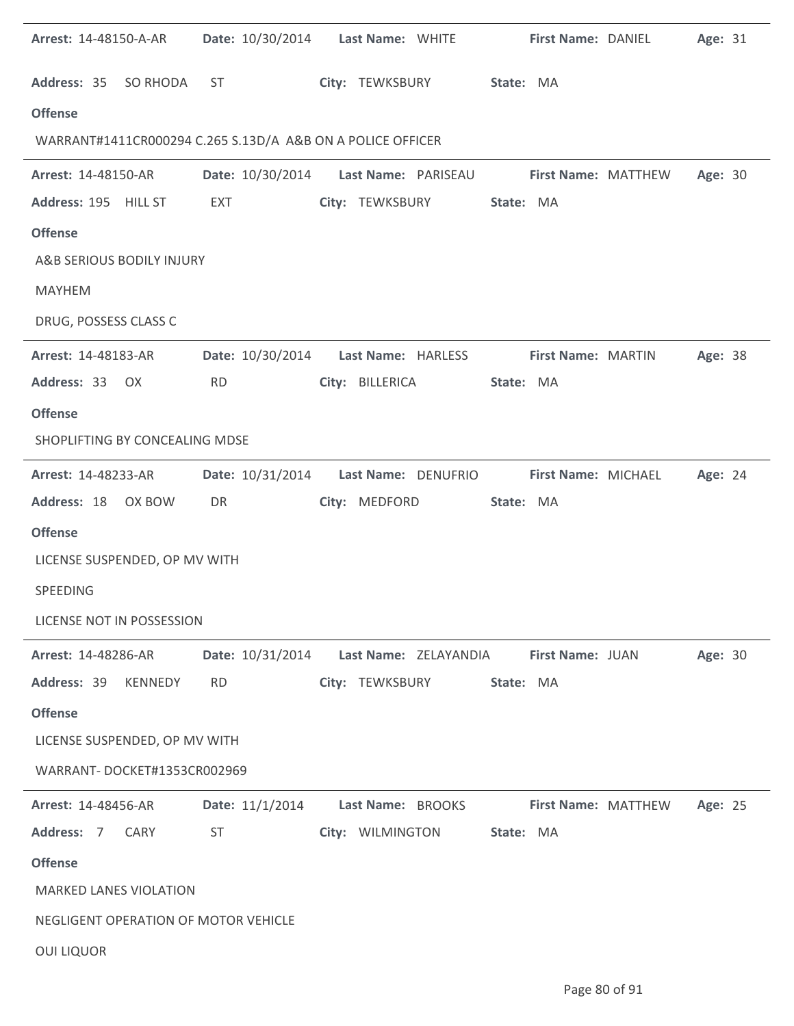| <b>Arrest: 14-48150-A-AR</b>                               |                  | Date: 10/30/2014    Last Name: WHITE    | First Name: DANIEL  | Age: 31 |
|------------------------------------------------------------|------------------|-----------------------------------------|---------------------|---------|
| Address: 35 SO RHODA                                       | <b>ST</b>        | City: TEWKSBURY                         | State: MA           |         |
| <b>Offense</b>                                             |                  |                                         |                     |         |
| WARRANT#1411CR000294 C.265 S.13D/A A&B ON A POLICE OFFICER |                  |                                         |                     |         |
| Arrest: 14-48150-AR                                        | Date: 10/30/2014 | Last Name: PARISEAU                     | First Name: MATTHEW | Age: 30 |
| Address: 195 HILL ST                                       | <b>EXT</b>       | City: TEWKSBURY                         | State: MA           |         |
| <b>Offense</b>                                             |                  |                                         |                     |         |
| A&B SERIOUS BODILY INJURY                                  |                  |                                         |                     |         |
| <b>MAYHEM</b>                                              |                  |                                         |                     |         |
| DRUG, POSSESS CLASS C                                      |                  |                                         |                     |         |
| Arrest: 14-48183-AR                                        |                  | Date: 10/30/2014 Last Name: HARLESS     | First Name: MARTIN  | Age: 38 |
| Address: 33 OX                                             | <b>RD</b>        | City: BILLERICA                         | State: MA           |         |
| <b>Offense</b>                                             |                  |                                         |                     |         |
| SHOPLIFTING BY CONCEALING MDSE                             |                  |                                         |                     |         |
| <b>Arrest: 14-48233-AR</b>                                 |                  | Date: 10/31/2014    Last Name: DENUFRIO | First Name: MICHAEL | Age: 24 |
| Address: 18 OX BOW                                         | DR               | City: MEDFORD                           | State: MA           |         |
| <b>Offense</b>                                             |                  |                                         |                     |         |
| LICENSE SUSPENDED, OP MV WITH                              |                  |                                         |                     |         |
| SPEEDING                                                   |                  |                                         |                     |         |
| LICENSE NOT IN POSSESSION                                  |                  |                                         |                     |         |
| Arrest: 14-48286-AR                                        | Date: 10/31/2014 | Last Name: ZELAYANDIA                   | First Name: JUAN    | Age: 30 |
| Address: 39<br>KENNEDY                                     | <b>RD</b>        | City: TEWKSBURY                         | State: MA           |         |
| <b>Offense</b>                                             |                  |                                         |                     |         |
| LICENSE SUSPENDED, OP MV WITH                              |                  |                                         |                     |         |
| WARRANT-DOCKET#1353CR002969                                |                  |                                         |                     |         |
| Arrest: 14-48456-AR                                        | Date: 11/1/2014  | Last Name: BROOKS                       | First Name: MATTHEW | Age: 25 |
| Address: 7<br>CARY                                         | <b>ST</b>        | City: WILMINGTON                        | State: MA           |         |
| <b>Offense</b>                                             |                  |                                         |                     |         |
| <b>MARKED LANES VIOLATION</b>                              |                  |                                         |                     |         |
| NEGLIGENT OPERATION OF MOTOR VEHICLE                       |                  |                                         |                     |         |
| <b>OUI LIQUOR</b>                                          |                  |                                         |                     |         |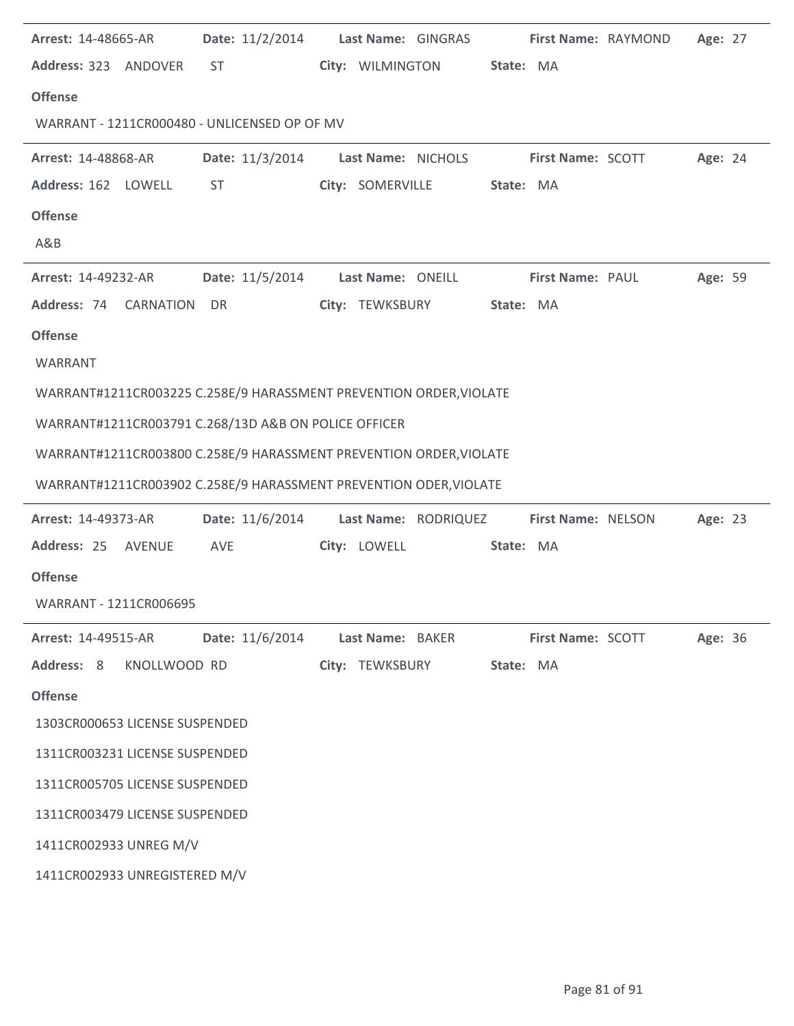| <b>Arrest: 14-48665-AR</b>                                         | Date: 11/2/2014 Last Name: GINGRAS |                    |                      | First Name: RAYMOND      | Age: 27 |  |
|--------------------------------------------------------------------|------------------------------------|--------------------|----------------------|--------------------------|---------|--|
| Address: 323 ANDOVER                                               | ST                                 | City: WILMINGTON   | State: MA            |                          |         |  |
| <b>Offense</b>                                                     |                                    |                    |                      |                          |         |  |
| WARRANT - 1211CR000480 - UNLICENSED OP OF MV                       |                                    |                    |                      |                          |         |  |
| <b>Arrest: 14-48868-AR</b>                                         | Date: 11/3/2014                    | Last Name: NICHOLS |                      | First Name: SCOTT        | Age: 24 |  |
| Address: 162 LOWELL                                                | <b>ST</b>                          | City: SOMERVILLE   | State: MA            |                          |         |  |
| <b>Offense</b>                                                     |                                    |                    |                      |                          |         |  |
| A&B                                                                |                                    |                    |                      |                          |         |  |
| Arrest: 14-49232-AR                                                | Date: 11/5/2014 Last Name: ONEILL  |                    |                      | First Name: PAUL         | Age: 59 |  |
| Address: 74 CARNATION                                              | DR                                 | City: TEWKSBURY    | State: MA            |                          |         |  |
| <b>Offense</b>                                                     |                                    |                    |                      |                          |         |  |
| WARRANT                                                            |                                    |                    |                      |                          |         |  |
| WARRANT#1211CR003225 C.258E/9 HARASSMENT PREVENTION ORDER, VIOLATE |                                    |                    |                      |                          |         |  |
| WARRANT#1211CR003791 C.268/13D A&B ON POLICE OFFICER               |                                    |                    |                      |                          |         |  |
| WARRANT#1211CR003800 C.258E/9 HARASSMENT PREVENTION ORDER, VIOLATE |                                    |                    |                      |                          |         |  |
|                                                                    |                                    |                    |                      |                          |         |  |
| WARRANT#1211CR003902 C.258E/9 HARASSMENT PREVENTION ODER, VIOLATE  |                                    |                    |                      |                          |         |  |
| Arrest: 14-49373-AR                                                | Date: 11/6/2014                    |                    | Last Name: RODRIQUEZ | First Name: NELSON       | Age: 23 |  |
| Address: 25 AVENUE                                                 | AVE                                | City: LOWELL       | State: MA            |                          |         |  |
| <b>Offense</b>                                                     |                                    |                    |                      |                          |         |  |
| WARRANT - 1211CR006695                                             |                                    |                    |                      |                          |         |  |
| <b>Arrest: 14-49515-AR</b>                                         | Date: 11/6/2014                    | Last Name: BAKER   |                      | <b>First Name: SCOTT</b> | Age: 36 |  |
| Address: 8<br>KNOLLWOOD RD                                         |                                    | City: TEWKSBURY    | State: MA            |                          |         |  |
| <b>Offense</b>                                                     |                                    |                    |                      |                          |         |  |
| 1303CR000653 LICENSE SUSPENDED                                     |                                    |                    |                      |                          |         |  |
| 1311CR003231 LICENSE SUSPENDED                                     |                                    |                    |                      |                          |         |  |
| 1311CR005705 LICENSE SUSPENDED                                     |                                    |                    |                      |                          |         |  |
| 1311CR003479 LICENSE SUSPENDED                                     |                                    |                    |                      |                          |         |  |
| 1411CR002933 UNREG M/V                                             |                                    |                    |                      |                          |         |  |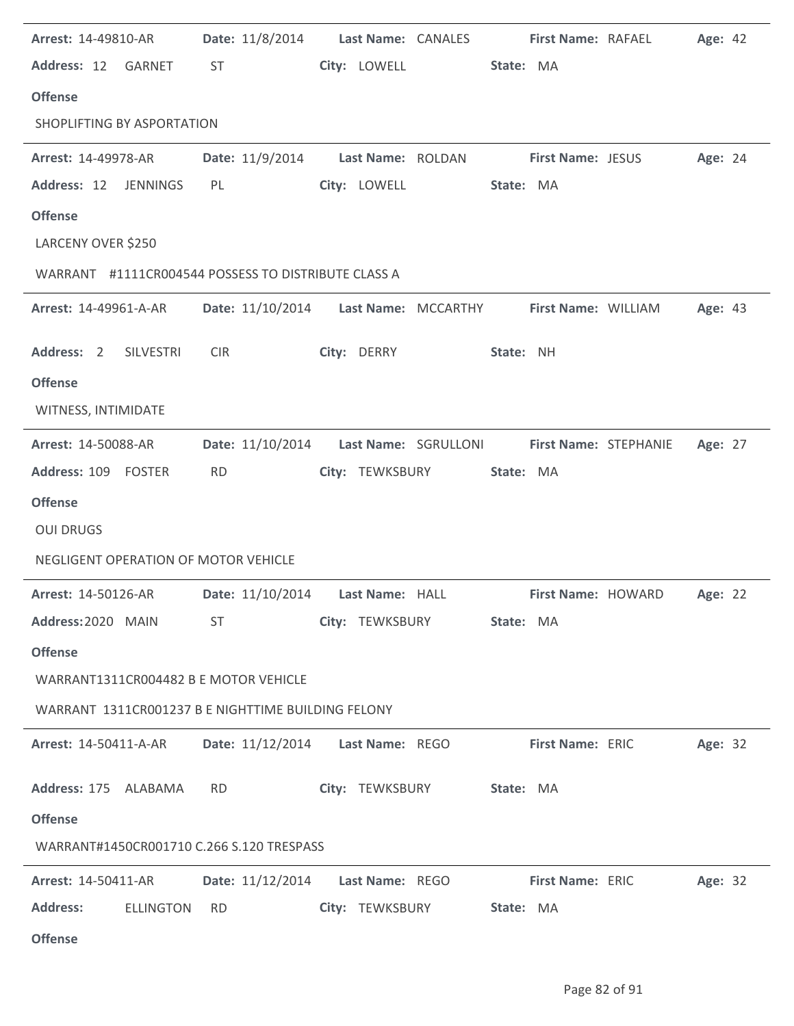| Arrest: 14-49810-AR                                 | Date: 11/8/2014  | Last Name: CANALES                   | First Name: RAFAEL       | Age: 42 |
|-----------------------------------------------------|------------------|--------------------------------------|--------------------------|---------|
| Address: 12 GARNET                                  | ST               | City: LOWELL                         | State: MA                |         |
| <b>Offense</b>                                      |                  |                                      |                          |         |
| SHOPLIFTING BY ASPORTATION                          |                  |                                      |                          |         |
| <b>Arrest: 14-49978-AR</b>                          | Date: 11/9/2014  | Last Name: ROLDAN                    | <b>First Name: JESUS</b> | Age: 24 |
| Address: 12<br><b>JENNINGS</b>                      | PL               | City: LOWELL                         | State: MA                |         |
| <b>Offense</b>                                      |                  |                                      |                          |         |
| LARCENY OVER \$250                                  |                  |                                      |                          |         |
| WARRANT #1111CR004544 POSSESS TO DISTRIBUTE CLASS A |                  |                                      |                          |         |
| <b>Arrest: 14-49961-A-AR</b>                        |                  | Date: 11/10/2014 Last Name: MCCARTHY | First Name: WILLIAM      | Age: 43 |
| Address: 2<br>SILVESTRI                             | <b>CIR</b>       | City: DERRY                          | State: NH                |         |
| <b>Offense</b>                                      |                  |                                      |                          |         |
| WITNESS, INTIMIDATE                                 |                  |                                      |                          |         |
| Arrest: 14-50088-AR                                 | Date: 11/10/2014 | Last Name: SGRULLONI                 | First Name: STEPHANIE    | Age: 27 |
| Address: 109 FOSTER                                 | <b>RD</b>        | City: TEWKSBURY                      | State: MA                |         |
| <b>Offense</b>                                      |                  |                                      |                          |         |
| <b>OUI DRUGS</b>                                    |                  |                                      |                          |         |
| NEGLIGENT OPERATION OF MOTOR VEHICLE                |                  |                                      |                          |         |
| Arrest: 14-50126-AR                                 | Date: 11/10/2014 | Last Name: HALL                      | First Name: HOWARD       | Age: 22 |
| Address: 2020 MAIN                                  | ST               | City: TEWKSBURY                      | State: MA                |         |
| <b>Offense</b>                                      |                  |                                      |                          |         |
| WARRANT1311CR004482 B E MOTOR VEHICLE               |                  |                                      |                          |         |
| WARRANT 1311CR001237 B E NIGHTTIME BUILDING FELONY  |                  |                                      |                          |         |
| <b>Arrest: 14-50411-A-AR</b>                        | Date: 11/12/2014 | Last Name: REGO                      | First Name: ERIC         | Age: 32 |
| Address: 175 ALABAMA                                | <b>RD</b>        | City: TEWKSBURY State: MA            |                          |         |
| <b>Offense</b>                                      |                  |                                      |                          |         |
| WARRANT#1450CR001710 C.266 S.120 TRESPASS           |                  |                                      |                          |         |
| <b>Arrest: 14-50411-AR</b>                          | Date: 11/12/2014 | Last Name: REGO                      | First Name: ERIC         | Age: 32 |
| <b>Address:</b><br><b>ELLINGTON</b>                 | <b>RD</b>        | City: TEWKSBURY                      | State: MA                |         |
| <b>Offense</b>                                      |                  |                                      |                          |         |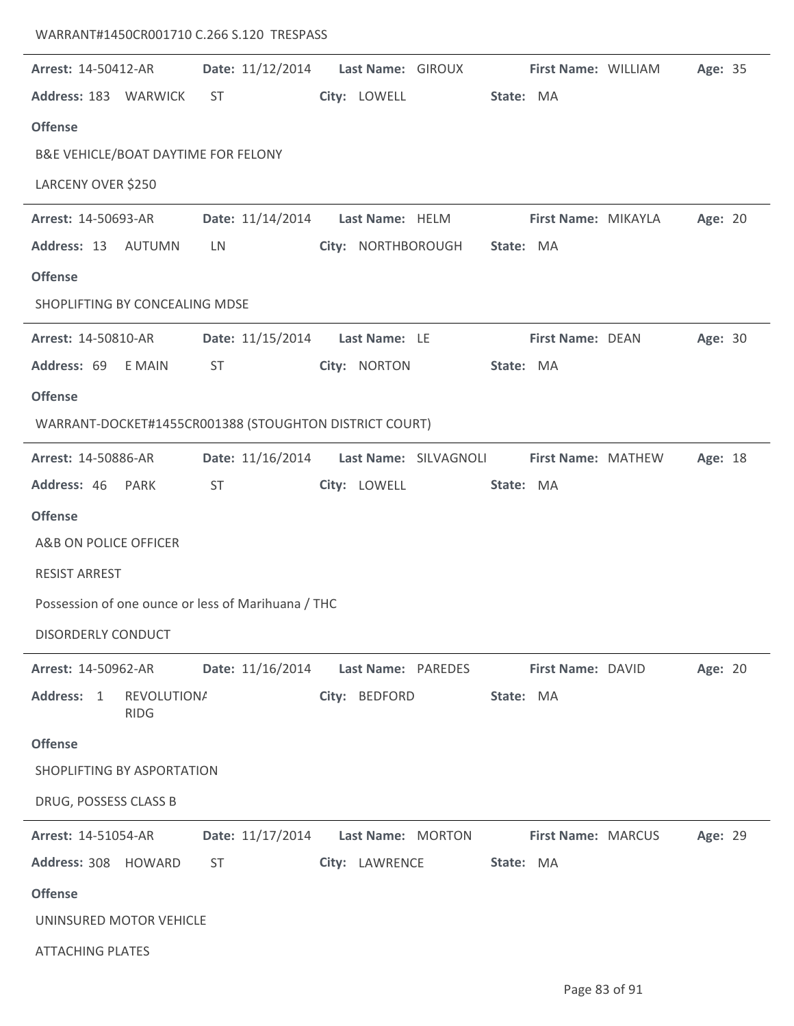## WARRANT#1450CR001710 C.266 S.120 TRESPASS

 $\overline{a}$ 

| Arrest: 14-50412-AR                                    | Date: 11/12/2014                    | Last Name: GIROUX         |                       | First Name: WILLIAM | Age: 35 |
|--------------------------------------------------------|-------------------------------------|---------------------------|-----------------------|---------------------|---------|
| Address: 183 WARWICK                                   | <b>ST</b>                           | City: LOWELL              | State: MA             |                     |         |
| <b>Offense</b>                                         |                                     |                           |                       |                     |         |
| B&E VEHICLE/BOAT DAYTIME FOR FELONY                    |                                     |                           |                       |                     |         |
| LARCENY OVER \$250                                     |                                     |                           |                       |                     |         |
| Arrest: 14-50693-AR                                    | Date: 11/14/2014    Last Name: HELM |                           |                       | First Name: MIKAYLA | Age: 20 |
| Address: 13 AUTUMN                                     | LN                                  | City: NORTHBOROUGH        | State: MA             |                     |         |
| <b>Offense</b>                                         |                                     |                           |                       |                     |         |
| SHOPLIFTING BY CONCEALING MDSE                         |                                     |                           |                       |                     |         |
| <b>Arrest: 14-50810-AR</b>                             | Date: 11/15/2014    Last Name: LE   |                           |                       | First Name: DEAN    | Age: 30 |
| Address: 69 E MAIN                                     | ST                                  | City: NORTON              | State: MA             |                     |         |
| <b>Offense</b>                                         |                                     |                           |                       |                     |         |
| WARRANT-DOCKET#1455CR001388 (STOUGHTON DISTRICT COURT) |                                     |                           |                       |                     |         |
| Arrest: 14-50886-AR                                    | Date: 11/16/2014                    |                           | Last Name: SILVAGNOLI | First Name: MATHEW  | Age: 18 |
| Address: 46 PARK                                       | <b>ST</b>                           | City: LOWELL              | State: MA             |                     |         |
| <b>Offense</b>                                         |                                     |                           |                       |                     |         |
| A&B ON POLICE OFFICER                                  |                                     |                           |                       |                     |         |
| <b>RESIST ARREST</b>                                   |                                     |                           |                       |                     |         |
| Possession of one ounce or less of Marihuana / THC     |                                     |                           |                       |                     |         |
| DISORDERLY CONDUCT                                     |                                     |                           |                       |                     |         |
| Arrest: 14-50962-AR                                    | Date: 11/16/2014                    | <b>Last Name: PAREDES</b> |                       | First Name: DAVID   | Age: 20 |
| Address: 1<br><b>REVOLUTIONA</b><br><b>RIDG</b>        |                                     | City: BEDFORD             | State: MA             |                     |         |
| <b>Offense</b>                                         |                                     |                           |                       |                     |         |
| SHOPLIFTING BY ASPORTATION                             |                                     |                           |                       |                     |         |
| DRUG, POSSESS CLASS B                                  |                                     |                           |                       |                     |         |
| Arrest: 14-51054-AR                                    | Date: 11/17/2014 Last Name: MORTON  |                           |                       | First Name: MARCUS  | Age: 29 |
| Address: 308 HOWARD                                    | ST                                  | City: LAWRENCE            | State: MA             |                     |         |
| <b>Offense</b>                                         |                                     |                           |                       |                     |         |
| UNINSURED MOTOR VEHICLE                                |                                     |                           |                       |                     |         |
| <b>ATTACHING PLATES</b>                                |                                     |                           |                       |                     |         |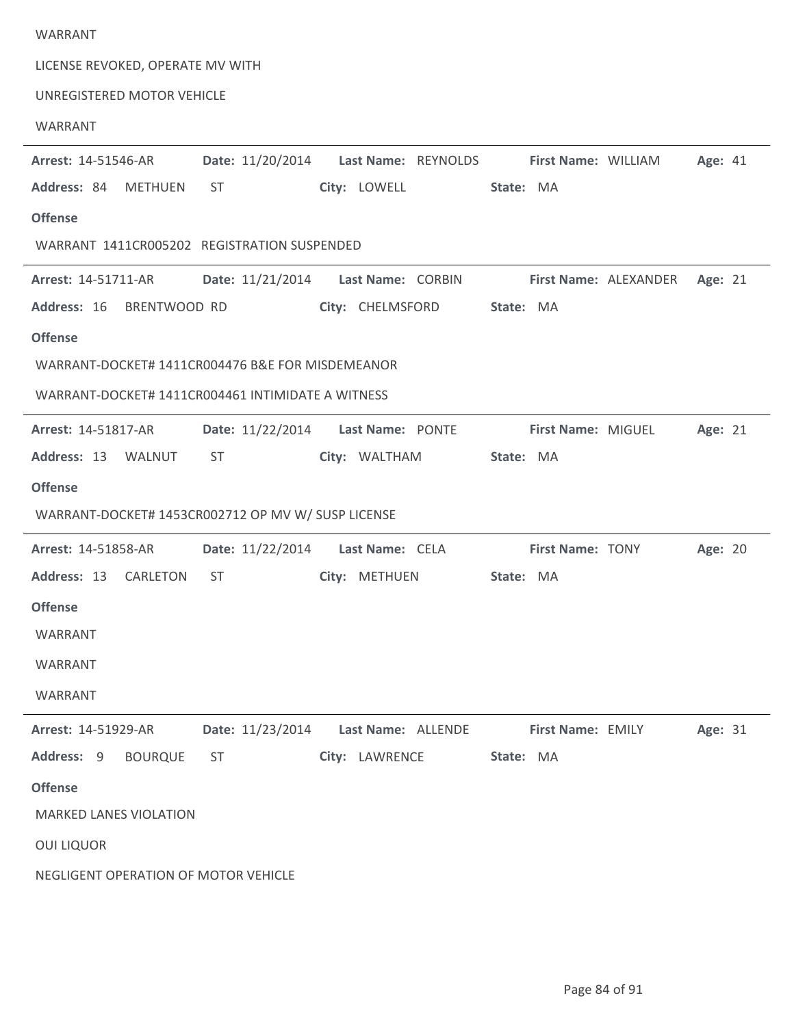## WARRANT LICENSE REVOKED, OPERATE MV WITH UNREGISTERED MOTOR VEHICLE WARRANT Arrest: 14-51546-AR **Date:** 11/20/2014 Last Name: REYNOLDS First Name: WILLIAM Age: 41 84 METHUEN ST LOWELL MA **Address: City: State: Offense** Arrest: 14-51546-AR WARRANT 1411CR005202 REGISTRATION SUSPENDED Arrest: 14-51711-AR **Date:** 11/21/2014 Last Name: CORBIN **First Name:** ALEXANDER Age: 21 16 BRENTWOOD RD CHELMSFORD MA **Address: City: State: Offense** Arrest: 14-51711-AR WARRANT-DOCKET# 1411CR004476 B&E FOR MISDEMEANOR WARRANT-DOCKET# 1411CR004461 INTIMIDATE A WITNESS Arrest: 14-51817-AR **Date:** 11/22/2014 Last Name: PONTE **First Name:** MIGUEL Age: 21 13 WALNUT ST WALTHAM MA **Address: City: State: Offense** Arrest: 14-51817-AR WARRANT-DOCKET# 1453CR002712 OP MV W/ SUSP LICENSE **Arrest:** 14-51858-AR **Date:** 11/22/2014 **Last Name:** CELA **First Name:** TONY **Age:** 20 13 CARLETON ST METHUEN MA **Address: City: State: Offense** Arrest: 14-51858-AR WARRANT WARRANT WARRANT 11/23/2014 ALLENDE EMILY 31 **Arrest: Date: Last Name: First Name: Age:** 14-51929-AR City: LAWRENCE State: MA Address: 9 BOURQUE ST **Offense** MARKED LANES VIOLATION OUI LIQUOR

NEGLIGENT OPERATION OF MOTOR VEHICLE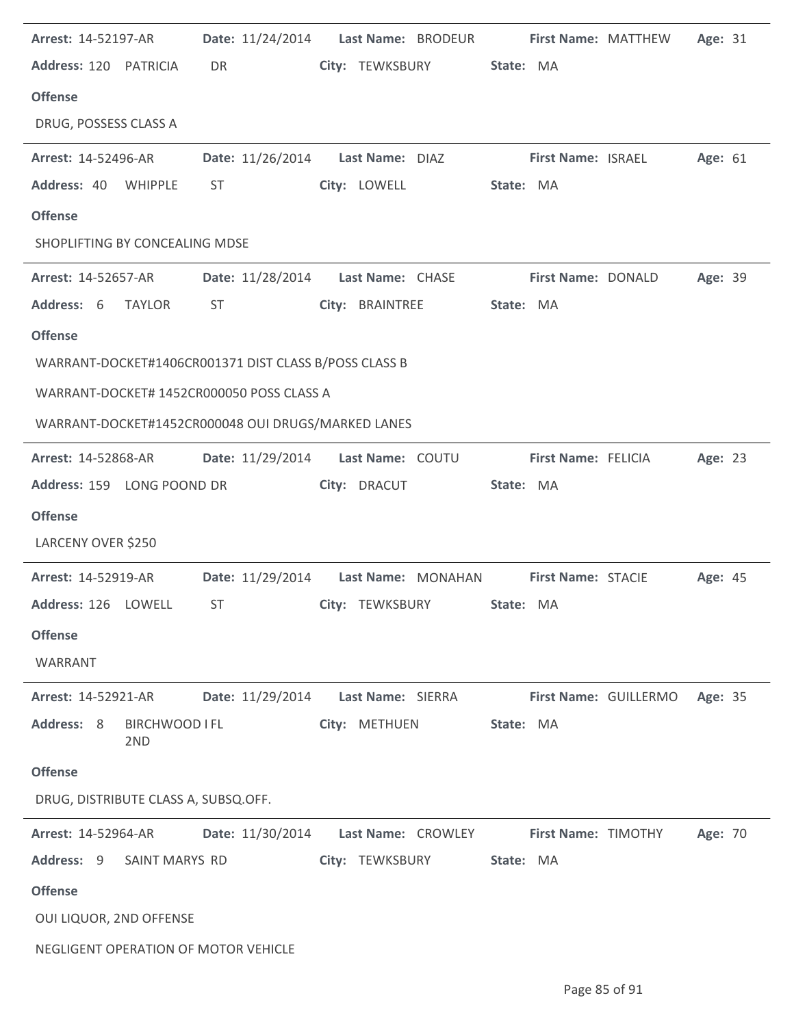| <b>Arrest: 14-52197-AR</b>                            |                  | Date: 11/24/2014    Last Name: BRODEUR                       |           | First Name: MATTHEW        |                       | Age: 31 |  |
|-------------------------------------------------------|------------------|--------------------------------------------------------------|-----------|----------------------------|-----------------------|---------|--|
| Address: 120 PATRICIA                                 | DR               | City: TEWKSBURY                                              | State: MA |                            |                       |         |  |
| <b>Offense</b>                                        |                  |                                                              |           |                            |                       |         |  |
| DRUG, POSSESS CLASS A                                 |                  |                                                              |           |                            |                       |         |  |
| Arrest: 14-52496-AR                                   |                  | Date: 11/26/2014    Last Name: DIAZ                          |           | <b>First Name: ISRAEL</b>  |                       | Age: 61 |  |
| Address: 40<br>WHIPPLE                                | ST               | City: LOWELL                                                 | State: MA |                            |                       |         |  |
| <b>Offense</b>                                        |                  |                                                              |           |                            |                       |         |  |
| SHOPLIFTING BY CONCEALING MDSE                        |                  |                                                              |           |                            |                       |         |  |
| <b>Arrest: 14-52657-AR</b>                            |                  | Date: 11/28/2014 Last Name: CHASE                            |           | <b>First Name: DONALD</b>  |                       | Age: 39 |  |
| Address: 6 TAYLOR                                     | ST               | City: BRAINTREE                                              | State: MA |                            |                       |         |  |
| <b>Offense</b>                                        |                  |                                                              |           |                            |                       |         |  |
| WARRANT-DOCKET#1406CR001371 DIST CLASS B/POSS CLASS B |                  |                                                              |           |                            |                       |         |  |
| WARRANT-DOCKET# 1452CR000050 POSS CLASS A             |                  |                                                              |           |                            |                       |         |  |
| WARRANT-DOCKET#1452CR000048 OUI DRUGS/MARKED LANES    |                  |                                                              |           |                            |                       |         |  |
| <b>Arrest: 14-52868-AR</b>                            |                  | Date: 11/29/2014 Last Name: COUTU                            |           | First Name: FELICIA        |                       | Age: 23 |  |
| Address: 159 LONG POOND DR                            |                  | City: DRACUT                                                 | State: MA |                            |                       |         |  |
|                                                       |                  |                                                              |           |                            |                       |         |  |
| <b>Offense</b>                                        |                  |                                                              |           |                            |                       |         |  |
| LARCENY OVER \$250                                    |                  |                                                              |           |                            |                       |         |  |
| <b>Arrest: 14-52919-AR</b>                            |                  | Date: 11/29/2014    Last Name: MONAHAN    First Name: STACIE |           |                            |                       | Age: 45 |  |
| Address: 126 LOWELL                                   | ST               | City: TEWKSBURY                                              | State: MA |                            |                       |         |  |
| <b>Offense</b>                                        |                  |                                                              |           |                            |                       |         |  |
| WARRANT                                               |                  |                                                              |           |                            |                       |         |  |
| Arrest: 14-52921-AR                                   | Date: 11/29/2014 | Last Name: SIERRA                                            |           |                            | First Name: GUILLERMO | Age: 35 |  |
| Address: 8<br>BIRCHWOOD I FL<br>2 <sub>ND</sub>       |                  | City: METHUEN                                                | State: MA |                            |                       |         |  |
| <b>Offense</b>                                        |                  |                                                              |           |                            |                       |         |  |
| DRUG, DISTRIBUTE CLASS A, SUBSQ.OFF.                  |                  |                                                              |           |                            |                       |         |  |
| <b>Arrest: 14-52964-AR</b>                            | Date: 11/30/2014 | Last Name: CROWLEY                                           |           | <b>First Name: TIMOTHY</b> |                       | Age: 70 |  |
| Address: 9<br>SAINT MARYS RD                          |                  | City: TEWKSBURY                                              | State: MA |                            |                       |         |  |
| <b>Offense</b>                                        |                  |                                                              |           |                            |                       |         |  |
| OUI LIQUOR, 2ND OFFENSE                               |                  |                                                              |           |                            |                       |         |  |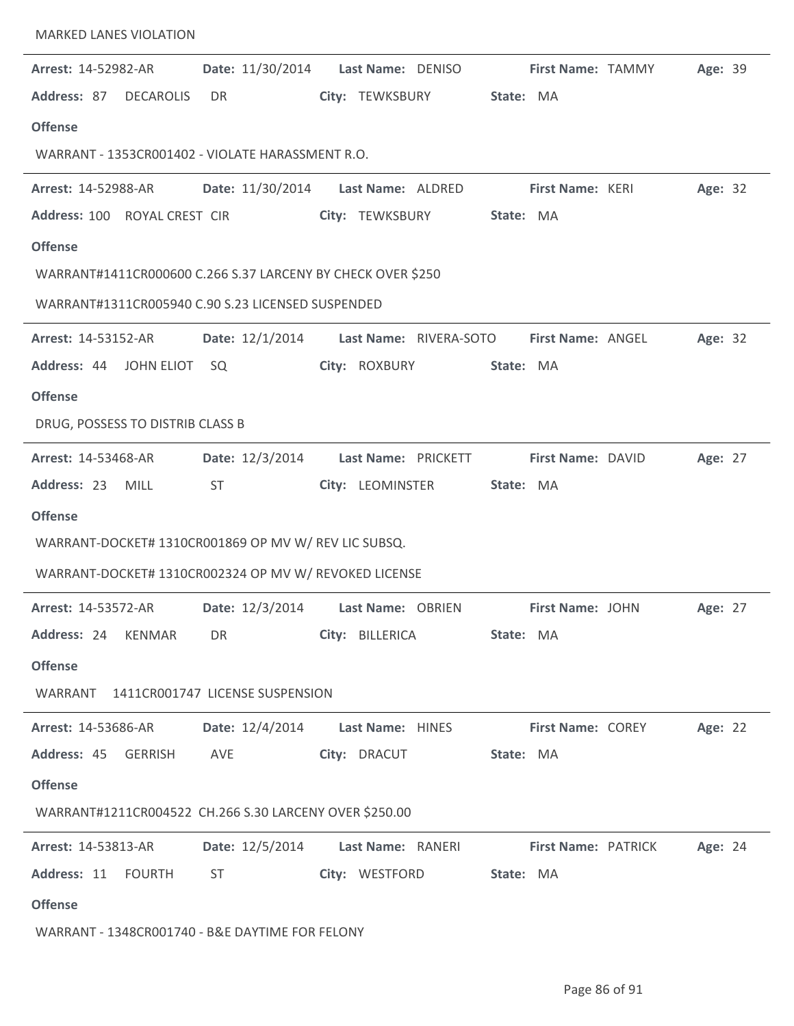| Arrest: 14-52982-AR<br>Address: 87<br><b>DECAROLIS</b><br><b>Offense</b> | Date: 11/30/2014<br>DR | Last Name: DENISO<br>City: TEWKSBURY  | First Name: TAMMY<br>State: MA | Age: 39 |
|--------------------------------------------------------------------------|------------------------|---------------------------------------|--------------------------------|---------|
| WARRANT - 1353CR001402 - VIOLATE HARASSMENT R.O.                         |                        |                                       |                                |         |
| Arrest: 14-52988-AR                                                      |                        | Date: 11/30/2014    Last Name: ALDRED | First Name: KERI               | Age: 32 |
| Address: 100 ROYAL CREST CIR                                             |                        | City: TEWKSBURY                       | State: MA                      |         |
| <b>Offense</b>                                                           |                        |                                       |                                |         |
| WARRANT#1411CR000600 C.266 S.37 LARCENY BY CHECK OVER \$250              |                        |                                       |                                |         |
| WARRANT#1311CR005940 C.90 S.23 LICENSED SUSPENDED                        |                        |                                       |                                |         |
| <b>Arrest: 14-53152-AR</b>                                               | Date: 12/1/2014        | Last Name: RIVERA-SOTO                | First Name: ANGEL              | Age: 32 |
| Address: 44 JOHN ELIOT                                                   | SQ                     | City: ROXBURY                         | State: MA                      |         |
| <b>Offense</b>                                                           |                        |                                       |                                |         |
| DRUG, POSSESS TO DISTRIB CLASS B                                         |                        |                                       |                                |         |
| Arrest: 14-53468-AR                                                      | Date: 12/3/2014        | Last Name: PRICKETT                   | First Name: DAVID              | Age: 27 |
| Address: 23<br><b>MILL</b>                                               | <b>ST</b>              | City: LEOMINSTER                      | State: MA                      |         |
| <b>Offense</b>                                                           |                        |                                       |                                |         |
| WARRANT-DOCKET# 1310CR001869 OP MV W/ REV LIC SUBSQ.                     |                        |                                       |                                |         |
| WARRANT-DOCKET# 1310CR002324 OP MV W/ REVOKED LICENSE                    |                        |                                       |                                |         |
| Arrest: 14-53572-AR                                                      |                        | Date: 12/3/2014 Last Name: OBRIEN     | First Name: JOHN               | Age: 27 |
| Address: 24 KENMAR                                                       | DR <sub>2</sub>        | City: BILLERICA                       | State: MA                      |         |
| <b>Offense</b>                                                           |                        |                                       |                                |         |
| WARRANT 1411CR001747 LICENSE SUSPENSION                                  |                        |                                       |                                |         |
| <b>Arrest: 14-53686-AR</b>                                               |                        | Date: 12/4/2014 Last Name: HINES      | <b>First Name: COREY</b>       | Age: 22 |
| Address: 45 GERRISH                                                      | AVE                    | City: DRACUT                          | State: MA                      |         |
| <b>Offense</b>                                                           |                        |                                       |                                |         |
| WARRANT#1211CR004522 CH.266 S.30 LARCENY OVER \$250.00                   |                        |                                       |                                |         |
| <b>Arrest: 14-53813-AR</b>                                               |                        | Date: 12/5/2014 Last Name: RANERI     | <b>First Name: PATRICK</b>     | Age: 24 |
| Address: 11 FOURTH                                                       | ST                     | City: WESTFORD                        | State: MA                      |         |
| <b>Offense</b>                                                           |                        |                                       |                                |         |
| WARRANT - 1348CR001740 - B&E DAYTIME FOR FELONY                          |                        |                                       |                                |         |

MARKED LANES VIOLATION

 $\mathbb{R}^2$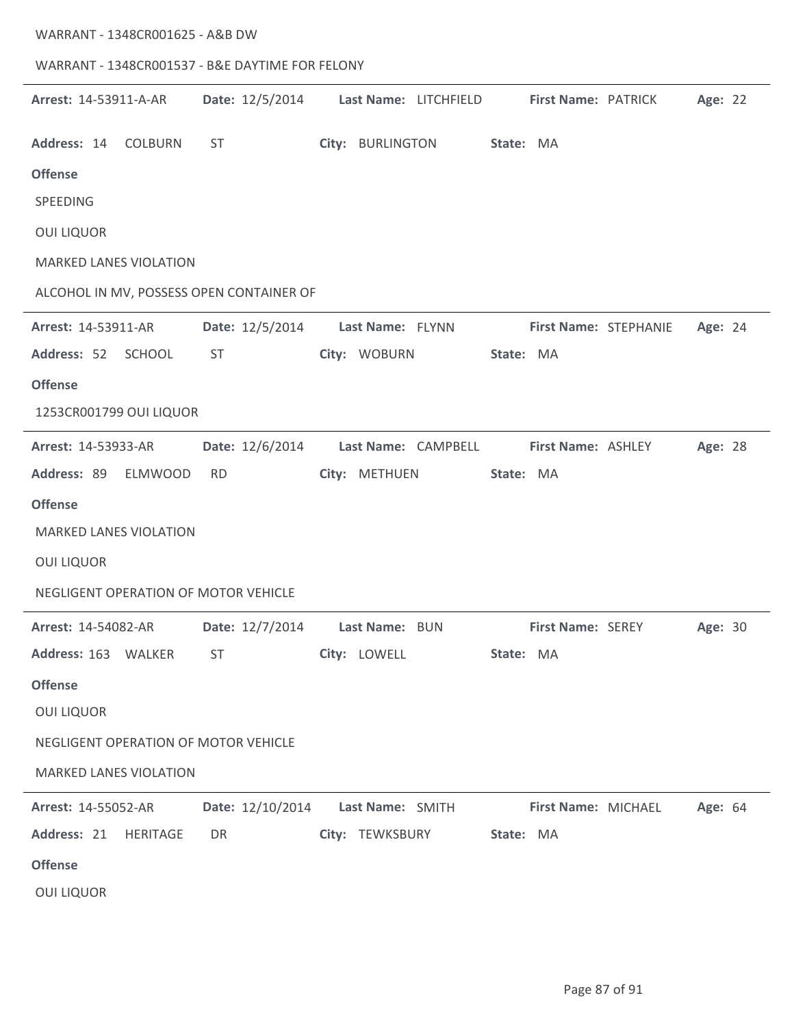| WARRANT - 1348CR001625 - A&B DW      |               |                                                               |                       |           |                       |                           |         |  |
|--------------------------------------|---------------|---------------------------------------------------------------|-----------------------|-----------|-----------------------|---------------------------|---------|--|
|                                      |               | WARRANT - 1348CR001537 - B&E DAYTIME FOR FELONY               |                       |           |                       |                           |         |  |
| Arrest: 14-53911-A-AR                |               | Date: 12/5/2014                                               | Last Name: LITCHFIELD |           | First Name: PATRICK   |                           | Age: 22 |  |
| Address: 14 COLBURN                  |               | ST                                                            | City: BURLINGTON      | State: MA |                       |                           |         |  |
| <b>Offense</b>                       |               |                                                               |                       |           |                       |                           |         |  |
| SPEEDING                             |               |                                                               |                       |           |                       |                           |         |  |
| <b>OUI LIQUOR</b>                    |               |                                                               |                       |           |                       |                           |         |  |
| <b>MARKED LANES VIOLATION</b>        |               |                                                               |                       |           |                       |                           |         |  |
|                                      |               | ALCOHOL IN MV, POSSESS OPEN CONTAINER OF                      |                       |           |                       |                           |         |  |
| Arrest: 14-53911-AR                  |               | Date: 12/5/2014                                               | Last Name: FLYNN      |           | First Name: STEPHANIE |                           | Age: 24 |  |
| Address: 52                          | <b>SCHOOL</b> | <b>ST</b>                                                     | City: WOBURN          | State: MA |                       |                           |         |  |
| <b>Offense</b>                       |               |                                                               |                       |           |                       |                           |         |  |
| 1253CR001799 OUI LIQUOR              |               |                                                               |                       |           |                       |                           |         |  |
| Arrest: 14-53933-AR                  |               | Date: 12/6/2014                                               | Last Name: CAMPBELL   |           | First Name: ASHLEY    |                           | Age: 28 |  |
| Address: 89 ELMWOOD                  |               | <b>RD</b>                                                     | City: METHUEN         | State: MA |                       |                           |         |  |
| <b>Offense</b>                       |               |                                                               |                       |           |                       |                           |         |  |
| <b>MARKED LANES VIOLATION</b>        |               |                                                               |                       |           |                       |                           |         |  |
| <b>OUI LIQUOR</b>                    |               |                                                               |                       |           |                       |                           |         |  |
| NEGLIGENT OPERATION OF MOTOR VEHICLE |               |                                                               |                       |           |                       |                           |         |  |
| <b>Arrest: 14-54082-AR</b>           |               | Date: 12/7/2014 Last Name: BUN                                |                       |           |                       | First Name: SEREY Age: 30 |         |  |
| Address: 163 WALKER ST               |               |                                                               | City: LOWELL          | State: MA |                       |                           |         |  |
| <b>Offense</b>                       |               |                                                               |                       |           |                       |                           |         |  |
| <b>OUI LIQUOR</b>                    |               |                                                               |                       |           |                       |                           |         |  |
| NEGLIGENT OPERATION OF MOTOR VEHICLE |               |                                                               |                       |           |                       |                           |         |  |
| <b>MARKED LANES VIOLATION</b>        |               |                                                               |                       |           |                       |                           |         |  |
| <b>Arrest: 14-55052-AR</b>           |               | Date: 12/10/2014 Last Name: SMITH First Name: MICHAEL Age: 64 |                       |           |                       |                           |         |  |
| Address: 21 HERITAGE                 |               | DR <sub>2</sub>                                               | City: TEWKSBURY       | State: MA |                       |                           |         |  |
| <b>Offense</b>                       |               |                                                               |                       |           |                       |                           |         |  |
| <b>OUI LIQUOR</b>                    |               |                                                               |                       |           |                       |                           |         |  |

 $\sim$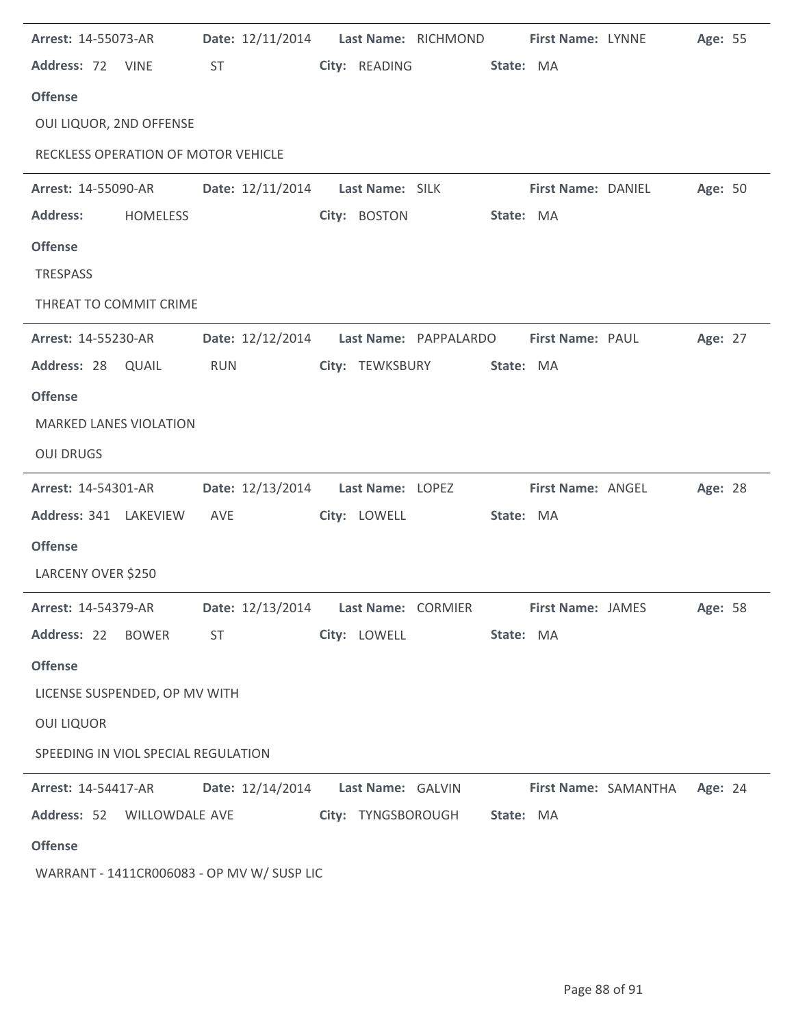| Arrest: 14-55073-AR                                                   |                 |            | Date: 12/11/2014    Last Name: RICHMOND    First Name: LYNNE |              |                              |           |                           |                              | Age: 55 |  |
|-----------------------------------------------------------------------|-----------------|------------|--------------------------------------------------------------|--------------|------------------------------|-----------|---------------------------|------------------------------|---------|--|
| Address: 72 VINE                                                      |                 | <b>ST</b>  |                                                              |              | City: READING                | State: MA |                           |                              |         |  |
| <b>Offense</b>                                                        |                 |            |                                                              |              |                              |           |                           |                              |         |  |
| OUI LIQUOR, 2ND OFFENSE                                               |                 |            |                                                              |              |                              |           |                           |                              |         |  |
| RECKLESS OPERATION OF MOTOR VEHICLE                                   |                 |            |                                                              |              |                              |           |                           |                              |         |  |
| <b>Arrest: 14-55090-AR</b>                                            |                 |            | Date: 12/11/2014    Last Name: SILK                          |              |                              |           | <b>First Name: DANIEL</b> |                              | Age: 50 |  |
| <b>Address:</b>                                                       | <b>HOMELESS</b> |            |                                                              | City: BOSTON |                              | State: MA |                           |                              |         |  |
| <b>Offense</b>                                                        |                 |            |                                                              |              |                              |           |                           |                              |         |  |
| TRESPASS                                                              |                 |            |                                                              |              |                              |           |                           |                              |         |  |
| THREAT TO COMMIT CRIME                                                |                 |            |                                                              |              |                              |           |                           |                              |         |  |
| <b>Arrest: 14-55230-AR</b>                                            |                 |            | Date: 12/12/2014    Last Name: PAPPALARDO                    |              |                              |           | <b>First Name: PAUL</b>   |                              | Age: 27 |  |
| Address: 28 QUAIL                                                     |                 | <b>RUN</b> |                                                              |              | City: TEWKSBURY              | State: MA |                           |                              |         |  |
| <b>Offense</b>                                                        |                 |            |                                                              |              |                              |           |                           |                              |         |  |
| <b>MARKED LANES VIOLATION</b>                                         |                 |            |                                                              |              |                              |           |                           |                              |         |  |
| <b>OUI DRUGS</b>                                                      |                 |            |                                                              |              |                              |           |                           |                              |         |  |
| <b>Arrest: 14-54301-AR</b>                                            |                 |            | Date: 12/13/2014    Last Name: LOPEZ                         |              |                              |           | First Name: ANGEL         |                              | Age: 28 |  |
| Address: 341 LAKEVIEW                                                 |                 | AVE        |                                                              | City: LOWELL |                              | State: MA |                           |                              |         |  |
| <b>Offense</b>                                                        |                 |            |                                                              |              |                              |           |                           |                              |         |  |
| LARCENY OVER \$250                                                    |                 |            |                                                              |              |                              |           |                           |                              |         |  |
| Arrest: 14-54379-AR        Date: 12/13/2014        Last Name: CORMIER |                 |            |                                                              |              |                              |           | <b>First Name: JAMES</b>  |                              | Age: 58 |  |
| Address: 22 BOWER                                                     |                 | <b>ST</b>  |                                                              | City: LOWELL |                              | State: MA |                           |                              |         |  |
| <b>Offense</b>                                                        |                 |            |                                                              |              |                              |           |                           |                              |         |  |
| LICENSE SUSPENDED, OP MV WITH                                         |                 |            |                                                              |              |                              |           |                           |                              |         |  |
| <b>OUI LIQUOR</b>                                                     |                 |            |                                                              |              |                              |           |                           |                              |         |  |
| SPEEDING IN VIOL SPECIAL REGULATION                                   |                 |            |                                                              |              |                              |           |                           |                              |         |  |
| Arrest: 14-54417-AR   Date: 12/14/2014   Last Name: GALVIN            |                 |            |                                                              |              |                              |           |                           | First Name: SAMANTHA Age: 24 |         |  |
| Address: 52 WILLOWDALE AVE                                            |                 |            |                                                              |              | City: TYNGSBOROUGH State: MA |           |                           |                              |         |  |
| <b>Offense</b>                                                        |                 |            |                                                              |              |                              |           |                           |                              |         |  |
| WARRANT - 1411CR006083 - OP MV W/ SUSP LIC                            |                 |            |                                                              |              |                              |           |                           |                              |         |  |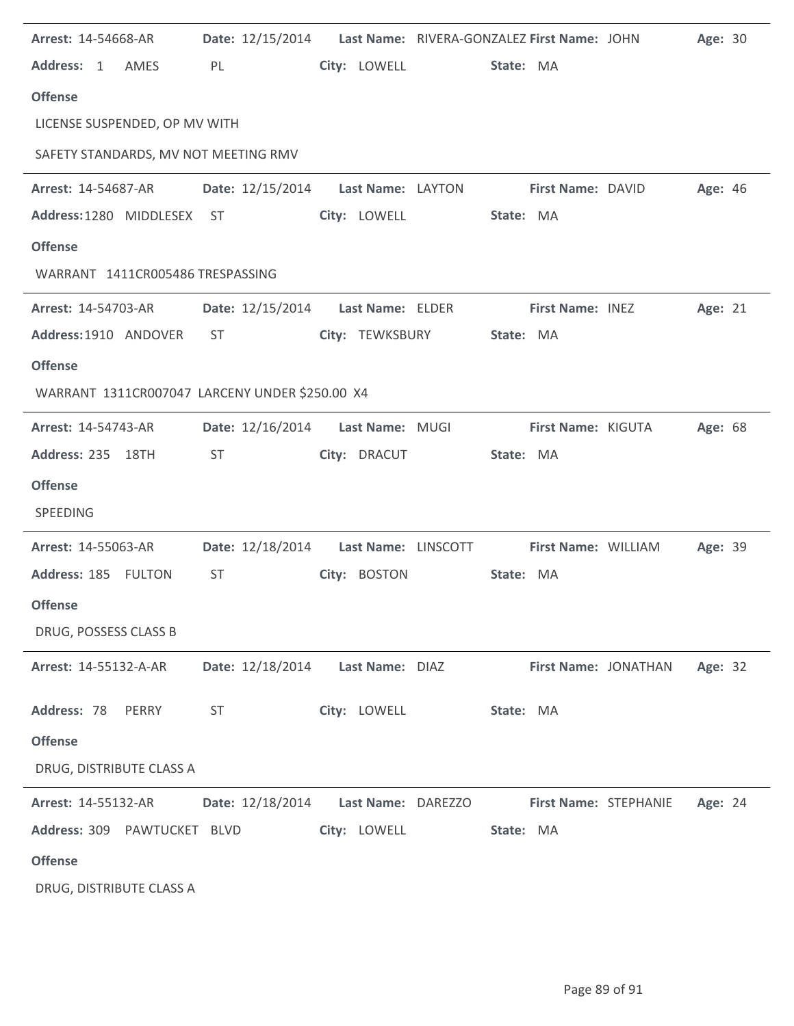| Arrest: 14-54668-AR                            |                                    |                    | Date: 12/15/2014 Last Name: RIVERA-GONZALEZ First Name: JOHN |                       | Age: 30 |  |
|------------------------------------------------|------------------------------------|--------------------|--------------------------------------------------------------|-----------------------|---------|--|
| Address: 1<br>AMES                             | PL                                 | City: LOWELL       | State: MA                                                    |                       |         |  |
| <b>Offense</b>                                 |                                    |                    |                                                              |                       |         |  |
| LICENSE SUSPENDED, OP MV WITH                  |                                    |                    |                                                              |                       |         |  |
| SAFETY STANDARDS, MV NOT MEETING RMV           |                                    |                    |                                                              |                       |         |  |
| <b>Arrest: 14-54687-AR</b>                     | Date: 12/15/2014 Last Name: LAYTON |                    |                                                              | First Name: DAVID     | Age: 46 |  |
| Address: 1280 MIDDLESEX ST                     |                                    | City: LOWELL       | State: MA                                                    |                       |         |  |
| <b>Offense</b>                                 |                                    |                    |                                                              |                       |         |  |
| WARRANT 1411CR005486 TRESPASSING               |                                    |                    |                                                              |                       |         |  |
| <b>Arrest: 14-54703-AR</b>                     | Date: 12/15/2014                   | Last Name: ELDER   |                                                              | First Name: INEZ      | Age: 21 |  |
| Address: 1910 ANDOVER                          | ST                                 | City: TEWKSBURY    | State: MA                                                    |                       |         |  |
| <b>Offense</b>                                 |                                    |                    |                                                              |                       |         |  |
| WARRANT 1311CR007047 LARCENY UNDER \$250.00 X4 |                                    |                    |                                                              |                       |         |  |
| Arrest: 14-54743-AR                            | Date: 12/16/2014                   | Last Name: MUGI    |                                                              | First Name: KIGUTA    | Age: 68 |  |
| Address: 235 18TH                              | <b>ST</b>                          | City: DRACUT       | State: MA                                                    |                       |         |  |
| <b>Offense</b>                                 |                                    |                    |                                                              |                       |         |  |
| SPEEDING                                       |                                    |                    |                                                              |                       |         |  |
| Arrest: 14-55063-AR                            | Date: 12/18/2014                   |                    | Last Name: LINSCOTT First Name: WILLIAM                      |                       | Age: 39 |  |
| Address: 185 FULTON                            | <b>ST</b>                          | City: BOSTON       | State: MA                                                    |                       |         |  |
| <b>Offense</b>                                 |                                    |                    |                                                              |                       |         |  |
| DRUG, POSSESS CLASS B                          |                                    |                    |                                                              |                       |         |  |
| Arrest: 14-55132-A-AR                          | Date: 12/18/2014                   | Last Name: DIAZ    |                                                              | First Name: JONATHAN  | Age: 32 |  |
| Address: 78<br>PERRY                           | <b>ST</b>                          | City: LOWELL       | State: MA                                                    |                       |         |  |
| <b>Offense</b>                                 |                                    |                    |                                                              |                       |         |  |
| DRUG, DISTRIBUTE CLASS A                       |                                    |                    |                                                              |                       |         |  |
| Arrest: 14-55132-AR                            | Date: 12/18/2014                   | Last Name: DAREZZO |                                                              | First Name: STEPHANIE | Age: 24 |  |
| Address: 309 PAWTUCKET BLVD                    |                                    | City: LOWELL       | State: MA                                                    |                       |         |  |
| <b>Offense</b>                                 |                                    |                    |                                                              |                       |         |  |
| DRUG, DISTRIBUTE CLASS A                       |                                    |                    |                                                              |                       |         |  |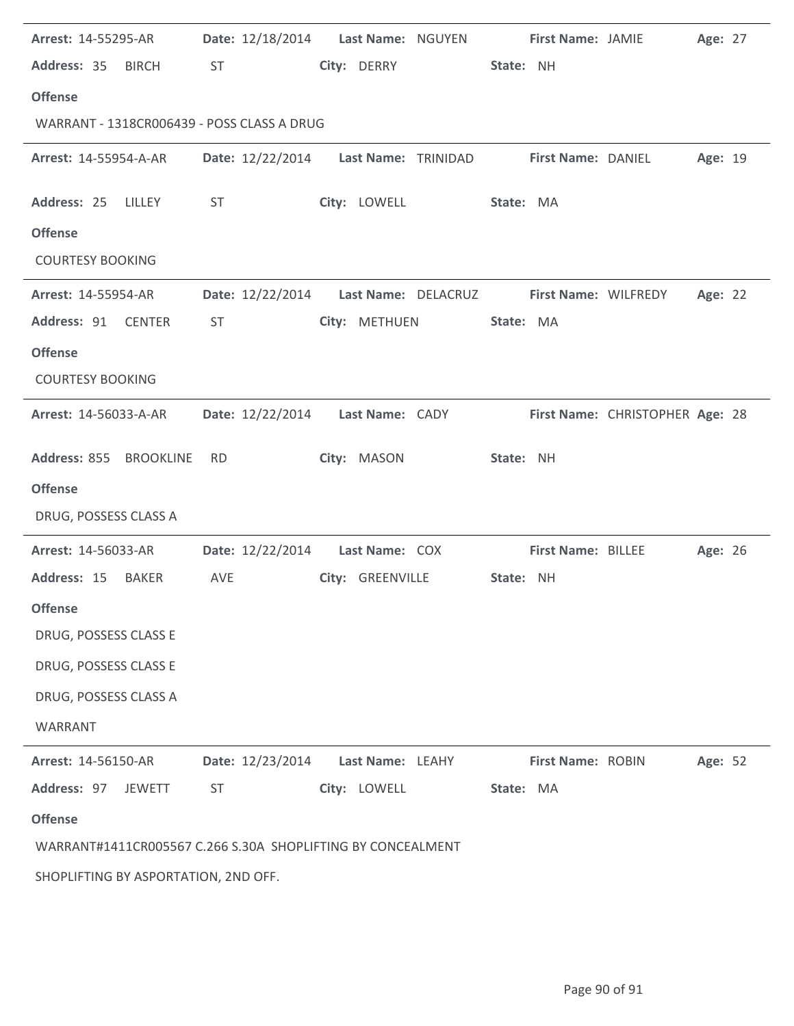| Arrest: 14-55295-AR                                         |                  | Date: 12/18/2014    Last Name: NGUYEN                           |  | First Name: JAMIE         |                                 | Age: 27 |  |
|-------------------------------------------------------------|------------------|-----------------------------------------------------------------|--|---------------------------|---------------------------------|---------|--|
| Address: 35 BIRCH                                           | <b>ST</b>        | City: DERRY                                                     |  | State: NH                 |                                 |         |  |
| <b>Offense</b>                                              |                  |                                                                 |  |                           |                                 |         |  |
| WARRANT - 1318CR006439 - POSS CLASS A DRUG                  |                  |                                                                 |  |                           |                                 |         |  |
| <b>Arrest: 14-55954-A-AR</b>                                |                  | Date: 12/22/2014 Last Name: TRINIDAD                            |  | <b>First Name: DANIEL</b> |                                 | Age: 19 |  |
| Address: 25 LILLEY                                          | ST               | City: LOWELL                                                    |  | State: MA                 |                                 |         |  |
| <b>Offense</b>                                              |                  |                                                                 |  |                           |                                 |         |  |
| <b>COURTESY BOOKING</b>                                     |                  |                                                                 |  |                           |                                 |         |  |
| Arrest: 14-55954-AR                                         |                  | Date: 12/22/2014    Last Name: DELACRUZ    First Name: WILFREDY |  |                           |                                 | Age: 22 |  |
| Address: 91 CENTER                                          | ST               | City: METHUEN                                                   |  | State: MA                 |                                 |         |  |
| <b>Offense</b>                                              |                  |                                                                 |  |                           |                                 |         |  |
| <b>COURTESY BOOKING</b>                                     |                  |                                                                 |  |                           |                                 |         |  |
| <b>Arrest: 14-56033-A-AR</b>                                |                  | Date: 12/22/2014    Last Name: CADY                             |  |                           | First Name: CHRISTOPHER Age: 28 |         |  |
| Address: 855 BROOKLINE                                      | <b>RD</b>        | City: MASON                                                     |  | State: NH                 |                                 |         |  |
| <b>Offense</b>                                              |                  |                                                                 |  |                           |                                 |         |  |
| DRUG, POSSESS CLASS A                                       |                  |                                                                 |  |                           |                                 |         |  |
| Arrest: 14-56033-AR                                         | Date: 12/22/2014 | Last Name: COX                                                  |  | First Name: BILLEE        |                                 | Age: 26 |  |
| Address: 15 BAKER                                           | AVE              | City: GREENVILLE                                                |  | State: NH                 |                                 |         |  |
| <b>Offense</b>                                              |                  |                                                                 |  |                           |                                 |         |  |
| DRUG, POSSESS CLASS E                                       |                  |                                                                 |  |                           |                                 |         |  |
| DRUG, POSSESS CLASS E                                       |                  |                                                                 |  |                           |                                 |         |  |
| DRUG, POSSESS CLASS A                                       |                  |                                                                 |  |                           |                                 |         |  |
| WARRANT                                                     |                  |                                                                 |  |                           |                                 |         |  |
| Arrest: 14-56150-AR                                         | Date: 12/23/2014 | Last Name: LEAHY                                                |  | First Name: ROBIN         |                                 | Age: 52 |  |
| Address: 97<br>JEWETT                                       | <b>ST</b>        | City: LOWELL                                                    |  | State: MA                 |                                 |         |  |
| <b>Offense</b>                                              |                  |                                                                 |  |                           |                                 |         |  |
| WARRANT#1411CR005567 C.266 S.30A SHOPLIFTING BY CONCEALMENT |                  |                                                                 |  |                           |                                 |         |  |
| SHOPLIFTING BY ASPORTATION, 2ND OFF.                        |                  |                                                                 |  |                           |                                 |         |  |